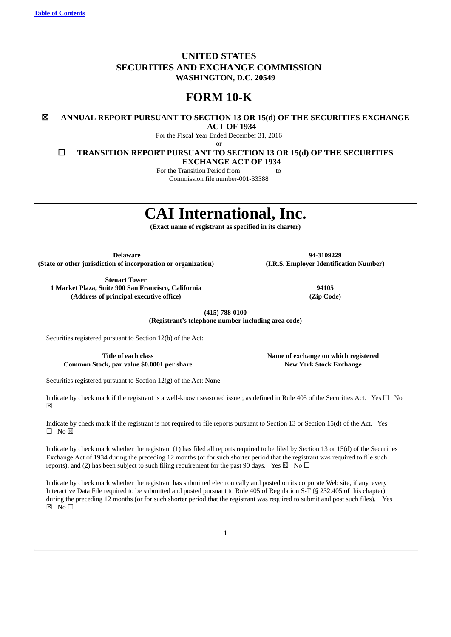## **UNITED STATES SECURITIES AND EXCHANGE COMMISSION WASHINGTON, D.C. 20549**

## **FORM 10-K**

## ☒ **ANNUAL REPORT PURSUANT TO SECTION 13 OR 15(d) OF THE SECURITIES EXCHANGE ACT OF 1934**

For the Fiscal Year Ended December 31, 2016

or

## ☐ **TRANSITION REPORT PURSUANT TO SECTION 13 OR 15(d) OF THE SECURITIES EXCHANGE ACT OF 1934**

For the Transition Period from to Commission file number-001-33388

# **CAI International, Inc.**

**(Exact name of registrant as specified in its charter)**

**Delaware 94-3109229 (State or other jurisdiction of incorporation or organization) (I.R.S. Employer Identification Number)**

**Steuart Tower 1 Market Plaza, Suite 900 San Francisco, California 94105 (Address of principal executive office) (Zip Code)**

**(415) 788-0100 (Registrant's telephone number including area code)**

Securities registered pursuant to Section 12(b) of the Act:

**Common Stock, par value \$0.0001 per share New York Stock Exchange**

**Title of each class Name of exchange on which registered**

Securities registered pursuant to Section 12(g) of the Act: **None**

Indicate by check mark if the registrant is a well-known seasoned issuer, as defined in Rule 405 of the Securities Act. Yes  $\square$  No ☒

Indicate by check mark if the registrant is not required to file reports pursuant to Section 13 or Section 15(d) of the Act. Yes  $\Box$  No  $\boxtimes$ 

Indicate by check mark whether the registrant (1) has filed all reports required to be filed by Section 13 or 15(d) of the Securities Exchange Act of 1934 during the preceding 12 months (or for such shorter period that the registrant was required to file such reports), and (2) has been subject to such filing requirement for the past 90 days. Yes  $\boxtimes$  No  $\Box$ 

Indicate by check mark whether the registrant has submitted electronically and posted on its corporate Web site, if any, every Interactive Data File required to be submitted and posted pursuant to Rule 405 of Regulation S-T (§ 232.405 of this chapter) during the preceding 12 months (or for such shorter period that the registrant was required to submit and post such files). Yes ☒ No ☐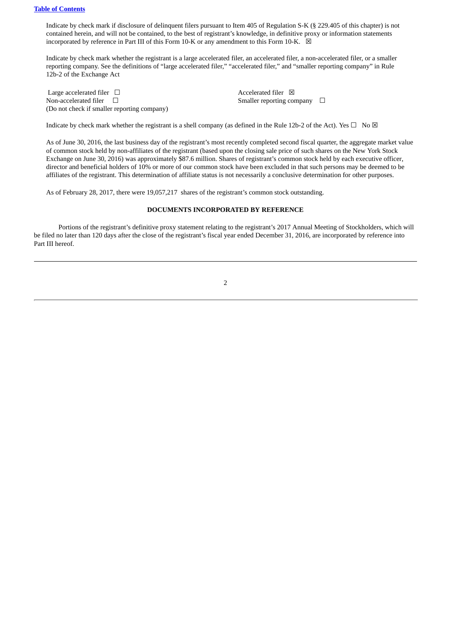Indicate by check mark if disclosure of delinquent filers pursuant to Item 405 of Regulation S-K (§ 229.405 of this chapter) is not contained herein, and will not be contained, to the best of registrant's knowledge, in definitive proxy or information statements incorporated by reference in Part III of this Form 10-K or any amendment to this Form 10-K.  $\boxtimes$ 

Indicate by check mark whether the registrant is a large accelerated filer, an accelerated filer, a non-accelerated filer, or a smaller reporting company. See the definitions of "large accelerated filer," "accelerated filer," and "smaller reporting company" in Rule 12b-2 of the Exchange Act

Large accelerated filer □ and a set of the Accelerated filer  $\boxtimes$ Non-accelerated filer  $□$ (Do not check if smaller reporting company)

Smaller reporting company  $\Box$ 

Indicate by check mark whether the registrant is a shell company (as defined in the Rule 12b-2 of the Act). Yes  $\Box$  No  $\boxtimes$ 

As of June 30, 2016, the last business day of the registrant's most recently completed second fiscal quarter, the aggregate market value of common stock held by non-affiliates of the registrant (based upon the closing sale price of such shares on the New York Stock Exchange on June 30, 2016) was approximately \$87.6 million. Shares of registrant's common stock held by each executive officer, director and beneficial holders of 10% or more of our common stock have been excluded in that such persons may be deemed to be affiliates of the registrant. This determination of affiliate status is not necessarily a conclusive determination for other purposes.

As of February 28, 2017, there were 19,057,217 shares of the registrant's common stock outstanding.

#### **DOCUMENTS INCORPORATED BY REFERENCE**

Portions of the registrant's definitive proxy statement relating to the registrant's 2017 Annual Meeting of Stockholders, which will be filed no later than 120 days after the close of the registrant's fiscal year ended December 31, 2016, are incorporated by reference into Part III hereof.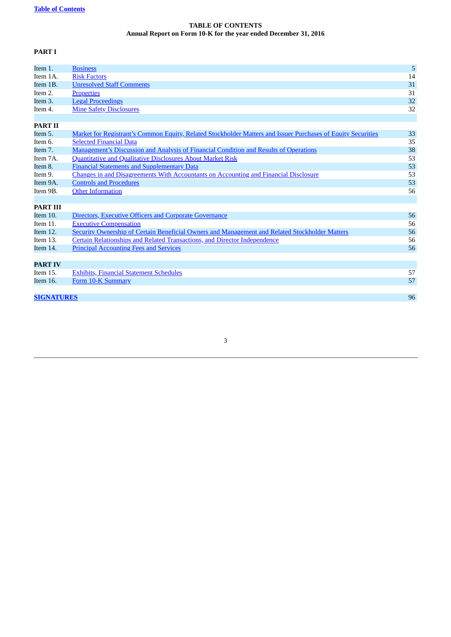## **TABLE OF CONTENTS Annual Report on Form 10-K for the year ended December 31, 2016**

## <span id="page-2-0"></span>**PART I**

| Item 1.           | <b>Business</b>                                                                                              | 5  |
|-------------------|--------------------------------------------------------------------------------------------------------------|----|
| Item 1A.          | <b>Risk Factors</b>                                                                                          | 14 |
| Item 1B.          | <b>Unresolved Staff Comments</b>                                                                             | 31 |
| Item 2.           | <b>Properties</b>                                                                                            | 31 |
| Item 3.           | <b>Legal Proceedings</b>                                                                                     | 32 |
| Item 4.           | <b>Mine Safety Disclosures</b>                                                                               | 32 |
|                   |                                                                                                              |    |
| <b>PART II</b>    |                                                                                                              |    |
| Item 5.           | Market for Registrant's Common Equity, Related Stockholder Matters and Issuer Purchases of Equity Securities | 33 |
| Item 6.           | <b>Selected Financial Data</b>                                                                               | 35 |
| Item 7.           | <b>Management's Discussion and Analysis of Financial Condition and Results of Operations</b>                 | 38 |
| Item 7A.          | <b>Quantitative and Qualitative Disclosures About Market Risk</b>                                            | 53 |
| Item 8.           | <b>Financial Statements and Supplementary Data</b>                                                           | 53 |
| Item 9.           | <b>Changes in and Disagreements With Accountants on Accounting and Financial Disclosure</b>                  | 53 |
| Item 9A.          | <b>Controls and Procedures</b>                                                                               | 53 |
| Item 9B.          | <b>Other Information</b>                                                                                     | 56 |
|                   |                                                                                                              |    |
| <b>PART III</b>   |                                                                                                              |    |
| Item 10.          | Directors, Executive Officers and Corporate Governance                                                       | 56 |
| Item 11.          | <b>Executive Compensation</b>                                                                                | 56 |
| Item 12.          | Security Ownership of Certain Beneficial Owners and Management and Related Stockholder Matters               | 56 |
| Item 13.          | <b>Certain Relationships and Related Transactions, and Director Independence</b>                             | 56 |
| Item 14.          | <b>Principal Accounting Fees and Services</b>                                                                | 56 |
|                   |                                                                                                              |    |
| <b>PART IV</b>    |                                                                                                              |    |
| Item 15.          | <b>Exhibits, Financial Statement Schedules</b>                                                               | 57 |
| Item 16.          | Form 10-K Summary                                                                                            | 57 |
|                   |                                                                                                              |    |
| <b>SIGNATURES</b> |                                                                                                              | 96 |
|                   |                                                                                                              |    |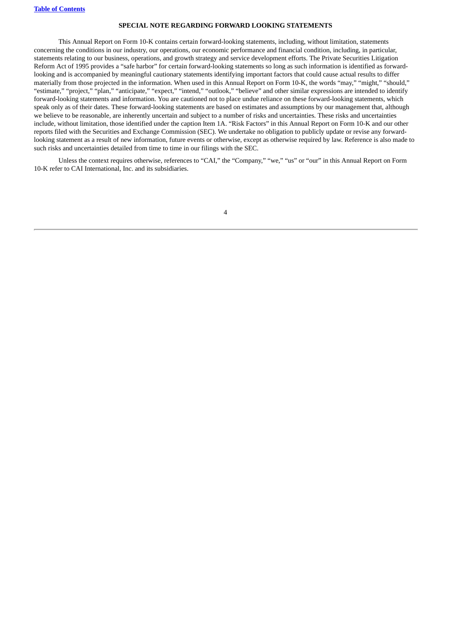#### **SPECIAL NOTE REGARDING FORWARD LOOKING STATEMENTS**

This Annual Report on Form 10-K contains certain forward-looking statements, including, without limitation, statements concerning the conditions in our industry, our operations, our economic performance and financial condition, including, in particular, statements relating to our business, operations, and growth strategy and service development efforts. The Private Securities Litigation Reform Act of 1995 provides a "safe harbor" for certain forward-looking statements so long as such information is identified as forwardlooking and is accompanied by meaningful cautionary statements identifying important factors that could cause actual results to differ materially from those projected in the information. When used in this Annual Report on Form 10-K, the words "may," "might," "should," "estimate," "project," "plan," "anticipate," "expect," "intend," "outlook," "believe" and other similar expressions are intended to identify forward-looking statements and information. You are cautioned not to place undue reliance on these forward-looking statements, which speak only as of their dates. These forward-looking statements are based on estimates and assumptions by our management that, although we believe to be reasonable, are inherently uncertain and subject to a number of risks and uncertainties. These risks and uncertainties include, without limitation, those identified under the caption Item 1A. "Risk Factors" in this Annual Report on Form 10-K and our other reports filed with the Securities and Exchange Commission (SEC). We undertake no obligation to publicly update or revise any forwardlooking statement as a result of new information, future events or otherwise, except as otherwise required by law. Reference is also made to such risks and uncertainties detailed from time to time in our filings with the SEC.

Unless the context requires otherwise, references to "CAI," the "Company," "we," "us" or "our" in this Annual Report on Form 10-K refer to CAI International, Inc. and its subsidiaries.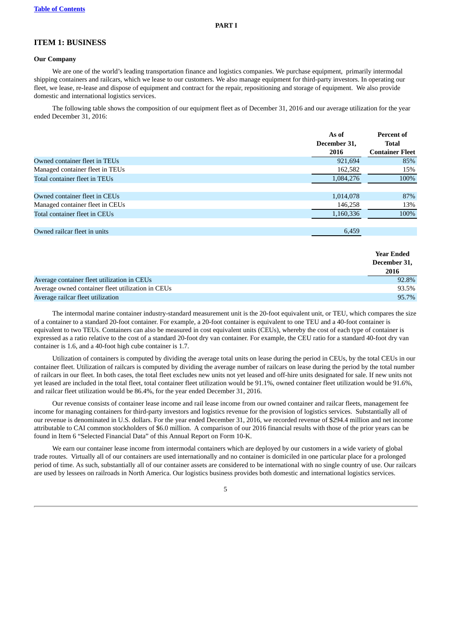#### <span id="page-4-0"></span>**ITEM 1: BUSINESS**

#### **Our Company**

We are one of the world's leading transportation finance and logistics companies. We purchase equipment, primarily intermodal shipping containers and railcars, which we lease to our customers. We also manage equipment for third-party investors. In operating our fleet, we lease, re-lease and dispose of equipment and contract for the repair, repositioning and storage of equipment. We also provide domestic and international logistics services.

The following table shows the composition of our equipment fleet as of December 31, 2016 and our average utilization for the year ended December 31, 2016:

|                                 | As of        | <b>Percent of</b>      |
|---------------------------------|--------------|------------------------|
|                                 | December 31, | <b>Total</b>           |
|                                 | 2016         | <b>Container Fleet</b> |
| Owned container fleet in TEUs   | 921,694      | 85%                    |
| Managed container fleet in TEUs | 162,582      | 15%                    |
| Total container fleet in TEUs   | 1,084,276    | 100%                   |
|                                 |              |                        |
| Owned container fleet in CEUs   | 1,014,078    | 87%                    |
| Managed container fleet in CEUs | 146,258      | 13%                    |
| Total container fleet in CEUs   | 1,160,336    | 100%                   |
|                                 |              |                        |
| Owned railcar fleet in units    | 6,459        |                        |

|                                                   | <b>Year Ended</b> |
|---------------------------------------------------|-------------------|
|                                                   | December 31,      |
|                                                   | 2016              |
| Average container fleet utilization in CEUs       | 92.8%             |
| Average owned container fleet utilization in CEUs | 93.5%             |
| Average railcar fleet utilization                 | 95.7%             |

The intermodal marine container industry-standard measurement unit is the 20-foot equivalent unit, or TEU, which compares the size of a container to a standard 20-foot container. For example, a 20-foot container is equivalent to one TEU and a 40-foot container is equivalent to two TEUs. Containers can also be measured in cost equivalent units (CEUs), whereby the cost of each type of container is expressed as a ratio relative to the cost of a standard 20-foot dry van container. For example, the CEU ratio for a standard 40-foot dry van container is 1.6, and a 40-foot high cube container is 1.7.

Utilization of containers is computed by dividing the average total units on lease during the period in CEUs, by the total CEUs in our container fleet. Utilization of railcars is computed by dividing the average number of railcars on lease during the period by the total number of railcars in our fleet. In both cases, the total fleet excludes new units not yet leased and off-hire units designated for sale. If new units not yet leased are included in the total fleet, total container fleet utilization would be 91.1%, owned container fleet utilization would be 91.6%, and railcar fleet utilization would be 86.4%, for the year ended December 31, 2016.

Our revenue consists of container lease income and rail lease income from our owned container and railcar fleets, management fee income for managing containers for third-party investors and logistics revenue for the provision of logistics services. Substantially all of our revenue is denominated in U.S. dollars. For the year ended December 31, 2016, we recorded revenue of \$294.4 million and net income attributable to CAI common stockholders of \$6.0 million. A comparison of our 2016 financial results with those of the prior years can be found in Item 6 "Selected Financial Data" of this Annual Report on Form 10-K.

We earn our container lease income from intermodal containers which are deployed by our customers in a wide variety of global trade routes. Virtually all of our containers are used internationally and no container is domiciled in one particular place for a prolonged period of time. As such, substantially all of our container assets are considered to be international with no single country of use. Our railcars are used by lessees on railroads in North America. Our logistics business provides both domestic and international logistics services.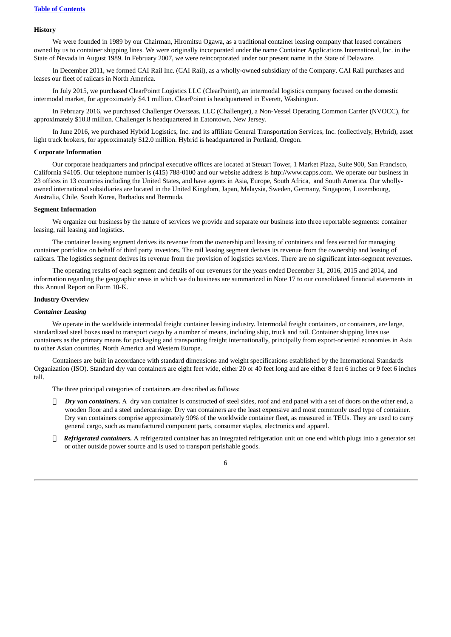#### **History**

We were founded in 1989 by our Chairman, Hiromitsu Ogawa, as a traditional container leasing company that leased containers owned by us to container shipping lines. We were originally incorporated under the name Container Applications International, Inc. in the State of Nevada in August 1989. In February 2007, we were reincorporated under our present name in the State of Delaware.

In December 2011, we formed CAI Rail Inc. (CAI Rail), as a wholly-owned subsidiary of the Company. CAI Rail purchases and leases our fleet of railcars in North America.

In July 2015, we purchased ClearPointt Logistics LLC (ClearPointt), an intermodal logistics company focused on the domestic intermodal market, for approximately \$4.1 million. ClearPointt is headquartered in Everett, Washington.

In February 2016, we purchased Challenger Overseas, LLC (Challenger), a Non-Vessel Operating Common Carrier (NVOCC), for approximately \$10.8 million. Challenger is headquartered in Eatontown, New Jersey.

In June 2016, we purchased Hybrid Logistics, Inc. and its affiliate General Transportation Services, Inc. (collectively, Hybrid), asset light truck brokers, for approximately \$12.0 million. Hybrid is headquartered in Portland, Oregon.

#### **Corporate Information**

Our corporate headquarters and principal executive offices are located at Steuart Tower, 1 Market Plaza, Suite 900, San Francisco, California 94105. Our telephone number is (415) 788-0100 and our website address is http://www.capps.com. We operate our business in 23 offices in 13 countries including the United States, and have agents in Asia, Europe, South Africa, and South America. Our whollyowned international subsidiaries are located in the United Kingdom, Japan, Malaysia, Sweden, Germany, Singapore, Luxembourg, Australia, Chile, South Korea, Barbados and Bermuda.

#### **Segment Information**

We organize our business by the nature of services we provide and separate our business into three reportable segments: container leasing, rail leasing and logistics.

The container leasing segment derives its revenue from the ownership and leasing of containers and fees earned for managing container portfolios on behalf of third party investors. The rail leasing segment derives its revenue from the ownership and leasing of railcars. The logistics segment derives its revenue from the provision of logistics services. There are no significant inter-segment revenues.

The operating results of each segment and details of our revenues for the years ended December 31, 2016, 2015 and 2014, and information regarding the geographic areas in which we do business are summarized in Note 17 to our consolidated financial statements in this Annual Report on Form 10-K.

#### **Industry Overview**

#### *Container Leasing*

We operate in the worldwide intermodal freight container leasing industry. Intermodal freight containers, or containers, are large, standardized steel boxes used to transport cargo by a number of means, including ship, truck and rail. Container shipping lines use containers as the primary means for packaging and transporting freight internationally, principally from export-oriented economies in Asia to other Asian countries, North America and Western Europe.

Containers are built in accordance with standard dimensions and weight specifications established by the International Standards Organization (ISO). Standard dry van containers are eight feet wide, either 20 or 40 feet long and are either 8 feet 6 inches or 9 feet 6 inches tall.

The three principal categories of containers are described as follows:

- *Dry van containers.* A dry van container is constructed of steel sides, roof and end panel with a set of doors on the other end, a wooden floor and a steel undercarriage. Dry van containers are the least expensive and most commonly used type of container. Dry van containers comprise approximately 90% of the worldwide container fleet, as measured in TEUs. They are used to carry general cargo, such as manufactured component parts, consumer staples, electronics and apparel.
- *Refrigerated containers.* A refrigerated container has an integrated refrigeration unit on one end which plugs into a generator set or other outside power source and is used to transport perishable goods.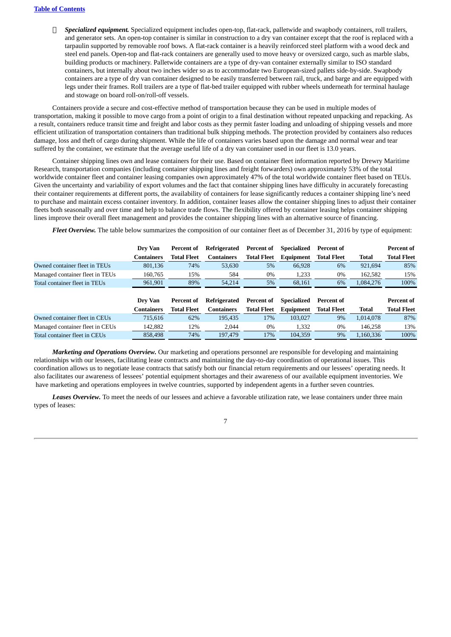*Specialized equipment.* Specialized equipment includes open-top, flat-rack, palletwide and swapbody containers, roll trailers, and generator sets. An open-top container is similar in construction to a dry van container except that the roof is replaced with a tarpaulin supported by removable roof bows. A flat-rack container is a heavily reinforced steel platform with a wood deck and steel end panels. Open-top and flat-rack containers are generally used to move heavy or oversized cargo, such as marble slabs, building products or machinery. Palletwide containers are a type of dry-van container externally similar to ISO standard containers, but internally about two inches wider so as to accommodate two European-sized pallets side-by-side. Swapbody containers are a type of dry van container designed to be easily transferred between rail, truck, and barge and are equipped with legs under their frames. Roll trailers are a type of flat-bed trailer equipped with rubber wheels underneath for terminal haulage and stowage on board roll-on/roll-off vessels.

Containers provide a secure and cost-effective method of transportation because they can be used in multiple modes of transportation, making it possible to move cargo from a point of origin to a final destination without repeated unpacking and repacking. As a result, containers reduce transit time and freight and labor costs as they permit faster loading and unloading of shipping vessels and more efficient utilization of transportation containers than traditional bulk shipping methods. The protection provided by containers also reduces damage, loss and theft of cargo during shipment. While the life of containers varies based upon the damage and normal wear and tear suffered by the container, we estimate that the average useful life of a dry van container used in our fleet is 13.0 years.

Container shipping lines own and lease containers for their use. Based on container fleet information reported by Drewry Maritime Research, transportation companies (including container shipping lines and freight forwarders) own approximately 53% of the total worldwide container fleet and container leasing companies own approximately 47% of the total worldwide container fleet based on TEUs. Given the uncertainty and variability of export volumes and the fact that container shipping lines have difficulty in accurately forecasting their container requirements at different ports, the availability of containers for lease significantly reduces a container shipping line's need to purchase and maintain excess container inventory. In addition, container leases allow the container shipping lines to adjust their container fleets both seasonally and over time and help to balance trade flows. The flexibility offered by container leasing helps container shipping lines improve their overall fleet management and provides the container shipping lines with an alternative source of financing.

*Fleet Overview.* The table below summarizes the composition of our container fleet as of December 31, 2016 by type of equipment:

|                                 | Dry Van    | Percent of         | Refrigerated      | Percent of         | <b>Specialized</b> | Percent of         |              | Percent of         |
|---------------------------------|------------|--------------------|-------------------|--------------------|--------------------|--------------------|--------------|--------------------|
|                                 | Containers | <b>Total Fleet</b> | <b>Containers</b> | <b>Total Fleet</b> | Equipment          | <b>Total Fleet</b> | Total        | <b>Total Fleet</b> |
| Owned container fleet in TEUs   | 801,136    | 74%                | 53,630            | 5%                 | 66,928             | 6%                 | 921,694      | 85%                |
| Managed container fleet in TEUs | 160,765    | 15%                | 584               | $0\%$              | 1,233              | $0\%$              | 162,582      | 15%                |
| Total container fleet in TEUs   | 961,901    | 89%                | 54.214            | 5%                 | 68,161             | 6%                 | 1,084,276    | 100%               |
|                                 |            |                    |                   |                    |                    |                    |              |                    |
|                                 | Dry Van    | Percent of         | Refrigerated      | <b>Percent of</b>  | <b>Specialized</b> | Percent of         |              | Percent of         |
|                                 | Containers | <b>Total Fleet</b> | <b>Containers</b> | <b>Total Fleet</b> | Equipment          | <b>Total Fleet</b> | <b>Total</b> | <b>Total Fleet</b> |
| Owned container fleet in CEUs   | 715.616    | 62%                | 195,435           | 17%                | 103,027            | 9%                 | 1,014,078    | 87%                |
|                                 |            |                    |                   |                    |                    |                    |              |                    |
| Managed container fleet in CEUs | 142,882    | 12%                | 2,044             | 0%                 | 1,332              | $0\%$              | 146,258      | 13%                |

*Marketing and Operations Overview.* Our marketing and operations personnel are responsible for developing and maintaining relationships with our lessees, facilitating lease contracts and maintaining the day-to-day coordination of operational issues. This coordination allows us to negotiate lease contracts that satisfy both our financial return requirements and our lessees' operating needs. It also facilitates our awareness of lessees' potential equipment shortages and their awareness of our available equipment inventories. We have marketing and operations employees in twelve countries, supported by independent agents in a further seven countries.

*Leases Overview.* To meet the needs of our lessees and achieve a favorable utilization rate, we lease containers under three main types of leases: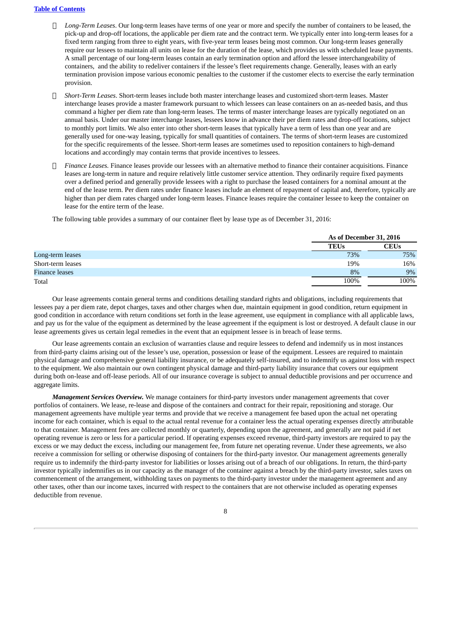- *Long-Term Leases*. Our long-term leases have terms of one year or more and specify the number of containers to be leased, the pick-up and drop-off locations, the applicable per diem rate and the contract term. We typically enter into long-term leases for a fixed term ranging from three to eight years, with five-year term leases being most common. Our long-term leases generally require our lessees to maintain all units on lease for the duration of the lease, which provides us with scheduled lease payments. A small percentage of our long-term leases contain an early termination option and afford the lessee interchangeability of containers, and the ability to redeliver containers if the lessee's fleet requirements change. Generally, leases with an early termination provision impose various economic penalties to the customer if the customer elects to exercise the early termination provision.
- *Short-Term Leases*. Short-term leases include both master interchange leases and customized short-term leases. Master interchange leases provide a master framework pursuant to which lessees can lease containers on an as-needed basis, and thus command a higher per diem rate than long-term leases. The terms of master interchange leases are typically negotiated on an annual basis. Under our master interchange leases, lessees know in advance their per diem rates and drop-off locations, subject to monthly port limits. We also enter into other short-term leases that typically have a term of less than one year and are generally used for one-way leasing, typically for small quantities of containers. The terms of short-term leases are customized for the specific requirements of the lessee. Short-term leases are sometimes used to reposition containers to high-demand locations and accordingly may contain terms that provide incentives to lessees.
- *Finance Leases.* Finance leases provide our lessees with an alternative method to finance their container acquisitions. Finance leases are long-term in nature and require relatively little customer service attention. They ordinarily require fixed payments over a defined period and generally provide lessees with a right to purchase the leased containers for a nominal amount at the end of the lease term. Per diem rates under finance leases include an element of repayment of capital and, therefore, typically are higher than per diem rates charged under long-term leases. Finance leases require the container lessee to keep the container on lease for the entire term of the lease.

The following table provides a summary of our container fleet by lease type as of December 31, 2016:

|                   |             | As of December 31, 2016 |
|-------------------|-------------|-------------------------|
|                   | <b>TEUs</b> | <b>CEUs</b>             |
| Long-term leases  | 73%         | 75%                     |
| Short-term leases | 19%         | 16%                     |
| Finance leases    | 8%          | $9\%$                   |
| Total             | 100%        | 100%                    |

Our lease agreements contain general terms and conditions detailing standard rights and obligations, including requirements that lessees pay a per diem rate, depot charges, taxes and other charges when due, maintain equipment in good condition, return equipment in good condition in accordance with return conditions set forth in the lease agreement, use equipment in compliance with all applicable laws, and pay us for the value of the equipment as determined by the lease agreement if the equipment is lost or destroyed. A default clause in our lease agreements gives us certain legal remedies in the event that an equipment lessee is in breach of lease terms.

Our lease agreements contain an exclusion of warranties clause and require lessees to defend and indemnify us in most instances from third-party claims arising out of the lessee's use, operation, possession or lease of the equipment. Lessees are required to maintain physical damage and comprehensive general liability insurance, or be adequately self-insured, and to indemnify us against loss with respect to the equipment. We also maintain our own contingent physical damage and third-party liability insurance that covers our equipment during both on-lease and off-lease periods. All of our insurance coverage is subject to annual deductible provisions and per occurrence and aggregate limits.

*Management Services Overview.* We manage containers for third-party investors under management agreements that cover portfolios of containers. We lease, re-lease and dispose of the containers and contract for their repair, repositioning and storage. Our management agreements have multiple year terms and provide that we receive a management fee based upon the actual net operating income for each container, which is equal to the actual rental revenue for a container less the actual operating expenses directly attributable to that container. Management fees are collected monthly or quarterly, depending upon the agreement, and generally are not paid if net operating revenue is zero or less for a particular period. If operating expenses exceed revenue, third-party investors are required to pay the excess or we may deduct the excess, including our management fee, from future net operating revenue. Under these agreements, we also receive a commission for selling or otherwise disposing of containers for the third-party investor. Our management agreements generally require us to indemnify the third-party investor for liabilities or losses arising out of a breach of our obligations. In return, the third-party investor typically indemnifies us in our capacity as the manager of the container against a breach by the third-party investor, sales taxes on commencement of the arrangement, withholding taxes on payments to the third-party investor under the management agreement and any other taxes, other than our income taxes, incurred with respect to the containers that are not otherwise included as operating expenses deductible from revenue.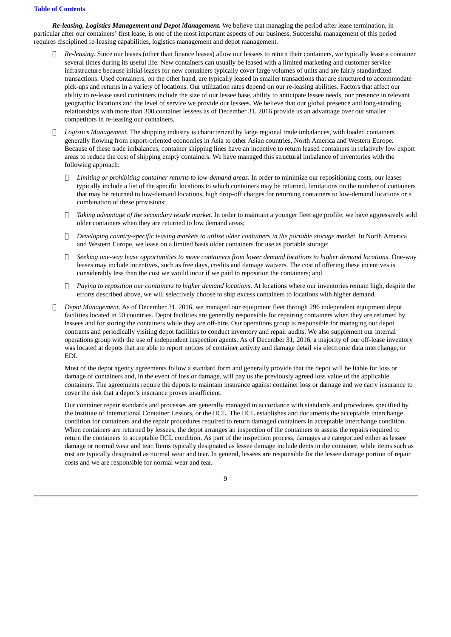*Re-leasing, Logistics Management and Depot Management.* We believe that managing the period after lease termination, in particular after our containers' first lease, is one of the most important aspects of our business. Successful management of this period requires disciplined re-leasing capabilities, logistics management and depot management.

- *Re-leasing.* Since our leases (other than finance leases) allow our lessees to return their containers, we typically lease a container several times during its useful life. New containers can usually be leased with a limited marketing and customer service infrastructure because initial leases for new containers typically cover large volumes of units and are fairly standardized transactions. Used containers, on the other hand, are typically leased in smaller transactions that are structured to accommodate pick-ups and returns in a variety of locations. Our utilization rates depend on our re-leasing abilities. Factors that affect our ability to re-lease used containers include the size of our lessee base, ability to anticipate lessee needs, our presence in relevant geographic locations and the level of service we provide our lessees. We believe that our global presence and long-standing relationships with more than 300 container lessees as of December 31, 2016 provide us an advantage over our smaller competitors in re-leasing our containers.
- *Logistics Management.* The shipping industry is characterized by large regional trade imbalances, with loaded containers generally flowing from export-oriented economies in Asia to other Asian countries, North America and Western Europe. Because of these trade imbalances, container shipping lines have an incentive to return leased containers in relatively low export areas to reduce the cost of shipping empty containers. We have managed this structural imbalance of inventories with the following approach:
	- *Limiting or prohibiting container returns to low-demand areas.* In order to minimize our repositioning costs, our leases typically include a list of the specific locations to which containers may be returned, limitations on the number of containers that may be returned to low-demand locations, high drop-off charges for returning containers to low-demand locations or a combination of these provisions;
	- *Taking advantage of the secondary resale market.* In order to maintain a younger fleet age profile, we have aggressively sold older containers when they are returned to low demand areas;
	- *Developing country-specific leasing markets to utilize older containers in the portable storage market*. In North America and Western Europe, we lease on a limited basis older containers for use as portable storage;
	- *Seeking one-way lease opportunities to move containers from lower demand locations to higher demand locations*. One-way leases may include incentives, such as free days, credits and damage waivers. The cost of offering these incentives is considerably less than the cost we would incur if we paid to reposition the containers; and
	- *Paying to reposition our containers to higher demand locations*. At locations where our inventories remain high, despite the efforts described above, we will selectively choose to ship excess containers to locations with higher demand.
- *Depot Management*. As of December 31, 2016, we managed our equipment fleet through 296 independent equipment depot facilities located in 50 countries. Depot facilities are generally responsible for repairing containers when they are returned by lessees and for storing the containers while they are off-hire. Our operations group is responsible for managing our depot contracts and periodically visiting depot facilities to conduct inventory and repair audits. We also supplement our internal operations group with the use of independent inspection agents. As of December 31, 2016, a majority of our off-lease inventory was located at depots that are able to report notices of container activity and damage detail via electronic data interchange, or EDI.

Most of the depot agency agreements follow a standard form and generally provide that the depot will be liable for loss or damage of containers and, in the event of loss or damage, will pay us the previously agreed loss value of the applicable containers. The agreements require the depots to maintain insurance against container loss or damage and we carry insurance to cover the risk that a depot's insurance proves insufficient.

Our container repair standards and processes are generally managed in accordance with standards and procedures specified by the Institute of International Container Lessors, or the IICL. The IICL establishes and documents the acceptable interchange condition for containers and the repair procedures required to return damaged containers in acceptable interchange condition. When containers are returned by lessees, the depot arranges an inspection of the containers to assess the repairs required to return the containers to acceptable IICL condition. As part of the inspection process, damages are categorized either as lessee damage or normal wear and tear. Items typically designated as lessee damage include dents in the container, while items such as rust are typically designated as normal wear and tear. In general, lessees are responsible for the lessee damage portion of repair costs and we are responsible for normal wear and tear.

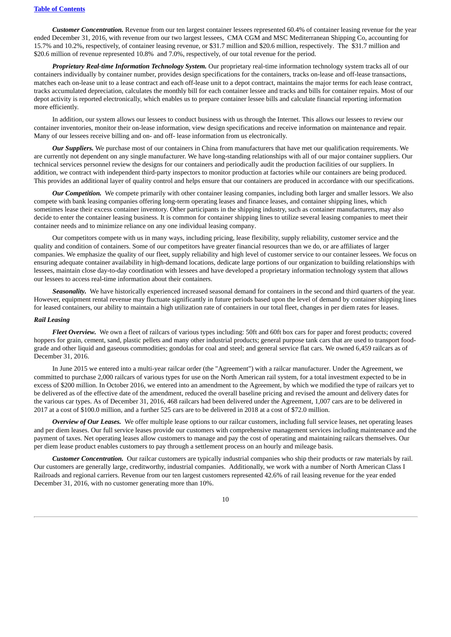*Customer Concentration.* Revenue from our ten largest container lessees represented 60.4% of container leasing revenue for the year ended December 31, 2016, with revenue from our two largest lessees, CMA CGM and MSC Mediterranean Shipping Co, accounting for 15.7% and 10.2%, respectively, of container leasing revenue, or \$31.7 million and \$20.6 million, respectively. The \$31.7 million and \$20.6 million of revenue represented 10.8% and 7.0%, respectively, of our total revenue for the period.

*Proprietary Real-time Information Technology System.* Our proprietary real-time information technology system tracks all of our containers individually by container number, provides design specifications for the containers, tracks on-lease and off-lease transactions, matches each on-lease unit to a lease contract and each off-lease unit to a depot contract, maintains the major terms for each lease contract, tracks accumulated depreciation, calculates the monthly bill for each container lessee and tracks and bills for container repairs. Most of our depot activity is reported electronically, which enables us to prepare container lessee bills and calculate financial reporting information more efficiently.

In addition, our system allows our lessees to conduct business with us through the Internet. This allows our lessees to review our container inventories, monitor their on-lease information, view design specifications and receive information on maintenance and repair. Many of our lessees receive billing and on- and off- lease information from us electronically.

*Our Suppliers.* We purchase most of our containers in China from manufacturers that have met our qualification requirements. We are currently not dependent on any single manufacturer. We have long-standing relationships with all of our major container suppliers. Our technical services personnel review the designs for our containers and periodically audit the production facilities of our suppliers. In addition, we contract with independent third-party inspectors to monitor production at factories while our containers are being produced. This provides an additional layer of quality control and helps ensure that our containers are produced in accordance with our specifications.

*Our Competition.* We compete primarily with other container leasing companies, including both larger and smaller lessors. We also compete with bank leasing companies offering long-term operating leases and finance leases, and container shipping lines, which sometimes lease their excess container inventory. Other participants in the shipping industry, such as container manufacturers, may also decide to enter the container leasing business. It is common for container shipping lines to utilize several leasing companies to meet their container needs and to minimize reliance on any one individual leasing company.

Our competitors compete with us in many ways, including pricing, lease flexibility, supply reliability, customer service and the quality and condition of containers. Some of our competitors have greater financial resources than we do, or are affiliates of larger companies. We emphasize the quality of our fleet, supply reliability and high level of customer service to our container lessees. We focus on ensuring adequate container availability in high-demand locations, dedicate large portions of our organization to building relationships with lessees, maintain close day-to-day coordination with lessees and have developed a proprietary information technology system that allows our lessees to access real-time information about their containers.

*Seasonality.* We have historically experienced increased seasonal demand for containers in the second and third quarters of the year. However, equipment rental revenue may fluctuate significantly in future periods based upon the level of demand by container shipping lines for leased containers, our ability to maintain a high utilization rate of containers in our total fleet, changes in per diem rates for leases.

#### *Rail Leasing*

*Fleet Overview.* We own a fleet of railcars of various types including: 50ft and 60ft box cars for paper and forest products; covered hoppers for grain, cement, sand, plastic pellets and many other industrial products; general purpose tank cars that are used to transport foodgrade and other liquid and gaseous commodities; gondolas for coal and steel; and general service flat cars. We owned 6,459 railcars as of December 31, 2016.

In June 2015 we entered into a multi-year railcar order (the "Agreement") with a railcar manufacturer. Under the Agreement, we committed to purchase 2,000 railcars of various types for use on the North American rail system, for a total investment expected to be in excess of \$200 million. In October 2016, we entered into an amendment to the Agreement, by which we modified the type of railcars yet to be delivered as of the effective date of the amendment, reduced the overall baseline pricing and revised the amount and delivery dates for the various car types. As of December 31, 2016, 468 railcars had been delivered under the Agreement, 1,007 cars are to be delivered in 2017 at a cost of \$100.0 million, and a further 525 cars are to be delivered in 2018 at a cost of \$72.0 million.

*Overview of Our Leases.* We offer multiple lease options to our railcar customers, including full service leases, net operating leases and per diem leases. Our full service leases provide our customers with comprehensive management services including maintenance and the payment of taxes. Net operating leases allow customers to manage and pay the cost of operating and maintaining railcars themselves. Our per diem lease product enables customers to pay through a settlement process on an hourly and mileage basis.

*Customer Concentration.* Our railcar customers are typically industrial companies who ship their products or raw materials by rail. Our customers are generally large, creditworthy, industrial companies. Additionally, we work with a number of North American Class I Railroads and regional carriers. Revenue from our ten largest customers represented 42.6% of rail leasing revenue for the year ended December 31, 2016, with no customer generating more than 10%.

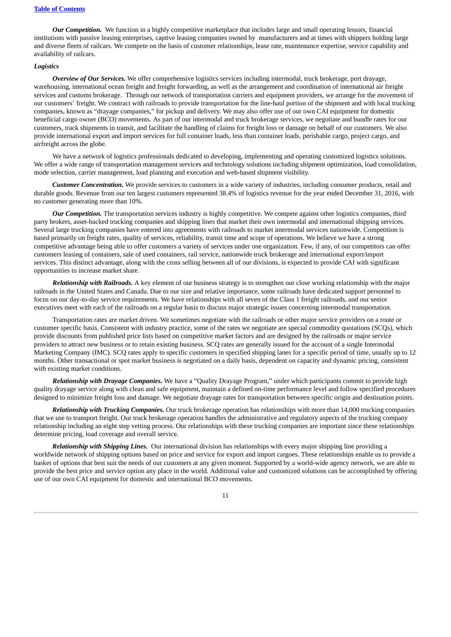*Our Competition.* We function in a highly competitive marketplace that includes large and small operating lessors, financial institutions with passive leasing enterprises, captive leasing companies owned by manufacturers and at times with shippers holding large and diverse fleets of railcars. We compete on the basis of customer relationships, lease rate, maintenance expertise, service capability and availability of railcars.

#### *Logistics*

*Overview of Our Services.* We offer comprehensive logistics services including intermodal, truck brokerage, port drayage, warehousing, international ocean freight and freight forwarding, as well as the arrangement and coordination of international air freight services and customs brokerage. Through our network of transportation carriers and equipment providers, we arrange for the movement of our customers' freight. We contract with railroads to provide transportation for the line-haul portion of the shipment and with local trucking companies, known as "drayage companies," for pickup and delivery. We may also offer use of our own CAI equipment for domestic beneficial cargo owner (BCO) movements. As part of our intermodal and truck brokerage services, we negotiate and bundle rates for our customers, track shipments in transit, and facilitate the handling of claims for freight loss or damage on behalf of our customers. We also provide international export and import services for full container loads, less than container loads, perishable cargo, project cargo, and airfreight across the globe.

We have a network of logistics professionals dedicated to developing, implementing and operating customized logistics solutions. We offer a wide range of transportation management services and technology solutions including shipment optimization, load consolidation, mode selection, carrier management, load planning and execution and web-based shipment visibility.

*Customer Concentration.* We provide services to customers in a wide variety of industries, including consumer products, retail and durable goods. Revenue from our ten largest customers represented 38.4% of logistics revenue for the year ended December 31, 2016, with no customer generating more than 10%.

*Our Competition.* The transportation services industry is highly competitive. We compete against other logistics companies, third party brokers, asset-backed trucking companies and shipping lines that market their own intermodal and international shipping services. Several large trucking companies have entered into agreements with railroads to market intermodal services nationwide. Competition is based primarily on freight rates, quality of services, reliability, transit time and scope of operations. We believe we have a strong competitive advantage being able to offer customers a variety of services under one organization. Few, if any, of our competitors can offer customers leasing of containers, sale of used containers, rail service, nationwide truck brokerage and international export/import services. This distinct advantage, along with the cross selling between all of our divisions, is expected to provide CAI with significant opportunities to increase market share.

*Relationship with Railroads.* A key element of our business strategy is to strengthen our close working relationship with the major railroads in the United States and Canada. Due to our size and relative importance, some railroads have dedicated support personnel to focus on our day-to-day service requirements. We have relationships with all seven of the Class 1 freight railroads, and our senior executives meet with each of the railroads on a regular basis to discuss major strategic issues concerning intermodal transportation.

Transportation rates are market driven. We sometimes negotiate with the railroads or other major service providers on a route or customer specific basis. Consistent with industry practice, some of the rates we negotiate are special commodity quotations (SCQs), which provide discounts from published price lists based on competitive market factors and are designed by the railroads or major service providers to attract new business or to retain existing business. SCQ rates are generally issued for the account of a single Intermodal Marketing Company (IMC). SCQ rates apply to specific customers in specified shipping lanes for a specific period of time, usually up to 12 months. Other transactional or spot market business is negotiated on a daily basis, dependent on capacity and dynamic pricing, consistent with existing market conditions.

*Relationship with Drayage Companies.* We have a "Quality Drayage Program," under which participants commit to provide high quality drayage service along with clean and safe equipment, maintain a defined on-time performance level and follow specified procedures designed to minimize freight loss and damage. We negotiate drayage rates for transportation between specific origin and destination points.

*Relationship with Trucking Companies.* Our truck brokerage operation has relationships with more than 14,000 trucking companies that we use to transport freight. Our truck brokerage operation handles the administrative and regulatory aspects of the trucking company relationship including an eight step vetting process. Our relationships with these trucking companies are important since these relationships determine pricing, load coverage and overall service.

*Relationship with Shipping Lines.* Our international division has relationships with every major shipping line providing a worldwide network of shipping options based on price and service for export and import cargoes. These relationships enable us to provide a basket of options that best suit the needs of our customers at any given moment. Supported by a world-wide agency network, we are able to provide the best price and service option any place in the world. Additional value and customized solutions can be accomplished by offering use of our own CAI equipment for domestic and international BCO movements.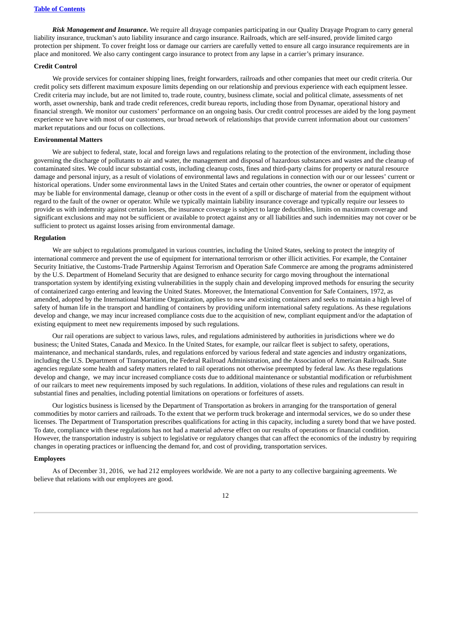*Risk Management and Insurance.* We require all drayage companies participating in our Quality Drayage Program to carry general liability insurance, truckman's auto liability insurance and cargo insurance. Railroads, which are self-insured, provide limited cargo protection per shipment. To cover freight loss or damage our carriers are carefully vetted to ensure all cargo insurance requirements are in place and monitored. We also carry contingent cargo insurance to protect from any lapse in a carrier's primary insurance.

#### **Credit Control**

We provide services for container shipping lines, freight forwarders, railroads and other companies that meet our credit criteria. Our credit policy sets different maximum exposure limits depending on our relationship and previous experience with each equipment lessee. Credit criteria may include, but are not limited to, trade route, country, business climate, social and political climate, assessments of net worth, asset ownership, bank and trade credit references, credit bureau reports, including those from Dynamar, operational history and financial strength. We monitor our customers' performance on an ongoing basis. Our credit control processes are aided by the long payment experience we have with most of our customers, our broad network of relationships that provide current information about our customers' market reputations and our focus on collections.

#### **Environmental Matters**

We are subject to federal, state, local and foreign laws and regulations relating to the protection of the environment, including those governing the discharge of pollutants to air and water, the management and disposal of hazardous substances and wastes and the cleanup of contaminated sites. We could incur substantial costs, including cleanup costs, fines and third-party claims for property or natural resource damage and personal injury, as a result of violations of environmental laws and regulations in connection with our or our lessees' current or historical operations. Under some environmental laws in the United States and certain other countries, the owner or operator of equipment may be liable for environmental damage, cleanup or other costs in the event of a spill or discharge of material from the equipment without regard to the fault of the owner or operator. While we typically maintain liability insurance coverage and typically require our lessees to provide us with indemnity against certain losses, the insurance coverage is subject to large deductibles, limits on maximum coverage and significant exclusions and may not be sufficient or available to protect against any or all liabilities and such indemnities may not cover or be sufficient to protect us against losses arising from environmental damage.

#### **Regulation**

We are subject to regulations promulgated in various countries, including the United States, seeking to protect the integrity of international commerce and prevent the use of equipment for international terrorism or other illicit activities. For example, the Container Security Initiative, the Customs-Trade Partnership Against Terrorism and Operation Safe Commerce are among the programs administered by the U.S. Department of Homeland Security that are designed to enhance security for cargo moving throughout the international transportation system by identifying existing vulnerabilities in the supply chain and developing improved methods for ensuring the security of containerized cargo entering and leaving the United States. Moreover, the International Convention for Safe Containers, 1972, as amended, adopted by the International Maritime Organization, applies to new and existing containers and seeks to maintain a high level of safety of human life in the transport and handling of containers by providing uniform international safety regulations. As these regulations develop and change, we may incur increased compliance costs due to the acquisition of new, compliant equipment and/or the adaptation of existing equipment to meet new requirements imposed by such regulations.

Our rail operations are subject to various laws, rules, and regulations administered by authorities in jurisdictions where we do business; the United States, Canada and Mexico. In the United States, for example, our railcar fleet is subject to safety, operations, maintenance, and mechanical standards, rules, and regulations enforced by various federal and state agencies and industry organizations, including the U.S. Department of Transportation, the Federal Railroad Administration, and the Association of American Railroads. State agencies regulate some health and safety matters related to rail operations not otherwise preempted by federal law. As these regulations develop and change, we may incur increased compliance costs due to additional maintenance or substantial modification or refurbishment of our railcars to meet new requirements imposed by such regulations. In addition, violations of these rules and regulations can result in substantial fines and penalties, including potential limitations on operations or forfeitures of assets.

Our logistics business is licensed by the Department of Transportation as brokers in arranging for the transportation of general commodities by motor carriers and railroads. To the extent that we perform truck brokerage and intermodal services, we do so under these licenses. The Department of Transportation prescribes qualifications for acting in this capacity, including a surety bond that we have posted. To date, compliance with these regulations has not had a material adverse effect on our results of operations or financial condition. However, the transportation industry is subject to legislative or regulatory changes that can affect the economics of the industry by requiring changes in operating practices or influencing the demand for, and cost of providing, transportation services.

#### **Employees**

As of December 31, 2016, we had 212 employees worldwide. We are not a party to any collective bargaining agreements. We believe that relations with our employees are good.

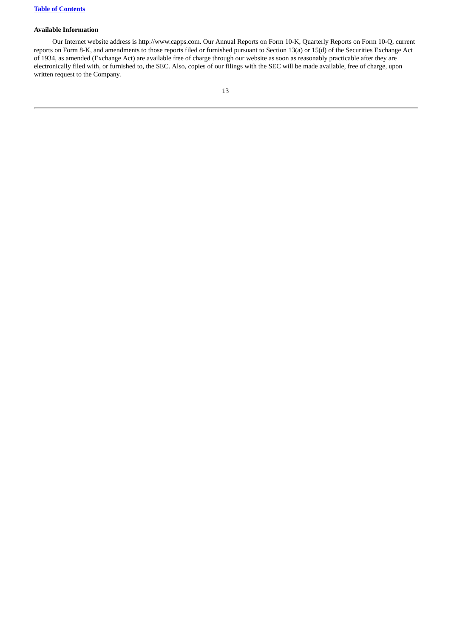#### **Available Information**

Our Internet website address is http://www.capps.com. Our Annual Reports on Form 10-K, Quarterly Reports on Form 10-Q, current reports on Form 8-K, and amendments to those reports filed or furnished pursuant to Section 13(a) or 15(d) of the Securities Exchange Act of 1934, as amended (Exchange Act) are available free of charge through our website as soon as reasonably practicable after they are electronically filed with, or furnished to, the SEC. Also, copies of our filings with the SEC will be made available, free of charge, upon written request to the Company.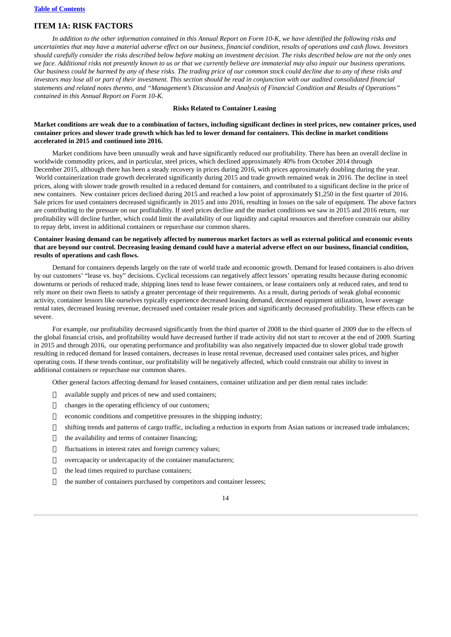## <span id="page-13-0"></span>**ITEM 1A: RISK FACTORS**

In addition to the other information contained in this Annual Report on Form 10-K, we have identified the following risks and uncertainties that may have a material adverse effect on our business, financial condition, results of operations and cash flows. Investors should carefully consider the risks described below before making an investment decision. The risks described below are not the only ones we face. Additional risks not presently known to us or that we currently believe are immaterial may also impair our business operations. Our business could be harmed by any of these risks. The trading price of our common stock could decline due to any of these risks and investors may lose all or part of their investment. This section should be read in conjunction with our audited consolidated financial statements and related notes thereto, and "Management's Discussion and Analysis of Financial Condition and Results of Operations" *contained in this Annual Report on Form 10-K.*

#### **Risks Related to Container Leasing**

#### Market conditions are weak due to a combination of factors, including significant declines in steel prices, new container prices, used container prices and slower trade growth which has led to lower demand for containers. This decline in market conditions **accelerated in 2015 and continued into 2016.**

Market conditions have been unusually weak and have significantly reduced our profitability. There has been an overall decline in worldwide commodity prices, and in particular, steel prices, which declined approximately 40% from October 2014 through December 2015, although there has been a steady recovery in prices during 2016, with prices approximately doubling during the year. World containerization trade growth decelerated significantly during 2015 and trade growth remained weak in 2016. The decline in steel prices, along with slower trade growth resulted in a reduced demand for containers, and contributed to a significant decline in the price of new containers. New container prices declined during 2015 and reached a low point of approximately \$1,250 in the first quarter of 2016. Sale prices for used containers decreased significantly in 2015 and into 2016, resulting in losses on the sale of equipment. The above factors are contributing to the pressure on our profitability. If steel prices decline and the market conditions we saw in 2015 and 2016 return, our profitability will decline further, which could limit the availability of our liquidity and capital resources and therefore constrain our ability to repay debt, invest in additional containers or repurchase our common shares.

#### Container leasing demand can be negatively affected by numerous market factors as well as external political and economic events that are beyond our control. Decreasing leasing demand could have a material adverse effect on our business, financial condition, **results of operations and cash flows.**

Demand for containers depends largely on the rate of world trade and economic growth. Demand for leased containers is also driven by our customers' "lease vs. buy" decisions. Cyclical recessions can negatively affect lessors' operating results because during economic downturns or periods of reduced trade, shipping lines tend to lease fewer containers, or lease containers only at reduced rates, and tend to rely more on their own fleets to satisfy a greater percentage of their requirements. As a result, during periods of weak global economic activity, container lessors like ourselves typically experience decreased leasing demand, decreased equipment utilization, lower average rental rates, decreased leasing revenue, decreased used container resale prices and significantly decreased profitability. These effects can be severe.

For example, our profitability decreased significantly from the third quarter of 2008 to the third quarter of 2009 due to the effects of the global financial crisis, and profitability would have decreased further if trade activity did not start to recover at the end of 2009. Starting in 2015 and through 2016, our operating performance and profitability was also negatively impacted due to slower global trade growth resulting in reduced demand for leased containers, decreases in lease rental revenue, decreased used container sales prices, and higher operating costs. If these trends continue, our profitability will be negatively affected, which could constrain our ability to invest in additional containers or repurchase our common shares.

Other general factors affecting demand for leased containers, container utilization and per diem rental rates include:

- $\Box$  available supply and prices of new and used containers:
- $\Box$  changes in the operating efficiency of our customers;
- $\Box$  economic conditions and competitive pressures in the shipping industry;
- $\Box$  shifting trends and patterns of cargo traffic, including a reduction in exports from Asian nations or increased trade imbalances;
- $\Box$  the availability and terms of container financing;
- fluctuations in interest rates and foreign currency values;
- $\Box$  overcapacity or undercapacity of the container manufacturers;
- $\Box$  the lead times required to purchase containers;
- $\Box$  the number of containers purchased by competitors and container lessees;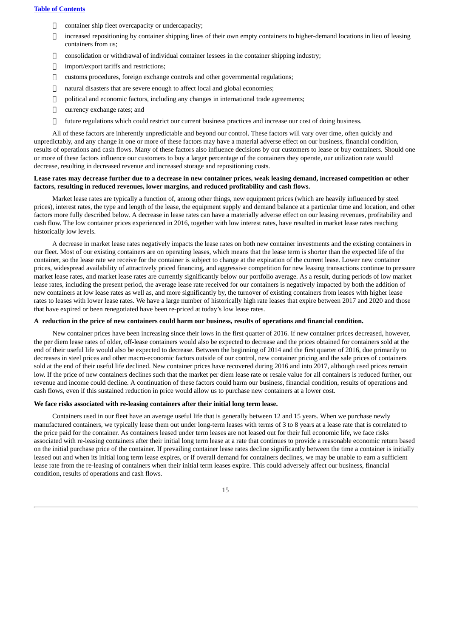- $\Box$  container ship fleet overcapacity or undercapacity;
- increased repositioning by container shipping lines of their own empty containers to higher-demand locations in lieu of leasing containers from us;
- $\Box$  consolidation or withdrawal of individual container lessees in the container shipping industry;
- import/export tariffs and restrictions;
- customs procedures, foreign exchange controls and other governmental regulations;
- $\Box$  natural disasters that are severe enough to affect local and global economies;
- political and economic factors, including any changes in international trade agreements;
- **CO** currency exchange rates; and
- $\Box$  future regulations which could restrict our current business practices and increase our cost of doing business.

All of these factors are inherently unpredictable and beyond our control. These factors will vary over time, often quickly and unpredictably, and any change in one or more of these factors may have a material adverse effect on our business, financial condition, results of operations and cash flows. Many of these factors also influence decisions by our customers to lease or buy containers. Should one or more of these factors influence our customers to buy a larger percentage of the containers they operate, our utilization rate would decrease, resulting in decreased revenue and increased storage and repositioning costs.

#### Lease rates may decrease further due to a decrease in new container prices, weak leasing demand, increased competition or other **factors, resulting in reduced revenues, lower margins, and reduced profitability and cash flows.**

Market lease rates are typically a function of, among other things, new equipment prices (which are heavily influenced by steel prices), interest rates, the type and length of the lease, the equipment supply and demand balance at a particular time and location, and other factors more fully described below. A decrease in lease rates can have a materially adverse effect on our leasing revenues, profitability and cash flow. The low container prices experienced in 2016, together with low interest rates, have resulted in market lease rates reaching historically low levels.

A decrease in market lease rates negatively impacts the lease rates on both new container investments and the existing containers in our fleet. Most of our existing containers are on operating leases, which means that the lease term is shorter than the expected life of the container, so the lease rate we receive for the container is subject to change at the expiration of the current lease. Lower new container prices, widespread availability of attractively priced financing, and aggressive competition for new leasing transactions continue to pressure market lease rates, and market lease rates are currently significantly below our portfolio average. As a result, during periods of low market lease rates, including the present period, the average lease rate received for our containers is negatively impacted by both the addition of new containers at low lease rates as well as, and more significantly by, the turnover of existing containers from leases with higher lease rates to leases with lower lease rates. We have a large number of historically high rate leases that expire between 2017 and 2020 and those that have expired or been renegotiated have been re-priced at today's low lease rates.

#### A reduction in the price of new containers could harm our business, results of operations and financial condition.

New container prices have been increasing since their lows in the first quarter of 2016. If new container prices decreased, however, the per diem lease rates of older, off-lease containers would also be expected to decrease and the prices obtained for containers sold at the end of their useful life would also be expected to decrease. Between the beginning of 2014 and the first quarter of 2016, due primarily to decreases in steel prices and other macro-economic factors outside of our control, new container pricing and the sale prices of containers sold at the end of their useful life declined. New container prices have recovered during 2016 and into 2017, although used prices remain low. If the price of new containers declines such that the market per diem lease rate or resale value for all containers is reduced further, our revenue and income could decline. A continuation of these factors could harm our business, financial condition, results of operations and cash flows, even if this sustained reduction in price would allow us to purchase new containers at a lower cost.

#### **We face risks associated with re-leasing containers after their initial long term lease.**

Containers used in our fleet have an average useful life that is generally between 12 and 15 years. When we purchase newly manufactured containers, we typically lease them out under long-term leases with terms of 3 to 8 years at a lease rate that is correlated to the price paid for the container. As containers leased under term leases are not leased out for their full economic life, we face risks associated with re-leasing containers after their initial long term lease at a rate that continues to provide a reasonable economic return based on the initial purchase price of the container. If prevailing container lease rates decline significantly between the time a container is initially leased out and when its initial long term lease expires, or if overall demand for containers declines, we may be unable to earn a sufficient lease rate from the re-leasing of containers when their initial term leases expire. This could adversely affect our business, financial condition, results of operations and cash flows.

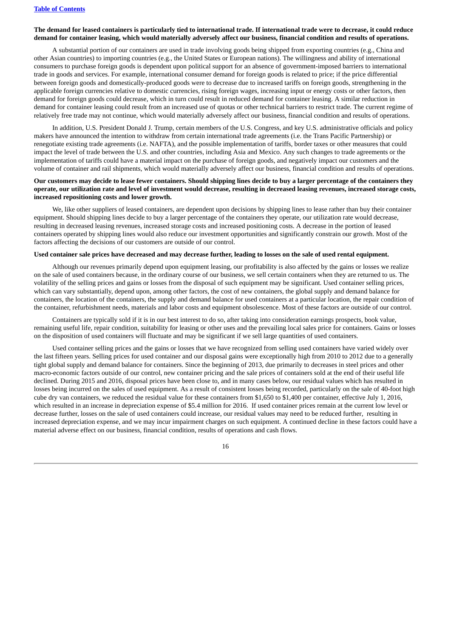#### The demand for leased containers is particularly tied to international trade. If international trade were to decrease, it could reduce demand for container leasing, which would materially adversely affect our business, financial condition and results of operations.

A substantial portion of our containers are used in trade involving goods being shipped from exporting countries (e.g., China and other Asian countries) to importing countries (e.g., the United States or European nations). The willingness and ability of international consumers to purchase foreign goods is dependent upon political support for an absence of government-imposed barriers to international trade in goods and services. For example, international consumer demand for foreign goods is related to price; if the price differential between foreign goods and domestically-produced goods were to decrease due to increased tariffs on foreign goods, strengthening in the applicable foreign currencies relative to domestic currencies, rising foreign wages, increasing input or energy costs or other factors, then demand for foreign goods could decrease, which in turn could result in reduced demand for container leasing. A similar reduction in demand for container leasing could result from an increased use of quotas or other technical barriers to restrict trade. The current regime of relatively free trade may not continue, which would materially adversely affect our business, financial condition and results of operations.

In addition, U.S. President Donald J. Trump, certain members of the U.S. Congress, and key U.S. administrative officials and policy makers have announced the intention to withdraw from certain international trade agreements (i.e. the Trans Pacific Partnership) or renegotiate existing trade agreements (i.e. NAFTA), and the possible implementation of tariffs, border taxes or other measures that could impact the level of trade between the U.S. and other countries, including Asia and Mexico. Any such changes to trade agreements or the implementation of tariffs could have a material impact on the purchase of foreign goods, and negatively impact our customers and the volume of container and rail shipments, which would materially adversely affect our business, financial condition and results of operations.

#### Our customers may decide to lease fewer containers. Should shipping lines decide to buy a larger percentage of the containers they operate, our utilization rate and level of investment would decrease, resulting in decreased leasing revenues, increased storage costs, **increased repositioning costs and lower growth.**

We, like other suppliers of leased containers, are dependent upon decisions by shipping lines to lease rather than buy their container equipment. Should shipping lines decide to buy a larger percentage of the containers they operate, our utilization rate would decrease, resulting in decreased leasing revenues, increased storage costs and increased positioning costs. A decrease in the portion of leased containers operated by shipping lines would also reduce our investment opportunities and significantly constrain our growth. Most of the factors affecting the decisions of our customers are outside of our control.

#### Used container sale prices have decreased and may decrease further, leading to losses on the sale of used rental equipment.

Although our revenues primarily depend upon equipment leasing, our profitability is also affected by the gains or losses we realize on the sale of used containers because, in the ordinary course of our business, we sell certain containers when they are returned to us. The volatility of the selling prices and gains or losses from the disposal of such equipment may be significant. Used container selling prices, which can vary substantially, depend upon, among other factors, the cost of new containers, the global supply and demand balance for containers, the location of the containers, the supply and demand balance for used containers at a particular location, the repair condition of the container, refurbishment needs, materials and labor costs and equipment obsolescence. Most of these factors are outside of our control.

Containers are typically sold if it is in our best interest to do so, after taking into consideration earnings prospects, book value, remaining useful life, repair condition, suitability for leasing or other uses and the prevailing local sales price for containers. Gains or losses on the disposition of used containers will fluctuate and may be significant if we sell large quantities of used containers.

Used container selling prices and the gains or losses that we have recognized from selling used containers have varied widely over the last fifteen years. Selling prices for used container and our disposal gains were exceptionally high from 2010 to 2012 due to a generally tight global supply and demand balance for containers. Since the beginning of 2013, due primarily to decreases in steel prices and other macro-economic factors outside of our control, new container pricing and the sale prices of containers sold at the end of their useful life declined. During 2015 and 2016, disposal prices have been close to, and in many cases below, our residual values which has resulted in losses being incurred on the sales of used equipment. As a result of consistent losses being recorded, particularly on the sale of 40-foot high cube dry van containers, we reduced the residual value for these containers from \$1,650 to \$1,400 per container, effective July 1, 2016, which resulted in an increase in depreciation expense of \$5.4 million for 2016. If used container prices remain at the current low level or decrease further, losses on the sale of used containers could increase, our residual values may need to be reduced further, resulting in increased depreciation expense, and we may incur impairment charges on such equipment. A continued decline in these factors could have a material adverse effect on our business, financial condition, results of operations and cash flows.

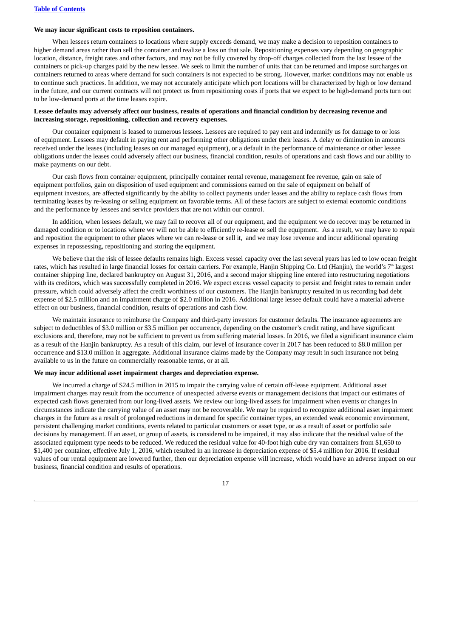#### **We may incur significant costs to reposition containers.**

When lessees return containers to locations where supply exceeds demand, we may make a decision to reposition containers to higher demand areas rather than sell the container and realize a loss on that sale. Repositioning expenses vary depending on geographic location, distance, freight rates and other factors, and may not be fully covered by drop-off charges collected from the last lessee of the containers or pick-up charges paid by the new lessee. We seek to limit the number of units that can be returned and impose surcharges on containers returned to areas where demand for such containers is not expected to be strong. However, market conditions may not enable us to continue such practices. In addition, we may not accurately anticipate which port locations will be characterized by high or low demand in the future, and our current contracts will not protect us from repositioning costs if ports that we expect to be high-demand ports turn out to be low-demand ports at the time leases expire.

#### Lessee defaults may adversely affect our business, results of operations and financial condition by decreasing revenue and **increasing storage, repositioning, collection and recovery expenses.**

Our container equipment is leased to numerous lessees. Lessees are required to pay rent and indemnify us for damage to or loss of equipment. Lessees may default in paying rent and performing other obligations under their leases. A delay or diminution in amounts received under the leases (including leases on our managed equipment), or a default in the performance of maintenance or other lessee obligations under the leases could adversely affect our business, financial condition, results of operations and cash flows and our ability to make payments on our debt.

Our cash flows from container equipment, principally container rental revenue, management fee revenue, gain on sale of equipment portfolios, gain on disposition of used equipment and commissions earned on the sale of equipment on behalf of equipment investors, are affected significantly by the ability to collect payments under leases and the ability to replace cash flows from terminating leases by re-leasing or selling equipment on favorable terms. All of these factors are subject to external economic conditions and the performance by lessees and service providers that are not within our control.

In addition, when lessees default, we may fail to recover all of our equipment, and the equipment we do recover may be returned in damaged condition or to locations where we will not be able to efficiently re-lease or sell the equipment. As a result, we may have to repair and reposition the equipment to other places where we can re-lease or sell it, and we may lose revenue and incur additional operating expenses in repossessing, repositioning and storing the equipment.

We believe that the risk of lessee defaults remains high. Excess vessel capacity over the last several years has led to low ocean freight rates, which has resulted in large financial losses for certain carriers. For example, Hanjin Shipping Co. Ltd (Hanjin), the world's 7<sup>th</sup> largest container shipping line, declared bankruptcy on August 31, 2016, and a second major shipping line entered into restructuring negotiations with its creditors, which was successfully completed in 2016. We expect excess vessel capacity to persist and freight rates to remain under pressure, which could adversely affect the credit worthiness of our customers. The Hanjin bankruptcy resulted in us recording bad debt expense of \$2.5 million and an impairment charge of \$2.0 million in 2016. Additional large lessee default could have a material adverse effect on our business, financial condition, results of operations and cash flow.

We maintain insurance to reimburse the Company and third-party investors for customer defaults. The insurance agreements are subject to deductibles of \$3.0 million or \$3.5 million per occurrence, depending on the customer's credit rating, and have significant exclusions and, therefore, may not be sufficient to prevent us from suffering material losses. In 2016, we filed a significant insurance claim as a result of the Hanjin bankruptcy. As a result of this claim, our level of insurance cover in 2017 has been reduced to \$8.0 million per occurrence and \$13.0 million in aggregate. Additional insurance claims made by the Company may result in such insurance not being available to us in the future on commercially reasonable terms, or at all.

#### **We may incur additional asset impairment charges and depreciation expense.**

We incurred a charge of \$24.5 million in 2015 to impair the carrying value of certain off-lease equipment. Additional asset impairment charges may result from the occurrence of unexpected adverse events or management decisions that impact our estimates of expected cash flows generated from our long-lived assets. We review our long-lived assets for impairment when events or changes in circumstances indicate the carrying value of an asset may not be recoverable. We may be required to recognize additional asset impairment charges in the future as a result of prolonged reductions in demand for specific container types, an extended weak economic environment, persistent challenging market conditions, events related to particular customers or asset type, or as a result of asset or portfolio sale decisions by management. If an asset, or group of assets, is considered to be impaired, it may also indicate that the residual value of the associated equipment type needs to be reduced. We reduced the residual value for 40-foot high cube dry van containers from \$1,650 to \$1,400 per container, effective July 1, 2016, which resulted in an increase in depreciation expense of \$5.4 million for 2016. If residual values of our rental equipment are lowered further, then our depreciation expense will increase, which would have an adverse impact on our business, financial condition and results of operations.

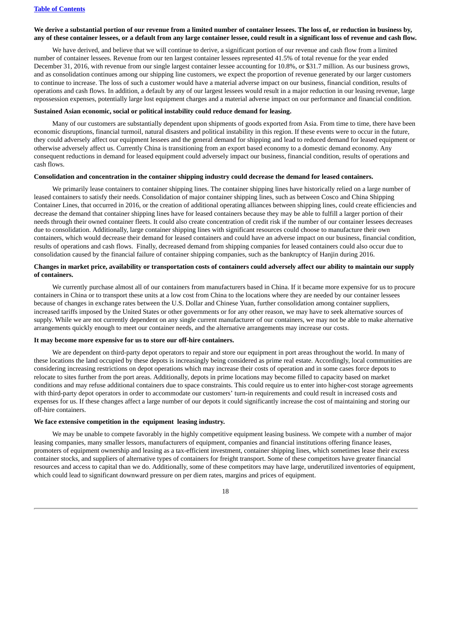#### We derive a substantial portion of our revenue from a limited number of container lessees. The loss of, or reduction in business by, any of these container lessees, or a default from any large container lessee, could result in a significant loss of revenue and cash flow.

We have derived, and believe that we will continue to derive, a significant portion of our revenue and cash flow from a limited number of container lessees. Revenue from our ten largest container lessees represented 41.5% of total revenue for the year ended December 31, 2016, with revenue from our single largest container lessee accounting for 10.8%, or \$31.7 million. As our business grows, and as consolidation continues among our shipping line customers, we expect the proportion of revenue generated by our larger customers to continue to increase. The loss of such a customer would have a material adverse impact on our business, financial condition, results of operations and cash flows. In addition, a default by any of our largest lessees would result in a major reduction in our leasing revenue, large repossession expenses, potentially large lost equipment charges and a material adverse impact on our performance and financial condition.

#### **Sustained Asian economic, social or political instability could reduce demand for leasing.**

Many of our customers are substantially dependent upon shipments of goods exported from Asia. From time to time, there have been economic disruptions, financial turmoil, natural disasters and political instability in this region. If these events were to occur in the future, they could adversely affect our equipment lessees and the general demand for shipping and lead to reduced demand for leased equipment or otherwise adversely affect us. Currently China is transitioning from an export based economy to a domestic demand economy. Any consequent reductions in demand for leased equipment could adversely impact our business, financial condition, results of operations and cash flows.

#### **Consolidation and concentration in the container shipping industry could decrease the demand for leased containers.**

We primarily lease containers to container shipping lines. The container shipping lines have historically relied on a large number of leased containers to satisfy their needs. Consolidation of major container shipping lines, such as between Cosco and China Shipping Container Lines, that occurred in 2016, or the creation of additional operating alliances between shipping lines, could create efficiencies and decrease the demand that container shipping lines have for leased containers because they may be able to fulfill a larger portion of their needs through their owned container fleets. It could also create concentration of credit risk if the number of our container lessees decreases due to consolidation. Additionally, large container shipping lines with significant resources could choose to manufacture their own containers, which would decrease their demand for leased containers and could have an adverse impact on our business, financial condition, results of operations and cash flows. Finally, decreased demand from shipping companies for leased containers could also occur due to consolidation caused by the financial failure of container shipping companies, such as the bankruptcy of Hanjin during 2016.

#### Changes in market price, availability or transportation costs of containers could adversely affect our ability to maintain our supply **of containers.**

We currently purchase almost all of our containers from manufacturers based in China. If it became more expensive for us to procure containers in China or to transport these units at a low cost from China to the locations where they are needed by our container lessees because of changes in exchange rates between the U.S. Dollar and Chinese Yuan, further consolidation among container suppliers, increased tariffs imposed by the United States or other governments or for any other reason, we may have to seek alternative sources of supply. While we are not currently dependent on any single current manufacturer of our containers, we may not be able to make alternative arrangements quickly enough to meet our container needs, and the alternative arrangements may increase our costs.

#### **It may become more expensive for us to store our off-hire containers.**

We are dependent on third-party depot operators to repair and store our equipment in port areas throughout the world. In many of these locations the land occupied by these depots is increasingly being considered as prime real estate. Accordingly, local communities are considering increasing restrictions on depot operations which may increase their costs of operation and in some cases force depots to relocate to sites further from the port areas. Additionally, depots in prime locations may become filled to capacity based on market conditions and may refuse additional containers due to space constraints. This could require us to enter into higher-cost storage agreements with third-party depot operators in order to accommodate our customers' turn-in requirements and could result in increased costs and expenses for us. If these changes affect a large number of our depots it could significantly increase the cost of maintaining and storing our off-hire containers.

#### **We face extensive competition in the equipment leasing industry.**

We may be unable to compete favorably in the highly competitive equipment leasing business. We compete with a number of major leasing companies, many smaller lessors, manufacturers of equipment, companies and financial institutions offering finance leases, promoters of equipment ownership and leasing as a tax-efficient investment, container shipping lines, which sometimes lease their excess container stocks, and suppliers of alternative types of containers for freight transport. Some of these competitors have greater financial resources and access to capital than we do. Additionally, some of these competitors may have large, underutilized inventories of equipment, which could lead to significant downward pressure on per diem rates, margins and prices of equipment.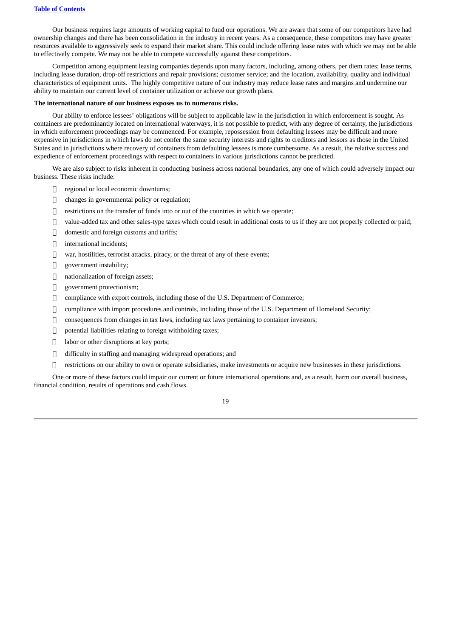Our business requires large amounts of working capital to fund our operations. We are aware that some of our competitors have had ownership changes and there has been consolidation in the industry in recent years. As a consequence, these competitors may have greater resources available to aggressively seek to expand their market share. This could include offering lease rates with which we may not be able to effectively compete. We may not be able to compete successfully against these competitors.

Competition among equipment leasing companies depends upon many factors, including, among others, per diem rates; lease terms, including lease duration, drop-off restrictions and repair provisions; customer service; and the location, availability, quality and individual characteristics of equipment units. The highly competitive nature of our industry may reduce lease rates and margins and undermine our ability to maintain our current level of container utilization or achieve our growth plans.

#### **The international nature of our business exposes us to numerous risks.**

Our ability to enforce lessees' obligations will be subject to applicable law in the jurisdiction in which enforcement is sought. As containers are predominantly located on international waterways, it is not possible to predict, with any degree of certainty, the jurisdictions in which enforcement proceedings may be commenced. For example, repossession from defaulting lessees may be difficult and more expensive in jurisdictions in which laws do not confer the same security interests and rights to creditors and lessors as those in the United States and in jurisdictions where recovery of containers from defaulting lessees is more cumbersome. As a result, the relative success and expedience of enforcement proceedings with respect to containers in various jurisdictions cannot be predicted.

We are also subject to risks inherent in conducting business across national boundaries, any one of which could adversely impact our business. These risks include:

- $\Box$  regional or local economic downturns;
- $\Box$  changes in governmental policy or regulation;
- $\Box$  restrictions on the transfer of funds into or out of the countries in which we operate;
- value-added tax and other sales-type taxes which could result in additional costs to us if they are not properly collected or paid;
- $\Box$  domestic and foreign customs and tariffs;
- international incidents;
- $\Box$  war, hostilities, terrorist attacks, piracy, or the threat of any of these events;
- government instability;
- □ nationalization of foreign assets;
- government protectionism;
- □ compliance with export controls, including those of the U.S. Department of Commerce;
- compliance with import procedures and controls, including those of the U.S. Department of Homeland Security;
- consequences from changes in tax laws, including tax laws pertaining to container investors;
- potential liabilities relating to foreign withholding taxes;
- □ labor or other disruptions at key ports;
- $\Box$  difficulty in staffing and managing widespread operations; and
- restrictions on our ability to own or operate subsidiaries, make investments or acquire new businesses in these jurisdictions.

One or more of these factors could impair our current or future international operations and, as a result, harm our overall business, financial condition, results of operations and cash flows.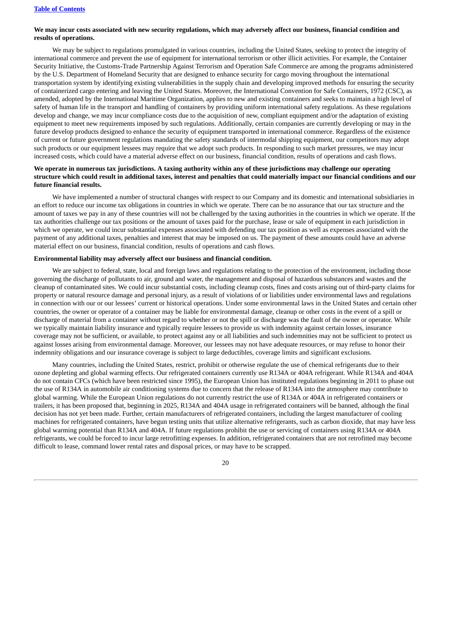#### We may incur costs associated with new security regulations, which may adversely affect our business, financial condition and **results of operations.**

We may be subject to regulations promulgated in various countries, including the United States, seeking to protect the integrity of international commerce and prevent the use of equipment for international terrorism or other illicit activities. For example, the Container Security Initiative, the Customs-Trade Partnership Against Terrorism and Operation Safe Commerce are among the programs administered by the U.S. Department of Homeland Security that are designed to enhance security for cargo moving throughout the international transportation system by identifying existing vulnerabilities in the supply chain and developing improved methods for ensuring the security of containerized cargo entering and leaving the United States. Moreover, the International Convention for Safe Containers, 1972 (CSC), as amended, adopted by the International Maritime Organization, applies to new and existing containers and seeks to maintain a high level of safety of human life in the transport and handling of containers by providing uniform international safety regulations. As these regulations develop and change, we may incur compliance costs due to the acquisition of new, compliant equipment and/or the adaptation of existing equipment to meet new requirements imposed by such regulations. Additionally, certain companies are currently developing or may in the future develop products designed to enhance the security of equipment transported in international commerce. Regardless of the existence of current or future government regulations mandating the safety standards of intermodal shipping equipment, our competitors may adopt such products or our equipment lessees may require that we adopt such products. In responding to such market pressures, we may incur increased costs, which could have a material adverse effect on our business, financial condition, results of operations and cash flows.

#### We operate in numerous tax jurisdictions. A taxing authority within any of these jurisdictions may challenge our operating structure which could result in additional taxes, interest and penalties that could materially impact our financial conditions and our **future financial results.**

We have implemented a number of structural changes with respect to our Company and its domestic and international subsidiaries in an effort to reduce our income tax obligations in countries in which we operate. There can be no assurance that our tax structure and the amount of taxes we pay in any of these countries will not be challenged by the taxing authorities in the countries in which we operate. If the tax authorities challenge our tax positions or the amount of taxes paid for the purchase, lease or sale of equipment in each jurisdiction in which we operate, we could incur substantial expenses associated with defending our tax position as well as expenses associated with the payment of any additional taxes, penalties and interest that may be imposed on us. The payment of these amounts could have an adverse material effect on our business, financial condition, results of operations and cash flows.

#### **Environmental liability may adversely affect our business and financial condition.**

We are subject to federal, state, local and foreign laws and regulations relating to the protection of the environment, including those governing the discharge of pollutants to air, ground and water, the management and disposal of hazardous substances and wastes and the cleanup of contaminated sites. We could incur substantial costs, including cleanup costs, fines and costs arising out of third-party claims for property or natural resource damage and personal injury, as a result of violations of or liabilities under environmental laws and regulations in connection with our or our lessees' current or historical operations. Under some environmental laws in the United States and certain other countries, the owner or operator of a container may be liable for environmental damage, cleanup or other costs in the event of a spill or discharge of material from a container without regard to whether or not the spill or discharge was the fault of the owner or operator. While we typically maintain liability insurance and typically require lessees to provide us with indemnity against certain losses, insurance coverage may not be sufficient, or available, to protect against any or all liabilities and such indemnities may not be sufficient to protect us against losses arising from environmental damage. Moreover, our lessees may not have adequate resources, or may refuse to honor their indemnity obligations and our insurance coverage is subject to large deductibles, coverage limits and significant exclusions.

Many countries, including the United States, restrict, prohibit or otherwise regulate the use of chemical refrigerants due to their ozone depleting and global warming effects. Our refrigerated containers currently use R134A or 404A refrigerant. While R134A and 404A do not contain CFCs (which have been restricted since 1995), the European Union has instituted regulations beginning in 2011 to phase out the use of R134A in automobile air conditioning systems due to concern that the release of R134A into the atmosphere may contribute to global warming. While the European Union regulations do not currently restrict the use of R134A or 404A in refrigerated containers or trailers, it has been proposed that, beginning in 2025, R134A and 404A usage in refrigerated containers will be banned, although the final decision has not yet been made. Further, certain manufacturers of refrigerated containers, including the largest manufacturer of cooling machines for refrigerated containers, have begun testing units that utilize alternative refrigerants, such as carbon dioxide, that may have less global warming potential than R134A and 404A. If future regulations prohibit the use or servicing of containers using R134A or 404A refrigerants, we could be forced to incur large retrofitting expenses. In addition, refrigerated containers that are not retrofitted may become difficult to lease, command lower rental rates and disposal prices, or may have to be scrapped.

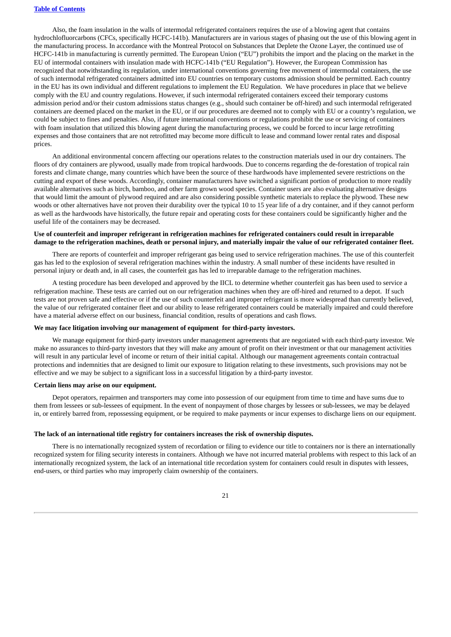Also, the foam insulation in the walls of intermodal refrigerated containers requires the use of a blowing agent that contains hydrochlofluorcarbons (CFCs, specifically HCFC-141b). Manufacturers are in various stages of phasing out the use of this blowing agent in the manufacturing process. In accordance with the Montreal Protocol on Substances that Deplete the Ozone Layer, the continued use of HCFC-141b in manufacturing is currently permitted. The European Union ("EU") prohibits the import and the placing on the market in the EU of intermodal containers with insulation made with HCFC-141b ("EU Regulation"). However, the European Commission has recognized that notwithstanding its regulation, under international conventions governing free movement of intermodal containers, the use of such intermodal refrigerated containers admitted into EU countries on temporary customs admission should be permitted. Each country in the EU has its own individual and different regulations to implement the EU Regulation. We have procedures in place that we believe comply with the EU and country regulations. However, if such intermodal refrigerated containers exceed their temporary customs admission period and/or their custom admissions status changes (e.g., should such container be off-hired) and such intermodal refrigerated containers are deemed placed on the market in the EU, or if our procedures are deemed not to comply with EU or a country's regulation, we could be subject to fines and penalties. Also, if future international conventions or regulations prohibit the use or servicing of containers with foam insulation that utilized this blowing agent during the manufacturing process, we could be forced to incur large retrofitting expenses and those containers that are not retrofitted may become more difficult to lease and command lower rental rates and disposal prices.

An additional environmental concern affecting our operations relates to the construction materials used in our dry containers. The floors of dry containers are plywood, usually made from tropical hardwoods. Due to concerns regarding the de-forestation of tropical rain forests and climate change, many countries which have been the source of these hardwoods have implemented severe restrictions on the cutting and export of these woods. Accordingly, container manufacturers have switched a significant portion of production to more readily available alternatives such as birch, bamboo, and other farm grown wood species. Container users are also evaluating alternative designs that would limit the amount of plywood required and are also considering possible synthetic materials to replace the plywood. These new woods or other alternatives have not proven their durability over the typical 10 to 15 year life of a dry container, and if they cannot perform as well as the hardwoods have historically, the future repair and operating costs for these containers could be significantly higher and the useful life of the containers may be decreased.

#### Use of counterfeit and improper refrigerant in refrigeration machines for refrigerated containers could result in irreparable damage to the refrigeration machines, death or personal injury, and materially impair the value of our refrigerated container fleet.

There are reports of counterfeit and improper refrigerant gas being used to service refrigeration machines. The use of this counterfeit gas has led to the explosion of several refrigeration machines within the industry. A small number of these incidents have resulted in personal injury or death and, in all cases, the counterfeit gas has led to irreparable damage to the refrigeration machines.

A testing procedure has been developed and approved by the IICL to determine whether counterfeit gas has been used to service a refrigeration machine. These tests are carried out on our refrigeration machines when they are off-hired and returned to a depot. If such tests are not proven safe and effective or if the use of such counterfeit and improper refrigerant is more widespread than currently believed, the value of our refrigerated container fleet and our ability to lease refrigerated containers could be materially impaired and could therefore have a material adverse effect on our business, financial condition, results of operations and cash flows.

## **We may face litigation involving our management of equipment for third-party investors.**

We manage equipment for third-party investors under management agreements that are negotiated with each third-party investor. We make no assurances to third-party investors that they will make any amount of profit on their investment or that our management activities will result in any particular level of income or return of their initial capital. Although our management agreements contain contractual protections and indemnities that are designed to limit our exposure to litigation relating to these investments, such provisions may not be effective and we may be subject to a significant loss in a successful litigation by a third-party investor.

#### **Certain liens may arise on our equipment.**

Depot operators, repairmen and transporters may come into possession of our equipment from time to time and have sums due to them from lessees or sub-lessees of equipment. In the event of nonpayment of those charges by lessees or sub-lessees, we may be delayed in, or entirely barred from, repossessing equipment, or be required to make payments or incur expenses to discharge liens on our equipment.

#### **The lack of an international title registry for containers increases the risk of ownership disputes.**

There is no internationally recognized system of recordation or filing to evidence our title to containers nor is there an internationally recognized system for filing security interests in containers. Although we have not incurred material problems with respect to this lack of an internationally recognized system, the lack of an international title recordation system for containers could result in disputes with lessees, end-users, or third parties who may improperly claim ownership of the containers.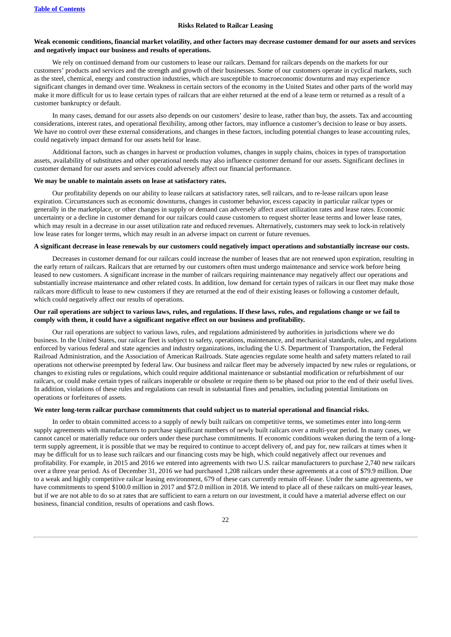#### **Risks Related to Railcar Leasing**

#### Weak economic conditions, financial market volatility, and other factors may decrease customer demand for our assets and services **and negatively impact our business and results of operations.**

We rely on continued demand from our customers to lease our railcars. Demand for railcars depends on the markets for our customers' products and services and the strength and growth of their businesses. Some of our customers operate in cyclical markets, such as the steel, chemical, energy and construction industries, which are susceptible to macroeconomic downturns and may experience significant changes in demand over time. Weakness in certain sectors of the economy in the United States and other parts of the world may make it more difficult for us to lease certain types of railcars that are either returned at the end of a lease term or returned as a result of a customer bankruptcy or default.

In many cases, demand for our assets also depends on our customers' desire to lease, rather than buy, the assets. Tax and accounting considerations, interest rates, and operational flexibility, among other factors, may influence a customer's decision to lease or buy assets. We have no control over these external considerations, and changes in these factors, including potential changes to lease accounting rules, could negatively impact demand for our assets held for lease.

Additional factors, such as changes in harvest or production volumes, changes in supply chains, choices in types of transportation assets, availability of substitutes and other operational needs may also influence customer demand for our assets. Significant declines in customer demand for our assets and services could adversely affect our financial performance.

#### **We may be unable to maintain assets on lease at satisfactory rates.**

Our profitability depends on our ability to lease railcars at satisfactory rates, sell railcars, and to re-lease railcars upon lease expiration. Circumstances such as economic downturns, changes in customer behavior, excess capacity in particular railcar types or generally in the marketplace, or other changes in supply or demand can adversely affect asset utilization rates and lease rates. Economic uncertainty or a decline in customer demand for our railcars could cause customers to request shorter lease terms and lower lease rates, which may result in a decrease in our asset utilization rate and reduced revenues. Alternatively, customers may seek to lock-in relatively low lease rates for longer terms, which may result in an adverse impact on current or future revenues.

#### A significant decrease in lease renewals by our customers could negatively impact operations and substantially increase our costs.

Decreases in customer demand for our railcars could increase the number of leases that are not renewed upon expiration, resulting in the early return of railcars. Railcars that are returned by our customers often must undergo maintenance and service work before being leased to new customers. A significant increase in the number of railcars requiring maintenance may negatively affect our operations and substantially increase maintenance and other related costs. In addition, low demand for certain types of railcars in our fleet may make those railcars more difficult to lease to new customers if they are returned at the end of their existing leases or following a customer default, which could negatively affect our results of operations.

#### Our rail operations are subject to various laws, rules, and regulations. If these laws, rules, and regulations change or we fail to **comply with them, it could have a significant negative effect on our business and profitability.**

Our rail operations are subject to various laws, rules, and regulations administered by authorities in jurisdictions where we do business. In the United States, our railcar fleet is subject to safety, operations, maintenance, and mechanical standards, rules, and regulations enforced by various federal and state agencies and industry organizations, including the U.S. Department of Transportation, the Federal Railroad Administration, and the Association of American Railroads. State agencies regulate some health and safety matters related to rail operations not otherwise preempted by federal law. Our business and railcar fleet may be adversely impacted by new rules or regulations, or changes to existing rules or regulations, which could require additional maintenance or substantial modification or refurbishment of our railcars, or could make certain types of railcars inoperable or obsolete or require them to be phased out prior to the end of their useful lives. In addition, violations of these rules and regulations can result in substantial fines and penalties, including potential limitations on operations or forfeitures of assets.

#### We enter long-term railcar purchase commitments that could subject us to material operational and financial risks.

In order to obtain committed access to a supply of newly built railcars on competitive terms, we sometimes enter into long-term supply agreements with manufacturers to purchase significant numbers of newly built railcars over a multi-year period. In many cases, we cannot cancel or materially reduce our orders under these purchase commitments. If economic conditions weaken during the term of a longterm supply agreement, it is possible that we may be required to continue to accept delivery of, and pay for, new railcars at times when it may be difficult for us to lease such railcars and our financing costs may be high, which could negatively affect our revenues and profitability. For example, in 2015 and 2016 we entered into agreements with two U.S. railcar manufacturers to purchase 2,740 new railcars over a three year period. As of December 31, 2016 we had purchased 1,208 railcars under these agreements at a cost of \$79.9 million. Due to a weak and highly competitive railcar leasing environment, 679 of these cars currently remain off-lease. Under the same agreements, we have commitments to spend \$100.0 million in 2017 and \$72.0 million in 2018. We intend to place all of these railcars on multi-year leases, but if we are not able to do so at rates that are sufficient to earn a return on our investment, it could have a material adverse effect on our business, financial condition, results of operations and cash flows.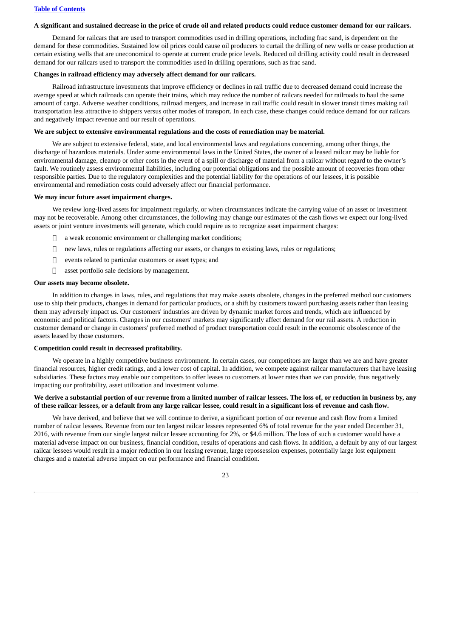#### A significant and sustained decrease in the price of crude oil and related products could reduce customer demand for our railcars.

Demand for railcars that are used to transport commodities used in drilling operations, including frac sand, is dependent on the demand for these commodities. Sustained low oil prices could cause oil producers to curtail the drilling of new wells or cease production at certain existing wells that are uneconomical to operate at current crude price levels. Reduced oil drilling activity could result in decreased demand for our railcars used to transport the commodities used in drilling operations, such as frac sand.

#### **Changes in railroad efficiency may adversely affect demand for our railcars.**

Railroad infrastructure investments that improve efficiency or declines in rail traffic due to decreased demand could increase the average speed at which railroads can operate their trains, which may reduce the number of railcars needed for railroads to haul the same amount of cargo. Adverse weather conditions, railroad mergers, and increase in rail traffic could result in slower transit times making rail transportation less attractive to shippers versus other modes of transport. In each case, these changes could reduce demand for our railcars and negatively impact revenue and our result of operations.

#### **We are subject to extensive environmental regulations and the costs of remediation may be material.**

We are subject to extensive federal, state, and local environmental laws and regulations concerning, among other things, the discharge of hazardous materials. Under some environmental laws in the United States, the owner of a leased railcar may be liable for environmental damage, cleanup or other costs in the event of a spill or discharge of material from a railcar without regard to the owner's fault. We routinely assess environmental liabilities, including our potential obligations and the possible amount of recoveries from other responsible parties. Due to the regulatory complexities and the potential liability for the operations of our lessees, it is possible environmental and remediation costs could adversely affect our financial performance.

#### **We may incur future asset impairment charges.**

We review long-lived assets for impairment regularly, or when circumstances indicate the carrying value of an asset or investment may not be recoverable. Among other circumstances, the following may change our estimates of the cash flows we expect our long-lived assets or joint venture investments will generate, which could require us to recognize asset impairment charges:

- $\Box$  a weak economic environment or challenging market conditions;
- new laws, rules or regulations affecting our assets, or changes to existing laws, rules or regulations;
- $\Box$  events related to particular customers or asset types; and
- asset portfolio sale decisions by management.

#### **Our assets may become obsolete.**

In addition to changes in laws, rules, and regulations that may make assets obsolete, changes in the preferred method our customers use to ship their products, changes in demand for particular products, or a shift by customers toward purchasing assets rather than leasing them may adversely impact us. Our customers' industries are driven by dynamic market forces and trends, which are influenced by economic and political factors. Changes in our customers' markets may significantly affect demand for our rail assets. A reduction in customer demand or change in customers' preferred method of product transportation could result in the economic obsolescence of the assets leased by those customers.

#### **Competition could result in decreased profitability.**

We operate in a highly competitive business environment. In certain cases, our competitors are larger than we are and have greater financial resources, higher credit ratings, and a lower cost of capital. In addition, we compete against railcar manufacturers that have leasing subsidiaries. These factors may enable our competitors to offer leases to customers at lower rates than we can provide, thus negatively impacting our profitability, asset utilization and investment volume.

#### We derive a substantial portion of our revenue from a limited number of railcar lessees. The loss of, or reduction in business by, any of these railcar lessees, or a default from any large railcar lessee, could result in a significant loss of revenue and cash flow.

We have derived, and believe that we will continue to derive, a significant portion of our revenue and cash flow from a limited number of railcar lessees. Revenue from our ten largest railcar lessees represented 6% of total revenue for the year ended December 31, 2016, with revenue from our single largest railcar lessee accounting for 2%, or \$4.6 million. The loss of such a customer would have a material adverse impact on our business, financial condition, results of operations and cash flows. In addition, a default by any of our largest railcar lessees would result in a major reduction in our leasing revenue, large repossession expenses, potentially large lost equipment charges and a material adverse impact on our performance and financial condition.

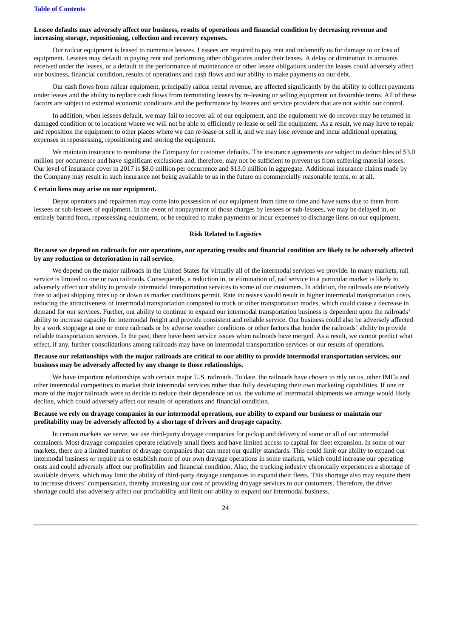#### Lessee defaults may adversely affect our business, results of operations and financial condition by decreasing revenue and **increasing storage, repositioning, collection and recovery expenses.**

Our railcar equipment is leased to numerous lessees. Lessees are required to pay rent and indemnify us for damage to or loss of equipment. Lessees may default in paying rent and performing other obligations under their leases. A delay or diminution in amounts received under the leases, or a default in the performance of maintenance or other lessee obligations under the leases could adversely affect our business, financial condition, results of operations and cash flows and our ability to make payments on our debt.

Our cash flows from railcar equipment, principally railcar rental revenue, are affected significantly by the ability to collect payments under leases and the ability to replace cash flows from terminating leases by re-leasing or selling equipment on favorable terms. All of these factors are subject to external economic conditions and the performance by lessees and service providers that are not within our control.

In addition, when lessees default, we may fail to recover all of our equipment, and the equipment we do recover may be returned in damaged condition or to locations where we will not be able to efficiently re-lease or sell the equipment. As a result, we may have to repair and reposition the equipment to other places where we can re-lease or sell it, and we may lose revenue and incur additional operating expenses in repossessing, repositioning and storing the equipment.

We maintain insurance to reimburse the Company for customer defaults. The insurance agreements are subject to deductibles of \$3.0 million per occurrence and have significant exclusions and, therefore, may not be sufficient to prevent us from suffering material losses. Our level of insurance cover in 2017 is \$8.0 million per occurrence and \$13.0 million in aggregate. Additional insurance claims made by the Company may result in such insurance not being available to us in the future on commercially reasonable terms, or at all.

#### **Certain liens may arise on our equipment.**

Depot operators and repairmen may come into possession of our equipment from time to time and have sums due to them from lessees or sub-lessees of equipment. In the event of nonpayment of those charges by lessees or sub-lessees, we may be delayed in, or entirely barred from, repossessing equipment, or be required to make payments or incur expenses to discharge liens on our equipment.

#### **Risk Related to Logistics**

#### Because we depend on railroads for our operations, our operating results and financial condition are likely to be adversely affected **by any reduction or deterioration in rail service.**

We depend on the major railroads in the United States for virtually all of the intermodal services we provide. In many markets, rail service is limited to one or two railroads. Consequently, a reduction in, or elimination of, rail service to a particular market is likely to adversely affect our ability to provide intermodal transportation services to some of our customers. In addition, the railroads are relatively free to adjust shipping rates up or down as market conditions permit. Rate increases would result in higher intermodal transportation costs, reducing the attractiveness of intermodal transportation compared to truck or other transportation modes, which could cause a decrease in demand for our services. Further, our ability to continue to expand our intermodal transportation business is dependent upon the railroads' ability to increase capacity for intermodal freight and provide consistent and reliable service. Our business could also be adversely affected by a work stoppage at one or more railroads or by adverse weather conditions or other factors that hinder the railroads' ability to provide reliable transportation services. In the past, there have been service issues when railroads have merged. As a result, we cannot predict what effect, if any, further consolidations among railroads may have on intermodal transportation services or our results of operations.

#### Because our relationships with the major railroads are critical to our ability to provide intermodal transportation services, our **business may be adversely affected by any change to those relationships.**

We have important relationships with certain major U.S. railroads. To date, the railroads have chosen to rely on us, other IMCs and other intermodal competitors to market their intermodal services rather than fully developing their own marketing capabilities. If one or more of the major railroads were to decide to reduce their dependence on us, the volume of intermodal shipments we arrange would likely decline, which could adversely affect our results of operations and financial condition.

#### Because we rely on drayage companies in our intermodal operations, our ability to expand our business or maintain our **profitability may be adversely affected by a shortage of drivers and drayage capacity.**

In certain markets we serve, we use third-party drayage companies for pickup and delivery of some or all of our intermodal containers. Most drayage companies operate relatively small fleets and have limited access to capital for fleet expansion. In some of our markets, there are a limited number of drayage companies that can meet our quality standards. This could limit our ability to expand our intermodal business or require us to establish more of our own drayage operations in some markets, which could increase our operating costs and could adversely affect our profitability and financial condition. Also, the trucking industry chronically experiences a shortage of available drivers, which may limit the ability of third-party drayage companies to expand their fleets. This shortage also may require them to increase drivers' compensation, thereby increasing our cost of providing drayage services to our customers. Therefore, the driver shortage could also adversely affect our profitability and limit our ability to expand our intermodal business.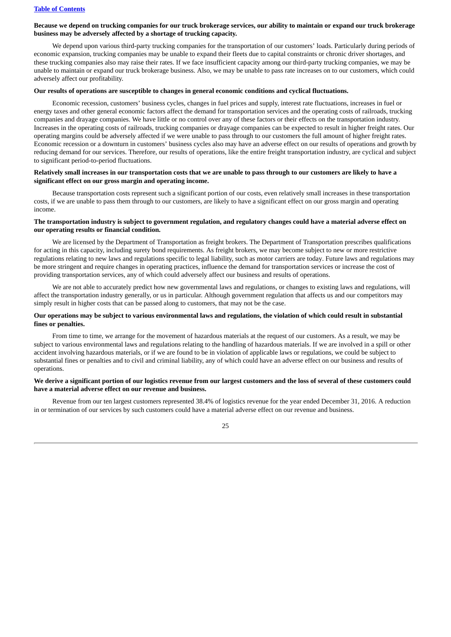#### Because we depend on trucking companies for our truck brokerage services, our ability to maintain or expand our truck brokerage **business may be adversely affected by a shortage of trucking capacity.**

We depend upon various third-party trucking companies for the transportation of our customers' loads. Particularly during periods of economic expansion, trucking companies may be unable to expand their fleets due to capital constraints or chronic driver shortages, and these trucking companies also may raise their rates. If we face insufficient capacity among our third-party trucking companies, we may be unable to maintain or expand our truck brokerage business. Also, we may be unable to pass rate increases on to our customers, which could adversely affect our profitability.

#### **Our results of operations are susceptible to changes in general economic conditions and cyclical fluctuations.**

Economic recession, customers' business cycles, changes in fuel prices and supply, interest rate fluctuations, increases in fuel or energy taxes and other general economic factors affect the demand for transportation services and the operating costs of railroads, trucking companies and drayage companies. We have little or no control over any of these factors or their effects on the transportation industry. Increases in the operating costs of railroads, trucking companies or drayage companies can be expected to result in higher freight rates. Our operating margins could be adversely affected if we were unable to pass through to our customers the full amount of higher freight rates. Economic recession or a downturn in customers' business cycles also may have an adverse effect on our results of operations and growth by reducing demand for our services. Therefore, our results of operations, like the entire freight transportation industry, are cyclical and subject to significant period-to-period fluctuations.

#### Relatively small increases in our transportation costs that we are unable to pass through to our customers are likely to have a **significant effect on our gross margin and operating income.**

Because transportation costs represent such a significant portion of our costs, even relatively small increases in these transportation costs, if we are unable to pass them through to our customers, are likely to have a significant effect on our gross margin and operating income.

#### The transportation industry is subject to government regulation, and regulatory changes could have a material adverse effect on **our operating results or financial condition.**

We are licensed by the Department of Transportation as freight brokers. The Department of Transportation prescribes qualifications for acting in this capacity, including surety bond requirements. As freight brokers, we may become subject to new or more restrictive regulations relating to new laws and regulations specific to legal liability, such as motor carriers are today. Future laws and regulations may be more stringent and require changes in operating practices, influence the demand for transportation services or increase the cost of providing transportation services, any of which could adversely affect our business and results of operations.

We are not able to accurately predict how new governmental laws and regulations, or changes to existing laws and regulations, will affect the transportation industry generally, or us in particular. Although government regulation that affects us and our competitors may simply result in higher costs that can be passed along to customers, that may not be the case.

#### Our operations may be subject to various environmental laws and regulations, the violation of which could result in substantial **fines or penalties.**

From time to time, we arrange for the movement of hazardous materials at the request of our customers. As a result, we may be subject to various environmental laws and regulations relating to the handling of hazardous materials. If we are involved in a spill or other accident involving hazardous materials, or if we are found to be in violation of applicable laws or regulations, we could be subject to substantial fines or penalties and to civil and criminal liability, any of which could have an adverse effect on our business and results of operations.

#### We derive a significant portion of our logistics revenue from our largest customers and the loss of several of these customers could **have a material adverse effect on our revenue and business.**

Revenue from our ten largest customers represented 38.4% of logistics revenue for the year ended December 31, 2016. A reduction in or termination of our services by such customers could have a material adverse effect on our revenue and business.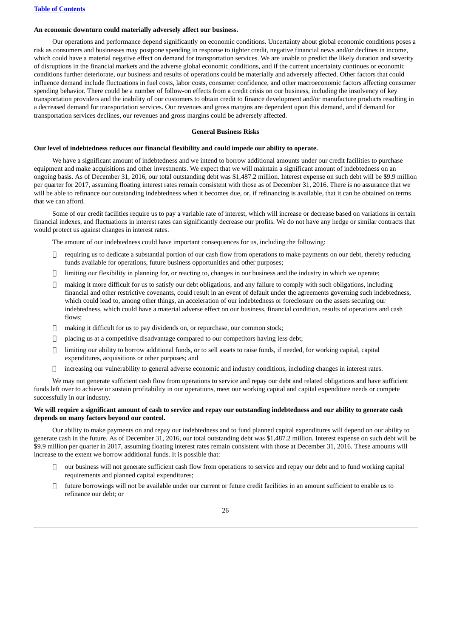#### **An economic downturn could materially adversely affect our business.**

Our operations and performance depend significantly on economic conditions. Uncertainty about global economic conditions poses a risk as consumers and businesses may postpone spending in response to tighter credit, negative financial news and/or declines in income, which could have a material negative effect on demand for transportation services. We are unable to predict the likely duration and severity of disruptions in the financial markets and the adverse global economic conditions, and if the current uncertainty continues or economic conditions further deteriorate, our business and results of operations could be materially and adversely affected. Other factors that could influence demand include fluctuations in fuel costs, labor costs, consumer confidence, and other macroeconomic factors affecting consumer spending behavior. There could be a number of follow-on effects from a credit crisis on our business, including the insolvency of key transportation providers and the inability of our customers to obtain credit to finance development and/or manufacture products resulting in a decreased demand for transportation services. Our revenues and gross margins are dependent upon this demand, and if demand for transportation services declines, our revenues and gross margins could be adversely affected.

#### **General Business Risks**

#### **Our level of indebtedness reduces our financial flexibility and could impede our ability to operate.**

We have a significant amount of indebtedness and we intend to borrow additional amounts under our credit facilities to purchase equipment and make acquisitions and other investments. We expect that we will maintain a significant amount of indebtedness on an ongoing basis. As of December 31, 2016, our total outstanding debt was \$1,487.2 million. Interest expense on such debt will be \$9.9 million per quarter for 2017, assuming floating interest rates remain consistent with those as of December 31, 2016. There is no assurance that we will be able to refinance our outstanding indebtedness when it becomes due, or, if refinancing is available, that it can be obtained on terms that we can afford.

Some of our credit facilities require us to pay a variable rate of interest, which will increase or decrease based on variations in certain financial indexes, and fluctuations in interest rates can significantly decrease our profits. We do not have any hedge or similar contracts that would protect us against changes in interest rates.

The amount of our indebtedness could have important consequences for us, including the following:

- $\Box$  requiring us to dedicate a substantial portion of our cash flow from operations to make payments on our debt, thereby reducing funds available for operations, future business opportunities and other purposes;
- limiting our flexibility in planning for, or reacting to, changes in our business and the industry in which we operate;
- making it more difficult for us to satisfy our debt obligations, and any failure to comply with such obligations, including financial and other restrictive covenants, could result in an event of default under the agreements governing such indebtedness, which could lead to, among other things, an acceleration of our indebtedness or foreclosure on the assets securing our indebtedness, which could have a material adverse effect on our business, financial condition, results of operations and cash flows;
- □ making it difficult for us to pay dividends on, or repurchase, our common stock;
- placing us at a competitive disadvantage compared to our competitors having less debt;
- $\Box$  limiting our ability to borrow additional funds, or to sell assets to raise funds, if needed, for working capital, capital expenditures, acquisitions or other purposes; and
- increasing our vulnerability to general adverse economic and industry conditions, including changes in interest rates.

We may not generate sufficient cash flow from operations to service and repay our debt and related obligations and have sufficient funds left over to achieve or sustain profitability in our operations, meet our working capital and capital expenditure needs or compete successfully in our industry.

#### We will require a significant amount of cash to service and repay our outstanding indebtedness and our ability to generate cash **depends on many factors beyond our control.**

Our ability to make payments on and repay our indebtedness and to fund planned capital expenditures will depend on our ability to generate cash in the future. As of December 31, 2016, our total outstanding debt was \$1,487.2 million. Interest expense on such debt will be \$9.9 million per quarter in 2017, assuming floating interest rates remain consistent with those at December 31, 2016. These amounts will increase to the extent we borrow additional funds. It is possible that:

- $\Box$  our business will not generate sufficient cash flow from operations to service and repay our debt and to fund working capital requirements and planned capital expenditures;
- $\Box$  future borrowings will not be available under our current or future credit facilities in an amount sufficient to enable us to refinance our debt; or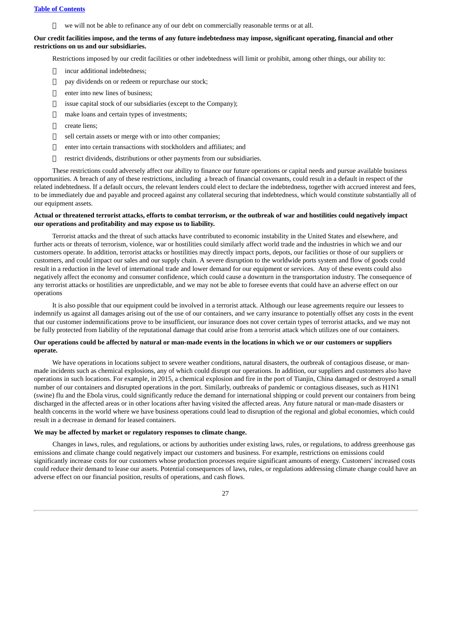$\Box$  we will not be able to refinance any of our debt on commercially reasonable terms or at all.

#### Our credit facilities impose, and the terms of any future indebtedness may impose, significant operating, financial and other **restrictions on us and our subsidiaries.**

Restrictions imposed by our credit facilities or other indebtedness will limit or prohibit, among other things, our ability to:

- incur additional indebtedness;
- □ pay dividends on or redeem or repurchase our stock;
- $\Box$  enter into new lines of business;
- $\Box$  issue capital stock of our subsidiaries (except to the Company);
- $\Box$  make loans and certain types of investments;
- create liens;
- $\Box$  sell certain assets or merge with or into other companies;
- $\Box$  enter into certain transactions with stockholders and affiliates; and
- restrict dividends, distributions or other payments from our subsidiaries.

These restrictions could adversely affect our ability to finance our future operations or capital needs and pursue available business opportunities. A breach of any of these restrictions, including a breach of financial covenants, could result in a default in respect of the related indebtedness. If a default occurs, the relevant lenders could elect to declare the indebtedness, together with accrued interest and fees, to be immediately due and payable and proceed against any collateral securing that indebtedness, which would constitute substantially all of our equipment assets.

#### Actual or threatened terrorist attacks, efforts to combat terrorism, or the outbreak of war and hostilities could negatively impact **our operations and profitability and may expose us to liability.**

Terrorist attacks and the threat of such attacks have contributed to economic instability in the United States and elsewhere, and further acts or threats of terrorism, violence, war or hostilities could similarly affect world trade and the industries in which we and our customers operate. In addition, terrorist attacks or hostilities may directly impact ports, depots, our facilities or those of our suppliers or customers, and could impact our sales and our supply chain. A severe disruption to the worldwide ports system and flow of goods could result in a reduction in the level of international trade and lower demand for our equipment or services. Any of these events could also negatively affect the economy and consumer confidence, which could cause a downturn in the transportation industry. The consequence of any terrorist attacks or hostilities are unpredictable, and we may not be able to foresee events that could have an adverse effect on our operations

It is also possible that our equipment could be involved in a terrorist attack. Although our lease agreements require our lessees to indemnify us against all damages arising out of the use of our containers, and we carry insurance to potentially offset any costs in the event that our customer indemnifications prove to be insufficient, our insurance does not cover certain types of terrorist attacks, and we may not be fully protected from liability of the reputational damage that could arise from a terrorist attack which utilizes one of our containers.

#### Our operations could be affected by natural or man-made events in the locations in which we or our customers or suppliers **operate.**

We have operations in locations subject to severe weather conditions, natural disasters, the outbreak of contagious disease, or manmade incidents such as chemical explosions, any of which could disrupt our operations. In addition, our suppliers and customers also have operations in such locations. For example, in 2015, a chemical explosion and fire in the port of Tianjin, China damaged or destroyed a small number of our containers and disrupted operations in the port. Similarly, outbreaks of pandemic or contagious diseases, such as H1N1 (swine) flu and the Ebola virus, could significantly reduce the demand for international shipping or could prevent our containers from being discharged in the affected areas or in other locations after having visited the affected areas. Any future natural or man-made disasters or health concerns in the world where we have business operations could lead to disruption of the regional and global economies, which could result in a decrease in demand for leased containers.

#### **We may be affected by market or regulatory responses to climate change.**

Changes in laws, rules, and regulations, or actions by authorities under existing laws, rules, or regulations, to address greenhouse gas emissions and climate change could negatively impact our customers and business. For example, restrictions on emissions could significantly increase costs for our customers whose production processes require significant amounts of energy. Customers' increased costs could reduce their demand to lease our assets. Potential consequences of laws, rules, or regulations addressing climate change could have an adverse effect on our financial position, results of operations, and cash flows.

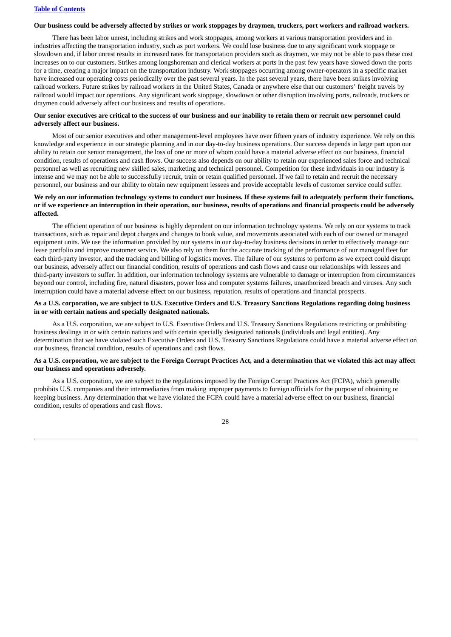#### Our business could be adversely affected by strikes or work stoppages by draymen, truckers, port workers and railroad workers.

There has been labor unrest, including strikes and work stoppages, among workers at various transportation providers and in industries affecting the transportation industry, such as port workers. We could lose business due to any significant work stoppage or slowdown and, if labor unrest results in increased rates for transportation providers such as draymen, we may not be able to pass these cost increases on to our customers. Strikes among longshoreman and clerical workers at ports in the past few years have slowed down the ports for a time, creating a major impact on the transportation industry. Work stoppages occurring among owner-operators in a specific market have increased our operating costs periodically over the past several years. In the past several years, there have been strikes involving railroad workers. Future strikes by railroad workers in the United States, Canada or anywhere else that our customers' freight travels by railroad would impact our operations. Any significant work stoppage, slowdown or other disruption involving ports, railroads, truckers or draymen could adversely affect our business and results of operations.

#### Our senior executives are critical to the success of our business and our inability to retain them or recruit new personnel could **adversely affect our business.**

Most of our senior executives and other management-level employees have over fifteen years of industry experience. We rely on this knowledge and experience in our strategic planning and in our day-to-day business operations. Our success depends in large part upon our ability to retain our senior management, the loss of one or more of whom could have a material adverse effect on our business, financial condition, results of operations and cash flows. Our success also depends on our ability to retain our experienced sales force and technical personnel as well as recruiting new skilled sales, marketing and technical personnel. Competition for these individuals in our industry is intense and we may not be able to successfully recruit, train or retain qualified personnel. If we fail to retain and recruit the necessary personnel, our business and our ability to obtain new equipment lessees and provide acceptable levels of customer service could suffer.

#### We rely on our information technology systems to conduct our business. If these systems fail to adequately perform their functions, or if we experience an interruption in their operation, our business, results of operations and financial prospects could be adversely **affected.**

The efficient operation of our business is highly dependent on our information technology systems. We rely on our systems to track transactions, such as repair and depot charges and changes to book value, and movements associated with each of our owned or managed equipment units. We use the information provided by our systems in our day-to-day business decisions in order to effectively manage our lease portfolio and improve customer service. We also rely on them for the accurate tracking of the performance of our managed fleet for each third-party investor, and the tracking and billing of logistics moves. The failure of our systems to perform as we expect could disrupt our business, adversely affect our financial condition, results of operations and cash flows and cause our relationships with lessees and third-party investors to suffer. In addition, our information technology systems are vulnerable to damage or interruption from circumstances beyond our control, including fire, natural disasters, power loss and computer systems failures, unauthorized breach and viruses. Any such interruption could have a material adverse effect on our business, reputation, results of operations and financial prospects.

#### As a U.S. corporation, we are subject to U.S. Executive Orders and U.S. Treasury Sanctions Regulations regarding doing business **in or with certain nations and specially designated nationals.**

As a U.S. corporation, we are subject to U.S. Executive Orders and U.S. Treasury Sanctions Regulations restricting or prohibiting business dealings in or with certain nations and with certain specially designated nationals (individuals and legal entities). Any determination that we have violated such Executive Orders and U.S. Treasury Sanctions Regulations could have a material adverse effect on our business, financial condition, results of operations and cash flows.

#### As a U.S. corporation, we are subject to the Foreign Corrupt Practices Act, and a determination that we violated this act may affect **our business and operations adversely.**

As a U.S. corporation, we are subject to the regulations imposed by the Foreign Corrupt Practices Act (FCPA), which generally prohibits U.S. companies and their intermediaries from making improper payments to foreign officials for the purpose of obtaining or keeping business. Any determination that we have violated the FCPA could have a material adverse effect on our business, financial condition, results of operations and cash flows.

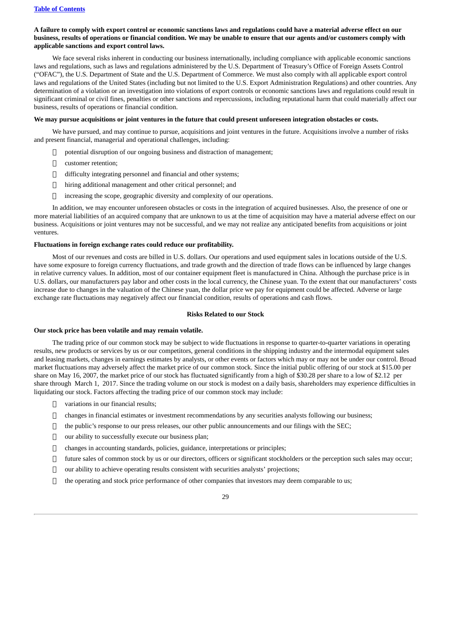#### A failure to comply with export control or economic sanctions laws and regulations could have a material adverse effect on our business, results of operations or financial condition. We may be unable to ensure that our agents and/or customers comply with **applicable sanctions and export control laws.**

We face several risks inherent in conducting our business internationally, including compliance with applicable economic sanctions laws and regulations, such as laws and regulations administered by the U.S. Department of Treasury's Office of Foreign Assets Control ("OFAC"), the U.S. Department of State and the U.S. Department of Commerce. We must also comply with all applicable export control laws and regulations of the United States (including but not limited to the U.S. Export Administration Regulations) and other countries. Any determination of a violation or an investigation into violations of export controls or economic sanctions laws and regulations could result in significant criminal or civil fines, penalties or other sanctions and repercussions, including reputational harm that could materially affect our business, results of operations or financial condition.

#### We may pursue acquisitions or joint ventures in the future that could present unforeseen integration obstacles or costs.

We have pursued, and may continue to pursue, acquisitions and joint ventures in the future. Acquisitions involve a number of risks and present financial, managerial and operational challenges, including:

- $\Box$  potential disruption of our ongoing business and distraction of management;
- customer retention;
- $\Box$  difficulty integrating personnel and financial and other systems;
- hiring additional management and other critical personnel; and
- $\Box$  increasing the scope, geographic diversity and complexity of our operations.

In addition, we may encounter unforeseen obstacles or costs in the integration of acquired businesses. Also, the presence of one or more material liabilities of an acquired company that are unknown to us at the time of acquisition may have a material adverse effect on our business. Acquisitions or joint ventures may not be successful, and we may not realize any anticipated benefits from acquisitions or joint ventures.

#### **Fluctuations in foreign exchange rates could reduce our profitability.**

Most of our revenues and costs are billed in U.S. dollars. Our operations and used equipment sales in locations outside of the U.S. have some exposure to foreign currency fluctuations, and trade growth and the direction of trade flows can be influenced by large changes in relative currency values. In addition, most of our container equipment fleet is manufactured in China. Although the purchase price is in U.S. dollars, our manufacturers pay labor and other costs in the local currency, the Chinese yuan. To the extent that our manufacturers' costs increase due to changes in the valuation of the Chinese yuan, the dollar price we pay for equipment could be affected. Adverse or large exchange rate fluctuations may negatively affect our financial condition, results of operations and cash flows.

#### **Risks Related to our Stock**

#### **Our stock price has been volatile and may remain volatile.**

The trading price of our common stock may be subject to wide fluctuations in response to quarter-to-quarter variations in operating results, new products or services by us or our competitors, general conditions in the shipping industry and the intermodal equipment sales and leasing markets, changes in earnings estimates by analysts, or other events or factors which may or may not be under our control. Broad market fluctuations may adversely affect the market price of our common stock. Since the initial public offering of our stock at \$15.00 per share on May 16, 2007, the market price of our stock has fluctuated significantly from a high of \$30.28 per share to a low of \$2.12 per share through March 1, 2017. Since the trading volume on our stock is modest on a daily basis, shareholders may experience difficulties in liquidating our stock. Factors affecting the trading price of our common stock may include:

- variations in our financial results;
- changes in financial estimates or investment recommendations by any securities analysts following our business;
- $\Box$  the public's response to our press releases, our other public announcements and our filings with the SEC;
- $\Box$  our ability to successfully execute our business plan;
- $\Box$  changes in accounting standards, policies, guidance, interpretations or principles;
- $\Box$  future sales of common stock by us or our directors, officers or significant stockholders or the perception such sales may occur;
- $\Box$  our ability to achieve operating results consistent with securities analysts' projections;
- $\Box$  the operating and stock price performance of other companies that investors may deem comparable to us;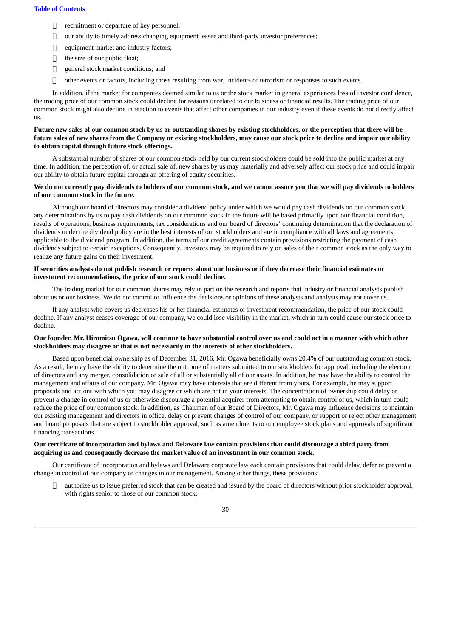- $\Box$  recruitment or departure of key personnel;
- our ability to timely address changing equipment lessee and third-party investor preferences;
- equipment market and industry factors;
- $\Box$  the size of our public float;
- **general stock market conditions; and**
- $\Box$  other events or factors, including those resulting from war, incidents of terrorism or responses to such events.

In addition, if the market for companies deemed similar to us or the stock market in general experiences loss of investor confidence, the trading price of our common stock could decline for reasons unrelated to our business or financial results. The trading price of our common stock might also decline in reaction to events that affect other companies in our industry even if these events do not directly affect us.

#### Future new sales of our common stock by us or outstanding shares by existing stockholders, or the perception that there will be future sales of new shares from the Company or existing stockholders, may cause our stock price to decline and impair our ability **to obtain capital through future stock offerings.**

A substantial number of shares of our common stock held by our current stockholders could be sold into the public market at any time. In addition, the perception of, or actual sale of, new shares by us may materially and adversely affect our stock price and could impair our ability to obtain future capital through an offering of equity securities.

#### We do not currently pay dividends to holders of our common stock, and we cannot assure you that we will pay dividends to holders **of our common stock in the future.**

Although our board of directors may consider a dividend policy under which we would pay cash dividends on our common stock, any determinations by us to pay cash dividends on our common stock in the future will be based primarily upon our financial condition, results of operations, business requirements, tax considerations and our board of directors' continuing determination that the declaration of dividends under the dividend policy are in the best interests of our stockholders and are in compliance with all laws and agreements applicable to the dividend program. In addition, the terms of our credit agreements contain provisions restricting the payment of cash dividends subject to certain exceptions. Consequently, investors may be required to rely on sales of their common stock as the only way to realize any future gains on their investment.

#### If securities analysts do not publish research or reports about our business or if they decrease their financial estimates or **investment recommendations, the price of our stock could decline.**

The trading market for our common shares may rely in part on the research and reports that industry or financial analysts publish about us or our business. We do not control or influence the decisions or opinions of these analysts and analysts may not cover us.

If any analyst who covers us decreases his or her financial estimates or investment recommendation, the price of our stock could decline. If any analyst ceases coverage of our company, we could lose visibility in the market, which in turn could cause our stock price to decline.

#### Our founder, Mr. Hiromitsu Ogawa, will continue to have substantial control over us and could act in a manner with which other **stockholders may disagree or that is not necessarily in the interests of other stockholders.**

Based upon beneficial ownership as of December 31, 2016, Mr. Ogawa beneficially owns 20.4% of our outstanding common stock. As a result, he may have the ability to determine the outcome of matters submitted to our stockholders for approval, including the election of directors and any merger, consolidation or sale of all or substantially all of our assets. In addition, he may have the ability to control the management and affairs of our company. Mr. Ogawa may have interests that are different from yours. For example, he may support proposals and actions with which you may disagree or which are not in your interests. The concentration of ownership could delay or prevent a change in control of us or otherwise discourage a potential acquirer from attempting to obtain control of us, which in turn could reduce the price of our common stock. In addition, as Chairman of our Board of Directors, Mr. Ogawa may influence decisions to maintain our existing management and directors in office, delay or prevent changes of control of our company, or support or reject other management and board proposals that are subject to stockholder approval, such as amendments to our employee stock plans and approvals of significant financing transactions.

#### Our certificate of incorporation and bylaws and Delaware law contain provisions that could discourage a third party from **acquiring us and consequently decrease the market value of an investment in our common stock.**

Our certificate of incorporation and bylaws and Delaware corporate law each contain provisions that could delay, defer or prevent a change in control of our company or changes in our management. Among other things, these provisions:

 $\Box$  authorize us to issue preferred stock that can be created and issued by the board of directors without prior stockholder approval, with rights senior to those of our common stock;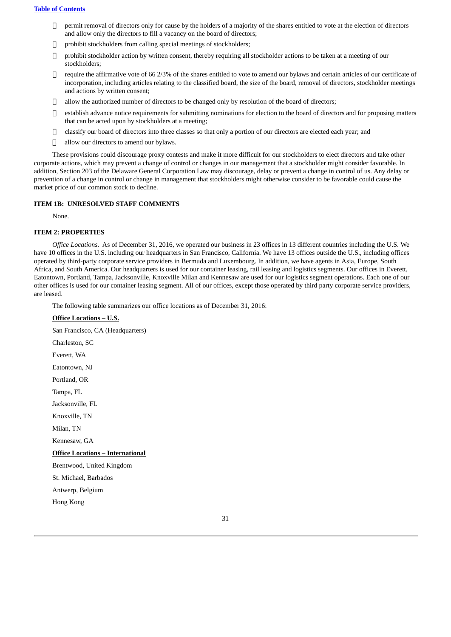- $\Box$  permit removal of directors only for cause by the holders of a majority of the shares entitled to vote at the election of directors and allow only the directors to fill a vacancy on the board of directors;
- prohibit stockholders from calling special meetings of stockholders;
- $\Box$  prohibit stockholder action by written consent, thereby requiring all stockholder actions to be taken at a meeting of our stockholders;
- $\Box$  require the affirmative vote of 66 2/3% of the shares entitled to vote to amend our bylaws and certain articles of our certificate of incorporation, including articles relating to the classified board, the size of the board, removal of directors, stockholder meetings and actions by written consent;
- $\Box$  allow the authorized number of directors to be changed only by resolution of the board of directors;
- $\Box$  establish advance notice requirements for submitting nominations for election to the board of directors and for proposing matters that can be acted upon by stockholders at a meeting;
- $\Box$  classify our board of directors into three classes so that only a portion of our directors are elected each year; and
- allow our directors to amend our bylaws.

These provisions could discourage proxy contests and make it more difficult for our stockholders to elect directors and take other corporate actions, which may prevent a change of control or changes in our management that a stockholder might consider favorable. In addition, Section 203 of the Delaware General Corporation Law may discourage, delay or prevent a change in control of us. Any delay or prevention of a change in control or change in management that stockholders might otherwise consider to be favorable could cause the market price of our common stock to decline.

#### **ITEM 1B: UNRESOLVED STAFF COMMENTS**

<span id="page-30-1"></span><span id="page-30-0"></span>None.

#### **ITEM 2: PROPERTIES**

*Office Locations.* As of December 31, 2016, we operated our business in 23 offices in 13 different countries including the U.S. We have 10 offices in the U.S. including our headquarters in San Francisco, California. We have 13 offices outside the U.S., including offices operated by third-party corporate service providers in Bermuda and Luxembourg. In addition, we have agents in Asia, Europe, South Africa, and South America. Our headquarters is used for our container leasing, rail leasing and logistics segments. Our offices in Everett, Eatontown, Portland, Tampa, Jacksonville, Knoxville Milan and Kennesaw are used for our logistics segment operations. Each one of our other offices is used for our container leasing segment. All of our offices, except those operated by third party corporate service providers, are leased.

The following table summarizes our office locations as of December 31, 2016:

**Office Locations – U.S.** San Francisco, CA (Headquarters) Charleston, SC Everett, WA Eatontown, NJ Portland, OR Tampa, FL Jacksonville, FL Knoxville, TN Milan, TN Kennesaw, GA **Office Locations – International** Brentwood, United Kingdom St. Michael, Barbados Antwerp, Belgium Hong Kong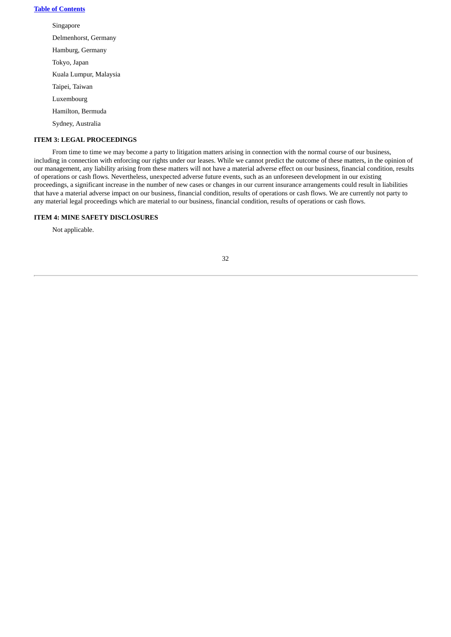Singapore Delmenhorst, Germany Hamburg, Germany Tokyo, Japan Kuala Lumpur, Malaysia Taipei, Taiwan Luxembourg Hamilton, Bermuda Sydney, Australia

#### <span id="page-31-0"></span>**ITEM 3: LEGAL PROCEEDINGS**

From time to time we may become a party to litigation matters arising in connection with the normal course of our business, including in connection with enforcing our rights under our leases. While we cannot predict the outcome of these matters, in the opinion of our management, any liability arising from these matters will not have a material adverse effect on our business, financial condition, results of operations or cash flows. Nevertheless, unexpected adverse future events, such as an unforeseen development in our existing proceedings, a significant increase in the number of new cases or changes in our current insurance arrangements could result in liabilities that have a material adverse impact on our business, financial condition, results of operations or cash flows. We are currently not party to any material legal proceedings which are material to our business, financial condition, results of operations or cash flows.

#### **ITEM 4: MINE SAFETY DISCLOSURES**

<span id="page-31-1"></span>Not applicable.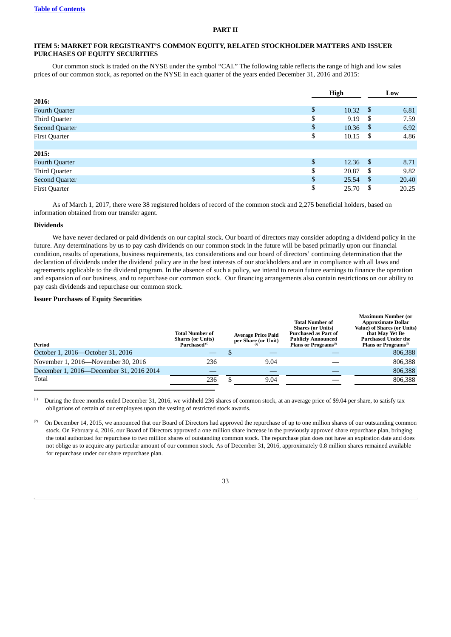#### **PART II**

#### <span id="page-32-0"></span>**ITEM 5: MARKET FOR REGISTRANT'S COMMON EQUITY, RELATED STOCKHOLDER MATTERS AND ISSUER PURCHASES OF EQUITY SECURITIES**

Our common stock is traded on the NYSE under the symbol "CAI." The following table reflects the range of high and low sales prices of our common stock, as reported on the NYSE in each quarter of the years ended December 31, 2016 and 2015:

|                       | <b>High</b> |      | Low   |
|-----------------------|-------------|------|-------|
| 2016:                 |             |      |       |
| <b>Fourth Quarter</b> | \$<br>10.32 | - \$ | 6.81  |
| Third Quarter         | \$<br>9.19  | \$   | 7.59  |
| <b>Second Quarter</b> | \$<br>10.36 | - \$ | 6.92  |
| <b>First Quarter</b>  | \$<br>10.15 | S    | 4.86  |
|                       |             |      |       |
| 2015:                 |             |      |       |
| <b>Fourth Quarter</b> | \$<br>12.36 | -\$  | 8.71  |
| <b>Third Quarter</b>  | \$<br>20.87 | -S   | 9.82  |
| <b>Second Quarter</b> | \$<br>25.54 | -\$  | 20.40 |
| <b>First Quarter</b>  | \$<br>25.70 | \$   | 20.25 |

As of March 1, 2017, there were 38 registered holders of record of the common stock and 2,275 beneficial holders, based on information obtained from our transfer agent.

#### **Dividends**

We have never declared or paid dividends on our capital stock. Our board of directors may consider adopting a dividend policy in the future. Any determinations by us to pay cash dividends on our common stock in the future will be based primarily upon our financial condition, results of operations, business requirements, tax considerations and our board of directors' continuing determination that the declaration of dividends under the dividend policy are in the best interests of our stockholders and are in compliance with all laws and agreements applicable to the dividend program. In the absence of such a policy, we intend to retain future earnings to finance the operation and expansion of our business, and to repurchase our common stock. Our financing arrangements also contain restrictions on our ability to pay cash dividends and repurchase our common stock.

#### **Issuer Purchases of Equity Securities**

| Period                                  | <b>Total Number of</b><br><b>Shares (or Units)</b><br>Purchased <sup>(1)</sup> |    | <b>Average Price Paid</b><br>per Share (or Unit) | <b>Total Number of</b><br><b>Shares (or Units)</b><br><b>Purchased as Part of</b><br><b>Publicly Announced</b><br>Plans or Programs <sup>(2)</sup> | <b>Maximum Number (or</b><br><b>Approximate Dollar</b><br><b>Value) of Shares (or Units)</b><br>that May Yet Be<br><b>Purchased Under the</b><br>Plans or Programs <sup>(2)</sup> |
|-----------------------------------------|--------------------------------------------------------------------------------|----|--------------------------------------------------|----------------------------------------------------------------------------------------------------------------------------------------------------|-----------------------------------------------------------------------------------------------------------------------------------------------------------------------------------|
| October 1, 2016—October 31, 2016        |                                                                                |    |                                                  |                                                                                                                                                    | 806,388                                                                                                                                                                           |
| November 1, 2016—November 30, 2016      | 236                                                                            |    | 9.04                                             |                                                                                                                                                    | 806,388                                                                                                                                                                           |
| December 1, 2016—December 31, 2016 2014 |                                                                                |    |                                                  |                                                                                                                                                    | 806,388                                                                                                                                                                           |
| Total                                   | 236                                                                            | .S | 9.04                                             |                                                                                                                                                    | 806.388                                                                                                                                                                           |

<sup>(1)</sup> During the three months ended December 31, 2016, we withheld 236 shares of common stock, at an average price of \$9.04 per share, to satisfy tax obligations of certain of our employees upon the vesting of restricted stock awards.

<sup>(2)</sup> On December 14, 2015, we announced that our Board of Directors had approved the repurchase of up to one million shares of our outstanding common stock. On February 4, 2016, our Board of Directors approved a one million share increase in the previously approved share repurchase plan, bringing the total authorized for repurchase to two million shares of outstanding common stock. The repurchase plan does not have an expiration date and does not oblige us to acquire any particular amount of our common stock. As of December 31, 2016, approximately 0.8 million shares remained available for repurchase under our share repurchase plan.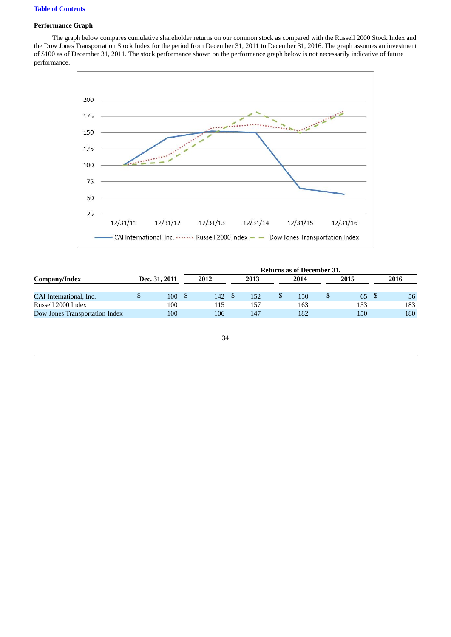## **Performance Graph**

The graph below compares cumulative shareholder returns on our common stock as compared with the Russell 2000 Stock Index and the Dow Jones Transportation Stock Index for the period from December 31, 2011 to December 31, 2016. The graph assumes an investment of \$100 as of December 31, 2011. The stock performance shown on the performance graph below is not necessarily indicative of future performance.



|                                |               |      |      |      |  | <b>Returns as of December 31,</b> |     |      |  |      |  |      |
|--------------------------------|---------------|------|------|------|--|-----------------------------------|-----|------|--|------|--|------|
| Company/Index                  | Dec. 31, 2011 |      |      | 2012 |  | 2013                              |     | 2014 |  | 2015 |  | 2016 |
|                                |               |      |      |      |  |                                   |     |      |  |      |  |      |
| CAI International, Inc.        |               | 100- | - \$ | 142S |  | 152                               | \$. | 150  |  | 65   |  | 56   |
| Russell 2000 Index             |               | 100  |      | 115  |  | 157                               |     | 163  |  | 153  |  | 183  |
| Dow Jones Transportation Index |               | 100  |      | 106  |  | 147                               |     | 182  |  | 150  |  | 180  |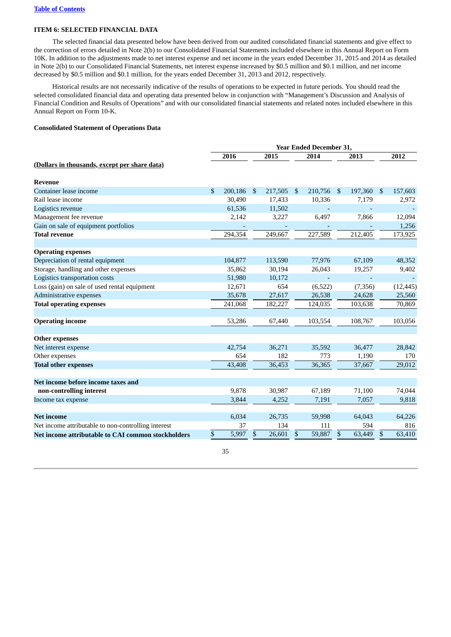#### <span id="page-34-0"></span>**ITEM 6: SELECTED FINANCIAL DATA**

The selected financial data presented below have been derived from our audited consolidated financial statements and give effect to the correction of errors detailed in Note 2(b) to our Consolidated Financial Statements included elsewhere in this Annual Report on Form 10K. In addition to the adjustments made to net interest expense and net income in the years ended December 31, 2015 and 2014 as detailed in Note 2(b) to our Consolidated Financial Statements, net interest expense increased by \$0.5 million and \$0.1 million, and net income decreased by \$0.5 million and \$0.1 million, for the years ended December 31, 2013 and 2012, respectively.

Historical results are not necessarily indicative of the results of operations to be expected in future periods. You should read the selected consolidated financial data and operating data presented below in conjunction with "Management's Discussion and Analysis of Financial Condition and Results of Operations" and with our consolidated financial statements and related notes included elsewhere in this Annual Report on Form 10-K.

## **Consolidated Statement of Operations Data**

|                                                     | <b>Year Ended December 31,</b> |         |                |         |                |         |      |         |                    |           |  |
|-----------------------------------------------------|--------------------------------|---------|----------------|---------|----------------|---------|------|---------|--------------------|-----------|--|
|                                                     | 2016                           |         | 2015           |         | 2014           |         | 2013 |         |                    | 2012      |  |
| (Dollars in thousands, except per share data)       |                                |         |                |         |                |         |      |         |                    |           |  |
| <b>Revenue</b>                                      |                                |         |                |         |                |         |      |         |                    |           |  |
| Container lease income                              | $\mathbb{S}$                   | 200,186 | $\mathfrak{S}$ | 217,505 | $\mathfrak{S}$ | 210,756 | -\$  | 197,360 | $\mathbf{\hat{s}}$ | 157,603   |  |
| Rail lease income                                   |                                | 30,490  |                | 17,433  |                | 10,336  |      | 7,179   |                    | 2,972     |  |
| Logistics revenue                                   |                                | 61,536  |                | 11,502  |                |         |      |         |                    |           |  |
| Management fee revenue                              |                                | 2,142   |                | 3,227   |                | 6,497   |      | 7,866   |                    | 12,094    |  |
| Gain on sale of equipment portfolios                |                                |         |                |         |                |         |      |         |                    | 1,256     |  |
| <b>Total revenue</b>                                |                                | 294,354 |                | 249,667 |                | 227,589 |      | 212,405 |                    | 173,925   |  |
| <b>Operating expenses</b>                           |                                |         |                |         |                |         |      |         |                    |           |  |
| Depreciation of rental equipment                    |                                | 104,877 |                | 113,590 |                | 77,976  |      | 67,109  |                    | 48,352    |  |
| Storage, handling and other expenses                |                                | 35,862  |                | 30,194  |                | 26,043  |      | 19,257  |                    | 9,402     |  |
| Logistics transportation costs                      |                                | 51,980  |                | 10,172  |                |         |      |         |                    |           |  |
| Loss (gain) on sale of used rental equipment        |                                | 12,671  |                | 654     |                | (6,522) |      | (7,356) |                    | (12, 445) |  |
| Administrative expenses                             |                                | 35,678  |                | 27,617  |                | 26,538  |      | 24,628  |                    | 25,560    |  |
| <b>Total operating expenses</b>                     |                                | 241,068 |                | 182,227 |                | 124,035 |      | 103,638 |                    | 70,869    |  |
|                                                     |                                |         |                |         |                |         |      |         |                    |           |  |
| <b>Operating income</b>                             |                                | 53,286  |                | 67,440  |                | 103,554 |      | 108,767 |                    | 103,056   |  |
| <b>Other expenses</b>                               |                                |         |                |         |                |         |      |         |                    |           |  |
| Net interest expense                                |                                | 42,754  |                | 36,271  |                | 35,592  |      | 36,477  |                    | 28,842    |  |
| Other expenses                                      |                                | 654     |                | 182     |                | 773     |      | 1,190   |                    | 170       |  |
| <b>Total other expenses</b>                         |                                | 43,408  |                | 36,453  |                | 36,365  |      | 37,667  |                    | 29,012    |  |
| Net income before income taxes and                  |                                |         |                |         |                |         |      |         |                    |           |  |
| non-controlling interest                            |                                | 9,878   |                | 30,987  |                | 67,189  |      | 71,100  |                    | 74,044    |  |
|                                                     |                                | 3,844   |                | 4,252   |                | 7,191   |      | 7,057   |                    | 9,818     |  |
| Income tax expense                                  |                                |         |                |         |                |         |      |         |                    |           |  |
| <b>Net income</b>                                   |                                | 6,034   |                | 26,735  |                | 59,998  |      | 64,043  |                    | 64,226    |  |
| Net income attributable to non-controlling interest |                                | 37      |                | 134     |                | 111     |      | 594     |                    | 816       |  |
| Net income attributable to CAI common stockholders  | \$                             | 5,997   | $\$$           | 26,601  | \$             | 59,887  | \$   | 63,449  | $\mathfrak{S}$     | 63,410    |  |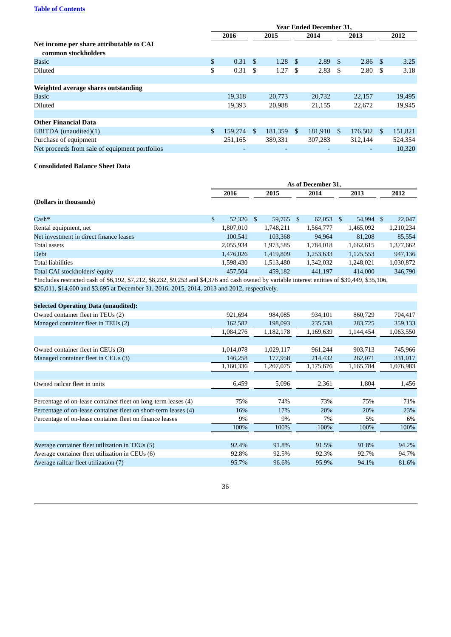|                                                                 | <b>Year Ended December 31,</b> |                |      |         |      |         |               |           |      |         |
|-----------------------------------------------------------------|--------------------------------|----------------|------|---------|------|---------|---------------|-----------|------|---------|
|                                                                 | 2016                           |                | 2015 |         | 2014 |         | 2013          |           |      | 2012    |
| Net income per share attributable to CAI<br>common stockholders |                                |                |      |         |      |         |               |           |      |         |
| Basic                                                           | \$                             | $0.31 \quad $$ |      | 1.28    | -S   | 2.89    | <sup>\$</sup> | $2.86$ \$ |      | 3.25    |
| <b>Diluted</b>                                                  | \$                             | 0.31           | S    | 1.27    | -S   | 2.83    | S             | 2.80      | - \$ | 3.18    |
|                                                                 |                                |                |      |         |      |         |               |           |      |         |
| Weighted average shares outstanding                             |                                |                |      |         |      |         |               |           |      |         |
| <b>Basic</b>                                                    |                                | 19,318         |      | 20,773  |      | 20,732  |               | 22,157    |      | 19,495  |
| Diluted                                                         |                                | 19,393         |      | 20,988  |      | 21,155  |               | 22,672    |      | 19,945  |
|                                                                 |                                |                |      |         |      |         |               |           |      |         |
| <b>Other Financial Data</b>                                     |                                |                |      |         |      |         |               |           |      |         |
| EBITDA (unaudited)(1)                                           | $\mathbf{s}$                   | 159,274        | S    | 181,359 | \$.  | 181,910 | \$.           | 176,502   | - \$ | 151,821 |
| Purchase of equipment                                           |                                | 251,165        |      | 389,331 |      | 307,283 |               | 312,144   |      | 524,354 |
| Net proceeds from sale of equipment portfolios                  |                                |                |      |         |      |         |               |           |      | 10,320  |

## **Consolidated Balance Sheet Data**

| As of December 31, |           |    |           |  |           |  |             |  |                                                                                                                                                              |
|--------------------|-----------|----|-----------|--|-----------|--|-------------|--|--------------------------------------------------------------------------------------------------------------------------------------------------------------|
|                    | 2016      |    | 2015      |  | 2014      |  | 2013        |  | 2012                                                                                                                                                         |
|                    |           |    |           |  |           |  |             |  |                                                                                                                                                              |
| \$                 | 52,326    | \$ | 59.765    |  |           |  |             |  | 22,047                                                                                                                                                       |
|                    | 1,807,010 |    | 1,748,211 |  | 1,564,777 |  | 1,465,092   |  | 1,210,234                                                                                                                                                    |
|                    | 100.541   |    | 103,368   |  | 94.964    |  | 81,208      |  | 85,554                                                                                                                                                       |
|                    | 2,055,934 |    | 1,973,585 |  | 1,784,018 |  | 1,662,615   |  | 1,377,662                                                                                                                                                    |
|                    | 1,476,026 |    | 1,419,809 |  | 1,253,633 |  | 1,125,553   |  | 947,136                                                                                                                                                      |
|                    | 1,598,430 |    | 1,513,480 |  | 1,342,032 |  | 1,248,021   |  | 1,030,872                                                                                                                                                    |
|                    | 457,504   |    | 459,182   |  | 441.197   |  | 414,000     |  | 346,790                                                                                                                                                      |
|                    |           |    |           |  |           |  |             |  |                                                                                                                                                              |
|                    |           |    |           |  | - \$      |  | $62,053$ \$ |  | 54,994 \$<br>*Includes restricted cash of \$6,192, \$7,212, \$8,232, \$9,253 and \$4,376 and cash owned by variable interest entities of \$30,449, \$35,106, |

\$26,011, \$14,600 and \$3,695 at December 31, 2016, 2015, 2014, 2013 and 2012, respectively.

| <b>Selected Operating Data (unaudited):</b>                     |           |           |           |           |           |
|-----------------------------------------------------------------|-----------|-----------|-----------|-----------|-----------|
| Owned container fleet in TEUs (2)                               | 921,694   | 984,085   | 934,101   | 860,729   | 704,417   |
| Managed container fleet in TEUs (2)                             | 162,582   | 198,093   | 235,538   | 283,725   | 359,133   |
|                                                                 | 1,084,276 | 1,182,178 | 1,169,639 | 1,144,454 | 1,063,550 |
|                                                                 |           |           |           |           |           |
| Owned container fleet in CEUs (3)                               | 1,014,078 | 1,029,117 | 961,244   | 903,713   | 745,966   |
| Managed container fleet in CEUs (3)                             | 146,258   | 177,958   | 214,432   | 262,071   | 331,017   |
|                                                                 | 1,160,336 | 1,207,075 | 1,175,676 | 1,165,784 | 1,076,983 |
|                                                                 |           |           |           |           |           |
| Owned railcar fleet in units                                    | 6,459     | 5,096     | 2,361     | 1,804     | 1,456     |
|                                                                 |           |           |           |           |           |
| Percentage of on-lease container fleet on long-term leases (4)  | 75%       | 74%       | 73%       | 75%       | 71%       |
| Percentage of on-lease container fleet on short-term leases (4) | 16%       | 17%       | 20%       | 20%       | 23%       |
| Percentage of on-lease container fleet on finance leases        | 9%        | 9%        | 7%        | 5%        | 6%        |
|                                                                 | 100%      | 100%      | 100%      | 100%      | 100%      |
|                                                                 |           |           |           |           |           |
| Average container fleet utilization in TEUs (5)                 | 92.4%     | 91.8%     | 91.5%     | 91.8%     | 94.2%     |
| Average container fleet utilization in CEUs (6)                 | 92.8%     | 92.5%     | 92.3%     | 92.7%     | 94.7%     |
| Average railcar fleet utilization (7)                           | 95.7%     | 96.6%     | 95.9%     | 94.1%     | 81.6%     |
|                                                                 |           |           |           |           |           |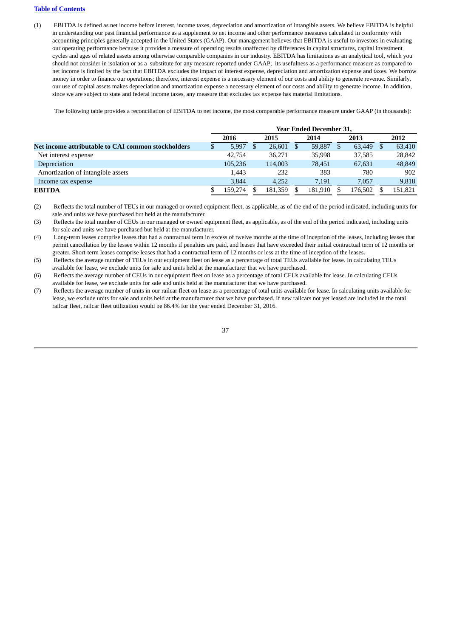(1) EBITDA is defined as net income before interest, income taxes, depreciation and amortization of intangible assets. We believe EBITDA is helpful in understanding our past financial performance as a supplement to net income and other performance measures calculated in conformity with accounting principles generally accepted in the United States (GAAP). Our management believes that EBITDA is useful to investors in evaluating our operating performance because it provides a measure of operating results unaffected by differences in capital structures, capital investment cycles and ages of related assets among otherwise comparable companies in our industry. EBITDA has limitations as an analytical tool, which you should not consider in isolation or as a substitute for any measure reported under GAAP; its usefulness as a performance measure as compared to net income is limited by the fact that EBITDA excludes the impact of interest expense, depreciation and amortization expense and taxes. We borrow money in order to finance our operations; therefore, interest expense is a necessary element of our costs and ability to generate revenue. Similarly, our use of capital assets makes depreciation and amortization expense a necessary element of our costs and ability to generate income. In addition, since we are subject to state and federal income taxes, any measure that excludes tax expense has material limitations.

The following table provides a reconciliation of EBITDA to net income, the most comparable performance measure under GAAP (in thousands):

|                                                    | <b>Year Ended December 31,</b> |         |  |         |  |         |  |         |  |         |
|----------------------------------------------------|--------------------------------|---------|--|---------|--|---------|--|---------|--|---------|
|                                                    |                                | 2016    |  | 2015    |  | 2014    |  | 2013    |  | 2012    |
| Net income attributable to CAI common stockholders |                                | 5,997   |  | 26,601  |  | 59,887  |  | 63,449  |  | 63,410  |
| Net interest expense                               |                                | 42.754  |  | 36.271  |  | 35,998  |  | 37,585  |  | 28,842  |
| Depreciation                                       |                                | 105,236 |  | 114,003 |  | 78.451  |  | 67,631  |  | 48,849  |
| Amortization of intangible assets                  |                                | 1.443   |  | 232     |  | 383     |  | 780     |  | 902     |
| Income tax expense                                 |                                | 3.844   |  | 4.252   |  | 7.191   |  | 7.057   |  | 9,818   |
| <b>EBITDA</b>                                      |                                | 159,274 |  | 181,359 |  | 181,910 |  | 176.502 |  | 151.821 |

(2) Reflects the total number of TEUs in our managed or owned equipment fleet, as applicable, as of the end of the period indicated, including units for sale and units we have purchased but held at the manufacturer.

(3) Reflects the total number of CEUs in our managed or owned equipment fleet, as applicable, as of the end of the period indicated, including units for sale and units we have purchased but held at the manufacturer.

(4) Long-term leases comprise leases that had a contractual term in excess of twelve months at the time of inception of the leases, including leases that permit cancellation by the lessee within 12 months if penalties are paid, and leases that have exceeded their initial contractual term of 12 months or greater. Short-term leases comprise leases that had a contractual term of 12 months or less at the time of inception of the leases.

(5) Reflects the average number of TEUs in our equipment fleet on lease as a percentage of total TEUs available for lease. In calculating TEUs available for lease, we exclude units for sale and units held at the manufacturer that we have purchased.

(6) Reflects the average number of CEUs in our equipment fleet on lease as a percentage of total CEUs available for lease. In calculating CEUs available for lease, we exclude units for sale and units held at the manufacturer that we have purchased.

(7) Reflects the average number of units in our railcar fleet on lease as a percentage of total units available for lease. In calculating units available for lease, we exclude units for sale and units held at the manufacturer that we have purchased. If new railcars not yet leased are included in the total railcar fleet, railcar fleet utilization would be 86.4% for the year ended December 31, 2016.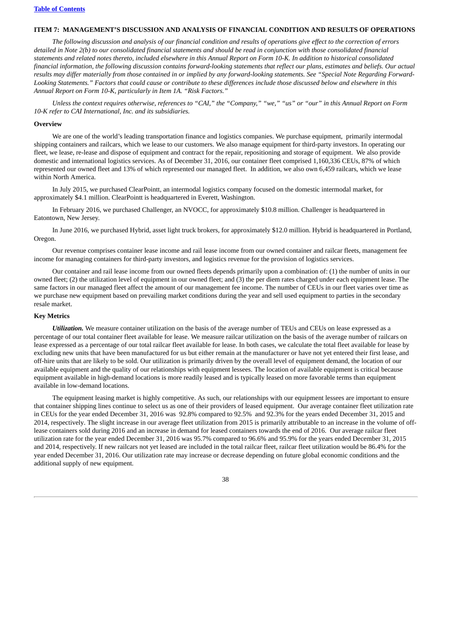### **ITEM 7: MANAGEMENT'S DISCUSSION AND ANALYSIS OF FINANCIAL CONDITION AND RESULTS OF OPERATIONS**

The following discussion and analysis of our financial condition and results of operations give effect to the correction of errors detailed in Note 2(b) to our consolidated financial statements and should be read in conjunction with those consolidated financial statements and related notes thereto, included elsewhere in this Annual Report on Form 10-K. In addition to historical consolidated financial information, the following discussion contains forward-looking statements that reflect our plans, estimates and beliefs. Our actual results may differ materially from those contained in or implied by any forward-looking statements. See "Special Note Regarding Forward-Looking Statements." Factors that could cause or contribute to these differences include those discussed below and elsewhere in this *Annual Report on Form 10-K, particularly in Item 1A. "Risk Factors."*

Unless the context requires otherwise, references to "CAI," the "Company," "we," "us" or "our" in this Annual Report on Form *10-K refer to CAI International, Inc. and its subsidiaries.*

### **Overview**

We are one of the world's leading transportation finance and logistics companies. We purchase equipment, primarily intermodal shipping containers and railcars, which we lease to our customers. We also manage equipment for third-party investors. In operating our fleet, we lease, re-lease and dispose of equipment and contract for the repair, repositioning and storage of equipment. We also provide domestic and international logistics services. As of December 31, 2016, our container fleet comprised 1,160,336 CEUs, 87% of which represented our owned fleet and 13% of which represented our managed fleet. In addition, we also own 6,459 railcars, which we lease within North America.

In July 2015, we purchased ClearPointt, an intermodal logistics company focused on the domestic intermodal market, for approximately \$4.1 million. ClearPointt is headquartered in Everett, Washington.

In February 2016, we purchased Challenger, an NVOCC, for approximately \$10.8 million. Challenger is headquartered in Eatontown, New Jersey.

In June 2016, we purchased Hybrid, asset light truck brokers, for approximately \$12.0 million. Hybrid is headquartered in Portland, Oregon.

Our revenue comprises container lease income and rail lease income from our owned container and railcar fleets, management fee income for managing containers for third-party investors, and logistics revenue for the provision of logistics services.

Our container and rail lease income from our owned fleets depends primarily upon a combination of: (1) the number of units in our owned fleet; (2) the utilization level of equipment in our owned fleet; and (3) the per diem rates charged under each equipment lease. The same factors in our managed fleet affect the amount of our management fee income. The number of CEUs in our fleet varies over time as we purchase new equipment based on prevailing market conditions during the year and sell used equipment to parties in the secondary resale market.

### **Key Metrics**

*Utilization.* We measure container utilization on the basis of the average number of TEUs and CEUs on lease expressed as a percentage of our total container fleet available for lease. We measure railcar utilization on the basis of the average number of railcars on lease expressed as a percentage of our total railcar fleet available for lease. In both cases, we calculate the total fleet available for lease by excluding new units that have been manufactured for us but either remain at the manufacturer or have not yet entered their first lease, and off-hire units that are likely to be sold. Our utilization is primarily driven by the overall level of equipment demand, the location of our available equipment and the quality of our relationships with equipment lessees. The location of available equipment is critical because equipment available in high-demand locations is more readily leased and is typically leased on more favorable terms than equipment available in low-demand locations.

The equipment leasing market is highly competitive. As such, our relationships with our equipment lessees are important to ensure that container shipping lines continue to select us as one of their providers of leased equipment. Our average container fleet utilization rate in CEUs for the year ended December 31, 2016 was 92.8% compared to 92.5% and 92.3% for the years ended December 31, 2015 and 2014, respectively. The slight increase in our average fleet utilization from 2015 is primarily attributable to an increase in the volume of offlease containers sold during 2016 and an increase in demand for leased containers towards the end of 2016. Our average railcar fleet utilization rate for the year ended December 31, 2016 was 95.7% compared to 96.6% and 95.9% for the years ended December 31, 2015 and 2014, respectively. If new railcars not yet leased are included in the total railcar fleet, railcar fleet utilization would be 86.4% for the year ended December 31, 2016. Our utilization rate may increase or decrease depending on future global economic conditions and the additional supply of new equipment.

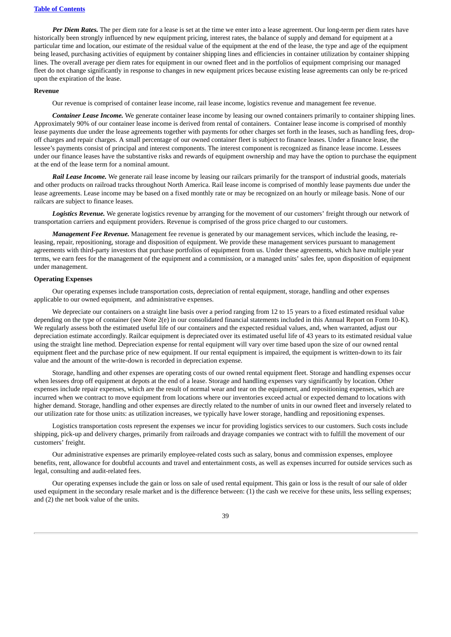*Per Diem Rates.* The per diem rate for a lease is set at the time we enter into a lease agreement. Our long-term per diem rates have historically been strongly influenced by new equipment pricing, interest rates, the balance of supply and demand for equipment at a particular time and location, our estimate of the residual value of the equipment at the end of the lease, the type and age of the equipment being leased, purchasing activities of equipment by container shipping lines and efficiencies in container utilization by container shipping lines. The overall average per diem rates for equipment in our owned fleet and in the portfolios of equipment comprising our managed fleet do not change significantly in response to changes in new equipment prices because existing lease agreements can only be re-priced upon the expiration of the lease.

#### **Revenue**

Our revenue is comprised of container lease income, rail lease income, logistics revenue and management fee revenue.

*Container Lease Income.* We generate container lease income by leasing our owned containers primarily to container shipping lines. Approximately 90% of our container lease income is derived from rental of containers. Container lease income is comprised of monthly lease payments due under the lease agreements together with payments for other charges set forth in the leases, such as handling fees, dropoff charges and repair charges. A small percentage of our owned container fleet is subject to finance leases. Under a finance lease, the lessee's payments consist of principal and interest components. The interest component is recognized as finance lease income. Lessees under our finance leases have the substantive risks and rewards of equipment ownership and may have the option to purchase the equipment at the end of the lease term for a nominal amount.

*Rail Lease Income.* We generate rail lease income by leasing our railcars primarily for the transport of industrial goods, materials and other products on railroad tracks throughout North America. Rail lease income is comprised of monthly lease payments due under the lease agreements. Lease income may be based on a fixed monthly rate or may be recognized on an hourly or mileage basis. None of our railcars are subject to finance leases.

*Logistics Revenue.* We generate logistics revenue by arranging for the movement of our customers' freight through our network of transportation carriers and equipment providers. Revenue is comprised of the gross price charged to our customers.

*Management Fee Revenue.* Management fee revenue is generated by our management services, which include the leasing, releasing, repair, repositioning, storage and disposition of equipment. We provide these management services pursuant to management agreements with third-party investors that purchase portfolios of equipment from us. Under these agreements, which have multiple year terms, we earn fees for the management of the equipment and a commission, or a managed units' sales fee, upon disposition of equipment under management.

### **Operating Expenses**

Our operating expenses include transportation costs, depreciation of rental equipment, storage, handling and other expenses applicable to our owned equipment, and administrative expenses.

We depreciate our containers on a straight line basis over a period ranging from 12 to 15 years to a fixed estimated residual value depending on the type of container (see Note 2(e) in our consolidated financial statements included in this Annual Report on Form 10-K). We regularly assess both the estimated useful life of our containers and the expected residual values, and, when warranted, adjust our depreciation estimate accordingly. Railcar equipment is depreciated over its estimated useful life of 43 years to its estimated residual value using the straight line method. Depreciation expense for rental equipment will vary over time based upon the size of our owned rental equipment fleet and the purchase price of new equipment. If our rental equipment is impaired, the equipment is written-down to its fair value and the amount of the write-down is recorded in depreciation expense.

Storage, handling and other expenses are operating costs of our owned rental equipment fleet. Storage and handling expenses occur when lessees drop off equipment at depots at the end of a lease. Storage and handling expenses vary significantly by location. Other expenses include repair expenses, which are the result of normal wear and tear on the equipment, and repositioning expenses, which are incurred when we contract to move equipment from locations where our inventories exceed actual or expected demand to locations with higher demand. Storage, handling and other expenses are directly related to the number of units in our owned fleet and inversely related to our utilization rate for those units: as utilization increases, we typically have lower storage, handling and repositioning expenses.

Logistics transportation costs represent the expenses we incur for providing logistics services to our customers. Such costs include shipping, pick-up and delivery charges, primarily from railroads and drayage companies we contract with to fulfill the movement of our customers' freight.

Our administrative expenses are primarily employee-related costs such as salary, bonus and commission expenses, employee benefits, rent, allowance for doubtful accounts and travel and entertainment costs, as well as expenses incurred for outside services such as legal, consulting and audit-related fees.

Our operating expenses include the gain or loss on sale of used rental equipment. This gain or loss is the result of our sale of older used equipment in the secondary resale market and is the difference between: (1) the cash we receive for these units, less selling expenses; and (2) the net book value of the units.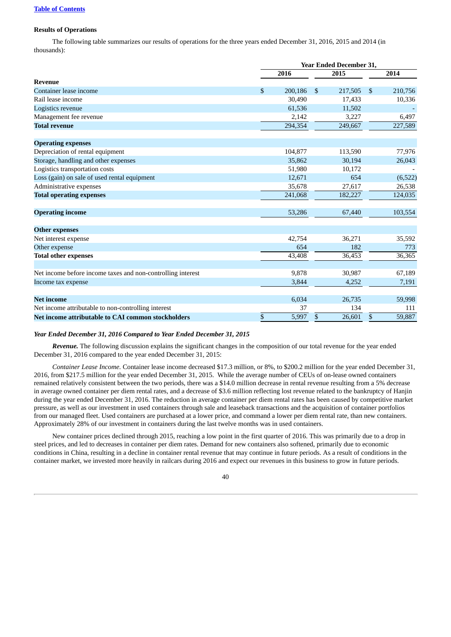## **Results of Operations**

The following table summarizes our results of operations for the three years ended December 31, 2016, 2015 and 2014 (in thousands):

|                                                             | <b>Year Ended December 31,</b> |         |                |         |                         |         |  |  |  |
|-------------------------------------------------------------|--------------------------------|---------|----------------|---------|-------------------------|---------|--|--|--|
|                                                             |                                | 2016    |                | 2015    |                         | 2014    |  |  |  |
| <b>Revenue</b>                                              |                                |         |                |         |                         |         |  |  |  |
| Container lease income                                      | $\mathbb{S}$                   | 200,186 | $\mathfrak{S}$ | 217,505 | $\mathbf{\mathfrak{S}}$ | 210,756 |  |  |  |
| Rail lease income                                           |                                | 30,490  |                | 17,433  |                         | 10,336  |  |  |  |
| Logistics revenue                                           |                                | 61,536  |                | 11,502  |                         |         |  |  |  |
| Management fee revenue                                      |                                | 2,142   |                | 3,227   |                         | 6,497   |  |  |  |
| <b>Total revenue</b>                                        |                                | 294,354 |                | 249,667 |                         | 227,589 |  |  |  |
| <b>Operating expenses</b>                                   |                                |         |                |         |                         |         |  |  |  |
| Depreciation of rental equipment                            |                                | 104,877 |                | 113,590 |                         | 77,976  |  |  |  |
| Storage, handling and other expenses                        |                                | 35,862  |                | 30,194  |                         | 26,043  |  |  |  |
| Logistics transportation costs                              |                                | 51,980  |                | 10,172  |                         |         |  |  |  |
| Loss (gain) on sale of used rental equipment                |                                | 12,671  |                | 654     |                         | (6,522) |  |  |  |
| Administrative expenses                                     |                                | 35,678  |                | 27,617  |                         | 26,538  |  |  |  |
| <b>Total operating expenses</b>                             |                                | 241,068 |                | 182,227 |                         | 124,035 |  |  |  |
| <b>Operating income</b>                                     |                                | 53,286  |                | 67,440  |                         | 103,554 |  |  |  |
| <b>Other expenses</b>                                       |                                |         |                |         |                         |         |  |  |  |
| Net interest expense                                        |                                | 42,754  |                | 36,271  |                         | 35,592  |  |  |  |
| Other expense                                               |                                | 654     |                | 182     |                         | 773     |  |  |  |
| <b>Total other expenses</b>                                 |                                | 43,408  |                | 36,453  |                         | 36,365  |  |  |  |
| Net income before income taxes and non-controlling interest |                                | 9,878   |                | 30,987  |                         | 67,189  |  |  |  |
| Income tax expense                                          |                                | 3,844   |                | 4,252   |                         | 7,191   |  |  |  |
| <b>Net income</b>                                           |                                | 6,034   |                | 26,735  |                         | 59,998  |  |  |  |
| Net income attributable to non-controlling interest         |                                | 37      |                | 134     |                         | 111     |  |  |  |
| Net income attributable to CAI common stockholders          | \$                             | 5,997   | \$             | 26,601  | \$                      | 59,887  |  |  |  |

### *Year Ended December 31, 2016 Compared to Year Ended December 31, 2015*

*Revenue.* The following discussion explains the significant changes in the composition of our total revenue for the year ended December 31, 2016 compared to the year ended December 31, 2015:

*Container Lease Income.* Container lease income decreased \$17.3 million, or 8%, to \$200.2 million for the year ended December 31, 2016, from \$217.5 million for the year ended December 31, 2015. While the average number of CEUs of on-lease owned containers remained relatively consistent between the two periods, there was a \$14.0 million decrease in rental revenue resulting from a 5% decrease in average owned container per diem rental rates, and a decrease of \$3.6 million reflecting lost revenue related to the bankruptcy of Hanjin during the year ended December 31, 2016. The reduction in average container per diem rental rates has been caused by competitive market pressure, as well as our investment in used containers through sale and leaseback transactions and the acquisition of container portfolios from our managed fleet. Used containers are purchased at a lower price, and command a lower per diem rental rate, than new containers. Approximately 28% of our investment in containers during the last twelve months was in used containers.

New container prices declined through 2015, reaching a low point in the first quarter of 2016. This was primarily due to a drop in steel prices, and led to decreases in container per diem rates. Demand for new containers also softened, primarily due to economic conditions in China, resulting in a decline in container rental revenue that may continue in future periods. As a result of conditions in the container market, we invested more heavily in railcars during 2016 and expect our revenues in this business to grow in future periods.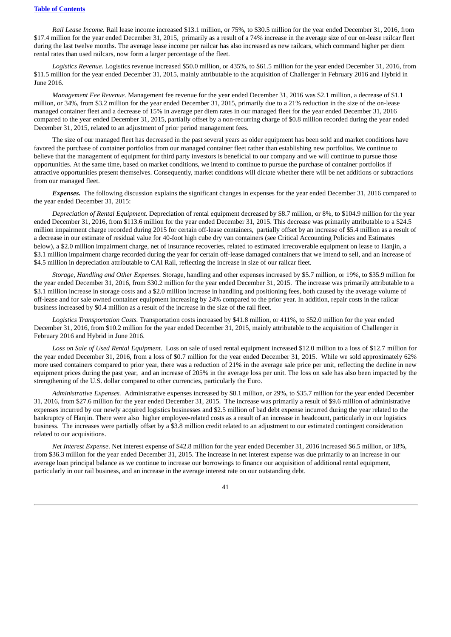*Rail Lease Income.* Rail lease income increased \$13.1 million, or 75%, to \$30.5 million for the year ended December 31, 2016, from \$17.4 million for the year ended December 31, 2015, primarily as a result of a 74% increase in the average size of our on-lease railcar fleet during the last twelve months. The average lease income per railcar has also increased as new railcars, which command higher per diem rental rates than used railcars, now form a larger percentage of the fleet.

*Logistics Revenue.* Logistics revenue increased \$50.0 million, or 435%, to \$61.5 million for the year ended December 31, 2016, from \$11.5 million for the year ended December 31, 2015, mainly attributable to the acquisition of Challenger in February 2016 and Hybrid in June 2016.

*Management Fee Revenue.* Management fee revenue for the year ended December 31, 2016 was \$2.1 million, a decrease of \$1.1 million, or 34%, from \$3.2 million for the year ended December 31, 2015, primarily due to a 21% reduction in the size of the on-lease managed container fleet and a decrease of 15% in average per diem rates in our managed fleet for the year ended December 31, 2016 compared to the year ended December 31, 2015, partially offset by a non-recurring charge of \$0.8 million recorded during the year ended December 31, 2015, related to an adjustment of prior period management fees.

The size of our managed fleet has decreased in the past several years as older equipment has been sold and market conditions have favored the purchase of container portfolios from our managed container fleet rather than establishing new portfolios. We continue to believe that the management of equipment for third party investors is beneficial to our company and we will continue to pursue those opportunities. At the same time, based on market conditions, we intend to continue to pursue the purchase of container portfolios if attractive opportunities present themselves. Consequently, market conditions will dictate whether there will be net additions or subtractions from our managed fleet.

*Expenses.* The following discussion explains the significant changes in expenses for the year ended December 31, 2016 compared to the year ended December 31, 2015:

*Depreciation of Rental Equipment.* Depreciation of rental equipment decreased by \$8.7 million, or 8%, to \$104.9 million for the year ended December 31, 2016, from \$113.6 million for the year ended December 31, 2015. This decrease was primarily attributable to a \$24.5 million impairment charge recorded during 2015 for certain off-lease containers, partially offset by an increase of \$5.4 million as a result of a decrease in our estimate of residual value for 40-foot high cube dry van containers (see Critical Accounting Policies and Estimates below), a \$2.0 million impairment charge, net of insurance recoveries, related to estimated irrecoverable equipment on lease to Hanjin, a \$3.1 million impairment charge recorded during the year for certain off-lease damaged containers that we intend to sell, and an increase of \$4.5 million in depreciation attributable to CAI Rail, reflecting the increase in size of our railcar fleet.

*Storage, Handling and Other Expenses.* Storage, handling and other expenses increased by \$5.7 million, or 19%, to \$35.9 million for the year ended December 31, 2016, from \$30.2 million for the year ended December 31, 2015. The increase was primarily attributable to a \$3.1 million increase in storage costs and a \$2.0 million increase in handling and positioning fees, both caused by the average volume of off-lease and for sale owned container equipment increasing by 24% compared to the prior year. In addition, repair costs in the railcar business increased by \$0.4 million as a result of the increase in the size of the rail fleet.

*Logistics Transportation Costs.* Transportation costs increased by \$41.8 million, or 411%, to \$52.0 million for the year ended December 31, 2016, from \$10.2 million for the year ended December 31, 2015, mainly attributable to the acquisition of Challenger in February 2016 and Hybrid in June 2016.

*Loss on Sale of Used Rental Equipment*. Loss on sale of used rental equipment increased \$12.0 million to a loss of \$12.7 million for the year ended December 31, 2016, from a loss of \$0.7 million for the year ended December 31, 2015. While we sold approximately 62% more used containers compared to prior year, there was a reduction of 21% in the average sale price per unit, reflecting the decline in new equipment prices during the past year, and an increase of 205% in the average loss per unit. The loss on sale has also been impacted by the strengthening of the U.S. dollar compared to other currencies, particularly the Euro.

*Administrative Expenses.* Administrative expenses increased by \$8.1 million, or 29%, to \$35.7 million for the year ended December 31, 2016, from \$27.6 million for the year ended December 31, 2015. The increase was primarily a result of \$9.6 million of administrative expenses incurred by our newly acquired logistics businesses and \$2.5 million of bad debt expense incurred during the year related to the bankruptcy of Hanjin. There were also higher employee-related costs as a result of an increase in headcount, particularly in our logistics business. The increases were partially offset by a \$3.8 million credit related to an adjustment to our estimated contingent consideration related to our acquisitions.

*Net Interest Expense*. Net interest expense of \$42.8 million for the year ended December 31, 2016 increased \$6.5 million, or 18%, from \$36.3 million for the year ended December 31, 2015. The increase in net interest expense was due primarily to an increase in our average loan principal balance as we continue to increase our borrowings to finance our acquisition of additional rental equipment, particularly in our rail business, and an increase in the average interest rate on our outstanding debt.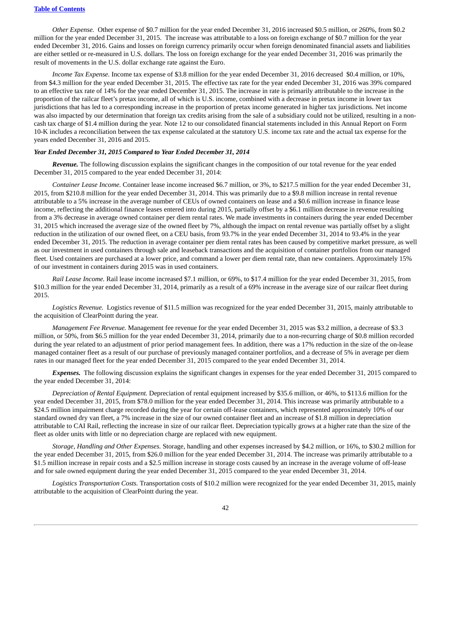*Other Expense.* Other expense of \$0.7 million for the year ended December 31, 2016 increased \$0.5 million, or 260%, from \$0.2 million for the year ended December 31, 2015. The increase was attributable to a loss on foreign exchange of \$0.7 million for the year ended December 31, 2016. Gains and losses on foreign currency primarily occur when foreign denominated financial assets and liabilities are either settled or re-measured in U.S. dollars. The loss on foreign exchange for the year ended December 31, 2016 was primarily the result of movements in the U.S. dollar exchange rate against the Euro.

*Income Tax Expense.* Income tax expense of \$3.8 million for the year ended December 31, 2016 decreased \$0.4 million, or 10%, from \$4.3 million for the year ended December 31, 2015. The effective tax rate for the year ended December 31, 2016 was 39% compared to an effective tax rate of 14% for the year ended December 31, 2015. The increase in rate is primarily attributable to the increase in the proportion of the railcar fleet's pretax income, all of which is U.S. income, combined with a decrease in pretax income in lower tax jurisdictions that has led to a corresponding increase in the proportion of pretax income generated in higher tax jurisdictions. Net income was also impacted by our determination that foreign tax credits arising from the sale of a subsidiary could not be utilized, resulting in a noncash tax charge of \$1.4 million during the year. Note 12 to our consolidated financial statements included in this Annual Report on Form 10-K includes a reconciliation between the tax expense calculated at the statutory U.S. income tax rate and the actual tax expense for the years ended December 31, 2016 and 2015.

### *Year Ended December 31, 2015 Compared to Year Ended December 31, 2014*

*Revenue.* The following discussion explains the significant changes in the composition of our total revenue for the year ended December 31, 2015 compared to the year ended December 31, 2014:

*Container Lease Income.* Container lease income increased \$6.7 million, or 3%, to \$217.5 million for the year ended December 31, 2015, from \$210.8 million for the year ended December 31, 2014. This was primarily due to a \$9.8 million increase in rental revenue attributable to a 5% increase in the average number of CEUs of owned containers on lease and a \$0.6 million increase in finance lease income, reflecting the additional finance leases entered into during 2015, partially offset by a \$6.1 million decrease in revenue resulting from a 3% decrease in average owned container per diem rental rates. We made investments in containers during the year ended December 31, 2015 which increased the average size of the owned fleet by 7%, although the impact on rental revenue was partially offset by a slight reduction in the utilization of our owned fleet, on a CEU basis, from 93.7% in the year ended December 31, 2014 to 93.4% in the year ended December 31, 2015. The reduction in average container per diem rental rates has been caused by competitive market pressure, as well as our investment in used containers through sale and leaseback transactions and the acquisition of container portfolios from our managed fleet. Used containers are purchased at a lower price, and command a lower per diem rental rate, than new containers. Approximately 15% of our investment in containers during 2015 was in used containers.

*Rail Lease Income.* Rail lease income increased \$7.1 million, or 69%, to \$17.4 million for the year ended December 31, 2015, from \$10.3 million for the year ended December 31, 2014, primarily as a result of a 69% increase in the average size of our railcar fleet during 2015.

*Logistics Revenue.* Logistics revenue of \$11.5 million was recognized for the year ended December 31, 2015, mainly attributable to the acquisition of ClearPointt during the year.

*Management Fee Revenue.* Management fee revenue for the year ended December 31, 2015 was \$3.2 million, a decrease of \$3.3 million, or 50%, from \$6.5 million for the year ended December 31, 2014, primarily due to a non-recurring charge of \$0.8 million recorded during the year related to an adjustment of prior period management fees. In addition, there was a 17% reduction in the size of the on-lease managed container fleet as a result of our purchase of previously managed container portfolios, and a decrease of 5% in average per diem rates in our managed fleet for the year ended December 31, 2015 compared to the year ended December 31, 2014.

*Expenses.* The following discussion explains the significant changes in expenses for the year ended December 31, 2015 compared to the year ended December 31, 2014:

*Depreciation of Rental Equipment.* Depreciation of rental equipment increased by \$35.6 million, or 46%, to \$113.6 million for the year ended December 31, 2015, from \$78.0 million for the year ended December 31, 2014. This increase was primarily attributable to a \$24.5 million impairment charge recorded during the year for certain off-lease containers, which represented approximately 10% of our standard owned dry van fleet, a 7% increase in the size of our owned container fleet and an increase of \$1.8 million in depreciation attributable to CAI Rail, reflecting the increase in size of our railcar fleet. Depreciation typically grows at a higher rate than the size of the fleet as older units with little or no depreciation charge are replaced with new equipment.

*Storage, Handling and Other Expenses.* Storage, handling and other expenses increased by \$4.2 million, or 16%, to \$30.2 million for the year ended December 31, 2015, from \$26.0 million for the year ended December 31, 2014. The increase was primarily attributable to a \$1.5 million increase in repair costs and a \$2.5 million increase in storage costs caused by an increase in the average volume of off-lease and for sale owned equipment during the year ended December 31, 2015 compared to the year ended December 31, 2014.

*Logistics Transportation Costs.* Transportation costs of \$10.2 million were recognized for the year ended December 31, 2015, mainly attributable to the acquisition of ClearPointt during the year.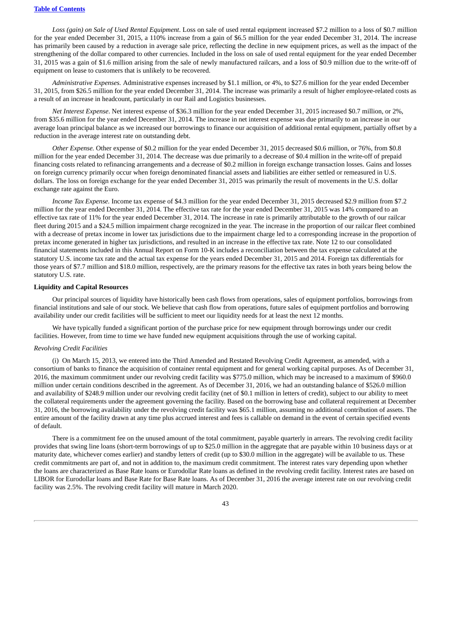*Loss (gain) on Sale of Used Rental Equipment*. Loss on sale of used rental equipment increased \$7.2 million to a loss of \$0.7 million for the year ended December 31, 2015, a 110% increase from a gain of \$6.5 million for the year ended December 31, 2014. The increase has primarily been caused by a reduction in average sale price, reflecting the decline in new equipment prices, as well as the impact of the strengthening of the dollar compared to other currencies. Included in the loss on sale of used rental equipment for the year ended December 31, 2015 was a gain of \$1.6 million arising from the sale of newly manufactured railcars, and a loss of \$0.9 million due to the write-off of equipment on lease to customers that is unlikely to be recovered.

*Administrative Expenses.* Administrative expenses increased by \$1.1 million, or 4%, to \$27.6 million for the year ended December 31, 2015, from \$26.5 million for the year ended December 31, 2014. The increase was primarily a result of higher employee-related costs as a result of an increase in headcount, particularly in our Rail and Logistics businesses.

*Net Interest Expense*. Net interest expense of \$36.3 million for the year ended December 31, 2015 increased \$0.7 million, or 2%, from \$35.6 million for the year ended December 31, 2014. The increase in net interest expense was due primarily to an increase in our average loan principal balance as we increased our borrowings to finance our acquisition of additional rental equipment, partially offset by a reduction in the average interest rate on outstanding debt.

*Other Expense.* Other expense of \$0.2 million for the year ended December 31, 2015 decreased \$0.6 million, or 76%, from \$0.8 million for the year ended December 31, 2014. The decrease was due primarily to a decrease of \$0.4 million in the write-off of prepaid financing costs related to refinancing arrangements and a decrease of \$0.2 million in foreign exchange transaction losses. Gains and losses on foreign currency primarily occur when foreign denominated financial assets and liabilities are either settled or remeasured in U.S. dollars. The loss on foreign exchange for the year ended December 31, 2015 was primarily the result of movements in the U.S. dollar exchange rate against the Euro.

*Income Tax Expense.* Income tax expense of \$4.3 million for the year ended December 31, 2015 decreased \$2.9 million from \$7.2 million for the year ended December 31, 2014. The effective tax rate for the year ended December 31, 2015 was 14% compared to an effective tax rate of 11% for the year ended December 31, 2014. The increase in rate is primarily attributable to the growth of our railcar fleet during 2015 and a \$24.5 million impairment charge recognized in the year. The increase in the proportion of our railcar fleet combined with a decrease of pretax income in lower tax jurisdictions due to the impairment charge led to a corresponding increase in the proportion of pretax income generated in higher tax jurisdictions, and resulted in an increase in the effective tax rate. Note 12 to our consolidated financial statements included in this Annual Report on Form 10-K includes a reconciliation between the tax expense calculated at the statutory U.S. income tax rate and the actual tax expense for the years ended December 31, 2015 and 2014. Foreign tax differentials for those years of \$7.7 million and \$18.0 million, respectively, are the primary reasons for the effective tax rates in both years being below the statutory U.S. rate.

## **Liquidity and Capital Resources**

Our principal sources of liquidity have historically been cash flows from operations, sales of equipment portfolios, borrowings from financial institutions and sale of our stock. We believe that cash flow from operations, future sales of equipment portfolios and borrowing availability under our credit facilities will be sufficient to meet our liquidity needs for at least the next 12 months.

We have typically funded a significant portion of the purchase price for new equipment through borrowings under our credit facilities. However, from time to time we have funded new equipment acquisitions through the use of working capital.

### *Revolving Credit Facilities*

(i) On March 15, 2013, we entered into the Third Amended and Restated Revolving Credit Agreement, as amended, with a consortium of banks to finance the acquisition of container rental equipment and for general working capital purposes. As of December 31, 2016, the maximum commitment under our revolving credit facility was \$775.0 million, which may be increased to a maximum of \$960.0 million under certain conditions described in the agreement. As of December 31, 2016, we had an outstanding balance of \$526.0 million and availability of \$248.9 million under our revolving credit facility (net of \$0.1 million in letters of credit), subject to our ability to meet the collateral requirements under the agreement governing the facility. Based on the borrowing base and collateral requirement at December 31, 2016, the borrowing availability under the revolving credit facility was \$65.1 million, assuming no additional contribution of assets. The entire amount of the facility drawn at any time plus accrued interest and fees is callable on demand in the event of certain specified events of default.

There is a commitment fee on the unused amount of the total commitment, payable quarterly in arrears. The revolving credit facility provides that swing line loans (short-term borrowings of up to \$25.0 million in the aggregate that are payable within 10 business days or at maturity date, whichever comes earlier) and standby letters of credit (up to \$30.0 million in the aggregate) will be available to us. These credit commitments are part of, and not in addition to, the maximum credit commitment. The interest rates vary depending upon whether the loans are characterized as Base Rate loans or Eurodollar Rate loans as defined in the revolving credit facility. Interest rates are based on LIBOR for Eurodollar loans and Base Rate for Base Rate loans. As of December 31, 2016 the average interest rate on our revolving credit facility was 2.5%. The revolving credit facility will mature in March 2020.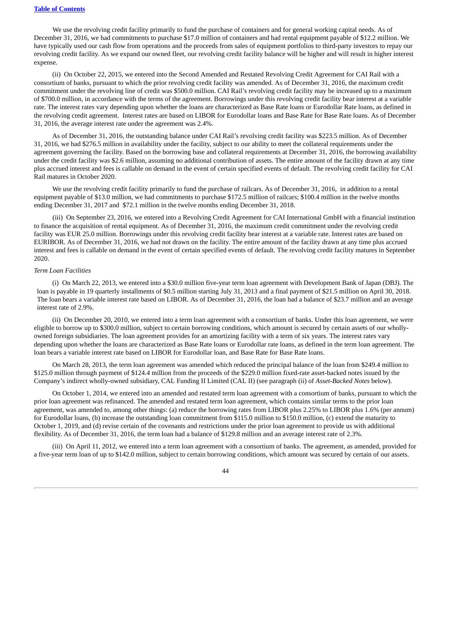We use the revolving credit facility primarily to fund the purchase of containers and for general working capital needs. As of December 31, 2016, we had commitments to purchase \$17.0 million of containers and had rental equipment payable of \$12.2 million. We have typically used our cash flow from operations and the proceeds from sales of equipment portfolios to third-party investors to repay our revolving credit facility. As we expand our owned fleet, our revolving credit facility balance will be higher and will result in higher interest expense.

(ii) On October 22, 2015, we entered into the Second Amended and Restated Revolving Credit Agreement for CAI Rail with a consortium of banks, pursuant to which the prior revolving credit facility was amended. As of December 31, 2016, the maximum credit commitment under the revolving line of credit was \$500.0 million. CAI Rail's revolving credit facility may be increased up to a maximum of \$700.0 million, in accordance with the terms of the agreement. Borrowings under this revolving credit facility bear interest at a variable rate. The interest rates vary depending upon whether the loans are characterized as Base Rate loans or Eurodollar Rate loans, as defined in the revolving credit agreement. Interest rates are based on LIBOR for Eurodollar loans and Base Rate for Base Rate loans. As of December 31, 2016, the average interest rate under the agreement was 2.4%.

As of December 31, 2016, the outstanding balance under CAI Rail's revolving credit facility was \$223.5 million. As of December 31, 2016, we had \$276.5 million in availability under the facility, subject to our ability to meet the collateral requirements under the agreement governing the facility. Based on the borrowing base and collateral requirements at December 31, 2016, the borrowing availability under the credit facility was \$2.6 million, assuming no additional contribution of assets. The entire amount of the facility drawn at any time plus accrued interest and fees is callable on demand in the event of certain specified events of default. The revolving credit facility for CAI Rail matures in October 2020.

We use the revolving credit facility primarily to fund the purchase of railcars. As of December 31, 2016, in addition to a rental equipment payable of \$13.0 million, we had commitments to purchase \$172.5 million of railcars; \$100.4 million in the twelve months ending December 31, 2017 and \$72.1 million in the twelve months ending December 31, 2018.

(iii) On September 23, 2016, we entered into a Revolving Credit Agreement for CAI International GmbH with a financial institution to finance the acquisition of rental equipment. As of December 31, 2016, the maximum credit commitment under the revolving credit facility was EUR 25.0 million. Borrowings under this revolving credit facility bear interest at a variable rate. Interest rates are based on EURIBOR. As of December 31, 2016, we had not drawn on the facility. The entire amount of the facility drawn at any time plus accrued interest and fees is callable on demand in the event of certain specified events of default. The revolving credit facility matures in September 2020.

## *Term Loan Facilities*

(i) On March 22, 2013, we entered into a \$30.0 million five-year term loan agreement with Development Bank of Japan (DBJ). The loan is payable in 19 quarterly installments of \$0.5 million starting July 31, 2013 and a final payment of \$21.5 million on April 30, 2018. The loan bears a variable interest rate based on LIBOR. As of December 31, 2016, the loan had a balance of \$23.7 million and an average interest rate of 2.9%.

(ii) On December 20, 2010, we entered into a term loan agreement with a consortium of banks. Under this loan agreement, we were eligible to borrow up to \$300.0 million, subject to certain borrowing conditions, which amount is secured by certain assets of our whollyowned foreign subsidiaries. The loan agreement provides for an amortizing facility with a term of six years. The interest rates vary depending upon whether the loans are characterized as Base Rate loans or Eurodollar rate loans, as defined in the term loan agreement. The loan bears a variable interest rate based on LIBOR for Eurodollar loan, and Base Rate for Base Rate loans.

On March 28, 2013, the term loan agreement was amended which reduced the principal balance of the loan from \$249.4 million to \$125.0 million through payment of \$124.4 million from the proceeds of the \$229.0 million fixed-rate asset-backed notes issued by the Company's indirect wholly-owned subsidiary, CAL Funding II Limited (CAL II) (see paragraph (ii) of *Asset-Backed Notes* below).

On October 1, 2014, we entered into an amended and restated term loan agreement with a consortium of banks, pursuant to which the prior loan agreement was refinanced. The amended and restated term loan agreement, which contains similar terms to the prior loan agreement, was amended to, among other things: (a) reduce the borrowing rates from LIBOR plus 2.25% to LIBOR plus 1.6% (per annum) for Eurodollar loans, (b) increase the outstanding loan commitment from \$115.0 million to \$150.0 million, (c) extend the maturity to October 1, 2019, and (d) revise certain of the covenants and restrictions under the prior loan agreement to provide us with additional flexibility. As of December 31, 2016, the term loan had a balance of \$129.8 million and an average interest rate of 2.3%.

(iii) On April 11, 2012, we entered into a term loan agreement with a consortium of banks. The agreement, as amended, provided for a five-year term loan of up to \$142.0 million, subject to certain borrowing conditions, which amount was secured by certain of our assets.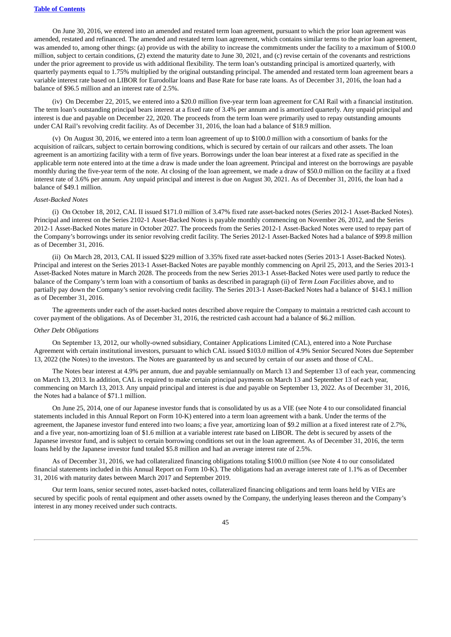On June 30, 2016, we entered into an amended and restated term loan agreement, pursuant to which the prior loan agreement was amended, restated and refinanced. The amended and restated term loan agreement, which contains similar terms to the prior loan agreement, was amended to, among other things: (a) provide us with the ability to increase the commitments under the facility to a maximum of \$100.0 million, subject to certain conditions, (2) extend the maturity date to June 30, 2021, and (c) revise certain of the covenants and restrictions under the prior agreement to provide us with additional flexibility. The term loan's outstanding principal is amortized quarterly, with quarterly payments equal to 1.75% multiplied by the original outstanding principal. The amended and restated term loan agreement bears a variable interest rate based on LIBOR for Eurodollar loans and Base Rate for base rate loans. As of December 31, 2016, the loan had a balance of \$96.5 million and an interest rate of 2.5%.

(iv) On December 22, 2015, we entered into a \$20.0 million five-year term loan agreement for CAI Rail with a financial institution. The term loan's outstanding principal bears interest at a fixed rate of 3.4% per annum and is amortized quarterly. Any unpaid principal and interest is due and payable on December 22, 2020. The proceeds from the term loan were primarily used to repay outstanding amounts under CAI Rail's revolving credit facility. As of December 31, 2016, the loan had a balance of \$18.9 million.

(v) On August 30, 2016, we entered into a term loan agreement of up to \$100.0 million with a consortium of banks for the acquisition of railcars, subject to certain borrowing conditions, which is secured by certain of our railcars and other assets. The loan agreement is an amortizing facility with a term of five years. Borrowings under the loan bear interest at a fixed rate as specified in the applicable term note entered into at the time a draw is made under the loan agreement. Principal and interest on the borrowings are payable monthly during the five-year term of the note. At closing of the loan agreement, we made a draw of \$50.0 million on the facility at a fixed interest rate of 3.6% per annum. Any unpaid principal and interest is due on August 30, 2021. As of December 31, 2016, the loan had a balance of \$49.1 million.

### *Asset-Backed Notes*

(i) On October 18, 2012, CAL II issued \$171.0 million of 3.47% fixed rate asset-backed notes (Series 2012-1 Asset-Backed Notes). Principal and interest on the Series 2102-1 Asset-Backed Notes is payable monthly commencing on November 26, 2012, and the Series 2012-1 Asset-Backed Notes mature in October 2027. The proceeds from the Series 2012-1 Asset-Backed Notes were used to repay part of the Company's borrowings under its senior revolving credit facility. The Series 2012-1 Asset-Backed Notes had a balance of \$99.8 million as of December 31, 2016.

(ii) On March 28, 2013, CAL II issued \$229 million of 3.35% fixed rate asset-backed notes (Series 2013-1 Asset-Backed Notes). Principal and interest on the Series 2013-1 Asset-Backed Notes are payable monthly commencing on April 25, 2013, and the Series 2013-1 Asset-Backed Notes mature in March 2028. The proceeds from the new Series 2013-1 Asset-Backed Notes were used partly to reduce the balance of the Company's term loan with a consortium of banks as described in paragraph (ii) of *Term Loan Facilities* above, and to partially pay down the Company's senior revolving credit facility. The Series 2013-1 Asset-Backed Notes had a balance of \$143.1 million as of December 31, 2016.

The agreements under each of the asset-backed notes described above require the Company to maintain a restricted cash account to cover payment of the obligations. As of December 31, 2016, the restricted cash account had a balance of \$6.2 million.

### *Other Debt Obligations*

On September 13, 2012, our wholly-owned subsidiary, Container Applications Limited (CAL), entered into a Note Purchase Agreement with certain institutional investors, pursuant to which CAL issued \$103.0 million of 4.9% Senior Secured Notes due September 13, 2022 (the Notes) to the investors. The Notes are guaranteed by us and secured by certain of our assets and those of CAL.

The Notes bear interest at 4.9% per annum, due and payable semiannually on March 13 and September 13 of each year, commencing on March 13, 2013. In addition, CAL is required to make certain principal payments on March 13 and September 13 of each year, commencing on March 13, 2013. Any unpaid principal and interest is due and payable on September 13, 2022. As of December 31, 2016, the Notes had a balance of \$71.1 million.

On June 25, 2014, one of our Japanese investor funds that is consolidated by us as a VIE (see Note 4 to our consolidated financial statements included in this Annual Report on Form 10-K) entered into a term loan agreement with a bank. Under the terms of the agreement, the Japanese investor fund entered into two loans; a five year, amortizing loan of \$9.2 million at a fixed interest rate of 2.7%, and a five year, non-amortizing loan of \$1.6 million at a variable interest rate based on LIBOR. The debt is secured by assets of the Japanese investor fund, and is subject to certain borrowing conditions set out in the loan agreement. As of December 31, 2016, the term loans held by the Japanese investor fund totaled \$5.8 million and had an average interest rate of 2.5%.

As of December 31, 2016, we had collateralized financing obligations totaling \$100.0 million (see Note 4 to our consolidated financial statements included in this Annual Report on Form 10-K). The obligations had an average interest rate of 1.1% as of December 31, 2016 with maturity dates between March 2017 and September 2019.

Our term loans, senior secured notes, asset-backed notes, collateralized financing obligations and term loans held by VIEs are secured by specific pools of rental equipment and other assets owned by the Company, the underlying leases thereon and the Company's interest in any money received under such contracts.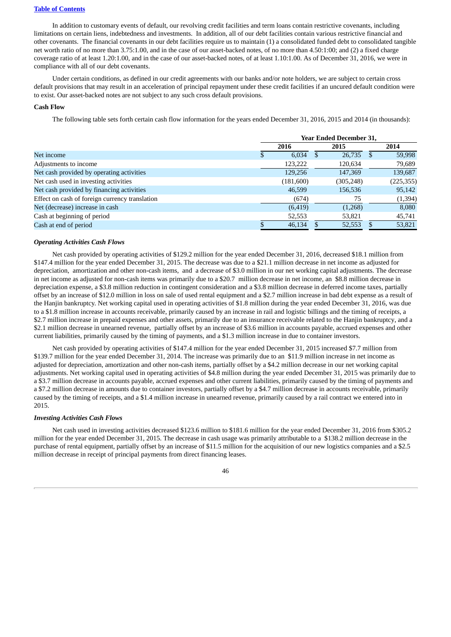In addition to customary events of default, our revolving credit facilities and term loans contain restrictive covenants, including limitations on certain liens, indebtedness and investments. In addition, all of our debt facilities contain various restrictive financial and other covenants. The financial covenants in our debt facilities require us to maintain (1) a consolidated funded debt to consolidated tangible net worth ratio of no more than 3.75:1.00, and in the case of our asset-backed notes, of no more than 4.50:1:00; and (2) a fixed charge coverage ratio of at least 1.20:1.00, and in the case of our asset-backed notes, of at least 1.10:1.00. As of December 31, 2016, we were in compliance with all of our debt covenants.

Under certain conditions, as defined in our credit agreements with our banks and/or note holders, we are subject to certain cross default provisions that may result in an acceleration of principal repayment under these credit facilities if an uncured default condition were to exist. Our asset-backed notes are not subject to any such cross default provisions.

### **Cash Flow**

The following table sets forth certain cash flow information for the years ended December 31, 2016, 2015 and 2014 (in thousands):

|                                                |   | <b>Year Ended December 31,</b> |  |            |      |            |  |  |
|------------------------------------------------|---|--------------------------------|--|------------|------|------------|--|--|
|                                                |   | 2016                           |  | 2015       |      | 2014       |  |  |
| Net income                                     | D | 6,034                          |  | 26,735     | - 55 | 59,998     |  |  |
| Adjustments to income                          |   | 123,222                        |  | 120,634    |      | 79,689     |  |  |
| Net cash provided by operating activities      |   | 129,256                        |  | 147,369    |      | 139,687    |  |  |
| Net cash used in investing activities          |   | (181,600)                      |  | (305, 248) |      | (225, 355) |  |  |
| Net cash provided by financing activities      |   | 46.599                         |  | 156,536    |      | 95,142     |  |  |
| Effect on cash of foreign currency translation |   | (674)                          |  | 75         |      | (1,394)    |  |  |
| Net (decrease) increase in cash                |   | (6, 419)                       |  | (1,268)    |      | 8,080      |  |  |
| Cash at beginning of period                    |   | 52,553                         |  | 53,821     |      | 45,741     |  |  |
| Cash at end of period                          |   | 46,134                         |  | 52,553     |      | 53,821     |  |  |

### *Operating Activities Cash Flows*

Net cash provided by operating activities of \$129.2 million for the year ended December 31, 2016, decreased \$18.1 million from \$147.4 million for the year ended December 31, 2015. The decrease was due to a \$21.1 million decrease in net income as adjusted for depreciation, amortization and other non-cash items, and a decrease of \$3.0 million in our net working capital adjustments. The decrease in net income as adjusted for non-cash items was primarily due to a \$20.7 million decrease in net income, an \$8.8 million decrease in depreciation expense, a \$3.8 million reduction in contingent consideration and a \$3.8 million decrease in deferred income taxes, partially offset by an increase of \$12.0 million in loss on sale of used rental equipment and a \$2.7 million increase in bad debt expense as a result of the Hanjin bankruptcy. Net working capital used in operating activities of \$1.8 million during the year ended December 31, 2016, was due to a \$1.8 million increase in accounts receivable, primarily caused by an increase in rail and logistic billings and the timing of receipts, a \$2.7 million increase in prepaid expenses and other assets, primarily due to an insurance receivable related to the Hanjin bankruptcy, and a \$2.1 million decrease in unearned revenue, partially offset by an increase of \$3.6 million in accounts payable, accrued expenses and other current liabilities, primarily caused by the timing of payments, and a \$1.3 million increase in due to container investors.

Net cash provided by operating activities of \$147.4 million for the year ended December 31, 2015 increased \$7.7 million from \$139.7 million for the year ended December 31, 2014. The increase was primarily due to an \$11.9 million increase in net income as adjusted for depreciation, amortization and other non-cash items, partially offset by a \$4.2 million decrease in our net working capital adjustments. Net working capital used in operating activities of \$4.8 million during the year ended December 31, 2015 was primarily due to a \$3.7 million decrease in accounts payable, accrued expenses and other current liabilities, primarily caused by the timing of payments and a \$7.2 million decrease in amounts due to container investors, partially offset by a \$4.7 million decrease in accounts receivable, primarily caused by the timing of receipts, and a \$1.4 million increase in unearned revenue, primarily caused by a rail contract we entered into in 2015.

## *Investing Activities Cash Flows*

Net cash used in investing activities decreased \$123.6 million to \$181.6 million for the year ended December 31, 2016 from \$305.2 million for the year ended December 31, 2015. The decrease in cash usage was primarily attributable to a \$138.2 million decrease in the purchase of rental equipment, partially offset by an increase of \$11.5 million for the acquisition of our new logistics companies and a \$2.5 million decrease in receipt of principal payments from direct financing leases.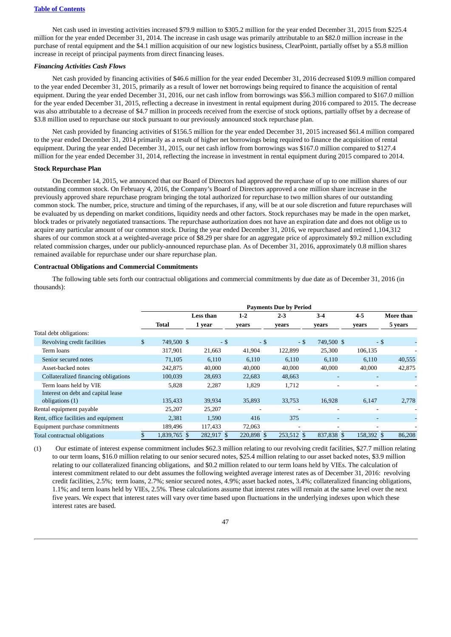Net cash used in investing activities increased \$79.9 million to \$305.2 million for the year ended December 31, 2015 from \$225.4 million for the year ended December 31, 2014. The increase in cash usage was primarily attributable to an \$82.0 million increase in the purchase of rental equipment and the \$4.1 million acquisition of our new logistics business, ClearPointt, partially offset by a \$5.8 million increase in receipt of principal payments from direct financing leases.

# *Financing Activities Cash Flows*

Net cash provided by financing activities of \$46.6 million for the year ended December 31, 2016 decreased \$109.9 million compared to the year ended December 31, 2015, primarily as a result of lower net borrowings being required to finance the acquisition of rental equipment. During the year ended December 31, 2016, our net cash inflow from borrowings was \$56.3 million compared to \$167.0 million for the year ended December 31, 2015, reflecting a decrease in investment in rental equipment during 2016 compared to 2015. The decrease was also attributable to a decrease of \$4.7 million in proceeds received from the exercise of stock options, partially offset by a decrease of \$3.8 million used to repurchase our stock pursuant to our previously announced stock repurchase plan.

Net cash provided by financing activities of \$156.5 million for the year ended December 31, 2015 increased \$61.4 million compared to the year ended December 31, 2014 primarily as a result of higher net borrowings being required to finance the acquisition of rental equipment. During the year ended December 31, 2015, our net cash inflow from borrowings was \$167.0 million compared to \$127.4 million for the year ended December 31, 2014, reflecting the increase in investment in rental equipment during 2015 compared to 2014.

## **Stock Repurchase Plan**

On December 14, 2015, we announced that our Board of Directors had approved the repurchase of up to one million shares of our outstanding common stock. On February 4, 2016, the Company's Board of Directors approved a one million share increase in the previously approved share repurchase program bringing the total authorized for repurchase to two million shares of our outstanding common stock. The number, price, structure and timing of the repurchases, if any, will be at our sole discretion and future repurchases will be evaluated by us depending on market conditions, liquidity needs and other factors. Stock repurchases may be made in the open market, block trades or privately negotiated transactions. The repurchase authorization does not have an expiration date and does not oblige us to acquire any particular amount of our common stock. During the year ended December 31, 2016, we repurchased and retired 1,104,312 shares of our common stock at a weighted-average price of \$8.29 per share for an aggregate price of approximately \$9.2 million excluding related commission charges, under our publicly-announced repurchase plan. As of December 31, 2016, approximately 0.8 million shares remained available for repurchase under our share repurchase plan.

### **Contractual Obligations and Commercial Commitments**

The following table sets forth our contractual obligations and commercial commitments by due date as of December 31, 2016 (in thousands):

|                                       |                  |            |      |            | <b>Payments Due by Period</b> |            |            |           |
|---------------------------------------|------------------|------------|------|------------|-------------------------------|------------|------------|-----------|
|                                       |                  | Less than  |      | $1-2$      | $2 - 3$                       | $3-4$      | $4 - 5$    | More than |
|                                       | <b>Total</b>     | 1 year     |      | years      | years                         | years      | years      | 5 years   |
| Total debt obligations:               |                  |            |      |            |                               |            |            |           |
| Revolving credit facilities           | \$<br>749,500 \$ |            | - \$ | - \$       | - \$                          | 749,500 \$ | $-$ \$     |           |
| Term loans                            | 317,901          | 21,663     |      | 41,904     | 122,899                       | 25,300     | 106,135    |           |
| Senior secured notes                  | 71,105           | 6,110      |      | 6,110      | 6,110                         | 6,110      | 6,110      | 40,555    |
| Asset-backed notes                    | 242,875          | 40,000     |      | 40,000     | 40,000                        | 40,000     | 40,000     | 42,875    |
| Collateralized financing obligations  | 100,039          | 28,693     |      | 22,683     | 48,663                        |            |            |           |
| Term loans held by VIE                | 5,828            | 2,287      |      | 1,829      | 1,712                         |            |            |           |
| Interest on debt and capital lease    |                  |            |      |            |                               |            |            |           |
| obligations (1)                       | 135,433          | 39,934     |      | 35,893     | 33,753                        | 16,928     | 6,147      | 2,778     |
| Rental equipment payable              | 25,207           | 25,207     |      |            |                               |            |            |           |
| Rent, office facilities and equipment | 2,381            | 1,590      |      | 416        | 375                           | ۰          | ۰          |           |
| Equipment purchase commitments        | 189,496          | 117,433    |      | 72,063     |                               |            |            |           |
| Total contractual obligations         | 1,839,765 \$     | 282,917 \$ |      | 220,898 \$ | 253,512 \$                    | 837,838 \$ | 158,392 \$ | 86,208    |

(1) Our estimate of interest expense commitment includes \$62.3 million relating to our revolving credit facilities, \$27.7 million relating to our term loans, \$16.0 million relating to our senior secured notes, \$25.4 million relating to our asset backed notes, \$3.9 million relating to our collateralized financing obligations, and \$0.2 million related to our term loans held by VIEs. The calculation of interest commitment related to our debt assumes the following weighted average interest rates as of December 31, 2016: revolving credit facilities, 2.5%; term loans, 2.7%; senior secured notes, 4.9%; asset backed notes, 3.4%; collateralized financing obligations, 1.1%; and term loans held by VIEs, 2.5%. These calculations assume that interest rates will remain at the same level over the next five years. We expect that interest rates will vary over time based upon fluctuations in the underlying indexes upon which these interest rates are based.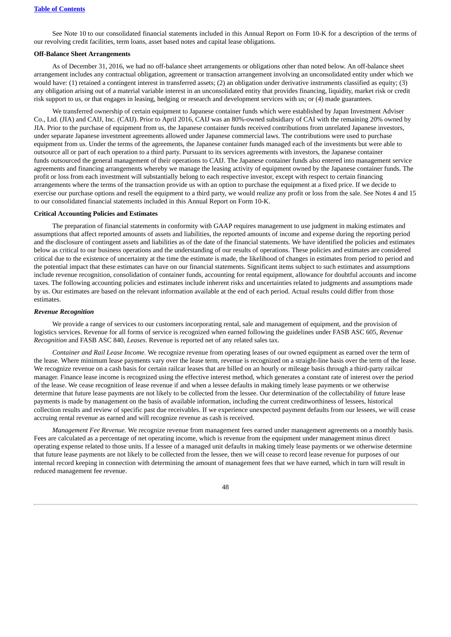See Note 10 to our consolidated financial statements included in this Annual Report on Form 10-K for a description of the terms of our revolving credit facilities, term loans, asset based notes and capital lease obligations.

## **Off-Balance Sheet Arrangements**

As of December 31, 2016, we had no off-balance sheet arrangements or obligations other than noted below. An off-balance sheet arrangement includes any contractual obligation, agreement or transaction arrangement involving an unconsolidated entity under which we would have: (1) retained a contingent interest in transferred assets; (2) an obligation under derivative instruments classified as equity; (3) any obligation arising out of a material variable interest in an unconsolidated entity that provides financing, liquidity, market risk or credit risk support to us, or that engages in leasing, hedging or research and development services with us; or (4) made guarantees.

We transferred ownership of certain equipment to Japanese container funds which were established by Japan Investment Adviser Co., Ltd. (JIA) and CAIJ, Inc. (CAIJ). Prior to April 2016, CAIJ was an 80%-owned subsidiary of CAI with the remaining 20% owned by JIA. Prior to the purchase of equipment from us, the Japanese container funds received contributions from unrelated Japanese investors, under separate Japanese investment agreements allowed under Japanese commercial laws. The contributions were used to purchase equipment from us. Under the terms of the agreements, the Japanese container funds managed each of the investments but were able to outsource all or part of each operation to a third party. Pursuant to its services agreements with investors, the Japanese container funds outsourced the general management of their operations to CAIJ. The Japanese container funds also entered into management service agreements and financing arrangements whereby we manage the leasing activity of equipment owned by the Japanese container funds. The profit or loss from each investment will substantially belong to each respective investor, except with respect to certain financing arrangements where the terms of the transaction provide us with an option to purchase the equipment at a fixed price. If we decide to exercise our purchase options and resell the equipment to a third party, we would realize any profit or loss from the sale. See Notes 4 and 15 to our consolidated financial statements included in this Annual Report on Form 10-K.

### **Critical Accounting Policies and Estimates**

The preparation of financial statements in conformity with GAAP requires management to use judgment in making estimates and assumptions that affect reported amounts of assets and liabilities, the reported amounts of income and expense during the reporting period and the disclosure of contingent assets and liabilities as of the date of the financial statements. We have identified the policies and estimates below as critical to our business operations and the understanding of our results of operations. These policies and estimates are considered critical due to the existence of uncertainty at the time the estimate is made, the likelihood of changes in estimates from period to period and the potential impact that these estimates can have on our financial statements. Significant items subject to such estimates and assumptions include revenue recognition, consolidation of container funds, accounting for rental equipment, allowance for doubtful accounts and income taxes. The following accounting policies and estimates include inherent risks and uncertainties related to judgments and assumptions made by us. Our estimates are based on the relevant information available at the end of each period. Actual results could differ from those estimates.

### *Revenue Recognition*

We provide a range of services to our customers incorporating rental, sale and management of equipment, and the provision of logistics services. Revenue for all forms of service is recognized when earned following the guidelines under FASB ASC 605, *Revenue Recognition* and FASB ASC 840, *Leases*. Revenue is reported net of any related sales tax.

*Container and Rail Lease Income.* We recognize revenue from operating leases of our owned equipment as earned over the term of the lease. Where minimum lease payments vary over the lease term, revenue is recognized on a straight-line basis over the term of the lease. We recognize revenue on a cash basis for certain railcar leases that are billed on an hourly or mileage basis through a third-party railcar manager. Finance lease income is recognized using the effective interest method, which generates a constant rate of interest over the period of the lease. We cease recognition of lease revenue if and when a lessee defaults in making timely lease payments or we otherwise determine that future lease payments are not likely to be collected from the lessee. Our determination of the collectability of future lease payments is made by management on the basis of available information, including the current creditworthiness of lessees, historical collection results and review of specific past due receivables. If we experience unexpected payment defaults from our lessees, we will cease accruing rental revenue as earned and will recognize revenue as cash is received.

*Management Fee Revenue.* We recognize revenue from management fees earned under management agreements on a monthly basis. Fees are calculated as a percentage of net operating income, which is revenue from the equipment under management minus direct operating expense related to those units. If a lessee of a managed unit defaults in making timely lease payments or we otherwise determine that future lease payments are not likely to be collected from the lessee, then we will cease to record lease revenue for purposes of our internal record keeping in connection with determining the amount of management fees that we have earned, which in turn will result in reduced management fee revenue.

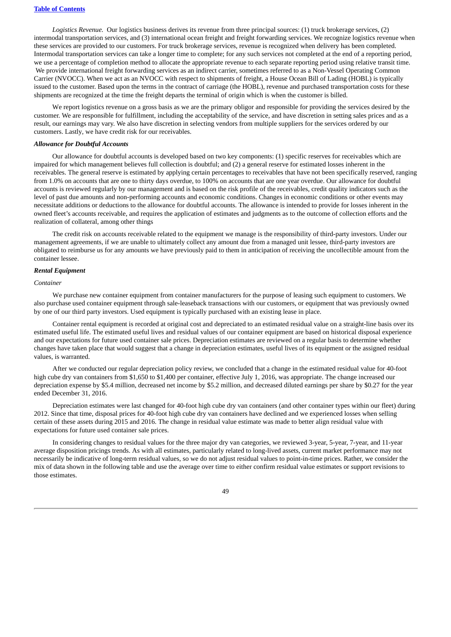*Logistics Revenue.* Our logistics business derives its revenue from three principal sources: (1) truck brokerage services, (2) intermodal transportation services, and (3) international ocean freight and freight forwarding services. We recognize logistics revenue when these services are provided to our customers. For truck brokerage services, revenue is recognized when delivery has been completed. Intermodal transportation services can take a longer time to complete; for any such services not completed at the end of a reporting period, we use a percentage of completion method to allocate the appropriate revenue to each separate reporting period using relative transit time. We provide international freight forwarding services as an indirect carrier, sometimes referred to as a Non-Vessel Operating Common Carrier (NVOCC). When we act as an NVOCC with respect to shipments of freight, a House Ocean Bill of Lading (HOBL) is typically issued to the customer. Based upon the terms in the contract of carriage (the HOBL), revenue and purchased transportation costs for these shipments are recognized at the time the freight departs the terminal of origin which is when the customer is billed.

We report logistics revenue on a gross basis as we are the primary obligor and responsible for providing the services desired by the customer. We are responsible for fulfillment, including the acceptability of the service, and have discretion in setting sales prices and as a result, our earnings may vary. We also have discretion in selecting vendors from multiple suppliers for the services ordered by our customers. Lastly, we have credit risk for our receivables.

## *Allowance for Doubtful Accounts*

Our allowance for doubtful accounts is developed based on two key components: (1) specific reserves for receivables which are impaired for which management believes full collection is doubtful; and (2) a general reserve for estimated losses inherent in the receivables. The general reserve is estimated by applying certain percentages to receivables that have not been specifically reserved, ranging from 1.0% on accounts that are one to thirty days overdue, to 100% on accounts that are one year overdue. Our allowance for doubtful accounts is reviewed regularly by our management and is based on the risk profile of the receivables, credit quality indicators such as the level of past due amounts and non-performing accounts and economic conditions. Changes in economic conditions or other events may necessitate additions or deductions to the allowance for doubtful accounts. The allowance is intended to provide for losses inherent in the owned fleet's accounts receivable, and requires the application of estimates and judgments as to the outcome of collection efforts and the realization of collateral, among other things

The credit risk on accounts receivable related to the equipment we manage is the responsibility of third-party investors. Under our management agreements, if we are unable to ultimately collect any amount due from a managed unit lessee, third-party investors are obligated to reimburse us for any amounts we have previously paid to them in anticipation of receiving the uncollectible amount from the container lessee.

#### *Rental Equipment*

#### *Container*

We purchase new container equipment from container manufacturers for the purpose of leasing such equipment to customers. We also purchase used container equipment through sale-leaseback transactions with our customers, or equipment that was previously owned by one of our third party investors. Used equipment is typically purchased with an existing lease in place.

Container rental equipment is recorded at original cost and depreciated to an estimated residual value on a straight-line basis over its estimated useful life. The estimated useful lives and residual values of our container equipment are based on historical disposal experience and our expectations for future used container sale prices. Depreciation estimates are reviewed on a regular basis to determine whether changes have taken place that would suggest that a change in depreciation estimates, useful lives of its equipment or the assigned residual values, is warranted.

After we conducted our regular depreciation policy review, we concluded that a change in the estimated residual value for 40-foot high cube dry van containers from \$1,650 to \$1,400 per container, effective July 1, 2016, was appropriate. The change increased our depreciation expense by \$5.4 million, decreased net income by \$5.2 million, and decreased diluted earnings per share by \$0.27 for the year ended December 31, 2016.

Depreciation estimates were last changed for 40-foot high cube dry van containers (and other container types within our fleet) during 2012. Since that time, disposal prices for 40-foot high cube dry van containers have declined and we experienced losses when selling certain of these assets during 2015 and 2016. The change in residual value estimate was made to better align residual value with expectations for future used container sale prices.

In considering changes to residual values for the three major dry van categories, we reviewed 3-year, 5-year, 7-year, and 11-year average disposition pricings trends. As with all estimates, particularly related to long-lived assets, current market performance may not necessarily be indicative of long-term residual values, so we do not adjust residual values to point-in-time prices. Rather, we consider the mix of data shown in the following table and use the average over time to either confirm residual value estimates or support revisions to those estimates.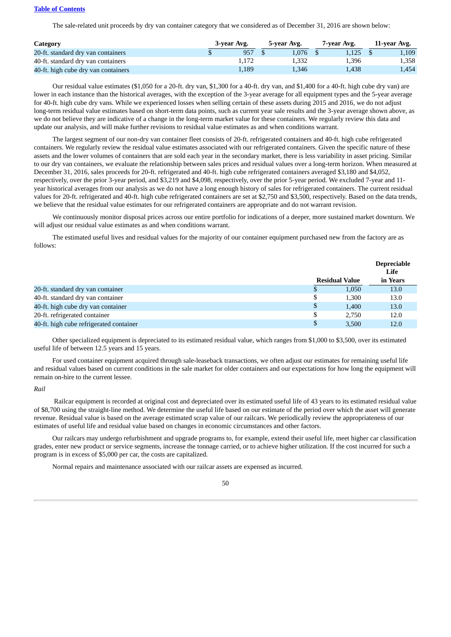The sale-related unit proceeds by dry van container category that we considered as of December 31, 2016 are shown below:

| Category                            | 3-year Avg. |       | 5-year Avg. |       | 7-year Avg. |       | 11-year Avg. |
|-------------------------------------|-------------|-------|-------------|-------|-------------|-------|--------------|
| 20-ft. standard dry van containers  |             | 957   |             | 1.076 |             | 1.125 | 1,109        |
| 40-ft. standard dry van containers  |             |       |             | 1.332 |             | 1.396 | 1,358        |
| 40-ft. high cube dry van containers |             | 1.189 |             | 1.346 |             | 1.438 | 1.454        |

Our residual value estimates (\$1,050 for a 20-ft. dry van, \$1,300 for a 40-ft. dry van, and \$1,400 for a 40-ft. high cube dry van) are lower in each instance than the historical averages, with the exception of the 3-year average for all equipment types and the 5-year average for 40-ft. high cube dry vans. While we experienced losses when selling certain of these assets during 2015 and 2016, we do not adjust long-term residual value estimates based on short-term data points, such as current year sale results and the 3-year average shown above, as we do not believe they are indicative of a change in the long-term market value for these containers. We regularly review this data and update our analysis, and will make further revisions to residual value estimates as and when conditions warrant.

The largest segment of our non-dry van container fleet consists of 20-ft. refrigerated containers and 40-ft. high cube refrigerated containers. We regularly review the residual value estimates associated with our refrigerated containers. Given the specific nature of these assets and the lower volumes of containers that are sold each year in the secondary market, there is less variability in asset pricing. Similar to our dry van containers, we evaluate the relationship between sales prices and residual values over a long-term horizon. When measured at December 31, 2016, sales proceeds for 20-ft. refrigerated and 40-ft. high cube refrigerated containers averaged \$3,180 and \$4,052, respectively, over the prior 3-year period, and \$3,219 and \$4,098, respectively, over the prior 5-year period. We excluded 7-year and 11 year historical averages from our analysis as we do not have a long enough history of sales for refrigerated containers. The current residual values for 20-ft. refrigerated and 40-ft. high cube refrigerated containers are set at \$2,750 and \$3,500, respectively. Based on the data trends, we believe that the residual value estimates for our refrigerated containers are appropriate and do not warrant revision.

We continuously monitor disposal prices across our entire portfolio for indications of a deeper, more sustained market downturn. We will adjust our residual value estimates as and when conditions warrant.

The estimated useful lives and residual values for the majority of our container equipment purchased new from the factory are as follows:

|                                         |                       |       | <b>Depreciable</b><br>Life |
|-----------------------------------------|-----------------------|-------|----------------------------|
|                                         | <b>Residual Value</b> |       | in Years                   |
| 20-ft. standard dry van container       |                       | 1.050 | 13.0                       |
| 40-ft. standard dry van container       |                       | 1.300 | 13.0                       |
| 40-ft. high cube dry van container      |                       | 1.400 | 13.0                       |
| 20-ft. refrigerated container           |                       | 2.750 | 12.0                       |
| 40-ft. high cube refrigerated container |                       | 3,500 | 12.0                       |

Other specialized equipment is depreciated to its estimated residual value, which ranges from \$1,000 to \$3,500, over its estimated useful life of between 12.5 years and 15 years.

For used container equipment acquired through sale-leaseback transactions, we often adjust our estimates for remaining useful life and residual values based on current conditions in the sale market for older containers and our expectations for how long the equipment will remain on-hire to the current lessee.

### *Rail*

Railcar equipment is recorded at original cost and depreciated over its estimated useful life of 43 years to its estimated residual value of \$8,700 using the straight-line method. We determine the useful life based on our estimate of the period over which the asset will generate revenue. Residual value is based on the average estimated scrap value of our railcars. We periodically review the appropriateness of our estimates of useful life and residual value based on changes in economic circumstances and other factors.

Our railcars may undergo refurbishment and upgrade programs to, for example, extend their useful life, meet higher car classification grades, enter new product or service segments, increase the tonnage carried, or to achieve higher utilization. If the cost incurred for such a program is in excess of \$5,000 per car, the costs are capitalized.

Normal repairs and maintenance associated with our railcar assets are expensed as incurred.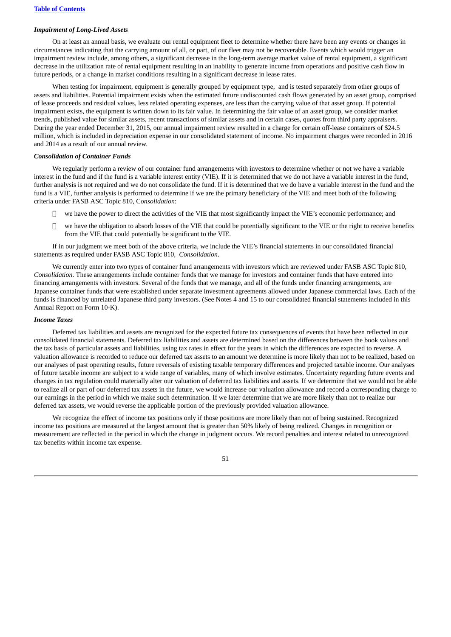## *Impairment of Long-Lived Assets*

On at least an annual basis, we evaluate our rental equipment fleet to determine whether there have been any events or changes in circumstances indicating that the carrying amount of all, or part, of our fleet may not be recoverable. Events which would trigger an impairment review include, among others, a significant decrease in the long-term average market value of rental equipment, a significant decrease in the utilization rate of rental equipment resulting in an inability to generate income from operations and positive cash flow in future periods, or a change in market conditions resulting in a significant decrease in lease rates.

When testing for impairment, equipment is generally grouped by equipment type, and is tested separately from other groups of assets and liabilities. Potential impairment exists when the estimated future undiscounted cash flows generated by an asset group, comprised of lease proceeds and residual values, less related operating expenses, are less than the carrying value of that asset group. If potential impairment exists, the equipment is written down to its fair value. In determining the fair value of an asset group, we consider market trends, published value for similar assets, recent transactions of similar assets and in certain cases, quotes from third party appraisers. During the year ended December 31, 2015, our annual impairment review resulted in a charge for certain off-lease containers of \$24.5 million, which is included in depreciation expense in our consolidated statement of income. No impairment charges were recorded in 2016 and 2014 as a result of our annual review.

### *Consolidation of Container Funds*

We regularly perform a review of our container fund arrangements with investors to determine whether or not we have a variable interest in the fund and if the fund is a variable interest entity (VIE). If it is determined that we do not have a variable interest in the fund, further analysis is not required and we do not consolidate the fund. If it is determined that we do have a variable interest in the fund and the fund is a VIE, further analysis is performed to determine if we are the primary beneficiary of the VIE and meet both of the following criteria under FASB ASC Topic 810, C*onsolidation*:

- $\Box$  we have the power to direct the activities of the VIE that most significantly impact the VIE's economic performance; and
- $\Box$  we have the obligation to absorb losses of the VIE that could be potentially significant to the VIE or the right to receive benefits from the VIE that could potentially be significant to the VIE.

If in our judgment we meet both of the above criteria, we include the VIE's financial statements in our consolidated financial statements as required under FASB ASC Topic 810, *Consolidation*.

We currently enter into two types of container fund arrangements with investors which are reviewed under FASB ASC Topic 810, *Consolidation*. These arrangements include container funds that we manage for investors and container funds that have entered into financing arrangements with investors. Several of the funds that we manage, and all of the funds under financing arrangements, are Japanese container funds that were established under separate investment agreements allowed under Japanese commercial laws. Each of the funds is financed by unrelated Japanese third party investors. (See Notes 4 and 15 to our consolidated financial statements included in this Annual Report on Form 10-K).

### *Income Taxes*

Deferred tax liabilities and assets are recognized for the expected future tax consequences of events that have been reflected in our consolidated financial statements. Deferred tax liabilities and assets are determined based on the differences between the book values and the tax basis of particular assets and liabilities, using tax rates in effect for the years in which the differences are expected to reverse. A valuation allowance is recorded to reduce our deferred tax assets to an amount we determine is more likely than not to be realized, based on our analyses of past operating results, future reversals of existing taxable temporary differences and projected taxable income. Our analyses of future taxable income are subject to a wide range of variables, many of which involve estimates. Uncertainty regarding future events and changes in tax regulation could materially alter our valuation of deferred tax liabilities and assets. If we determine that we would not be able to realize all or part of our deferred tax assets in the future, we would increase our valuation allowance and record a corresponding charge to our earnings in the period in which we make such determination. If we later determine that we are more likely than not to realize our deferred tax assets, we would reverse the applicable portion of the previously provided valuation allowance.

We recognize the effect of income tax positions only if those positions are more likely than not of being sustained. Recognized income tax positions are measured at the largest amount that is greater than 50% likely of being realized. Changes in recognition or measurement are reflected in the period in which the change in judgment occurs. We record penalties and interest related to unrecognized tax benefits within income tax expense.

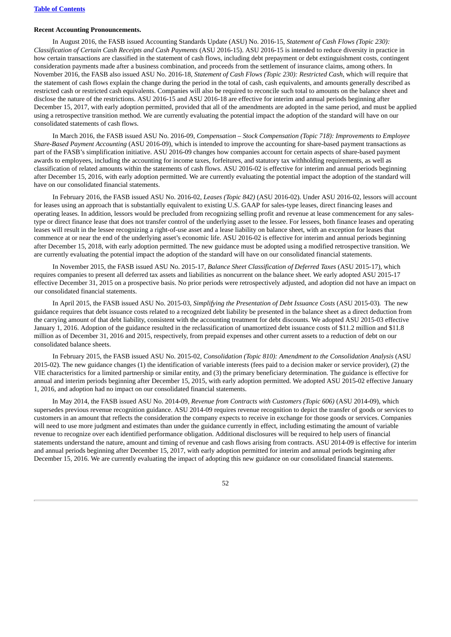## **Recent Accounting Pronouncements.**

In August 2016, the FASB issued Accounting Standards Update (ASU) No. 2016-15, *Statement of Cash Flows (Topic 230): Classification of Certain Cash Receipts and Cash Payments* (ASU 2016-15). ASU 2016-15 is intended to reduce diversity in practice in how certain transactions are classified in the statement of cash flows, including debt prepayment or debt extinguishment costs, contingent consideration payments made after a business combination, and proceeds from the settlement of insurance claims, among others. In November 2016, the FASB also issued ASU No. 2016-18, *Statement of Cash Flows (Topic 230): Restricted Cash*, which will require that the statement of cash flows explain the change during the period in the total of cash, cash equivalents, and amounts generally described as restricted cash or restricted cash equivalents. Companies will also be required to reconcile such total to amounts on the balance sheet and disclose the nature of the restrictions. ASU 2016-15 and ASU 2016-18 are effective for interim and annual periods beginning after December 15, 2017, with early adoption permitted, provided that all of the amendments are adopted in the same period, and must be applied using a retrospective transition method. We are currently evaluating the potential impact the adoption of the standard will have on our consolidated statements of cash flows.

In March 2016, the FASB issued ASU No. 2016-09, *Compensation – Stock Compensation (Topic 718): Improvements to Employee Share-Based Payment Accounting* (ASU 2016-09), which is intended to improve the accounting for share-based payment transactions as part of the FASB's simplification initiative. ASU 2016-09 changes how companies account for certain aspects of share-based payment awards to employees, including the accounting for income taxes, forfeitures, and statutory tax withholding requirements, as well as classification of related amounts within the statements of cash flows. ASU 2016-02 is effective for interim and annual periods beginning after December 15, 2016, with early adoption permitted. We are currently evaluating the potential impact the adoption of the standard will have on our consolidated financial statements.

In February 2016, the FASB issued ASU No. 2016-02, *Leases (Topic 842)* (ASU 2016-02). Under ASU 2016-02, lessors will account for leases using an approach that is substantially equivalent to existing U.S. GAAP for sales-type leases, direct financing leases and operating leases. In addition, lessors would be precluded from recognizing selling profit and revenue at lease commencement for any salestype or direct finance lease that does not transfer control of the underlying asset to the lessee. For lessees, both finance leases and operating leases will result in the lessee recognizing a right-of-use asset and a lease liability on balance sheet, with an exception for leases that commence at or near the end of the underlying asset's economic life. ASU 2016-02 is effective for interim and annual periods beginning after December 15, 2018, with early adoption permitted. The new guidance must be adopted using a modified retrospective transition. We are currently evaluating the potential impact the adoption of the standard will have on our consolidated financial statements.

In November 2015, the FASB issued ASU No. 2015-17, *Balance Sheet Classification of Deferred Taxes* (ASU 2015-17), which requires companies to present all deferred tax assets and liabilities as noncurrent on the balance sheet. We early adopted ASU 2015-17 effective December 31, 2015 on a prospective basis. No prior periods were retrospectively adjusted, and adoption did not have an impact on our consolidated financial statements.

In April 2015, the FASB issued ASU No. 2015-03, *Simplifying the Presentation of Debt Issuance Costs* (ASU 2015-03)*.* The new guidance requires that debt issuance costs related to a recognized debt liability be presented in the balance sheet as a direct deduction from the carrying amount of that debt liability, consistent with the accounting treatment for debt discounts. We adopted ASU 2015-03 effective January 1, 2016. Adoption of the guidance resulted in the reclassification of unamortized debt issuance costs of \$11.2 million and \$11.8 million as of December 31, 2016 and 2015, respectively, from prepaid expenses and other current assets to a reduction of debt on our consolidated balance sheets.

In February 2015, the FASB issued ASU No. 2015-02, *Consolidation (Topic 810): Amendment to the Consolidation Analysis* (ASU 2015-02). The new guidance changes (1) the identification of variable interests (fees paid to a decision maker or service provider), (2) the VIE characteristics for a limited partnership or similar entity, and (3) the primary beneficiary determination. The guidance is effective for annual and interim periods beginning after December 15, 2015, with early adoption permitted. We adopted ASU 2015-02 effective January 1, 2016, and adoption had no impact on our consolidated financial statements.

In May 2014, the FASB issued ASU No. 2014-09, *Revenue from Contracts with Customers (Topic 606)* (ASU 2014-09), which supersedes previous revenue recognition guidance. ASU 2014-09 requires revenue recognition to depict the transfer of goods or services to customers in an amount that reflects the consideration the company expects to receive in exchange for those goods or services. Companies will need to use more judgment and estimates than under the guidance currently in effect, including estimating the amount of variable revenue to recognize over each identified performance obligation. Additional disclosures will be required to help users of financial statements understand the nature, amount and timing of revenue and cash flows arising from contracts. ASU 2014-09 is effective for interim and annual periods beginning after December 15, 2017, with early adoption permitted for interim and annual periods beginning after December 15, 2016. We are currently evaluating the impact of adopting this new guidance on our consolidated financial statements.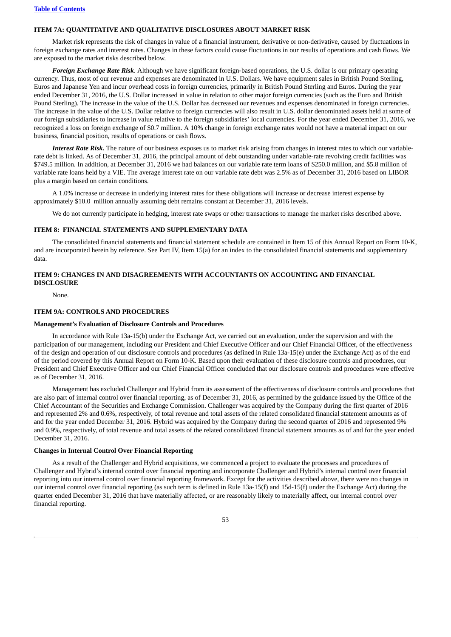### **ITEM 7A: QUANTITATIVE AND QUALITATIVE DISCLOSURES ABOUT MARKET RISK**

Market risk represents the risk of changes in value of a financial instrument, derivative or non-derivative, caused by fluctuations in foreign exchange rates and interest rates. Changes in these factors could cause fluctuations in our results of operations and cash flows. We are exposed to the market risks described below.

*Foreign Exchange Rate Risk*. Although we have significant foreign-based operations, the U.S. dollar is our primary operating currency. Thus, most of our revenue and expenses are denominated in U.S. Dollars. We have equipment sales in British Pound Sterling, Euros and Japanese Yen and incur overhead costs in foreign currencies, primarily in British Pound Sterling and Euros. During the year ended December 31, 2016, the U.S. Dollar increased in value in relation to other major foreign currencies (such as the Euro and British Pound Sterling). The increase in the value of the U.S. Dollar has decreased our revenues and expenses denominated in foreign currencies. The increase in the value of the U.S. Dollar relative to foreign currencies will also result in U.S. dollar denominated assets held at some of our foreign subsidiaries to increase in value relative to the foreign subsidiaries' local currencies. For the year ended December 31, 2016, we recognized a loss on foreign exchange of \$0.7 million. A 10% change in foreign exchange rates would not have a material impact on our business, financial position, results of operations or cash flows.

*Interest Rate Risk.* The nature of our business exposes us to market risk arising from changes in interest rates to which our variablerate debt is linked. As of December 31, 2016, the principal amount of debt outstanding under variable-rate revolving credit facilities was \$749.5 million. In addition, at December 31, 2016 we had balances on our variable rate term loans of \$250.0 million, and \$5.8 million of variable rate loans held by a VIE. The average interest rate on our variable rate debt was 2.5% as of December 31, 2016 based on LIBOR plus a margin based on certain conditions.

A 1.0% increase or decrease in underlying interest rates for these obligations will increase or decrease interest expense by approximately \$10.0 million annually assuming debt remains constant at December 31, 2016 levels.

We do not currently participate in hedging, interest rate swaps or other transactions to manage the market risks described above.

## **ITEM 8: FINANCIAL STATEMENTS AND SUPPLEMENTARY DATA**

The consolidated financial statements and financial statement schedule are contained in Item 15 of this Annual Report on Form 10-K, and are incorporated herein by reference. See Part IV, Item 15(a) for an index to the consolidated financial statements and supplementary data.

## **ITEM 9: CHANGES IN AND DISAGREEMENTS WITH ACCOUNTANTS ON ACCOUNTING AND FINANCIAL DISCLOSURE**

None.

## **ITEM 9A: CONTROLS AND PROCEDURES**

#### **Management's Evaluation of Disclosure Controls and Procedures**

In accordance with Rule 13a-15(b) under the Exchange Act, we carried out an evaluation, under the supervision and with the participation of our management, including our President and Chief Executive Officer and our Chief Financial Officer, of the effectiveness of the design and operation of our disclosure controls and procedures (as defined in Rule 13a-15(e) under the Exchange Act) as of the end of the period covered by this Annual Report on Form 10-K. Based upon their evaluation of these disclosure controls and procedures, our President and Chief Executive Officer and our Chief Financial Officer concluded that our disclosure controls and procedures were effective as of December 31, 2016.

Management has excluded Challenger and Hybrid from its assessment of the effectiveness of disclosure controls and procedures that are also part of internal control over financial reporting, as of December 31, 2016, as permitted by the guidance issued by the Office of the Chief Accountant of the Securities and Exchange Commission. Challenger was acquired by the Company during the first quarter of 2016 and represented 2% and 0.6%, respectively, of total revenue and total assets of the related consolidated financial statement amounts as of and for the year ended December 31, 2016. Hybrid was acquired by the Company during the second quarter of 2016 and represented 9% and 0.9%, respectively, of total revenue and total assets of the related consolidated financial statement amounts as of and for the year ended December 31, 2016.

## **Changes in Internal Control Over Financial Reporting**

As a result of the Challenger and Hybrid acquisitions, we commenced a project to evaluate the processes and procedures of Challenger and Hybrid's internal control over financial reporting and incorporate Challenger and Hybrid's internal control over financial reporting into our internal control over financial reporting framework. Except for the activities described above, there were no changes in our internal control over financial reporting (as such term is defined in Rule 13a-15(f) and 15d-15(f) under the Exchange Act) during the quarter ended December 31, 2016 that have materially affected, or are reasonably likely to materially affect, our internal control over financial reporting.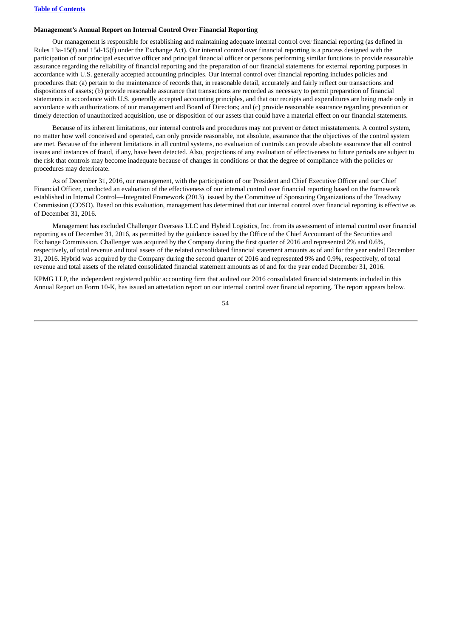# **Management's Annual Report on Internal Control Over Financial Reporting**

Our management is responsible for establishing and maintaining adequate internal control over financial reporting (as defined in Rules 13a-15(f) and 15d-15(f) under the Exchange Act). Our internal control over financial reporting is a process designed with the participation of our principal executive officer and principal financial officer or persons performing similar functions to provide reasonable assurance regarding the reliability of financial reporting and the preparation of our financial statements for external reporting purposes in accordance with U.S. generally accepted accounting principles. Our internal control over financial reporting includes policies and procedures that: (a) pertain to the maintenance of records that, in reasonable detail, accurately and fairly reflect our transactions and dispositions of assets; (b) provide reasonable assurance that transactions are recorded as necessary to permit preparation of financial statements in accordance with U.S. generally accepted accounting principles, and that our receipts and expenditures are being made only in accordance with authorizations of our management and Board of Directors; and (c) provide reasonable assurance regarding prevention or timely detection of unauthorized acquisition, use or disposition of our assets that could have a material effect on our financial statements.

Because of its inherent limitations, our internal controls and procedures may not prevent or detect misstatements. A control system, no matter how well conceived and operated, can only provide reasonable, not absolute, assurance that the objectives of the control system are met. Because of the inherent limitations in all control systems, no evaluation of controls can provide absolute assurance that all control issues and instances of fraud, if any, have been detected. Also, projections of any evaluation of effectiveness to future periods are subject to the risk that controls may become inadequate because of changes in conditions or that the degree of compliance with the policies or procedures may deteriorate.

As of December 31, 2016, our management, with the participation of our President and Chief Executive Officer and our Chief Financial Officer, conducted an evaluation of the effectiveness of our internal control over financial reporting based on the framework established in Internal Control—Integrated Framework (2013) issued by the Committee of Sponsoring Organizations of the Treadway Commission (COSO). Based on this evaluation, management has determined that our internal control over financial reporting is effective as of December 31, 2016.

Management has excluded Challenger Overseas LLC and Hybrid Logistics, Inc. from its assessment of internal control over financial reporting as of December 31, 2016, as permitted by the guidance issued by the Office of the Chief Accountant of the Securities and Exchange Commission. Challenger was acquired by the Company during the first quarter of 2016 and represented 2% and 0.6%, respectively, of total revenue and total assets of the related consolidated financial statement amounts as of and for the year ended December 31, 2016. Hybrid was acquired by the Company during the second quarter of 2016 and represented 9% and 0.9%, respectively, of total revenue and total assets of the related consolidated financial statement amounts as of and for the year ended December 31, 2016.

KPMG LLP, the independent registered public accounting firm that audited our 2016 consolidated financial statements included in this Annual Report on Form 10-K, has issued an attestation report on our internal control over financial reporting. The report appears below.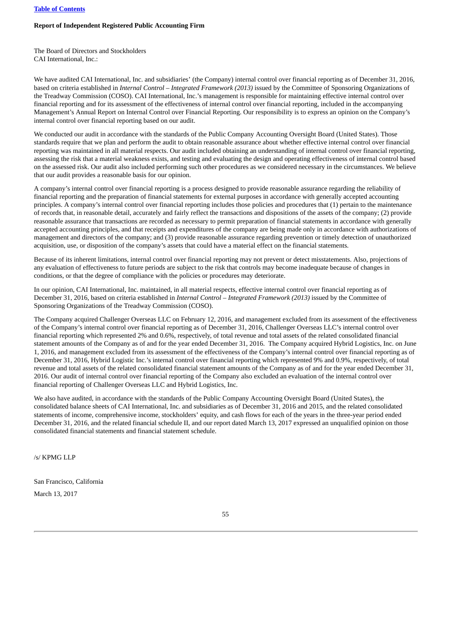# **Report of Independent Registered Public Accounting Firm**

The Board of Directors and Stockholders CAI International, Inc.:

We have audited CAI International, Inc. and subsidiaries' (the Company) internal control over financial reporting as of December 31, 2016, based on criteria established in *Internal Control – Integrated Framework (2013)* issued by the Committee of Sponsoring Organizations of the Treadway Commission (COSO). CAI International, Inc.'s management is responsible for maintaining effective internal control over financial reporting and for its assessment of the effectiveness of internal control over financial reporting, included in the accompanying Management's Annual Report on Internal Control over Financial Reporting. Our responsibility is to express an opinion on the Company's internal control over financial reporting based on our audit.

We conducted our audit in accordance with the standards of the Public Company Accounting Oversight Board (United States). Those standards require that we plan and perform the audit to obtain reasonable assurance about whether effective internal control over financial reporting was maintained in all material respects. Our audit included obtaining an understanding of internal control over financial reporting, assessing the risk that a material weakness exists, and testing and evaluating the design and operating effectiveness of internal control based on the assessed risk. Our audit also included performing such other procedures as we considered necessary in the circumstances. We believe that our audit provides a reasonable basis for our opinion.

A company's internal control over financial reporting is a process designed to provide reasonable assurance regarding the reliability of financial reporting and the preparation of financial statements for external purposes in accordance with generally accepted accounting principles. A company's internal control over financial reporting includes those policies and procedures that (1) pertain to the maintenance of records that, in reasonable detail, accurately and fairly reflect the transactions and dispositions of the assets of the company; (2) provide reasonable assurance that transactions are recorded as necessary to permit preparation of financial statements in accordance with generally accepted accounting principles, and that receipts and expenditures of the company are being made only in accordance with authorizations of management and directors of the company; and (3) provide reasonable assurance regarding prevention or timely detection of unauthorized acquisition, use, or disposition of the company's assets that could have a material effect on the financial statements.

Because of its inherent limitations, internal control over financial reporting may not prevent or detect misstatements. Also, projections of any evaluation of effectiveness to future periods are subject to the risk that controls may become inadequate because of changes in conditions, or that the degree of compliance with the policies or procedures may deteriorate.

In our opinion, CAI International, Inc. maintained, in all material respects, effective internal control over financial reporting as of December 31, 2016, based on criteria established in *Internal Control – Integrated Framework (2013)* issued by the Committee of Sponsoring Organizations of the Treadway Commission (COSO).

The Company acquired Challenger Overseas LLC on February 12, 2016, and management excluded from its assessment of the effectiveness of the Company's internal control over financial reporting as of December 31, 2016, Challenger Overseas LLC's internal control over financial reporting which represented 2% and 0.6%, respectively, of total revenue and total assets of the related consolidated financial statement amounts of the Company as of and for the year ended December 31, 2016. The Company acquired Hybrid Logistics, Inc. on June 1, 2016, and management excluded from its assessment of the effectiveness of the Company's internal control over financial reporting as of December 31, 2016, Hybrid Logistic Inc.'s internal control over financial reporting which represented 9% and 0.9%, respectively, of total revenue and total assets of the related consolidated financial statement amounts of the Company as of and for the year ended December 31, 2016. Our audit of internal control over financial reporting of the Company also excluded an evaluation of the internal control over financial reporting of Challenger Overseas LLC and Hybrid Logistics, Inc.

We also have audited, in accordance with the standards of the Public Company Accounting Oversight Board (United States), the consolidated balance sheets of CAI International, Inc. and subsidiaries as of December 31, 2016 and 2015, and the related consolidated statements of income, comprehensive income, stockholders' equity, and cash flows for each of the years in the three-year period ended December 31, 2016, and the related financial schedule II, and our report dated March 13, 2017 expressed an unqualified opinion on those consolidated financial statements and financial statement schedule.

/s/ KPMG LLP

San Francisco, California

March 13, 2017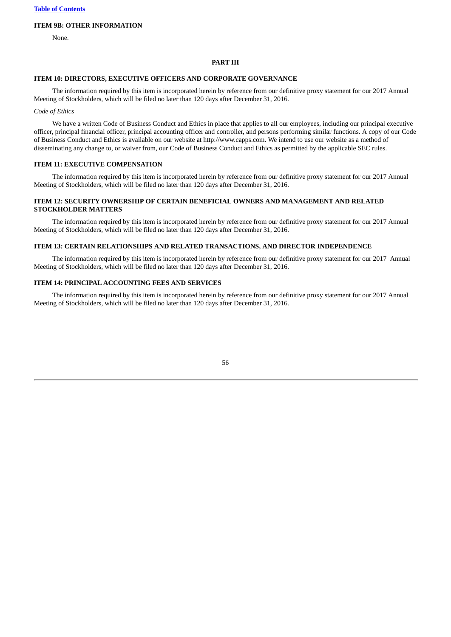# **ITEM 9B: OTHER INFORMATION**

None.

## **PART III**

# **ITEM 10: DIRECTORS, EXECUTIVE OFFICERS AND CORPORATE GOVERNANCE**

The information required by this item is incorporated herein by reference from our definitive proxy statement for our 2017 Annual Meeting of Stockholders, which will be filed no later than 120 days after December 31, 2016.

# *Code of Ethics*

We have a written Code of Business Conduct and Ethics in place that applies to all our employees, including our principal executive officer, principal financial officer, principal accounting officer and controller, and persons performing similar functions. A copy of our Code of Business Conduct and Ethics is available on our website at http://www.capps.com. We intend to use our website as a method of disseminating any change to, or waiver from, our Code of Business Conduct and Ethics as permitted by the applicable SEC rules.

# **ITEM 11: EXECUTIVE COMPENSATION**

The information required by this item is incorporated herein by reference from our definitive proxy statement for our 2017 Annual Meeting of Stockholders, which will be filed no later than 120 days after December 31, 2016.

## **ITEM 12: SECURITY OWNERSHIP OF CERTAIN BENEFICIAL OWNERS AND MANAGEMENT AND RELATED STOCKHOLDER MATTERS**

The information required by this item is incorporated herein by reference from our definitive proxy statement for our 2017 Annual Meeting of Stockholders, which will be filed no later than 120 days after December 31, 2016.

### **ITEM 13: CERTAIN RELATIONSHIPS AND RELATED TRANSACTIONS, AND DIRECTOR INDEPENDENCE**

The information required by this item is incorporated herein by reference from our definitive proxy statement for our 2017 Annual Meeting of Stockholders, which will be filed no later than 120 days after December 31, 2016.

# **ITEM 14: PRINCIPAL ACCOUNTING FEES AND SERVICES**

The information required by this item is incorporated herein by reference from our definitive proxy statement for our 2017 Annual Meeting of Stockholders, which will be filed no later than 120 days after December 31, 2016.

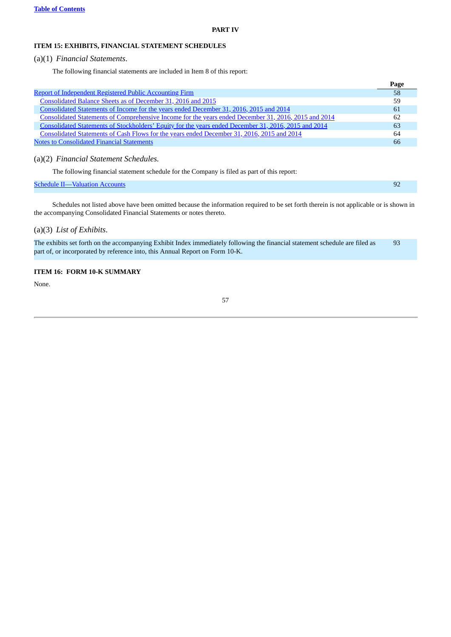# **PART IV**

# **ITEM 15: EXHIBITS, FINANCIAL STATEMENT SCHEDULES**

# (a)(1) *Financial Statements*.

The following financial statements are included in Item 8 of this report:

|                                                                                                      | Page |
|------------------------------------------------------------------------------------------------------|------|
| <b>Report of Independent Registered Public Accounting Firm</b>                                       | 58   |
| Consolidated Balance Sheets as of December 31, 2016 and 2015                                         | 59   |
| Consolidated Statements of Income for the years ended December 31, 2016, 2015 and 2014               | 61   |
| Consolidated Statements of Comprehensive Income for the years ended December 31, 2016, 2015 and 2014 | 62   |
| Consolidated Statements of Stockholders' Equity for the years ended December 31, 2016, 2015 and 2014 | 63   |
| Consolidated Statements of Cash Flows for the years ended December 31, 2016, 2015 and 2014           | 64   |
| <b>Notes to Consolidated Financial Statements</b>                                                    | 66   |

# (a)(2) *Financial Statement Schedules.*

The following financial statement schedule for the Company is filed as part of this report:

| <b>Schedule II-Valuation Accounts</b> | ດາ<br>ЭZ |
|---------------------------------------|----------|
|                                       |          |

Schedules not listed above have been omitted because the information required to be set forth therein is not applicable or is shown in the accompanying Consolidated Financial Statements or notes thereto.

(a)(3) *List of Exhibits*.

The exhibits set forth on the accompanying Exhibit Index immediately following the financial statement schedule are filed as part of, or incorporated by reference into, this Annual Report on Form 10-K. 93

# **ITEM 16: FORM 10-K SUMMARY**

None.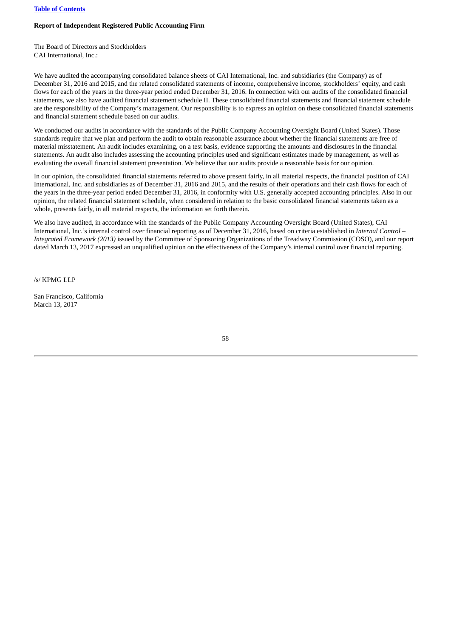# <span id="page-57-0"></span>**Report of Independent Registered Public Accounting Firm**

The Board of Directors and Stockholders CAI International, Inc.:

We have audited the accompanying consolidated balance sheets of CAI International, Inc. and subsidiaries (the Company) as of December 31, 2016 and 2015, and the related consolidated statements of income, comprehensive income, stockholders' equity, and cash flows for each of the years in the three-year period ended December 31, 2016. In connection with our audits of the consolidated financial statements, we also have audited financial statement schedule II. These consolidated financial statements and financial statement schedule are the responsibility of the Company's management. Our responsibility is to express an opinion on these consolidated financial statements and financial statement schedule based on our audits.

We conducted our audits in accordance with the standards of the Public Company Accounting Oversight Board (United States). Those standards require that we plan and perform the audit to obtain reasonable assurance about whether the financial statements are free of material misstatement. An audit includes examining, on a test basis, evidence supporting the amounts and disclosures in the financial statements. An audit also includes assessing the accounting principles used and significant estimates made by management, as well as evaluating the overall financial statement presentation. We believe that our audits provide a reasonable basis for our opinion.

In our opinion, the consolidated financial statements referred to above present fairly, in all material respects, the financial position of CAI International, Inc. and subsidiaries as of December 31, 2016 and 2015, and the results of their operations and their cash flows for each of the years in the three-year period ended December 31, 2016, in conformity with U.S. generally accepted accounting principles. Also in our opinion, the related financial statement schedule, when considered in relation to the basic consolidated financial statements taken as a whole, presents fairly, in all material respects, the information set forth therein.

We also have audited, in accordance with the standards of the Public Company Accounting Oversight Board (United States), CAI International, Inc.'s internal control over financial reporting as of December 31, 2016, based on criteria established in *Internal Control – Integrated Framework (2013)* issued by the Committee of Sponsoring Organizations of the Treadway Commission (COSO), and our report dated March 13, 2017 expressed an unqualified opinion on the effectiveness of the Company's internal control over financial reporting.

7 /s/ KPMG LLP

San Francisco, California March 13, 2017

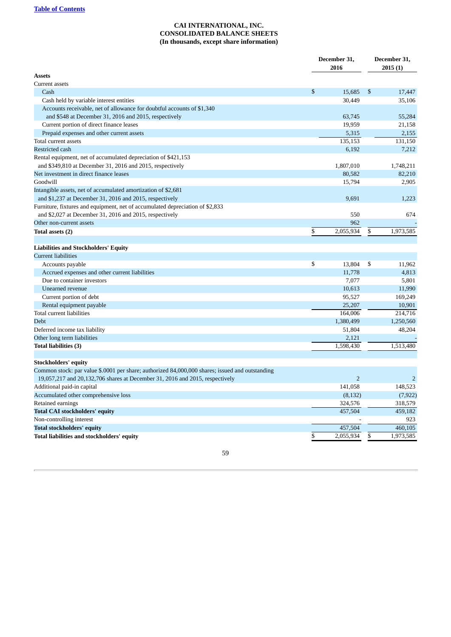# **CAI INTERNATIONAL, INC. CONSOLIDATED BALANCE SHEETS (In thousands, except share information)**

<span id="page-58-0"></span>

|                                                                                                 | December 31,<br>2016 |                | December 31,<br>2015 (1) |           |
|-------------------------------------------------------------------------------------------------|----------------------|----------------|--------------------------|-----------|
| <b>Assets</b>                                                                                   |                      |                |                          |           |
| Current assets                                                                                  |                      |                |                          |           |
| Cash                                                                                            | \$                   | 15,685         | \$                       | 17,447    |
| Cash held by variable interest entities                                                         |                      | 30,449         |                          | 35,106    |
| Accounts receivable, net of allowance for doubtful accounts of \$1,340                          |                      |                |                          |           |
| and \$548 at December 31, 2016 and 2015, respectively                                           |                      | 63,745         |                          | 55,284    |
| Current portion of direct finance leases                                                        |                      | 19,959         |                          | 21,158    |
| Prepaid expenses and other current assets                                                       |                      | 5,315          |                          | 2,155     |
| Total current assets                                                                            |                      | 135,153        |                          | 131,150   |
| Restricted cash                                                                                 |                      | 6,192          |                          | 7,212     |
| Rental equipment, net of accumulated depreciation of \$421,153                                  |                      |                |                          |           |
| and \$349,810 at December 31, 2016 and 2015, respectively                                       |                      | 1,807,010      |                          | 1,748,211 |
| Net investment in direct finance leases                                                         |                      | 80,582         |                          | 82,210    |
| Goodwill                                                                                        |                      | 15,794         |                          | 2,905     |
| Intangible assets, net of accumulated amortization of \$2,681                                   |                      |                |                          |           |
| and \$1,237 at December 31, 2016 and 2015, respectively                                         |                      | 9,691          |                          | 1,223     |
| Furniture, fixtures and equipment, net of accumulated depreciation of \$2,833                   |                      |                |                          |           |
| and \$2,027 at December 31, 2016 and 2015, respectively                                         |                      | 550            |                          | 674       |
| Other non-current assets                                                                        |                      | 962            |                          |           |
| Total assets (2)                                                                                | \$                   | 2,055,934      | \$                       | 1,973,585 |
|                                                                                                 |                      |                |                          |           |
| <b>Liabilities and Stockholders' Equity</b>                                                     |                      |                |                          |           |
| <b>Current liabilities</b>                                                                      |                      |                |                          |           |
| Accounts payable                                                                                | \$                   | 13,804         | \$                       | 11,962    |
| Accrued expenses and other current liabilities                                                  |                      | 11,778         |                          | 4,813     |
| Due to container investors                                                                      |                      | 7,077          |                          | 5,801     |
| Unearned revenue                                                                                |                      | 10,613         |                          | 11,990    |
| Current portion of debt                                                                         |                      | 95,527         |                          | 169,249   |
| Rental equipment payable                                                                        |                      | 25,207         |                          | 10,901    |
| <b>Total current liabilities</b>                                                                |                      | 164,006        |                          | 214,716   |
| Debt                                                                                            |                      | 1,380,499      |                          | 1,250,560 |
| Deferred income tax liability                                                                   |                      | 51,804         |                          | 48,204    |
| Other long term liabilities                                                                     |                      | 2,121          |                          |           |
| Total liabilities (3)                                                                           |                      | 1,598,430      |                          | 1,513,480 |
|                                                                                                 |                      |                |                          |           |
| <b>Stockholders' equity</b>                                                                     |                      |                |                          |           |
| Common stock: par value \$.0001 per share; authorized 84,000,000 shares; issued and outstanding |                      |                |                          |           |
| 19,057,217 and 20,132,706 shares at December 31, 2016 and 2015, respectively                    |                      | $\overline{2}$ |                          | 2         |
| Additional paid-in capital                                                                      |                      | 141,058        |                          | 148,523   |
| Accumulated other comprehensive loss                                                            |                      | (8, 132)       |                          | (7, 922)  |
| Retained earnings                                                                               |                      | 324,576        |                          | 318,579   |
| <b>Total CAI stockholders' equity</b>                                                           |                      | 457,504        |                          | 459.182   |
| Non-controlling interest                                                                        |                      |                |                          | 923       |
| <b>Total stockholders' equity</b>                                                               |                      | 457,504        |                          | 460,105   |
| Total liabilities and stockholders' equity                                                      | \$                   | 2,055,934      | \$                       | 1,973,585 |
|                                                                                                 |                      |                |                          |           |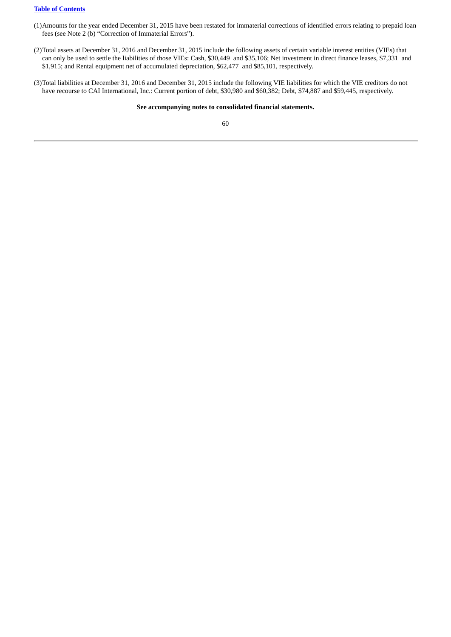- (1)Amounts for the year ended December 31, 2015 have been restated for immaterial corrections of identified errors relating to prepaid loan fees (see Note 2 (b) "Correction of Immaterial Errors").
- (2)Total assets at December 31, 2016 and December 31, 2015 include the following assets of certain variable interest entities (VIEs) that can only be used to settle the liabilities of those VIEs: Cash, \$30,449 and \$35,106; Net investment in direct finance leases, \$7,331 and \$1,915; and Rental equipment net of accumulated depreciation, \$62,477 and \$85,101, respectively.
- (3)Total liabilities at December 31, 2016 and December 31, 2015 include the following VIE liabilities for which the VIE creditors do not have recourse to CAI International, Inc.: Current portion of debt, \$30,980 and \$60,382; Debt, \$74,887 and \$59,445, respectively.

## **See accompanying notes to consolidated financial statements.**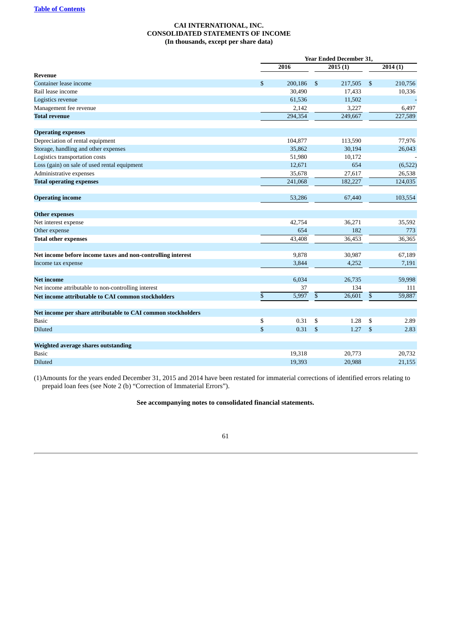# **CAI INTERNATIONAL, INC. CONSOLIDATED STATEMENTS OF INCOME (In thousands, except per share data)**

<span id="page-60-0"></span>

|                                                                                                           | Year Ended December 31, |         |                |               |                |               |  |
|-----------------------------------------------------------------------------------------------------------|-------------------------|---------|----------------|---------------|----------------|---------------|--|
|                                                                                                           |                         | 2016    |                | 2015(1)       |                | 2014(1)       |  |
| <b>Revenue</b>                                                                                            |                         |         |                |               |                |               |  |
| Container lease income                                                                                    | $\mathbf{s}$            | 200,186 | $\mathfrak{S}$ | 217,505       | $\mathfrak{S}$ | 210,756       |  |
| Rail lease income                                                                                         |                         | 30,490  |                | 17,433        |                | 10,336        |  |
| Logistics revenue                                                                                         |                         | 61,536  |                | 11,502        |                |               |  |
| Management fee revenue                                                                                    |                         | 2,142   |                | 3,227         |                | 6,497         |  |
| <b>Total revenue</b>                                                                                      |                         | 294,354 |                | 249,667       |                | 227,589       |  |
| <b>Operating expenses</b>                                                                                 |                         |         |                |               |                |               |  |
| Depreciation of rental equipment                                                                          |                         | 104,877 |                | 113,590       |                | 77,976        |  |
| Storage, handling and other expenses                                                                      |                         | 35,862  |                | 30,194        |                | 26,043        |  |
| Logistics transportation costs                                                                            |                         | 51,980  |                | 10,172        |                |               |  |
| Loss (gain) on sale of used rental equipment                                                              |                         | 12,671  |                | 654           |                | (6, 522)      |  |
| Administrative expenses                                                                                   |                         | 35,678  |                | 27,617        |                | 26,538        |  |
| <b>Total operating expenses</b>                                                                           |                         | 241,068 |                | 182,227       |                | 124,035       |  |
|                                                                                                           |                         |         |                |               |                |               |  |
| <b>Operating income</b>                                                                                   |                         | 53,286  |                | 67,440        |                | 103,554       |  |
| <b>Other expenses</b>                                                                                     |                         |         |                |               |                |               |  |
| Net interest expense                                                                                      |                         | 42,754  |                | 36,271        |                | 35,592        |  |
| Other expense                                                                                             |                         | 654     |                | 182           |                | 773           |  |
| <b>Total other expenses</b>                                                                               |                         | 43,408  |                | 36,453        |                | 36,365        |  |
| Net income before income taxes and non-controlling interest                                               |                         | 9,878   |                | 30,987        |                | 67,189        |  |
| Income tax expense                                                                                        |                         | 3,844   |                | 4,252         |                | 7,191         |  |
|                                                                                                           |                         | 6,034   |                |               |                |               |  |
| <b>Net income</b>                                                                                         |                         | 37      |                | 26,735<br>134 |                | 59,998        |  |
| Net income attributable to non-controlling interest<br>Net income attributable to CAI common stockholders | \$                      | 5,997   | $\mathbb{S}$   | 26,601        | $\mathbb{S}$   | 111<br>59,887 |  |
|                                                                                                           |                         |         |                |               |                |               |  |
| Net income per share attributable to CAI common stockholders                                              |                         |         |                |               |                |               |  |
| <b>Basic</b>                                                                                              | \$                      | 0.31    | \$             | 1.28          | \$             | 2.89          |  |
| <b>Diluted</b>                                                                                            | $\mathbf{\hat{S}}$      | 0.31    | $\mathfrak{s}$ | 1.27          | \$             | 2.83          |  |
| Weighted average shares outstanding                                                                       |                         |         |                |               |                |               |  |
| <b>Basic</b>                                                                                              |                         | 19,318  |                | 20,773        |                | 20,732        |  |
| Diluted                                                                                                   |                         | 19,393  |                | 20,988        |                | 21,155        |  |

(1)Amounts for the years ended December 31, 2015 and 2014 have been restated for immaterial corrections of identified errors relating to prepaid loan fees (see Note 2 (b) "Correction of Immaterial Errors").

**See accompanying notes to consolidated financial statements.**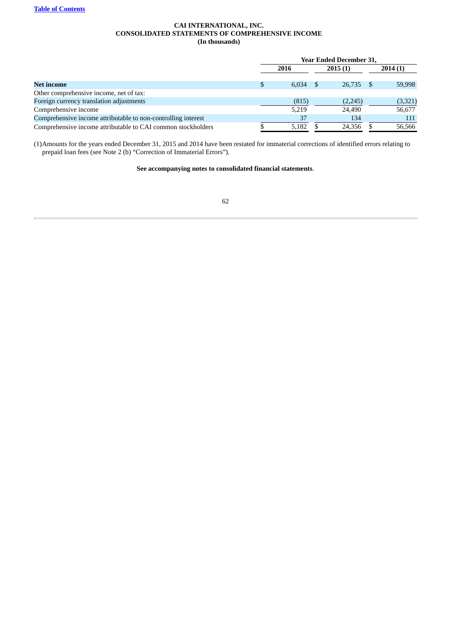# **CAI INTERNATIONAL, INC. CONSOLIDATED STATEMENTS OF COMPREHENSIVE INCOME (In thousands)**

<span id="page-61-0"></span>

|                                                               | <b>Year Ended December 31,</b> |       |  |         |     |         |  |
|---------------------------------------------------------------|--------------------------------|-------|--|---------|-----|---------|--|
|                                                               | 2016                           |       |  | 2015(1) |     | 2014(1) |  |
| <b>Net income</b>                                             | \$                             | 6.034 |  | 26.735  | - S | 59,998  |  |
| Other comprehensive income, net of tax:                       |                                |       |  |         |     |         |  |
| Foreign currency translation adjustments                      |                                | (815) |  | (2,245) |     | (3,321) |  |
| Comprehensive income                                          |                                | 5.219 |  | 24,490  |     | 56,677  |  |
| Comprehensive income attributable to non-controlling interest |                                | 37    |  | 134     |     | 111     |  |
| Comprehensive income attributable to CAI common stockholders  |                                | 5,182 |  | 24.356  |     | 56,566  |  |

(1)Amounts for the years ended December 31, 2015 and 2014 have been restated for immaterial corrections of identified errors relating to prepaid loan fees (see Note 2 (b) "Correction of Immaterial Errors").

**See accompanying notes to consolidated financial statements**.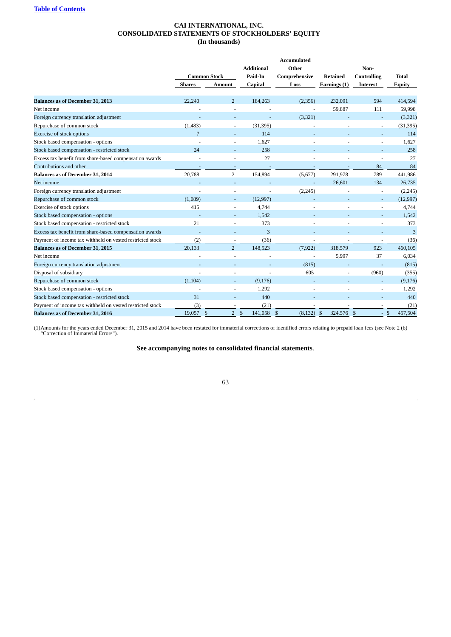# **CAI INTERNATIONAL, INC. CONSOLIDATED STATEMENTS OF STOCKHOLDERS' EQUITY (In thousands)**

<span id="page-62-0"></span>

|                                                           |                          |                |                         | <b>Accumulated</b>         |                           |                                  |                          |
|-----------------------------------------------------------|--------------------------|----------------|-------------------------|----------------------------|---------------------------|----------------------------------|--------------------------|
|                                                           |                          |                | <b>Additional</b>       | Other                      |                           | Non-                             |                          |
|                                                           | <b>Common Stock</b>      |                | Paid-In                 | Comprehensive              | <b>Retained</b>           | Controlling                      | <b>Total</b>             |
|                                                           | <b>Shares</b>            | <b>Amount</b>  | Capital                 | Loss                       | Earnings (1)              | <b>Interest</b>                  | <b>Equity</b>            |
|                                                           |                          |                |                         |                            |                           |                                  |                          |
| <b>Balances as of December 31, 2013</b>                   | 22,240                   | $\overline{2}$ | 184,263                 | (2,356)                    | 232,091                   | 594                              | 414,594                  |
| Net income                                                |                          |                |                         |                            | 59,887                    | 111                              | 59,998                   |
| Foreign currency translation adjustment                   |                          |                |                         | (3, 321)                   |                           |                                  | (3,321)                  |
| Repurchase of common stock                                | (1,483)                  |                | (31, 395)               |                            |                           |                                  | (31, 395)                |
| <b>Exercise of stock options</b>                          | $\overline{7}$           |                | 114                     |                            |                           |                                  | 114                      |
| Stock based compensation - options                        |                          |                | 1,627                   |                            |                           |                                  | 1,627                    |
| Stock based compensation - restricted stock               | 24                       |                | 258                     |                            |                           |                                  | 258                      |
| Excess tax benefit from share-based compensation awards   |                          |                | 27                      |                            |                           |                                  | 27                       |
| Contributions and other                                   |                          |                |                         |                            |                           | 84                               | 84                       |
| Balances as of December 31, 2014                          | 20,788                   | $\overline{a}$ | 154,894                 | (5,677)                    | 291,978                   | 789                              | 441,986                  |
| Net income                                                |                          |                |                         |                            | 26,601                    | 134                              | 26,735                   |
| Foreign currency translation adjustment                   |                          |                |                         | (2, 245)                   |                           |                                  | (2, 245)                 |
| Repurchase of common stock                                | (1,089)                  |                | (12, 997)               |                            |                           |                                  | (12, 997)                |
| Exercise of stock options                                 | 415                      | ٠              | 4,744                   |                            |                           | $\overline{\phantom{a}}$         | 4,744                    |
| Stock based compensation - options                        |                          |                | 1,542                   |                            |                           |                                  | 1,542                    |
| Stock based compensation - restricted stock               | 21                       |                | 373                     |                            |                           |                                  | 373                      |
| Excess tax benefit from share-based compensation awards   |                          |                | 3                       |                            |                           |                                  | 3                        |
| Payment of income tax withheld on vested restricted stock | (2)                      |                | (36)                    |                            |                           |                                  | (36)                     |
| <b>Balances as of December 31, 2015</b>                   | 20,133                   | $\overline{2}$ | 148,523                 | (7, 922)                   | 318,579                   | 923                              | 460,105                  |
| Net income                                                |                          |                |                         |                            | 5,997                     | 37                               | 6,034                    |
| Foreign currency translation adjustment                   |                          |                |                         | (815)                      |                           |                                  | (815)                    |
| Disposal of subsidiary                                    |                          |                |                         | 605                        | $\overline{\phantom{a}}$  | (960)                            | (355)                    |
| Repurchase of common stock                                | (1, 104)                 |                | (9,176)                 |                            |                           |                                  | (9, 176)                 |
| Stock based compensation - options                        |                          |                | 1,292                   |                            |                           |                                  | 1,292                    |
| Stock based compensation - restricted stock               | 31                       |                | 440                     |                            |                           |                                  | 440                      |
| Payment of income tax withheld on vested restricted stock | (3)                      |                | (21)                    |                            |                           |                                  | (21)                     |
| <b>Balances as of December 31, 2016</b>                   | $\mathfrak{S}$<br>19,057 | $\overline{2}$ | $\mathbb{S}$<br>141,058 | $\mathfrak{S}$<br>(8, 132) | $\mathfrak{S}$<br>324,576 | $\mathfrak{s}$<br>$\blacksquare$ | $\mathcal{S}$<br>457,504 |

(1)Amounts for the years ended December 31, 2015 and 2014 have been restated for immaterial corrections of identified errors relating to prepaid loan fees (see Note 2 (b) "Correction of Immaterial Errors").

**See accompanying notes to consolidated financial statements**.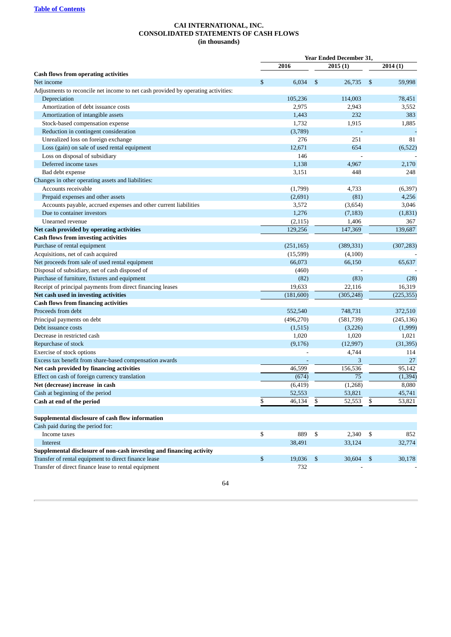# **CAI INTERNATIONAL, INC. CONSOLIDATED STATEMENTS OF CASH FLOWS (in thousands)**

<span id="page-63-0"></span>

|                                                                                   | <b>Year Ended December 31,</b> |    |            |    |            |
|-----------------------------------------------------------------------------------|--------------------------------|----|------------|----|------------|
|                                                                                   | 2016                           |    | 2015(1)    |    | 2014(1)    |
| <b>Cash flows from operating activities</b>                                       |                                |    |            |    |            |
| Net income                                                                        | \$<br>6,034                    | \$ | 26,735     | \$ | 59,998     |
| Adjustments to reconcile net income to net cash provided by operating activities: |                                |    |            |    |            |
| Depreciation                                                                      | 105,236                        |    | 114,003    |    | 78,451     |
| Amortization of debt issuance costs                                               | 2,975                          |    | 2,943      |    | 3,552      |
| Amortization of intangible assets                                                 | 1,443                          |    | 232        |    | 383        |
| Stock-based compensation expense                                                  | 1,732                          |    | 1,915      |    | 1,885      |
| Reduction in contingent consideration                                             | (3,789)                        |    |            |    |            |
| Unrealized loss on foreign exchange                                               | 276                            |    | 251        |    | 81         |
| Loss (gain) on sale of used rental equipment                                      | 12,671                         |    | 654        |    | (6, 522)   |
| Loss on disposal of subsidiary                                                    | 146                            |    |            |    |            |
| Deferred income taxes                                                             | 1,138                          |    | 4,967      |    | 2,170      |
| Bad debt expense                                                                  | 3,151                          |    | 448        |    | 248        |
| Changes in other operating assets and liabilities:                                |                                |    |            |    |            |
| Accounts receivable                                                               | (1,799)                        |    | 4,733      |    | (6, 397)   |
| Prepaid expenses and other assets                                                 | (2,691)                        |    | (81)       |    | 4,256      |
| Accounts payable, accrued expenses and other current liabilities                  | 3,572                          |    | (3,654)    |    | 3,046      |
| Due to container investors                                                        | 1,276                          |    | (7, 183)   |    | (1, 831)   |
| Unearned revenue                                                                  | (2, 115)                       |    | 1,406      |    | 367        |
| Net cash provided by operating activities                                         | 129,256                        |    | 147,369    |    | 139.687    |
| <b>Cash flows from investing activities</b>                                       |                                |    |            |    |            |
| Purchase of rental equipment                                                      | (251, 165)                     |    | (389, 331) |    | (307, 283) |
| Acquisitions, net of cash acquired                                                | (15,599)                       |    | (4,100)    |    |            |
| Net proceeds from sale of used rental equipment                                   | 66,073                         |    | 66,150     |    | 65,637     |
| Disposal of subsidiary, net of cash disposed of                                   | (460)                          |    |            |    |            |
| Purchase of furniture, fixtures and equipment                                     | (82)                           |    | (83)       |    | (28)       |
| Receipt of principal payments from direct financing leases                        | 19,633                         |    | 22,116     |    | 16,319     |
| Net cash used in investing activities                                             | (181,600)                      |    | (305, 248) |    | (225, 355) |
| <b>Cash flows from financing activities</b>                                       |                                |    |            |    |            |
| Proceeds from debt                                                                | 552,540                        |    | 748,731    |    | 372,510    |
| Principal payments on debt                                                        | (496, 270)                     |    | (581, 739) |    | (245, 136) |
| Debt issuance costs                                                               | (1,515)                        |    | (3,226)    |    | (1,999)    |
| Decrease in restricted cash                                                       | 1,020                          |    | 1,020      |    | 1,021      |
| Repurchase of stock                                                               | (9,176)                        |    | (12, 997)  |    | (31, 395)  |
| Exercise of stock options                                                         |                                |    | 4,744      |    | 114        |
| Excess tax benefit from share-based compensation awards                           |                                |    | 3          |    | 27         |
| Net cash provided by financing activities                                         | 46,599                         |    | 156,536    |    | 95.142     |
| Effect on cash of foreign currency translation                                    | (674)                          |    | 75         |    | (1, 394)   |
| Net (decrease) increase in cash                                                   | (6, 419)                       |    | (1,268)    |    | 8,080      |
| Cash at beginning of the period                                                   | 52,553                         |    | 53,821     |    | 45,741     |
| Cash at end of the period                                                         | \$<br>46,134                   | \$ | 52,553     | \$ | 53,821     |
|                                                                                   |                                |    |            |    |            |
| Supplemental disclosure of cash flow information                                  |                                |    |            |    |            |
| Cash paid during the period for:                                                  |                                |    |            |    |            |
| Income taxes                                                                      | \$<br>889                      | \$ | 2,340      | \$ | 852        |
| Interest                                                                          | 38,491                         |    | 33,124     |    | 32,774     |
| Supplemental disclosure of non-cash investing and financing activity              |                                |    |            |    |            |
| Transfer of rental equipment to direct finance lease                              | \$<br>19,036                   | \$ | 30,604     | \$ | 30,178     |
| Transfer of direct finance lease to rental equipment                              | 732                            |    |            |    |            |
|                                                                                   |                                |    |            |    |            |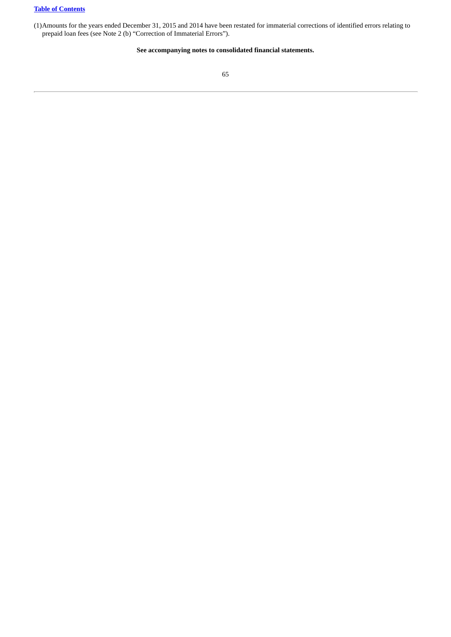<span id="page-64-0"></span>(1)Amounts for the years ended December 31, 2015 and 2014 have been restated for immaterial corrections of identified errors relating to prepaid loan fees (see Note 2 (b) "Correction of Immaterial Errors").

# **See accompanying notes to consolidated financial statements.**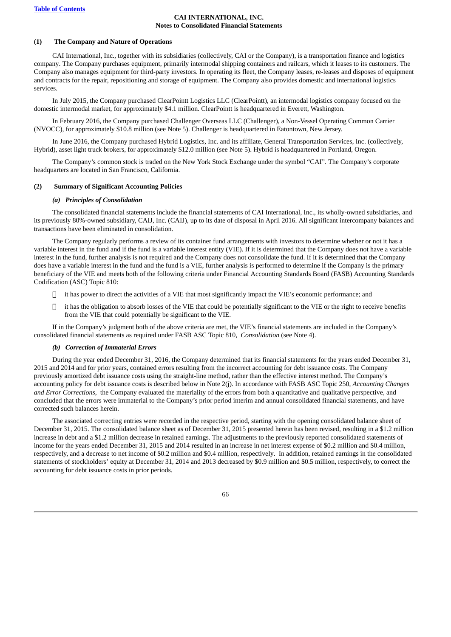# **(1) The Company and Nature of Operations**

CAI International, Inc., together with its subsidiaries (collectively, CAI or the Company), is a transportation finance and logistics company. The Company purchases equipment, primarily intermodal shipping containers and railcars, which it leases to its customers. The Company also manages equipment for third-party investors. In operating its fleet, the Company leases, re-leases and disposes of equipment and contracts for the repair, repositioning and storage of equipment. The Company also provides domestic and international logistics services.

In July 2015, the Company purchased ClearPointt Logistics LLC (ClearPointt), an intermodal logistics company focused on the domestic intermodal market, for approximately \$4.1 million. ClearPointt is headquartered in Everett, Washington.

In February 2016, the Company purchased Challenger Overseas LLC (Challenger), a Non-Vessel Operating Common Carrier (NVOCC), for approximately \$10.8 million (see Note 5). Challenger is headquartered in Eatontown, New Jersey.

In June 2016, the Company purchased Hybrid Logistics, Inc. and its affiliate, General Transportation Services, Inc. (collectively, Hybrid), asset light truck brokers, for approximately \$12.0 million (see Note 5). Hybrid is headquartered in Portland, Oregon.

The Company's common stock is traded on the New York Stock Exchange under the symbol "CAI". The Company's corporate headquarters are located in San Francisco, California.

# **(2) Summary of Significant Accounting Policies**

# *(a) Principles of Consolidation*

The consolidated financial statements include the financial statements of CAI International, Inc., its wholly-owned subsidiaries, and its previously 80%-owned subsidiary, CAIJ, Inc. (CAIJ), up to its date of disposal in April 2016. All significant intercompany balances and transactions have been eliminated in consolidation.

The Company regularly performs a review of its container fund arrangements with investors to determine whether or not it has a variable interest in the fund and if the fund is a variable interest entity (VIE). If it is determined that the Company does not have a variable interest in the fund, further analysis is not required and the Company does not consolidate the fund. If it is determined that the Company does have a variable interest in the fund and the fund is a VIE, further analysis is performed to determine if the Company is the primary beneficiary of the VIE and meets both of the following criteria under Financial Accounting Standards Board (FASB) Accounting Standards Codification (ASC) Topic 810:

- it has power to direct the activities of a VIE that most significantly impact the VIE's economic performance; and
- $\Box$  it has the obligation to absorb losses of the VIE that could be potentially significant to the VIE or the right to receive benefits from the VIE that could potentially be significant to the VIE.

If in the Company's judgment both of the above criteria are met, the VIE's financial statements are included in the Company's consolidated financial statements as required under FASB ASC Topic 810, *Consolidation* (see Note 4).

# *(b) Correction of Immaterial Errors*

During the year ended December 31, 2016, the Company determined that its financial statements for the years ended December 31, 2015 and 2014 and for prior years, contained errors resulting from the incorrect accounting for debt issuance costs. The Company previously amortized debt issuance costs using the straight-line method, rather than the effective interest method. The Company's accounting policy for debt issuance costs is described below in Note 2(j). In accordance with FASB ASC Topic 250, *Accounting Changes and Error Corrections*, the Company evaluated the materiality of the errors from both a quantitative and qualitative perspective, and concluded that the errors were immaterial to the Company's prior period interim and annual consolidated financial statements, and have corrected such balances herein.

The associated correcting entries were recorded in the respective period, starting with the opening consolidated balance sheet of December 31, 2015. The consolidated balance sheet as of December 31, 2015 presented herein has been revised, resulting in a \$1.2 million increase in debt and a \$1.2 million decrease in retained earnings. The adjustments to the previously reported consolidated statements of income for the years ended December 31, 2015 and 2014 resulted in an increase in net interest expense of \$0.2 million and \$0.4 million, respectively, and a decrease to net income of \$0.2 million and \$0.4 million, respectively. In addition, retained earnings in the consolidated statements of stockholders' equity at December 31, 2014 and 2013 decreased by \$0.9 million and \$0.5 million, respectively, to correct the accounting for debt issuance costs in prior periods.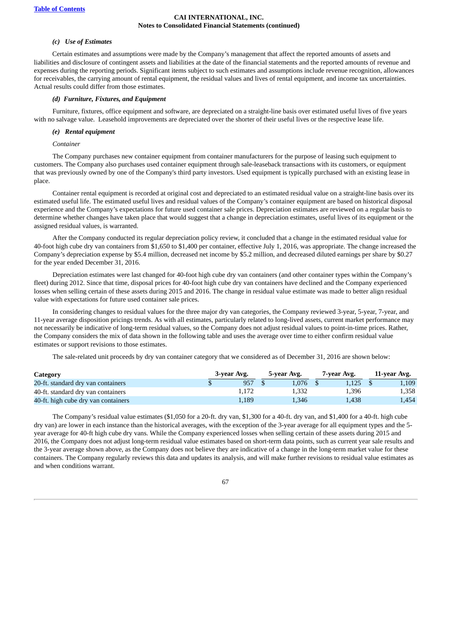## *(c) Use of Estimates*

Certain estimates and assumptions were made by the Company's management that affect the reported amounts of assets and liabilities and disclosure of contingent assets and liabilities at the date of the financial statements and the reported amounts of revenue and expenses during the reporting periods. Significant items subject to such estimates and assumptions include revenue recognition, allowances for receivables, the carrying amount of rental equipment, the residual values and lives of rental equipment, and income tax uncertainties. Actual results could differ from those estimates.

## *(d) Furniture, Fixtures, and Equipment*

Furniture, fixtures, office equipment and software, are depreciated on a straight-line basis over estimated useful lives of five years with no salvage value. Leasehold improvements are depreciated over the shorter of their useful lives or the respective lease life.

### *(e) Rental equipment*

*Container*

The Company purchases new container equipment from container manufacturers for the purpose of leasing such equipment to customers. The Company also purchases used container equipment through sale-leaseback transactions with its customers, or equipment that was previously owned by one of the Company's third party investors. Used equipment is typically purchased with an existing lease in place.

Container rental equipment is recorded at original cost and depreciated to an estimated residual value on a straight-line basis over its estimated useful life. The estimated useful lives and residual values of the Company's container equipment are based on historical disposal experience and the Company's expectations for future used container sale prices. Depreciation estimates are reviewed on a regular basis to determine whether changes have taken place that would suggest that a change in depreciation estimates, useful lives of its equipment or the assigned residual values, is warranted.

After the Company conducted its regular depreciation policy review, it concluded that a change in the estimated residual value for 40-foot high cube dry van containers from \$1,650 to \$1,400 per container, effective July 1, 2016, was appropriate. The change increased the Company's depreciation expense by \$5.4 million, decreased net income by \$5.2 million, and decreased diluted earnings per share by \$0.27 for the year ended December 31, 2016.

Depreciation estimates were last changed for 40-foot high cube dry van containers (and other container types within the Company's fleet) during 2012. Since that time, disposal prices for 40-foot high cube dry van containers have declined and the Company experienced losses when selling certain of these assets during 2015 and 2016. The change in residual value estimate was made to better align residual value with expectations for future used container sale prices.

In considering changes to residual values for the three major dry van categories, the Company reviewed 3-year, 5-year, 7-year, and 11-year average disposition pricings trends. As with all estimates, particularly related to long-lived assets, current market performance may not necessarily be indicative of long-term residual values, so the Company does not adjust residual values to point-in-time prices. Rather, the Company considers the mix of data shown in the following table and uses the average over time to either confirm residual value estimates or support revisions to those estimates.

The sale-related unit proceeds by dry van container category that we considered as of December 31, 2016 are shown below:

| Category                            | 3-year Avg. |       | 5-year Avg. |       | 7-year Avg. | 11-year Avg. |
|-------------------------------------|-------------|-------|-------------|-------|-------------|--------------|
| 20-ft. standard dry van containers  |             | 957   |             | 1.076 | $1.125$ \$  | 1,109        |
| 40-ft. standard dry van containers  |             | 1.172 |             | 1.332 | 1.396       | 1,358        |
| 40-ft. high cube dry van containers |             | 1.189 |             | 1.346 | 1.438       | 1.454        |

The Company's residual value estimates (\$1,050 for a 20-ft. dry van, \$1,300 for a 40-ft. dry van, and \$1,400 for a 40-ft. high cube dry van) are lower in each instance than the historical averages, with the exception of the 3-year average for all equipment types and the 5 year average for 40-ft high cube dry vans. While the Company experienced losses when selling certain of these assets during 2015 and 2016, the Company does not adjust long-term residual value estimates based on short-term data points, such as current year sale results and the 3-year average shown above, as the Company does not believe they are indicative of a change in the long-term market value for these containers. The Company regularly reviews this data and updates its analysis, and will make further revisions to residual value estimates as and when conditions warrant.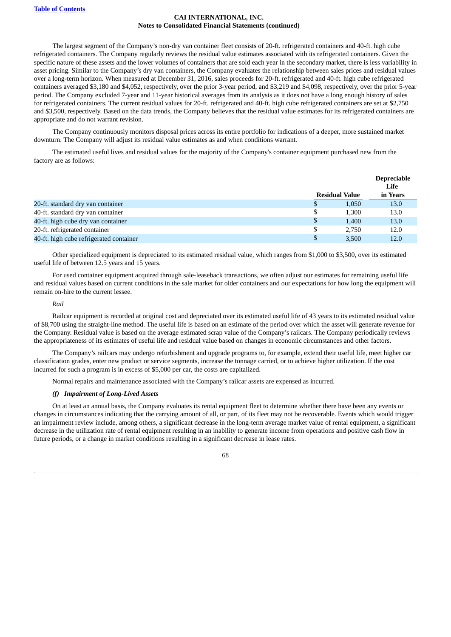The largest segment of the Company's non-dry van container fleet consists of 20-ft. refrigerated containers and 40-ft. high cube refrigerated containers. The Company regularly reviews the residual value estimates associated with its refrigerated containers. Given the specific nature of these assets and the lower volumes of containers that are sold each year in the secondary market, there is less variability in asset pricing. Similar to the Company's dry van containers, the Company evaluates the relationship between sales prices and residual values over a long-term horizon. When measured at December 31, 2016, sales proceeds for 20-ft. refrigerated and 40-ft. high cube refrigerated containers averaged \$3,180 and \$4,052, respectively, over the prior 3-year period, and \$3,219 and \$4,098, respectively, over the prior 5-year period. The Company excluded 7-year and 11-year historical averages from its analysis as it does not have a long enough history of sales for refrigerated containers. The current residual values for 20-ft. refrigerated and 40-ft. high cube refrigerated containers are set at \$2,750 and \$3,500, respectively. Based on the data trends, the Company believes that the residual value estimates for its refrigerated containers are appropriate and do not warrant revision.

The Company continuously monitors disposal prices across its entire portfolio for indications of a deeper, more sustained market downturn. The Company will adjust its residual value estimates as and when conditions warrant.

The estimated useful lives and residual values for the majority of the Company's container equipment purchased new from the factory are as follows:

|                                         |                       | <b>Depreciable</b><br>Life |
|-----------------------------------------|-----------------------|----------------------------|
|                                         | <b>Residual Value</b> | in Years                   |
| 20-ft. standard dry van container       | 1.050                 | 13.0                       |
| 40-ft. standard dry van container       | 1.300                 | 13.0                       |
| 40-ft. high cube dry van container      | 1.400                 | 13.0                       |
| 20-ft. refrigerated container           | 2.750                 | 12.0                       |
| 40-ft. high cube refrigerated container | 3.500                 | 12.0                       |

Other specialized equipment is depreciated to its estimated residual value, which ranges from \$1,000 to \$3,500, over its estimated useful life of between 12.5 years and 15 years.

For used container equipment acquired through sale-leaseback transactions, we often adjust our estimates for remaining useful life and residual values based on current conditions in the sale market for older containers and our expectations for how long the equipment will remain on-hire to the current lessee.

# *Rail*

Railcar equipment is recorded at original cost and depreciated over its estimated useful life of 43 years to its estimated residual value of \$8,700 using the straight-line method. The useful life is based on an estimate of the period over which the asset will generate revenue for the Company. Residual value is based on the average estimated scrap value of the Company's railcars. The Company periodically reviews the appropriateness of its estimates of useful life and residual value based on changes in economic circumstances and other factors.

The Company's railcars may undergo refurbishment and upgrade programs to, for example, extend their useful life, meet higher car classification grades, enter new product or service segments, increase the tonnage carried, or to achieve higher utilization. If the cost incurred for such a program is in excess of \$5,000 per car, the costs are capitalized.

Normal repairs and maintenance associated with the Company's railcar assets are expensed as incurred.

## *(f) Impairment of Long-Lived Assets*

On at least an annual basis, the Company evaluates its rental equipment fleet to determine whether there have been any events or changes in circumstances indicating that the carrying amount of all, or part, of its fleet may not be recoverable. Events which would trigger an impairment review include, among others, a significant decrease in the long-term average market value of rental equipment, a significant decrease in the utilization rate of rental equipment resulting in an inability to generate income from operations and positive cash flow in future periods, or a change in market conditions resulting in a significant decrease in lease rates.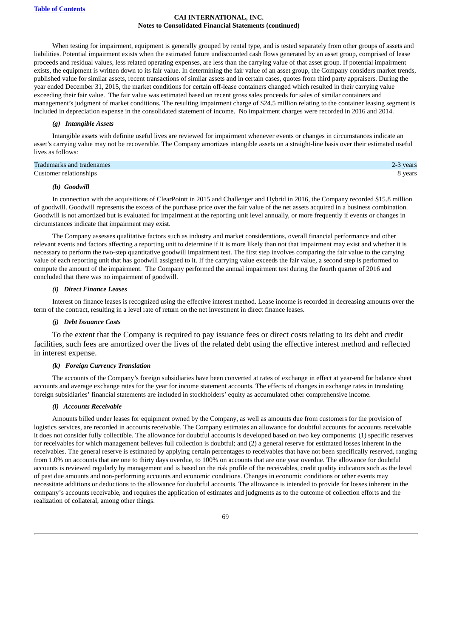When testing for impairment, equipment is generally grouped by rental type, and is tested separately from other groups of assets and liabilities. Potential impairment exists when the estimated future undiscounted cash flows generated by an asset group, comprised of lease proceeds and residual values, less related operating expenses, are less than the carrying value of that asset group. If potential impairment exists, the equipment is written down to its fair value. In determining the fair value of an asset group, the Company considers market trends, published value for similar assets, recent transactions of similar assets and in certain cases, quotes from third party appraisers. During the year ended December 31, 2015, the market conditions for certain off-lease containers changed which resulted in their carrying value exceeding their fair value. The fair value was estimated based on recent gross sales proceeds for sales of similar containers and management's judgment of market conditions. The resulting impairment charge of \$24.5 million relating to the container leasing segment is included in depreciation expense in the consolidated statement of income. No impairment charges were recorded in 2016 and 2014.

## *(g) Intangible Assets*

Intangible assets with definite useful lives are reviewed for impairment whenever events or changes in circumstances indicate an asset's carrying value may not be recoverable. The Company amortizes intangible assets on a straight-line basis over their estimated useful lives as follows:

| Trademarks and tradenames | tal.  |
|---------------------------|-------|
| Customer relationships    | vears |

### *(h) Goodwill*

In connection with the acquisitions of ClearPointt in 2015 and Challenger and Hybrid in 2016, the Company recorded \$15.8 million of goodwill. Goodwill represents the excess of the purchase price over the fair value of the net assets acquired in a business combination. Goodwill is not amortized but is evaluated for impairment at the reporting unit level annually, or more frequently if events or changes in circumstances indicate that impairment may exist.

The Company assesses qualitative factors such as industry and market considerations, overall financial performance and other relevant events and factors affecting a reporting unit to determine if it is more likely than not that impairment may exist and whether it is necessary to perform the two-step quantitative goodwill impairment test. The first step involves comparing the fair value to the carrying value of each reporting unit that has goodwill assigned to it. If the carrying value exceeds the fair value, a second step is performed to compute the amount of the impairment. The Company performed the annual impairment test during the fourth quarter of 2016 and concluded that there was no impairment of goodwill.

## *(i) Direct Finance Leases*

Interest on finance leases is recognized using the effective interest method. Lease income is recorded in decreasing amounts over the term of the contract, resulting in a level rate of return on the net investment in direct finance leases.

## *(j) Debt Issuance Costs*

To the extent that the Company is required to pay issuance fees or direct costs relating to its debt and credit facilities, such fees are amortized over the lives of the related debt using the effective interest method and reflected in interest expense.

# *(k) Foreign Currency Translation*

The accounts of the Company's foreign subsidiaries have been converted at rates of exchange in effect at year-end for balance sheet accounts and average exchange rates for the year for income statement accounts. The effects of changes in exchange rates in translating foreign subsidiaries' financial statements are included in stockholders' equity as accumulated other comprehensive income.

### *(l) Accounts Receivable*

Amounts billed under leases for equipment owned by the Company, as well as amounts due from customers for the provision of logistics services, are recorded in accounts receivable. The Company estimates an allowance for doubtful accounts for accounts receivable it does not consider fully collectible. The allowance for doubtful accounts is developed based on two key components: (1) specific reserves for receivables for which management believes full collection is doubtful; and (2) a general reserve for estimated losses inherent in the receivables. The general reserve is estimated by applying certain percentages to receivables that have not been specifically reserved, ranging from 1.0% on accounts that are one to thirty days overdue, to 100% on accounts that are one year overdue. The allowance for doubtful accounts is reviewed regularly by management and is based on the risk profile of the receivables, credit quality indicators such as the level of past due amounts and non-performing accounts and economic conditions. Changes in economic conditions or other events may necessitate additions or deductions to the allowance for doubtful accounts. The allowance is intended to provide for losses inherent in the company's accounts receivable, and requires the application of estimates and judgments as to the outcome of collection efforts and the realization of collateral, among other things.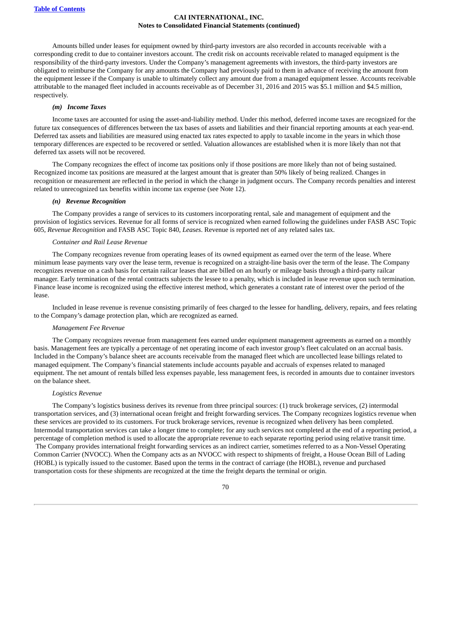Amounts billed under leases for equipment owned by third-party investors are also recorded in accounts receivable with a corresponding credit to due to container investors account. The credit risk on accounts receivable related to managed equipment is the responsibility of the third-party investors. Under the Company's management agreements with investors, the third-party investors are obligated to reimburse the Company for any amounts the Company had previously paid to them in advance of receiving the amount from the equipment lessee if the Company is unable to ultimately collect any amount due from a managed equipment lessee. Accounts receivable attributable to the managed fleet included in accounts receivable as of December 31, 2016 and 2015 was \$5.1 million and \$4.5 million, respectively.

### *(m) Income Taxes*

Income taxes are accounted for using the asset-and-liability method. Under this method, deferred income taxes are recognized for the future tax consequences of differences between the tax bases of assets and liabilities and their financial reporting amounts at each year-end. Deferred tax assets and liabilities are measured using enacted tax rates expected to apply to taxable income in the years in which those temporary differences are expected to be recovered or settled. Valuation allowances are established when it is more likely than not that deferred tax assets will not be recovered.

The Company recognizes the effect of income tax positions only if those positions are more likely than not of being sustained. Recognized income tax positions are measured at the largest amount that is greater than 50% likely of being realized. Changes in recognition or measurement are reflected in the period in which the change in judgment occurs. The Company records penalties and interest related to unrecognized tax benefits within income tax expense (see Note 12).

## *(n) Revenue Recognition*

The Company provides a range of services to its customers incorporating rental, sale and management of equipment and the provision of logistics services. Revenue for all forms of service is recognized when earned following the guidelines under FASB ASC Topic 605, *Revenue Recognition* and FASB ASC Topic 840, *Leases*. Revenue is reported net of any related sales tax.

### *Container and Rail Lease Revenue*

The Company recognizes revenue from operating leases of its owned equipment as earned over the term of the lease. Where minimum lease payments vary over the lease term, revenue is recognized on a straight-line basis over the term of the lease. The Company recognizes revenue on a cash basis for certain railcar leases that are billed on an hourly or mileage basis through a third-party railcar manager. Early termination of the rental contracts subjects the lessee to a penalty, which is included in lease revenue upon such termination. Finance lease income is recognized using the effective interest method, which generates a constant rate of interest over the period of the lease.

Included in lease revenue is revenue consisting primarily of fees charged to the lessee for handling, delivery, repairs, and fees relating to the Company's damage protection plan, which are recognized as earned.

## *Management Fee Revenue*

The Company recognizes revenue from management fees earned under equipment management agreements as earned on a monthly basis. Management fees are typically a percentage of net operating income of each investor group's fleet calculated on an accrual basis. Included in the Company's balance sheet are accounts receivable from the managed fleet which are uncollected lease billings related to managed equipment. The Company's financial statements include accounts payable and accruals of expenses related to managed equipment. The net amount of rentals billed less expenses payable, less management fees, is recorded in amounts due to container investors on the balance sheet.

## *Logistics Revenue*

The Company's logistics business derives its revenue from three principal sources: (1) truck brokerage services, (2) intermodal transportation services, and (3) international ocean freight and freight forwarding services. The Company recognizes logistics revenue when these services are provided to its customers. For truck brokerage services, revenue is recognized when delivery has been completed. Intermodal transportation services can take a longer time to complete; for any such services not completed at the end of a reporting period, a percentage of completion method is used to allocate the appropriate revenue to each separate reporting period using relative transit time. The Company provides international freight forwarding services as an indirect carrier, sometimes referred to as a Non-Vessel Operating Common Carrier (NVOCC). When the Company acts as an NVOCC with respect to shipments of freight, a House Ocean Bill of Lading (HOBL) is typically issued to the customer. Based upon the terms in the contract of carriage (the HOBL), revenue and purchased transportation costs for these shipments are recognized at the time the freight departs the terminal or origin.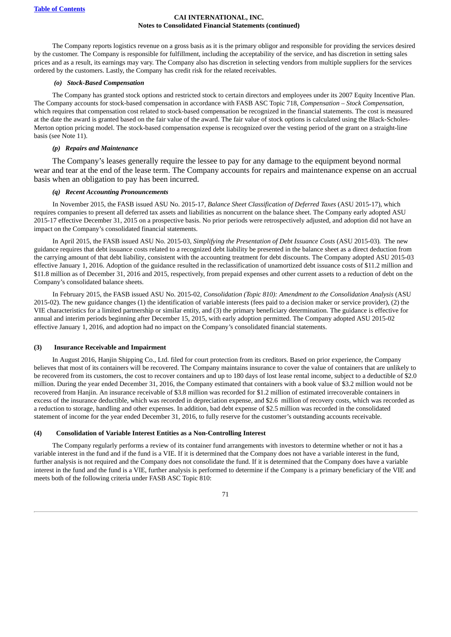The Company reports logistics revenue on a gross basis as it is the primary obligor and responsible for providing the services desired by the customer. The Company is responsible for fulfillment, including the acceptability of the service, and has discretion in setting sales prices and as a result, its earnings may vary. The Company also has discretion in selecting vendors from multiple suppliers for the services ordered by the customers. Lastly, the Company has credit risk for the related receivables.

# *(o) Stock-Based Compensation*

The Company has granted stock options and restricted stock to certain directors and employees under its 2007 Equity Incentive Plan. The Company accounts for stock-based compensation in accordance with FASB ASC Topic 718, *Compensation – Stock Compensation*, which requires that compensation cost related to stock-based compensation be recognized in the financial statements. The cost is measured at the date the award is granted based on the fair value of the award. The fair value of stock options is calculated using the Black-Scholes-Merton option pricing model. The stock-based compensation expense is recognized over the vesting period of the grant on a straight-line basis (see Note 11).

# *(p) Repairs and Maintenance*

The Company's leases generally require the lessee to pay for any damage to the equipment beyond normal wear and tear at the end of the lease term. The Company accounts for repairs and maintenance expense on an accrual basis when an obligation to pay has been incurred.

# *(q) Recent Accounting Pronouncements*

In November 2015, the FASB issued ASU No. 2015-17, *Balance Sheet Classification of Deferred Taxes* (ASU 2015-17), which requires companies to present all deferred tax assets and liabilities as noncurrent on the balance sheet. The Company early adopted ASU 2015-17 effective December 31, 2015 on a prospective basis. No prior periods were retrospectively adjusted, and adoption did not have an impact on the Company's consolidated financial statements.

In April 2015, the FASB issued ASU No. 2015-03, *Simplifying the Presentation of Debt Issuance Costs* (ASU 2015-03)*.* The new guidance requires that debt issuance costs related to a recognized debt liability be presented in the balance sheet as a direct deduction from the carrying amount of that debt liability, consistent with the accounting treatment for debt discounts. The Company adopted ASU 2015-03 effective January 1, 2016. Adoption of the guidance resulted in the reclassification of unamortized debt issuance costs of \$11.2 million and \$11.8 million as of December 31, 2016 and 2015, respectively, from prepaid expenses and other current assets to a reduction of debt on the Company's consolidated balance sheets.

In February 2015, the FASB issued ASU No. 2015-02, *Consolidation (Topic 810): Amendment to the Consolidation Analysis* (ASU 2015-02). The new guidance changes (1) the identification of variable interests (fees paid to a decision maker or service provider), (2) the VIE characteristics for a limited partnership or similar entity, and (3) the primary beneficiary determination. The guidance is effective for annual and interim periods beginning after December 15, 2015, with early adoption permitted. The Company adopted ASU 2015-02 effective January 1, 2016, and adoption had no impact on the Company's consolidated financial statements.

# **(3) Insurance Receivable and Impairment**

In August 2016, Hanjin Shipping Co., Ltd. filed for court protection from its creditors. Based on prior experience, the Company believes that most of its containers will be recovered. The Company maintains insurance to cover the value of containers that are unlikely to be recovered from its customers, the cost to recover containers and up to 180 days of lost lease rental income, subject to a deductible of \$2.0 million. During the year ended December 31, 2016, the Company estimated that containers with a book value of \$3.2 million would not be recovered from Hanjin. An insurance receivable of \$3.8 million was recorded for \$1.2 million of estimated irrecoverable containers in excess of the insurance deductible, which was recorded in depreciation expense, and \$2.6 million of recovery costs, which was recorded as a reduction to storage, handling and other expenses. In addition, bad debt expense of \$2.5 million was recorded in the consolidated statement of income for the year ended December 31, 2016, to fully reserve for the customer's outstanding accounts receivable.

# **(4) Consolidation of Variable Interest Entities as a Non-Controlling Interest**

The Company regularly performs a review of its container fund arrangements with investors to determine whether or not it has a variable interest in the fund and if the fund is a VIE. If it is determined that the Company does not have a variable interest in the fund, further analysis is not required and the Company does not consolidate the fund. If it is determined that the Company does have a variable interest in the fund and the fund is a VIE, further analysis is performed to determine if the Company is a primary beneficiary of the VIE and meets both of the following criteria under FASB ASC Topic 810:

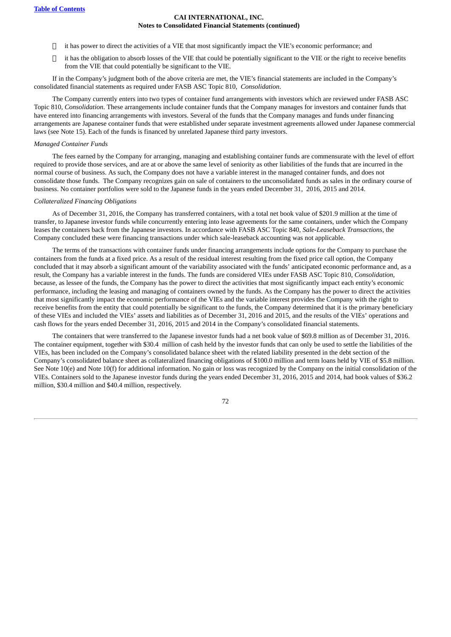- $\Box$  it has power to direct the activities of a VIE that most significantly impact the VIE's economic performance; and
- $\Box$  it has the obligation to absorb losses of the VIE that could be potentially significant to the VIE or the right to receive benefits from the VIE that could potentially be significant to the VIE.

If in the Company's judgment both of the above criteria are met, the VIE's financial statements are included in the Company's consolidated financial statements as required under FASB ASC Topic 810, *Consolidation*.

The Company currently enters into two types of container fund arrangements with investors which are reviewed under FASB ASC Topic 810, *Consolidation*. These arrangements include container funds that the Company manages for investors and container funds that have entered into financing arrangements with investors. Several of the funds that the Company manages and funds under financing arrangements are Japanese container funds that were established under separate investment agreements allowed under Japanese commercial laws (see Note 15). Each of the funds is financed by unrelated Japanese third party investors.

## *Managed Container Funds*

The fees earned by the Company for arranging, managing and establishing container funds are commensurate with the level of effort required to provide those services, and are at or above the same level of seniority as other liabilities of the funds that are incurred in the normal course of business. As such, the Company does not have a variable interest in the managed container funds, and does not consolidate those funds. The Company recognizes gain on sale of containers to the unconsolidated funds as sales in the ordinary course of business. No container portfolios were sold to the Japanese funds in the years ended December 31, 2016, 2015 and 2014.

## *Collateralized Financing Obligations*

As of December 31, 2016, the Company has transferred containers, with a total net book value of \$201.9 million at the time of transfer, to Japanese investor funds while concurrently entering into lease agreements for the same containers, under which the Company leases the containers back from the Japanese investors. In accordance with FASB ASC Topic 840, *Sale-Leaseback Transactions,* the Company concluded these were financing transactions under which sale-leaseback accounting was not applicable.

The terms of the transactions with container funds under financing arrangements include options for the Company to purchase the containers from the funds at a fixed price. As a result of the residual interest resulting from the fixed price call option, the Company concluded that it may absorb a significant amount of the variability associated with the funds' anticipated economic performance and, as a result, the Company has a variable interest in the funds. The funds are considered VIEs under FASB ASC Topic 810, *Consolidation*, because, as lessee of the funds, the Company has the power to direct the activities that most significantly impact each entity's economic performance, including the leasing and managing of containers owned by the funds. As the Company has the power to direct the activities that most significantly impact the economic performance of the VIEs and the variable interest provides the Company with the right to receive benefits from the entity that could potentially be significant to the funds, the Company determined that it is the primary beneficiary of these VIEs and included the VIEs' assets and liabilities as of December 31, 2016 and 2015, and the results of the VIEs' operations and cash flows for the years ended December 31, 2016, 2015 and 2014 in the Company's consolidated financial statements.

The containers that were transferred to the Japanese investor funds had a net book value of \$69.8 million as of December 31, 2016. The container equipment, together with \$30.4 million of cash held by the investor funds that can only be used to settle the liabilities of the VIEs, has been included on the Company's consolidated balance sheet with the related liability presented in the debt section of the Company's consolidated balance sheet as collateralized financing obligations of \$100.0 million and term loans held by VIE of \$5.8 million. See Note 10(e) and Note 10(f) for additional information. No gain or loss was recognized by the Company on the initial consolidation of the VIEs. Containers sold to the Japanese investor funds during the years ended December 31, 2016, 2015 and 2014, had book values of \$36.2 million, \$30.4 million and \$40.4 million, respectively.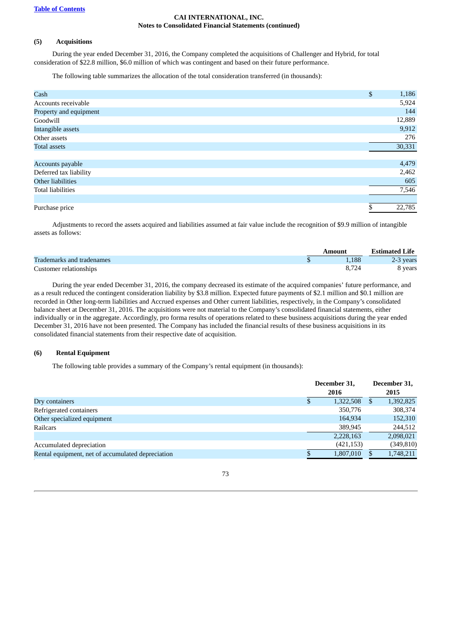# **(5) Acquisitions**

During the year ended December 31, 2016, the Company completed the acquisitions of Challenger and Hybrid, for total consideration of \$22.8 million, \$6.0 million of which was contingent and based on their future performance.

The following table summarizes the allocation of the total consideration transferred (in thousands):

| Cash                     | \$<br>1,186  |
|--------------------------|--------------|
| Accounts receivable      | 5,924        |
| Property and equipment   | 144          |
| Goodwill                 | 12,889       |
| Intangible assets        | 9,912        |
| Other assets             | 276          |
| <b>Total assets</b>      | 30,331       |
|                          |              |
| Accounts payable         | 4,479        |
| Deferred tax liability   | 2,462        |
| Other liabilities        | 605          |
| <b>Total liabilities</b> | 7,546        |
|                          |              |
| Purchase price           | \$<br>22,785 |

Adjustments to record the assets acquired and liabilities assumed at fair value include the recognition of \$9.9 million of intangible assets as follows:

|                           | Amount | Estimated Life |
|---------------------------|--------|----------------|
| Trademarks and tradenames | 1.188  | 2-3 years      |
| Customer relationships    |        | 8 vears        |

During the year ended December 31, 2016, the company decreased its estimate of the acquired companies' future performance, and as a result reduced the contingent consideration liability by \$3.8 million. Expected future payments of \$2.1 million and \$0.1 million are recorded in Other long-term liabilities and Accrued expenses and Other current liabilities, respectively, in the Company's consolidated balance sheet at December 31, 2016. The acquisitions were not material to the Company's consolidated financial statements, either individually or in the aggregate. Accordingly, pro forma results of operations related to these business acquisitions during the year ended December 31, 2016 have not been presented. The Company has included the financial results of these business acquisitions in its consolidated financial statements from their respective date of acquisition.

# **(6) Rental Equipment**

The following table provides a summary of the Company's rental equipment (in thousands):

|                                                   | December 31,<br>2016 |              | December 31,<br>2015 |
|---------------------------------------------------|----------------------|--------------|----------------------|
| Dry containers                                    | 1,322,508            | <sup>S</sup> | 1,392,825            |
| Refrigerated containers                           | 350,776              |              | 308,374              |
| Other specialized equipment                       | 164,934              |              | 152,310              |
| Railcars                                          | 389,945              |              | 244,512              |
|                                                   | 2,228,163            |              | 2,098,021            |
| Accumulated depreciation                          | (421, 153)           |              | (349, 810)           |
| Rental equipment, net of accumulated depreciation | 1,807,010            |              | 1,748,211            |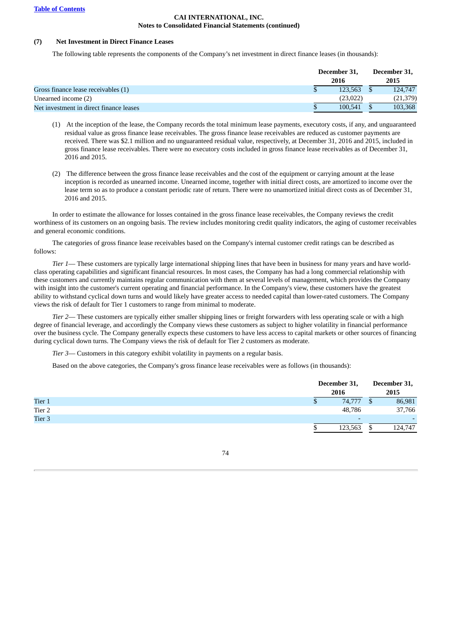# **(7) Net Investment in Direct Finance Leases**

The following table represents the components of the Company's net investment in direct finance leases (in thousands):

|                                         | December 31, | December 31, |           |  |
|-----------------------------------------|--------------|--------------|-----------|--|
|                                         | 2016         |              | 2015      |  |
| Gross finance lease receivables (1)     | 123.563      |              | 124,747   |  |
| Unearned income (2)                     | (23,022)     |              | (21, 379) |  |
| Net investment in direct finance leases | 100.541      |              | 103,368   |  |

- (1) At the inception of the lease, the Company records the total minimum lease payments, executory costs, if any, and unguaranteed residual value as gross finance lease receivables. The gross finance lease receivables are reduced as customer payments are received. There was \$2.1 million and no unguaranteed residual value, respectively, at December 31, 2016 and 2015, included in gross finance lease receivables. There were no executory costs included in gross finance lease receivables as of December 31, 2016 and 2015.
- (2) The difference between the gross finance lease receivables and the cost of the equipment or carrying amount at the lease inception is recorded as unearned income. Unearned income, together with initial direct costs, are amortized to income over the lease term so as to produce a constant periodic rate of return. There were no unamortized initial direct costs as of December 31, 2016 and 2015.

In order to estimate the allowance for losses contained in the gross finance lease receivables, the Company reviews the credit worthiness of its customers on an ongoing basis. The review includes monitoring credit quality indicators, the aging of customer receivables and general economic conditions.

The categories of gross finance lease receivables based on the Company's internal customer credit ratings can be described as follows:

*Tier 1*— These customers are typically large international shipping lines that have been in business for many years and have worldclass operating capabilities and significant financial resources. In most cases, the Company has had a long commercial relationship with these customers and currently maintains regular communication with them at several levels of management, which provides the Company with insight into the customer's current operating and financial performance. In the Company's view, these customers have the greatest ability to withstand cyclical down turns and would likely have greater access to needed capital than lower-rated customers. The Company views the risk of default for Tier 1 customers to range from minimal to moderate.

*Tier 2*— These customers are typically either smaller shipping lines or freight forwarders with less operating scale or with a high degree of financial leverage, and accordingly the Company views these customers as subject to higher volatility in financial performance over the business cycle. The Company generally expects these customers to have less access to capital markets or other sources of financing during cyclical down turns. The Company views the risk of default for Tier 2 customers as moderate.

*Tier 3*— Customers in this category exhibit volatility in payments on a regular basis.

Based on the above categories, the Company's gross finance lease receivables were as follows (in thousands):

|        | December 31,<br>2016     | December 31,<br>2015     |
|--------|--------------------------|--------------------------|
| Tier 1 | 74,777 \$                | 86,981                   |
| Tier 2 | 48,786                   | 37,766                   |
| Tier 3 | $\overline{\phantom{0}}$ | $\overline{\phantom{0}}$ |
|        | 123,563                  | 124,747                  |
|        |                          |                          |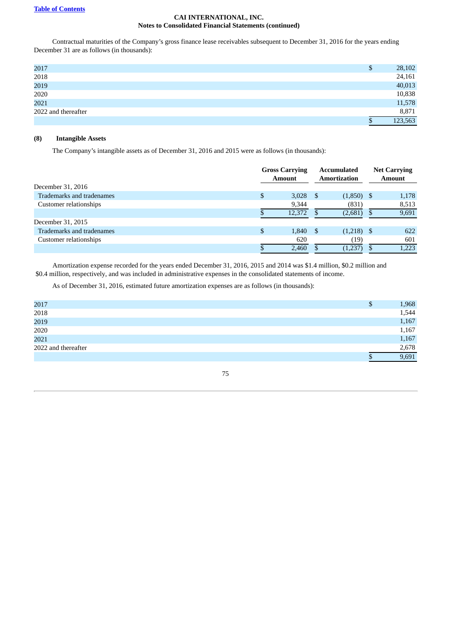## **CAI INTERNATIONAL, INC. Notes to Consolidated Financial Statements (continued)**

Contractual maturities of the Company's gross finance lease receivables subsequent to December 31, 2016 for the years ending December 31 are as follows (in thousands):

| 2017                | \$<br>28,102 |
|---------------------|--------------|
| 2018                | 24,161       |
| 2019                | 40,013       |
| 2020                | 10,838       |
| 2021                | 11,578       |
| 2022 and thereafter | 8,871        |
|                     | 123,563      |

# **(8) Intangible Assets**

The Company's intangible assets as of December 31, 2016 and 2015 were as follows (in thousands):

|                           | <b>Gross Carrying</b><br><b>Amount</b> |      | Accumulated<br><b>Amortization</b> | <b>Net Carrying</b><br><b>Amount</b> |
|---------------------------|----------------------------------------|------|------------------------------------|--------------------------------------|
| December 31, 2016         |                                        |      |                                    |                                      |
| Trademarks and tradenames | \$<br>$3,028$ \$                       |      | $(1,850)$ \$                       | 1,178                                |
| Customer relationships    | 9,344                                  |      | (831)                              | 8,513                                |
|                           | 12,372                                 |      | (2,681)                            | 9,691                                |
| December 31, 2015         |                                        |      |                                    |                                      |
| Trademarks and tradenames | \$<br>1,840                            | - \$ | $(1,218)$ \$                       | 622                                  |
| Customer relationships    | 620                                    |      | (19)                               | 601                                  |
|                           | 2,460                                  |      | (1,237)                            | 1,223                                |

Amortization expense recorded for the years ended December 31, 2016, 2015 and 2014 was \$1.4 million, \$0.2 million and \$0.4 million, respectively, and was included in administrative expenses in the consolidated statements of income.

As of December 31, 2016, estimated future amortization expenses are as follows (in thousands):

| 2017                | \$ | 1,968 |
|---------------------|----|-------|
| 2018                |    | 1,544 |
| 2019                |    | 1,167 |
| 2020                |    | 1,167 |
| 2021                |    | 1,167 |
| 2022 and thereafter |    | 2,678 |
|                     | Φ  | 9,691 |

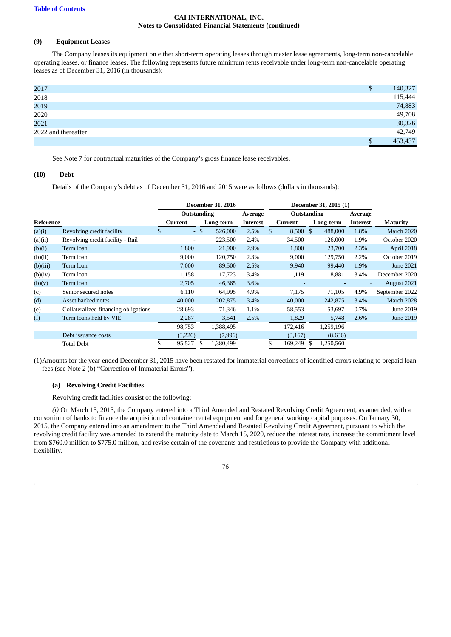# **(9) Equipment Leases**

The Company leases its equipment on either short-term operating leases through master lease agreements, long-term non-cancelable operating leases, or finance leases. The following represents future minimum rents receivable under long-term non-cancelable operating leases as of December 31, 2016 (in thousands):

| 2017                | \$ | 140,327 |
|---------------------|----|---------|
| 2018                |    | 115,444 |
| 2019                |    | 74,883  |
| 2020                |    | 49,708  |
| 2021                |    | 30,326  |
| 2022 and thereafter |    | 42,749  |
|                     | мD | 453,437 |
|                     |    |         |

See Note 7 for contractual maturities of the Company's gross finance lease receivables.

# **(10) Debt**

Details of the Company's debt as of December 31, 2016 and 2015 were as follows (dollars in thousands):

|           |                                      |         |                    |      | <b>December 31, 2016</b> |                 | December 31, 2015 (1) |             |  |           |                 |                  |
|-----------|--------------------------------------|---------|--------------------|------|--------------------------|-----------------|-----------------------|-------------|--|-----------|-----------------|------------------|
|           |                                      |         | <b>Outstanding</b> |      |                          | Average         |                       | Outstanding |  |           | Average         |                  |
| Reference |                                      | Current |                    |      | Long-term                | <b>Interest</b> |                       | Current     |  | Long-term | <b>Interest</b> | <b>Maturity</b>  |
| (a)(i)    | Revolving credit facility            | \$      |                    | $-5$ | 526,000                  | 2.5%            | S.                    | $8,500$ \$  |  | 488,000   | 1.8%            | March 2020       |
| (a)(ii)   | Revolving credit facility - Rail     |         | ۰                  |      | 223,500                  | 2.4%            |                       | 34,500      |  | 126,000   | 1.9%            | October 2020     |
| (b)(i)    | Term loan                            |         | 1,800              |      | 21,900                   | 2.9%            |                       | 1,800       |  | 23,700    | 2.3%            | April 2018       |
| (b)(ii)   | Term loan                            |         | 9,000              |      | 120,750                  | 2.3%            |                       | 9,000       |  | 129,750   | 2.2%            | October 2019     |
| (b)(iii)  | Term loan                            |         | 7,000              |      | 89,500                   | 2.5%            |                       | 9,940       |  | 99,440    | 1.9%            | <b>June 2021</b> |
| (b)(iv)   | Term loan                            |         | 1,158              |      | 17,723                   | 3.4%            |                       | 1,119       |  | 18,881    | 3.4%            | December 2020    |
| (b)(v)    | Term loan                            |         | 2,705              |      | 46,365                   | 3.6%            |                       |             |  |           |                 | August 2021      |
| (c)       | Senior secured notes                 |         | 6,110              |      | 64,995                   | 4.9%            |                       | 7,175       |  | 71,105    | 4.9%            | September 2022   |
| (d)       | Asset backed notes                   |         | 40,000             |      | 202,875                  | 3.4%            |                       | 40,000      |  | 242,875   | 3.4%            | March 2028       |
| (e)       | Collateralized financing obligations |         | 28,693             |      | 71,346                   | 1.1%            |                       | 58,553      |  | 53,697    | 0.7%            | June 2019        |
| (f)       | Term loans held by VIE               |         | 2,287              |      | 3,541                    | 2.5%            |                       | 1,829       |  | 5,748     | 2.6%            | June 2019        |
|           |                                      |         | 98,753             |      | 1,388,495                |                 |                       | 172,416     |  | 1,259,196 |                 |                  |
|           | Debt issuance costs                  |         | (3,226)            |      | (7,996)                  |                 |                       | (3, 167)    |  | (8,636)   |                 |                  |
|           | <b>Total Debt</b>                    |         | 95,527             | -S   | 1,380,499                |                 |                       | 169,249     |  | 1,250,560 |                 |                  |

(1)Amounts for the year ended December 31, 2015 have been restated for immaterial corrections of identified errors relating to prepaid loan fees (see Note 2 (b) "Correction of Immaterial Errors").

# **(a) Revolving Credit Facilities**

Revolving credit facilities consist of the following:

*(i)* On March 15, 2013, the Company entered into a Third Amended and Restated Revolving Credit Agreement, as amended, with a consortium of banks to finance the acquisition of container rental equipment and for general working capital purposes. On January 30, 2015, the Company entered into an amendment to the Third Amended and Restated Revolving Credit Agreement, pursuant to which the revolving credit facility was amended to extend the maturity date to March 15, 2020, reduce the interest rate, increase the commitment level from \$760.0 million to \$775.0 million, and revise certain of the covenants and restrictions to provide the Company with additional flexibility.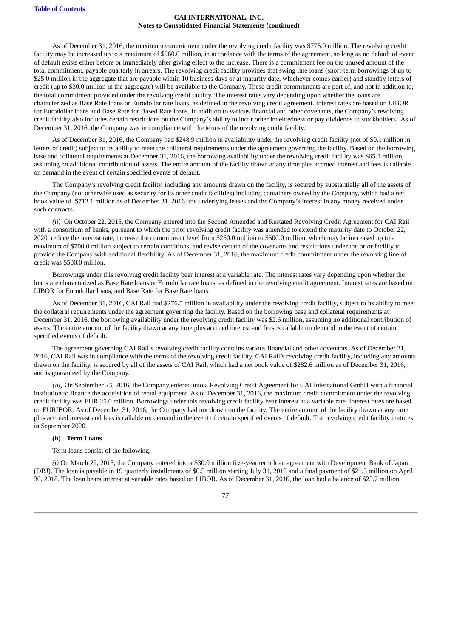As of December 31, 2016, the maximum commitment under the revolving credit facility was \$775.0 million. The revolving credit facility may be increased up to a maximum of \$960.0 million, in accordance with the terms of the agreement, so long as no default of event of default exists either before or immediately after giving effect to the increase. There is a commitment fee on the unused amount of the total commitment, payable quarterly in arrears. The revolving credit facility provides that swing line loans (short-term borrowings of up to \$25.0 million in the aggregate that are payable within 10 business days or at maturity date, whichever comes earlier) and standby letters of credit (up to \$30.0 million in the aggregate) will be available to the Company. These credit commitments are part of, and not in addition to, the total commitment provided under the revolving credit facility. The interest rates vary depending upon whether the loans are characterized as Base Rate loans or Eurodollar rate loans, as defined in the revolving credit agreement. Interest rates are based on LIBOR for Eurodollar loans and Base Rate for Based Rate loans. In addition to various financial and other covenants, the Company's revolving credit facility also includes certain restrictions on the Company's ability to incur other indebtedness or pay dividends to stockholders. As of December 31, 2016, the Company was in compliance with the terms of the revolving credit facility.

As of December 31, 2016, the Company had \$248.9 million in availability under the revolving credit facility (net of \$0.1 million in letters of credit) subject to its ability to meet the collateral requirements under the agreement governing the facility. Based on the borrowing base and collateral requirements at December 31, 2016, the borrowing availability under the revolving credit facility was \$65.1 million, assuming no additional contribution of assets. The entire amount of the facility drawn at any time plus accrued interest and fees is callable on demand in the event of certain specified events of default.

The Company's revolving credit facility, including any amounts drawn on the facility, is secured by substantially all of the assets of the Company (not otherwise used as security for its other credit facilities) including containers owned by the Company, which had a net book value of \$713.1 million as of December 31, 2016, the underlying leases and the Company's interest in any money received under such contracts.

*(ii)* On October 22, 2015, the Company entered into the Second Amended and Restated Revolving Credit Agreement for CAI Rail with a consortium of banks, pursuant to which the prior revolving credit facility was amended to extend the maturity date to October 22, 2020, reduce the interest rate, increase the commitment level from \$250.0 million to \$500.0 million, which may be increased up to a maximum of \$700.0 million subject to certain conditions, and revise certain of the covenants and restrictions under the prior facility to provide the Company with additional flexibility. As of December 31, 2016, the maximum credit commitment under the revolving line of credit was \$500.0 million.

Borrowings under this revolving credit facility bear interest at a variable rate. The interest rates vary depending upon whether the loans are characterized as Base Rate loans or Eurodollar rate loans, as defined in the revolving credit agreement. Interest rates are based on LIBOR for Eurodollar loans, and Base Rate for Base Rate loans.

As of December 31, 2016, CAI Rail had \$276.5 million in availability under the revolving credit facility, subject to its ability to meet the collateral requirements under the agreement governing the facility. Based on the borrowing base and collateral requirements at December 31, 2016, the borrowing availability under the revolving credit facility was \$2.6 million, assuming no additional contribution of assets. The entire amount of the facility drawn at any time plus accrued interest and fees is callable on demand in the event of certain specified events of default.

The agreement governing CAI Rail's revolving credit facility contains various financial and other covenants. As of December 31, 2016, CAI Rail was in compliance with the terms of the revolving credit facility. CAI Rail's revolving credit facility, including any amounts drawn on the facility, is secured by all of the assets of CAI Rail, which had a net book value of \$282.6 million as of December 31, 2016, and is guaranteed by the Company.

*(iii)* On September 23, 2016, the Company entered into a Revolving Credit Agreement for CAI International GmbH with a financial institution to finance the acquisition of rental equipment. As of December 31, 2016, the maximum credit commitment under the revolving credit facility was EUR 25.0 million. Borrowings under this revolving credit facility bear interest at a variable rate. Interest rates are based on EURIBOR. As of December 31, 2016, the Company had not drawn on the facility. The entire amount of the facility drawn at any time plus accrued interest and fees is callable on demand in the event of certain specified events of default. The revolving credit facility matures in September 2020.

#### **(b) Term Loans**

### Term loans consist of the following:

*(i)* On March 22, 2013, the Company entered into a \$30.0 million five-year term loan agreement with Development Bank of Japan (DBJ). The loan is payable in 19 quarterly installments of \$0.5 million starting July 31, 2013 and a final payment of \$21.5 million on April 30, 2018. The loan bears interest at variable rates based on LIBOR. As of December 31, 2016, the loan had a balance of \$23.7 million.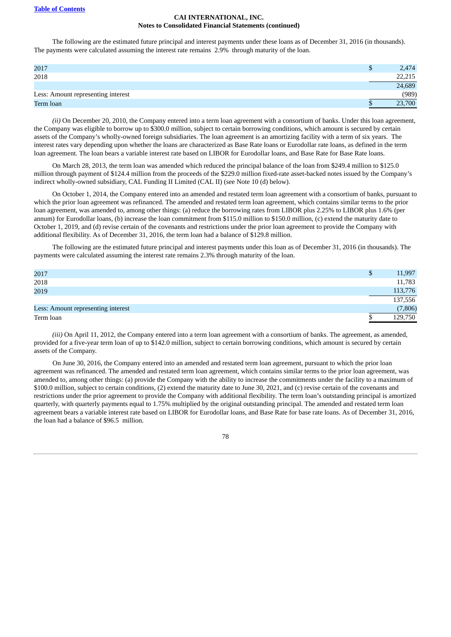## **CAI INTERNATIONAL, INC. Notes to Consolidated Financial Statements (continued)**

The following are the estimated future principal and interest payments under these loans as of December 31, 2016 (in thousands). The payments were calculated assuming the interest rate remains 2.9% through maturity of the loan.

| 2017                               | 2,474  |
|------------------------------------|--------|
| 2018                               | 22,215 |
|                                    | 24,689 |
| Less: Amount representing interest | (989)  |
| Term loan                          | 23,700 |

*(ii)* On December 20, 2010, the Company entered into a term loan agreement with a consortium of banks. Under this loan agreement, the Company was eligible to borrow up to \$300.0 million, subject to certain borrowing conditions, which amount is secured by certain assets of the Company's wholly-owned foreign subsidiaries. The loan agreement is an amortizing facility with a term of six years. The interest rates vary depending upon whether the loans are characterized as Base Rate loans or Eurodollar rate loans, as defined in the term loan agreement. The loan bears a variable interest rate based on LIBOR for Eurodollar loans, and Base Rate for Base Rate loans.

On March 28, 2013, the term loan was amended which reduced the principal balance of the loan from \$249.4 million to \$125.0 million through payment of \$124.4 million from the proceeds of the \$229.0 million fixed-rate asset-backed notes issued by the Company's indirect wholly-owned subsidiary, CAL Funding II Limited (CAL II) (see Note 10 (d) below).

On October 1, 2014, the Company entered into an amended and restated term loan agreement with a consortium of banks, pursuant to which the prior loan agreement was refinanced. The amended and restated term loan agreement, which contains similar terms to the prior loan agreement, was amended to, among other things: (a) reduce the borrowing rates from LIBOR plus 2.25% to LIBOR plus 1.6% (per annum) for Eurodollar loans, (b) increase the loan commitment from \$115.0 million to \$150.0 million, (c) extend the maturity date to October 1, 2019, and (d) revise certain of the covenants and restrictions under the prior loan agreement to provide the Company with additional flexibility. As of December 31, 2016, the term loan had a balance of \$129.8 million.

The following are the estimated future principal and interest payments under this loan as of December 31, 2016 (in thousands). The payments were calculated assuming the interest rate remains 2.3% through maturity of the loan.

| 2017                               | S | 11,997  |
|------------------------------------|---|---------|
| 2018                               |   | 11,783  |
| 2019                               |   | 113,776 |
|                                    |   | 137,556 |
| Less: Amount representing interest |   | (7,806) |
| Term loan                          |   | 129,750 |

*(iii)* On April 11, 2012, the Company entered into a term loan agreement with a consortium of banks. The agreement, as amended, provided for a five-year term loan of up to \$142.0 million, subject to certain borrowing conditions, which amount is secured by certain assets of the Company.

On June 30, 2016, the Company entered into an amended and restated term loan agreement, pursuant to which the prior loan agreement was refinanced. The amended and restated term loan agreement, which contains similar terms to the prior loan agreement, was amended to, among other things: (a) provide the Company with the ability to increase the commitments under the facility to a maximum of \$100.0 million, subject to certain conditions, (2) extend the maturity date to June 30, 2021, and (c) revise certain of the covenants and restrictions under the prior agreement to provide the Company with additional flexibility. The term loan's outstanding principal is amortized quarterly, with quarterly payments equal to 1.75% multiplied by the original outstanding principal. The amended and restated term loan agreement bears a variable interest rate based on LIBOR for Eurodollar loans, and Base Rate for base rate loans. As of December 31, 2016, the loan had a balance of \$96.5 million.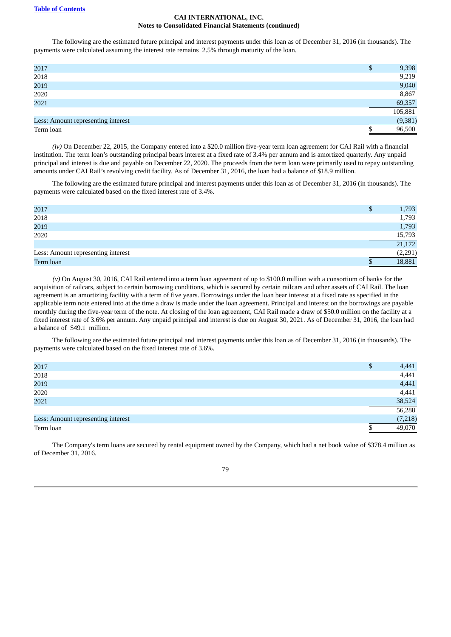The following are the estimated future principal and interest payments under this loan as of December 31, 2016 (in thousands). The payments were calculated assuming the interest rate remains 2.5% through maturity of the loan.

| 2017                               | \$ | 9,398    |
|------------------------------------|----|----------|
| 2018                               |    | 9,219    |
| 2019                               |    | 9,040    |
| 2020                               |    | 8,867    |
| 2021                               |    | 69,357   |
|                                    |    | 105,881  |
| Less: Amount representing interest |    | (9, 381) |
| Term loan                          | ω  | 96,500   |

*(iv)* On December 22, 2015, the Company entered into a \$20.0 million five-year term loan agreement for CAI Rail with a financial institution. The term loan's outstanding principal bears interest at a fixed rate of 3.4% per annum and is amortized quarterly. Any unpaid principal and interest is due and payable on December 22, 2020. The proceeds from the term loan were primarily used to repay outstanding amounts under CAI Rail's revolving credit facility. As of December 31, 2016, the loan had a balance of \$18.9 million.

The following are the estimated future principal and interest payments under this loan as of December 31, 2016 (in thousands). The payments were calculated based on the fixed interest rate of 3.4%.

| 2017                               | P. | 1,793   |
|------------------------------------|----|---------|
| 2018                               |    | 1,793   |
| 2019                               |    | 1,793   |
| 2020                               |    | 15,793  |
|                                    |    | 21,172  |
| Less: Amount representing interest |    | (2,291) |
| Term loan                          |    | 18,881  |

*(v)* On August 30, 2016, CAI Rail entered into a term loan agreement of up to \$100.0 million with a consortium of banks for the acquisition of railcars, subject to certain borrowing conditions, which is secured by certain railcars and other assets of CAI Rail. The loan agreement is an amortizing facility with a term of five years. Borrowings under the loan bear interest at a fixed rate as specified in the applicable term note entered into at the time a draw is made under the loan agreement. Principal and interest on the borrowings are payable monthly during the five-year term of the note. At closing of the loan agreement, CAI Rail made a draw of \$50.0 million on the facility at a fixed interest rate of 3.6% per annum. Any unpaid principal and interest is due on August 30, 2021. As of December 31, 2016, the loan had a balance of \$49.1 million.

The following are the estimated future principal and interest payments under this loan as of December 31, 2016 (in thousands). The payments were calculated based on the fixed interest rate of 3.6%.

| 2017                               | \$<br>4,441 |
|------------------------------------|-------------|
| 2018                               | 4,441       |
| 2019                               | 4,441       |
| 2020                               | 4,441       |
| 2021                               | 38,524      |
|                                    | 56,288      |
| Less: Amount representing interest | (7,218)     |
| Term loan                          | 49,070      |

The Company's term loans are secured by rental equipment owned by the Company, which had a net book value of \$378.4 million as of December 31, 2016.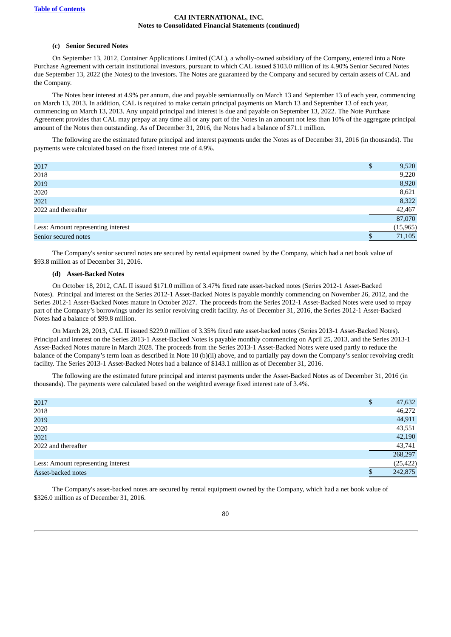### **(c) Senior Secured Notes**

On September 13, 2012, Container Applications Limited (CAL), a wholly-owned subsidiary of the Company, entered into a Note Purchase Agreement with certain institutional investors, pursuant to which CAL issued \$103.0 million of its 4.90% Senior Secured Notes due September 13, 2022 (the Notes) to the investors. The Notes are guaranteed by the Company and secured by certain assets of CAL and the Company.

The Notes bear interest at 4.9% per annum, due and payable semiannually on March 13 and September 13 of each year, commencing on March 13, 2013. In addition, CAL is required to make certain principal payments on March 13 and September 13 of each year, commencing on March 13, 2013. Any unpaid principal and interest is due and payable on September 13, 2022. The Note Purchase Agreement provides that CAL may prepay at any time all or any part of the Notes in an amount not less than 10% of the aggregate principal amount of the Notes then outstanding. As of December 31, 2016, the Notes had a balance of \$71.1 million.

The following are the estimated future principal and interest payments under the Notes as of December 31, 2016 (in thousands). The payments were calculated based on the fixed interest rate of 4.9%.

| 2017                               | \$<br>9,520 |
|------------------------------------|-------------|
| 2018                               | 9,220       |
| 2019                               | 8,920       |
| 2020                               | 8,621       |
| 2021                               | 8,322       |
| 2022 and thereafter                | 42,467      |
|                                    | 87,070      |
| Less: Amount representing interest | (15, 965)   |
| Senior secured notes               | 71,105      |

The Company's senior secured notes are secured by rental equipment owned by the Company, which had a net book value of \$93.8 million as of December 31, 2016.

## **(d) Asset-Backed Notes**

On October 18, 2012, CAL II issued \$171.0 million of 3.47% fixed rate asset-backed notes (Series 2012-1 Asset-Backed Notes). Principal and interest on the Series 2012-1 Asset-Backed Notes is payable monthly commencing on November 26, 2012, and the Series 2012-1 Asset-Backed Notes mature in October 2027. The proceeds from the Series 2012-1 Asset-Backed Notes were used to repay part of the Company's borrowings under its senior revolving credit facility. As of December 31, 2016, the Series 2012-1 Asset-Backed Notes had a balance of \$99.8 million.

On March 28, 2013, CAL II issued \$229.0 million of 3.35% fixed rate asset-backed notes (Series 2013-1 Asset-Backed Notes). Principal and interest on the Series 2013-1 Asset-Backed Notes is payable monthly commencing on April 25, 2013, and the Series 2013-1 Asset-Backed Notes mature in March 2028. The proceeds from the Series 2013-1 Asset-Backed Notes were used partly to reduce the balance of the Company's term loan as described in Note 10 (b)(ii) above, and to partially pay down the Company's senior revolving credit facility. The Series 2013-1 Asset-Backed Notes had a balance of \$143.1 million as of December 31, 2016.

The following are the estimated future principal and interest payments under the Asset-Backed Notes as of December 31, 2016 (in thousands). The payments were calculated based on the weighted average fixed interest rate of 3.4%.

| 2017                               | \$ | 47,632    |
|------------------------------------|----|-----------|
| 2018                               |    | 46,272    |
| 2019                               |    | 44,911    |
| 2020                               |    | 43,551    |
| 2021                               |    | 42,190    |
| 2022 and thereafter                |    | 43,741    |
|                                    |    | 268,297   |
| Less: Amount representing interest |    | (25, 422) |
| Asset-backed notes                 | ۵D | 242,875   |

The Company's asset-backed notes are secured by rental equipment owned by the Company, which had a net book value of \$326.0 million as of December 31, 2016.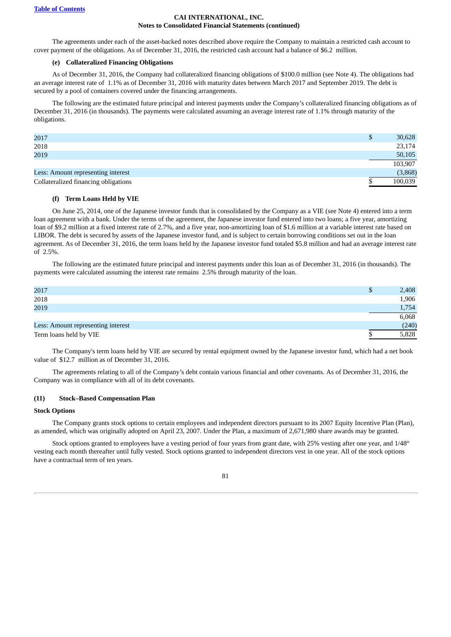The agreements under each of the asset-backed notes described above require the Company to maintain a restricted cash account to cover payment of the obligations. As of December 31, 2016, the restricted cash account had a balance of \$6.2 million.

### **(e) Collateralized Financing Obligations**

As of December 31, 2016, the Company had collateralized financing obligations of \$100.0 million (see Note 4). The obligations had an average interest rate of 1.1% as of December 31, 2016 with maturity dates between March 2017 and September 2019. The debt is secured by a pool of containers covered under the financing arrangements.

The following are the estimated future principal and interest payments under the Company's collateralized financing obligations as of December 31, 2016 (in thousands). The payments were calculated assuming an average interest rate of 1.1% through maturity of the obligations.

| 2017                                 | ъ | 30,628  |
|--------------------------------------|---|---------|
| 2018                                 |   | 23,174  |
| 2019                                 |   | 50,105  |
|                                      |   | 103,907 |
| Less: Amount representing interest   |   | (3,868) |
| Collateralized financing obligations |   | 100,039 |

### **(f) Term Loans Held by VIE**

On June 25, 2014, one of the Japanese investor funds that is consolidated by the Company as a VIE (see Note 4) entered into a term loan agreement with a bank. Under the terms of the agreement, the Japanese investor fund entered into two loans; a five year, amortizing loan of \$9.2 million at a fixed interest rate of 2.7%, and a five year, non-amortizing loan of \$1.6 million at a variable interest rate based on LIBOR. The debt is secured by assets of the Japanese investor fund, and is subject to certain borrowing conditions set out in the loan agreement. As of December 31, 2016, the term loans held by the Japanese investor fund totaled \$5.8 million and had an average interest rate of 2.5%.

The following are the estimated future principal and interest payments under this loan as of December 31, 2016 (in thousands). The payments were calculated assuming the interest rate remains 2.5% through maturity of the loan.

| 2017                               | а | 2,408 |
|------------------------------------|---|-------|
| 2018                               |   | 1,906 |
| 2019                               |   | 1,754 |
|                                    |   | 6,068 |
| Less: Amount representing interest |   | (240) |
| Term loans held by VIE             |   | 5,828 |

The Company's term loans held by VIE are secured by rental equipment owned by the Japanese investor fund, which had a net book value of \$12.7 million as of December 31, 2016.

The agreements relating to all of the Company's debt contain various financial and other covenants. As of December 31, 2016, the Company was in compliance with all of its debt covenants.

### **(11) Stock–Based Compensation Plan**

### **Stock Options**

The Company grants stock options to certain employees and independent directors pursuant to its 2007 Equity Incentive Plan (Plan), as amended, which was originally adopted on April 23, 2007. Under the Plan, a maximum of 2,671,980 share awards may be granted.

Stock options granted to employees have a vesting period of four years from grant date, with 25% vesting after one year, and 1/48<sup>th</sup> vesting each month thereafter until fully vested. Stock options granted to independent directors vest in one year. All of the stock options have a contractual term of ten years.

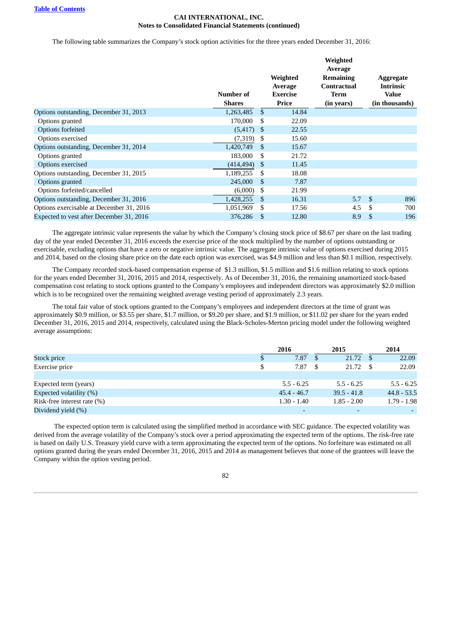The following table summarizes the Company's stock option activities for the three years ended December 31, 2016:

|                                          | Number of     |               | Weighted<br>Average<br><b>Exercise</b> | Weighted<br>Average<br><b>Remaining</b><br>Contractual<br>Term |      | Aggregate<br><b>Intrinsic</b><br>Value |
|------------------------------------------|---------------|---------------|----------------------------------------|----------------------------------------------------------------|------|----------------------------------------|
|                                          | <b>Shares</b> |               | Price                                  | (in years)                                                     |      | (in thousands)                         |
| Options outstanding, December 31, 2013   | 1,263,485     | \$            | 14.84                                  |                                                                |      |                                        |
| Options granted                          | 170,000       | \$            | 22.09                                  |                                                                |      |                                        |
| Options forfeited                        | (5, 417)      | - \$          | 22.55                                  |                                                                |      |                                        |
| Options exercised                        | (7,319)       | S             | 15.60                                  |                                                                |      |                                        |
| Options outstanding, December 31, 2014   | 1,420,749     | <sup>\$</sup> | 15.67                                  |                                                                |      |                                        |
| Options granted                          | 183,000       | S             | 21.72                                  |                                                                |      |                                        |
| Options exercised                        | (414, 494)    | <sup>\$</sup> | 11.45                                  |                                                                |      |                                        |
| Options outstanding, December 31, 2015   | 1,189,255     | \$.           | 18.08                                  |                                                                |      |                                        |
| Options granted                          | 245,000       | \$.           | 7.87                                   |                                                                |      |                                        |
| Options forfeited/cancelled              | (6,000)       | S             | 21.99                                  |                                                                |      |                                        |
| Options outstanding, December 31, 2016   | 1,428,255     | \$.           | 16.31                                  | 5.7                                                            | - \$ | 896                                    |
| Options exercisable at December 31, 2016 | 1,051,969     | \$            | 17.56                                  | 4.5                                                            | \$   | 700                                    |
| Expected to vest after December 31, 2016 | 376,286       | \$            | 12.80                                  | 8.9                                                            | \$   | 196                                    |

The aggregate intrinsic value represents the value by which the Company's closing stock price of \$8.67 per share on the last trading day of the year ended December 31, 2016 exceeds the exercise price of the stock multiplied by the number of options outstanding or exercisable, excluding options that have a zero or negative intrinsic value. The aggregate intrinsic value of options exercised during 2015 and 2014, based on the closing share price on the date each option was exercised, was \$4.9 million and less than \$0.1 million, respectively.

The Company recorded stock-based compensation expense of \$1.3 million, \$1.5 million and \$1.6 million relating to stock options for the years ended December 31, 2016, 2015 and 2014, respectively. As of December 31, 2016, the remaining unamortized stock-based compensation cost relating to stock options granted to the Company's employees and independent directors was approximately \$2.0 million which is to be recognized over the remaining weighted average vesting period of approximately 2.3 years.

The total fair value of stock options granted to the Company's employees and independent directors at the time of grant was approximately \$0.9 million, or \$3.55 per share, \$1.7 million, or \$9.20 per share, and \$1.9 million, or \$11.02 per share for the years ended December 31, 2016, 2015 and 2014, respectively, calculated using the Black-Scholes-Merton pricing model under the following weighted average assumptions:

|                                |   | 2016           |     | 2015          |              | 2014          |
|--------------------------------|---|----------------|-----|---------------|--------------|---------------|
| Stock price                    | S | 7.87           | \$. | 21.72         | $\mathbf{s}$ | 22.09         |
| Exercise price                 | S | 7.87           |     | 21.72         | - \$         | 22.09         |
|                                |   |                |     |               |              |               |
| Expected term (years)          |   | $5.5 - 6.25$   |     | $5.5 - 6.25$  |              | $5.5 - 6.25$  |
| Expected volatility (%)        |   | $45.4 - 46.7$  |     | $39.5 - 41.8$ |              | $44.8 - 53.5$ |
| Risk-free interest rate $(\%)$ |   | $1.30 - 1.40$  |     | $1.85 - 2.00$ |              | $1.79 - 1.98$ |
| Dividend yield (%)             |   | $\overline{a}$ |     |               |              |               |

The expected option term is calculated using the simplified method in accordance with SEC guidance. The expected volatility was derived from the average volatility of the Company's stock over a period approximating the expected term of the options. The risk-free rate is based on daily U.S. Treasury yield curve with a term approximating the expected term of the options. No forfeiture was estimated on all options granted during the years ended December 31, 2016, 2015 and 2014 as management believes that none of the grantees will leave the Company within the option vesting period.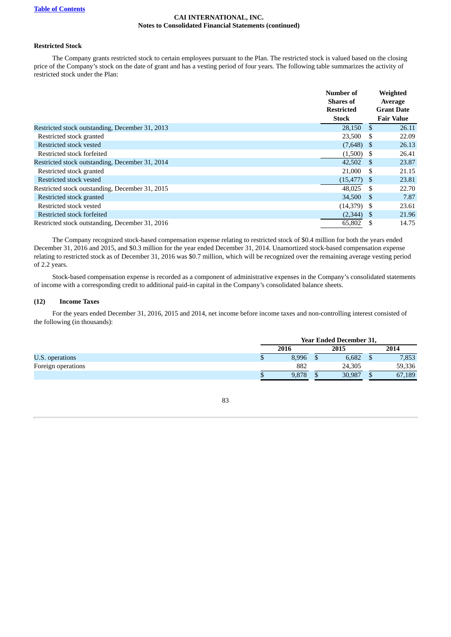## **Restricted Stock**

The Company grants restricted stock to certain employees pursuant to the Plan. The restricted stock is valued based on the closing price of the Company's stock on the date of grant and has a vesting period of four years. The following table summarizes the activity of restricted stock under the Plan:

|                                                 | Number of<br><b>Shares of</b><br><b>Restricted</b> |      | Weighted<br>Average<br><b>Grant Date</b> |
|-------------------------------------------------|----------------------------------------------------|------|------------------------------------------|
|                                                 | <b>Stock</b>                                       |      | <b>Fair Value</b>                        |
| Restricted stock outstanding, December 31, 2013 | 28,150                                             | -\$  | 26.11                                    |
| Restricted stock granted                        | 23,500                                             | -S   | 22.09                                    |
| Restricted stock vested                         | $(7,648)$ \$                                       |      | 26.13                                    |
| Restricted stock forfeited                      | (1,500)                                            | - \$ | 26.41                                    |
| Restricted stock outstanding, December 31, 2014 | 42,502                                             | - \$ | 23.87                                    |
| Restricted stock granted                        | 21,000                                             | - \$ | 21.15                                    |
| Restricted stock vested                         | (15, 477)                                          | - \$ | 23.81                                    |
| Restricted stock outstanding, December 31, 2015 | 48,025                                             | - \$ | 22.70                                    |
| Restricted stock granted                        | 34,500                                             | - \$ | 7.87                                     |
| Restricted stock vested                         | $(14,379)$ \$                                      |      | 23.61                                    |
| Restricted stock forfeited                      | $(2,344)$ \$                                       |      | 21.96                                    |
| Restricted stock outstanding, December 31, 2016 | 65,802                                             | -S   | 14.75                                    |

The Company recognized stock-based compensation expense relating to restricted stock of \$0.4 million for both the years ended December 31, 2016 and 2015, and \$0.3 million for the year ended December 31, 2014. Unamortized stock-based compensation expense relating to restricted stock as of December 31, 2016 was \$0.7 million, which will be recognized over the remaining average vesting period of 2.2 years.

Stock-based compensation expense is recorded as a component of administrative expenses in the Company's consolidated statements of income with a corresponding credit to additional paid-in capital in the Company's consolidated balance sheets.

### **(12) Income Taxes**

For the years ended December 31, 2016, 2015 and 2014, net income before income taxes and non-controlling interest consisted of the following (in thousands):

|                    |   | <b>Year Ended December 31,</b> |  |        |   |        |
|--------------------|---|--------------------------------|--|--------|---|--------|
|                    |   | 2016                           |  | 2015   |   | 2014   |
| U.S. operations    | ц | 8.996                          |  | 6,682  |   | 7,853  |
| Foreign operations |   | 882                            |  | 24,305 |   | 59,336 |
|                    |   | 9.878                          |  | 30,987 | D | 67,189 |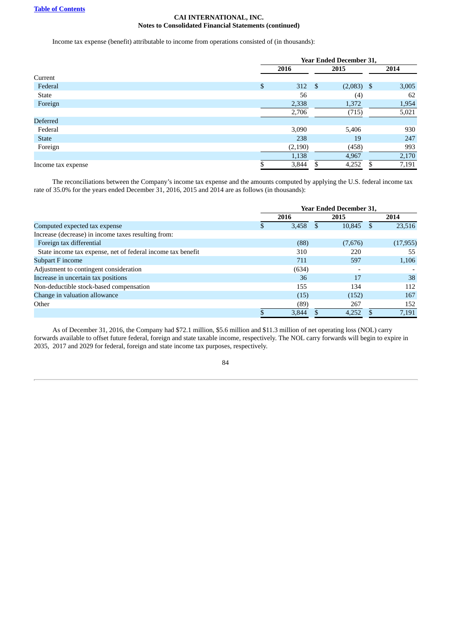Income tax expense (benefit) attributable to income from operations consisted of (in thousands):

|                    |    | <b>Year Ended December 31,</b> |  |                   |   |       |  |  |  |  |  |  |  |  |  |  |  |  |  |  |  |  |  |  |  |      |
|--------------------|----|--------------------------------|--|-------------------|---|-------|--|--|--|--|--|--|--|--|--|--|--|--|--|--|--|--|--|--|--|------|
|                    |    | 2016<br>2015                   |  |                   |   |       |  |  |  |  |  |  |  |  |  |  |  |  |  |  |  |  |  |  |  | 2014 |
| Current            |    |                                |  |                   |   |       |  |  |  |  |  |  |  |  |  |  |  |  |  |  |  |  |  |  |  |      |
| Federal            | \$ | $312 \quad $$                  |  | $(2,083)$ \$      |   | 3,005 |  |  |  |  |  |  |  |  |  |  |  |  |  |  |  |  |  |  |  |      |
| <b>State</b>       |    | 56                             |  | $\left( 4\right)$ |   | 62    |  |  |  |  |  |  |  |  |  |  |  |  |  |  |  |  |  |  |  |      |
| Foreign            |    | 2,338                          |  | 1,372             |   | 1,954 |  |  |  |  |  |  |  |  |  |  |  |  |  |  |  |  |  |  |  |      |
|                    |    | 2,706                          |  | (715)             |   | 5,021 |  |  |  |  |  |  |  |  |  |  |  |  |  |  |  |  |  |  |  |      |
| <b>Deferred</b>    |    |                                |  |                   |   |       |  |  |  |  |  |  |  |  |  |  |  |  |  |  |  |  |  |  |  |      |
| Federal            |    | 3,090                          |  | 5,406             |   | 930   |  |  |  |  |  |  |  |  |  |  |  |  |  |  |  |  |  |  |  |      |
| <b>State</b>       |    | 238                            |  | 19                |   | 247   |  |  |  |  |  |  |  |  |  |  |  |  |  |  |  |  |  |  |  |      |
| Foreign            |    | (2, 190)                       |  | (458)             |   | 993   |  |  |  |  |  |  |  |  |  |  |  |  |  |  |  |  |  |  |  |      |
|                    |    | 1,138                          |  | 4,967             |   | 2,170 |  |  |  |  |  |  |  |  |  |  |  |  |  |  |  |  |  |  |  |      |
| Income tax expense | \$ | 3,844                          |  | 4,252             | S | 7,191 |  |  |  |  |  |  |  |  |  |  |  |  |  |  |  |  |  |  |  |      |

The reconciliations between the Company's income tax expense and the amounts computed by applying the U.S. federal income tax rate of 35.0% for the years ended December 31, 2016, 2015 and 2014 are as follows (in thousands):

|                                                             | <b>Year Ended December 31,</b> |  |                          |  |           |  |  |  |
|-------------------------------------------------------------|--------------------------------|--|--------------------------|--|-----------|--|--|--|
|                                                             | 2016                           |  | 2015                     |  | 2014      |  |  |  |
| Computed expected tax expense                               | 3,458                          |  | 10,845                   |  | 23,516    |  |  |  |
| Increase (decrease) in income taxes resulting from:         |                                |  |                          |  |           |  |  |  |
| Foreign tax differential                                    | (88)                           |  | (7,676)                  |  | (17, 955) |  |  |  |
| State income tax expense, net of federal income tax benefit | 310                            |  | 220                      |  | 55        |  |  |  |
| Subpart F income                                            | 711                            |  | 597                      |  | 1,106     |  |  |  |
| Adjustment to contingent consideration                      | (634)                          |  | $\overline{\phantom{0}}$ |  |           |  |  |  |
| Increase in uncertain tax positions                         | 36                             |  | 17                       |  | 38        |  |  |  |
| Non-deductible stock-based compensation                     | 155                            |  | 134                      |  | 112       |  |  |  |
| Change in valuation allowance                               | (15)                           |  | (152)                    |  | 167       |  |  |  |
| Other                                                       | (89)                           |  | 267                      |  | 152       |  |  |  |
|                                                             | 3.844                          |  | 4,252                    |  | 7,191     |  |  |  |

As of December 31, 2016, the Company had \$72.1 million, \$5.6 million and \$11.3 million of net operating loss (NOL) carry forwards available to offset future federal, foreign and state taxable income, respectively. The NOL carry forwards will begin to expire in 2035, 2017 and 2029 for federal, foreign and state income tax purposes, respectively.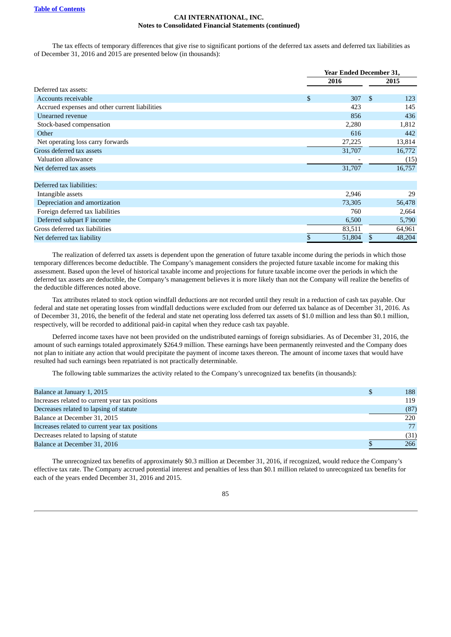## **CAI INTERNATIONAL, INC. Notes to Consolidated Financial Statements (continued)**

The tax effects of temporary differences that give rise to significant portions of the deferred tax assets and deferred tax liabilities as of December 31, 2016 and 2015 are presented below (in thousands):

|                                                |    | <b>Year Ended December 31,</b> |      |        |  |  |
|------------------------------------------------|----|--------------------------------|------|--------|--|--|
|                                                |    |                                | 2015 |        |  |  |
| Deferred tax assets:                           |    |                                |      |        |  |  |
| Accounts receivable                            | \$ | 307                            | -\$  | 123    |  |  |
| Accrued expenses and other current liabilities |    | 423                            |      | 145    |  |  |
| Unearned revenue                               |    | 856                            |      | 436    |  |  |
| Stock-based compensation                       |    | 2,280                          |      | 1,812  |  |  |
| Other                                          |    | 616                            |      | 442    |  |  |
| Net operating loss carry forwards              |    | 27,225                         |      | 13,814 |  |  |
| Gross deferred tax assets                      |    | 31,707                         |      | 16,772 |  |  |
| Valuation allowance                            |    |                                |      | (15)   |  |  |
| Net deferred tax assets                        |    | 31,707                         |      | 16,757 |  |  |
|                                                |    |                                |      |        |  |  |
| Deferred tax liabilities:                      |    |                                |      |        |  |  |
| Intangible assets                              |    | 2,946                          |      | 29     |  |  |
| Depreciation and amortization                  |    | 73,305                         |      | 56,478 |  |  |
| Foreign deferred tax liabilities               |    | 760                            |      | 2,664  |  |  |
| Deferred subpart F income                      |    | 6,500                          |      | 5,790  |  |  |
| Gross deferred tax liabilities                 |    | 83,511                         |      | 64,961 |  |  |
| Net deferred tax liability                     | \$ | 51,804                         | \$   | 48,204 |  |  |

The realization of deferred tax assets is dependent upon the generation of future taxable income during the periods in which those temporary differences become deductible. The Company's management considers the projected future taxable income for making this assessment. Based upon the level of historical taxable income and projections for future taxable income over the periods in which the deferred tax assets are deductible, the Company's management believes it is more likely than not the Company will realize the benefits of the deductible differences noted above.

Tax attributes related to stock option windfall deductions are not recorded until they result in a reduction of cash tax payable. Our federal and state net operating losses from windfall deductions were excluded from our deferred tax balance as of December 31, 2016. As of December 31, 2016, the benefit of the federal and state net operating loss deferred tax assets of \$1.0 million and less than \$0.1 million, respectively, will be recorded to additional paid-in capital when they reduce cash tax payable.

Deferred income taxes have not been provided on the undistributed earnings of foreign subsidiaries. As of December 31, 2016, the amount of such earnings totaled approximately \$264.9 million. These earnings have been permanently reinvested and the Company does not plan to initiate any action that would precipitate the payment of income taxes thereon. The amount of income taxes that would have resulted had such earnings been repatriated is not practically determinable.

The following table summarizes the activity related to the Company's unrecognized tax benefits (in thousands):

| Balance at January 1, 2015                      | ъ | 188  |
|-------------------------------------------------|---|------|
| Increases related to current year tax positions |   | 119  |
| Decreases related to lapsing of statute         |   | (87) |
| Balance at December 31, 2015                    |   | 220  |
| Increases related to current year tax positions |   | 77   |
| Decreases related to lapsing of statute         |   | (31) |
| Balance at December 31, 2016                    |   | 266  |

The unrecognized tax benefits of approximately \$0.3 million at December 31, 2016, if recognized, would reduce the Company's effective tax rate. The Company accrued potential interest and penalties of less than \$0.1 million related to unrecognized tax benefits for each of the years ended December 31, 2016 and 2015.

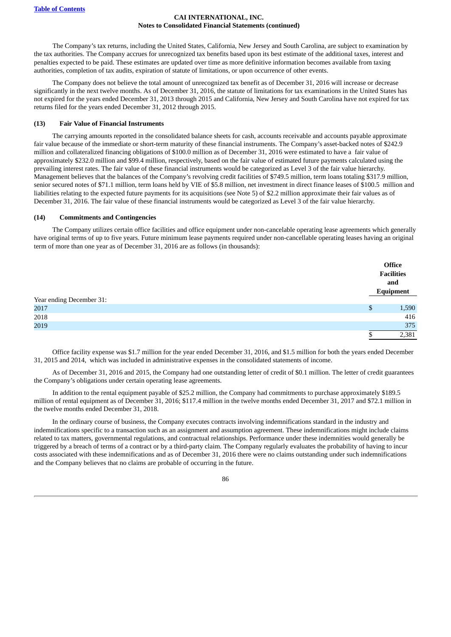The Company's tax returns, including the United States, California, New Jersey and South Carolina, are subject to examination by the tax authorities. The Company accrues for unrecognized tax benefits based upon its best estimate of the additional taxes, interest and penalties expected to be paid. These estimates are updated over time as more definitive information becomes available from taxing authorities, completion of tax audits, expiration of statute of limitations, or upon occurrence of other events.

The Company does not believe the total amount of unrecognized tax benefit as of December 31, 2016 will increase or decrease significantly in the next twelve months. As of December 31, 2016, the statute of limitations for tax examinations in the United States has not expired for the years ended December 31, 2013 through 2015 and California, New Jersey and South Carolina have not expired for tax returns filed for the years ended December 31, 2012 through 2015.

## **(13) Fair Value of Financial Instruments**

The carrying amounts reported in the consolidated balance sheets for cash, accounts receivable and accounts payable approximate fair value because of the immediate or short-term maturity of these financial instruments. The Company's asset-backed notes of \$242.9 million and collateralized financing obligations of \$100.0 million as of December 31, 2016 were estimated to have a fair value of approximately \$232.0 million and \$99.4 million, respectively, based on the fair value of estimated future payments calculated using the prevailing interest rates. The fair value of these financial instruments would be categorized as Level 3 of the fair value hierarchy. Management believes that the balances of the Company's revolving credit facilities of \$749.5 million, term loans totaling \$317.9 million, senior secured notes of \$71.1 million, term loans held by VIE of \$5.8 million, net investment in direct finance leases of \$100.5 million and liabilities relating to the expected future payments for its acquisitions (see Note 5) of \$2.2 million approximate their fair values as of December 31, 2016. The fair value of these financial instruments would be categorized as Level 3 of the fair value hierarchy.

#### **(14) Commitments and Contingencies**

The Company utilizes certain office facilities and office equipment under non-cancelable operating lease agreements which generally have original terms of up to five years. Future minimum lease payments required under non-cancellable operating leases having an original term of more than one year as of December 31, 2016 are as follows (in thousands):

|                          |    | <b>Office</b><br><b>Facilities</b><br>and |
|--------------------------|----|-------------------------------------------|
|                          |    | Equipment                                 |
| Year ending December 31: |    |                                           |
| 2017                     | \$ | 1,590                                     |
| 2018                     |    | 416                                       |
| 2019                     |    | 375                                       |
|                          | D  | 2,381                                     |

Office facility expense was \$1.7 million for the year ended December 31, 2016, and \$1.5 million for both the years ended December 31, 2015 and 2014, which was included in administrative expenses in the consolidated statements of income.

As of December 31, 2016 and 2015, the Company had one outstanding letter of credit of \$0.1 million. The letter of credit guarantees the Company's obligations under certain operating lease agreements.

In addition to the rental equipment payable of \$25.2 million, the Company had commitments to purchase approximately \$189.5 million of rental equipment as of December 31, 2016; \$117.4 million in the twelve months ended December 31, 2017 and \$72.1 million in the twelve months ended December 31, 2018.

In the ordinary course of business, the Company executes contracts involving indemnifications standard in the industry and indemnifications specific to a transaction such as an assignment and assumption agreement. These indemnifications might include claims related to tax matters, governmental regulations, and contractual relationships. Performance under these indemnities would generally be triggered by a breach of terms of a contract or by a third-party claim. The Company regularly evaluates the probability of having to incur costs associated with these indemnifications and as of December 31, 2016 there were no claims outstanding under such indemnifications and the Company believes that no claims are probable of occurring in the future.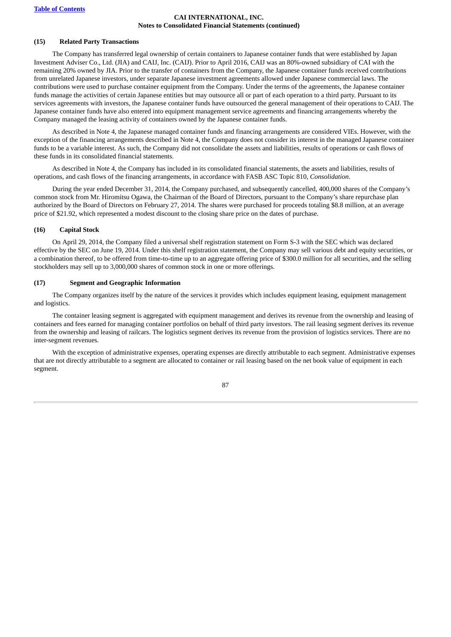#### **(15) Related Party Transactions**

The Company has transferred legal ownership of certain containers to Japanese container funds that were established by Japan Investment Adviser Co., Ltd. (JIA) and CAIJ, Inc. (CAIJ). Prior to April 2016, CAIJ was an 80%-owned subsidiary of CAI with the remaining 20% owned by JIA. Prior to the transfer of containers from the Company, the Japanese container funds received contributions from unrelated Japanese investors, under separate Japanese investment agreements allowed under Japanese commercial laws. The contributions were used to purchase container equipment from the Company. Under the terms of the agreements, the Japanese container funds manage the activities of certain Japanese entities but may outsource all or part of each operation to a third party. Pursuant to its services agreements with investors, the Japanese container funds have outsourced the general management of their operations to CAIJ. The Japanese container funds have also entered into equipment management service agreements and financing arrangements whereby the Company managed the leasing activity of containers owned by the Japanese container funds.

As described in Note 4, the Japanese managed container funds and financing arrangements are considered VIEs. However, with the exception of the financing arrangements described in Note 4, the Company does not consider its interest in the managed Japanese container funds to be a variable interest. As such, the Company did not consolidate the assets and liabilities, results of operations or cash flows of these funds in its consolidated financial statements.

As described in Note 4, the Company has included in its consolidated financial statements, the assets and liabilities, results of operations, and cash flows of the financing arrangements, in accordance with FASB ASC Topic 810, *Consolidation*.

During the year ended December 31, 2014, the Company purchased, and subsequently cancelled, 400,000 shares of the Company's common stock from Mr. Hiromitsu Ogawa, the Chairman of the Board of Directors, pursuant to the Company's share repurchase plan authorized by the Board of Directors on February 27, 2014. The shares were purchased for proceeds totaling \$8.8 million, at an average price of \$21.92, which represented a modest discount to the closing share price on the dates of purchase.

### **(16) Capital Stock**

On April 29, 2014, the Company filed a universal shelf registration statement on Form S-3 with the SEC which was declared effective by the SEC on June 19, 2014. Under this shelf registration statement, the Company may sell various debt and equity securities, or a combination thereof, to be offered from time-to-time up to an aggregate offering price of \$300.0 million for all securities, and the selling stockholders may sell up to 3,000,000 shares of common stock in one or more offerings.

### **(17) Segment and Geographic Information**

The Company organizes itself by the nature of the services it provides which includes equipment leasing, equipment management and logistics.

The container leasing segment is aggregated with equipment management and derives its revenue from the ownership and leasing of containers and fees earned for managing container portfolios on behalf of third party investors. The rail leasing segment derives its revenue from the ownership and leasing of railcars. The logistics segment derives its revenue from the provision of logistics services. There are no inter-segment revenues.

With the exception of administrative expenses, operating expenses are directly attributable to each segment. Administrative expenses that are not directly attributable to a segment are allocated to container or rail leasing based on the net book value of equipment in each segment.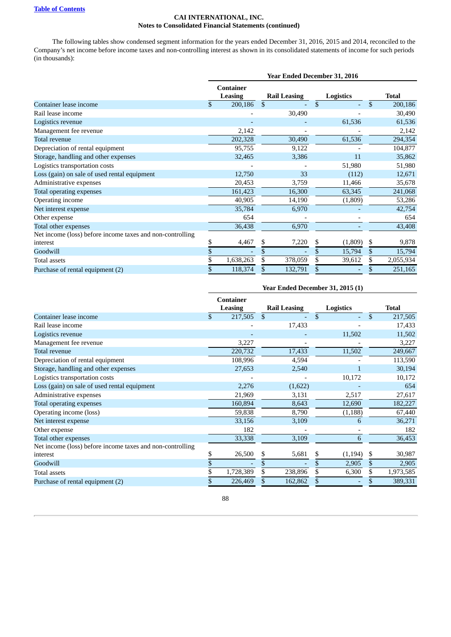The following tables show condensed segment information for the years ended December 31, 2016, 2015 and 2014, reconciled to the Company's net income before income taxes and non-controlling interest as shown in its consolidated statements of income for such periods (in thousands):

|                                                           | <b>Year Ended December 31, 2016</b> |                             |    |                     |              |                  |    |           |  |
|-----------------------------------------------------------|-------------------------------------|-----------------------------|----|---------------------|--------------|------------------|----|-----------|--|
|                                                           |                                     | <b>Container</b><br>Leasing |    | <b>Rail Leasing</b> |              | <b>Logistics</b> |    | Total     |  |
| Container lease income                                    | $\mathbb{S}$                        | 200,186                     | \$ |                     | $\mathbb{S}$ |                  | \$ | 200,186   |  |
| Rail lease income                                         |                                     |                             |    | 30,490              |              |                  |    | 30,490    |  |
| Logistics revenue                                         |                                     |                             |    |                     |              | 61,536           |    | 61,536    |  |
| Management fee revenue                                    |                                     | 2,142                       |    |                     |              |                  |    | 2,142     |  |
| <b>Total revenue</b>                                      |                                     | 202,328                     |    | 30,490              |              | 61,536           |    | 294,354   |  |
| Depreciation of rental equipment                          |                                     | 95,755                      |    | 9,122               |              |                  |    | 104,877   |  |
| Storage, handling and other expenses                      |                                     | 32,465                      |    | 3,386               |              | 11               |    | 35,862    |  |
| Logistics transportation costs                            |                                     |                             |    |                     |              | 51,980           |    | 51,980    |  |
| Loss (gain) on sale of used rental equipment              |                                     | 12,750                      |    | 33                  |              | (112)            |    | 12,671    |  |
| Administrative expenses                                   |                                     | 20,453                      |    | 3,759               |              | 11,466           |    | 35,678    |  |
| Total operating expenses                                  |                                     | 161,423                     |    | 16,300              |              | 63,345           |    | 241,068   |  |
| Operating income                                          |                                     | 40,905                      |    | 14,190              |              | (1,809)          |    | 53,286    |  |
| Net interest expense                                      |                                     | 35,784                      |    | 6,970               |              |                  |    | 42,754    |  |
| Other expense                                             |                                     | 654                         |    |                     |              |                  |    | 654       |  |
| Total other expenses                                      |                                     | 36,438                      |    | 6,970               |              |                  |    | 43,408    |  |
| Net income (loss) before income taxes and non-controlling |                                     |                             |    |                     |              |                  |    |           |  |
| interest                                                  | \$                                  | 4,467                       | \$ | 7,220               | S            | (1,809)          | \$ | 9,878     |  |
| Goodwill                                                  | \$                                  |                             | \$ |                     | \$.          | 15,794           | \$ | 15,794    |  |
| <b>Total assets</b>                                       |                                     | 1,638,263                   |    | 378,059             | \$           | 39,612           |    | 2,055,934 |  |
| Purchase of rental equipment (2)                          | \$                                  | 118,374                     |    | 132,791             | \$           |                  |    | 251,165   |  |

#### **Year Ended December 31, 2015 (1)**

|                                                           |    | <b>Container</b> |               |                     |    |                  |    |              |
|-----------------------------------------------------------|----|------------------|---------------|---------------------|----|------------------|----|--------------|
|                                                           |    | Leasing          |               | <b>Rail Leasing</b> |    | <b>Logistics</b> |    | <b>Total</b> |
| Container lease income                                    | \$ | 217,505          | <sup>\$</sup> |                     | \$ |                  | \$ | 217,505      |
| Rail lease income                                         |    |                  |               | 17,433              |    |                  |    | 17,433       |
| Logistics revenue                                         |    |                  |               |                     |    | 11,502           |    | 11,502       |
| Management fee revenue                                    |    | 3,227            |               |                     |    |                  |    | 3,227        |
| Total revenue                                             |    | 220,732          |               | 17,433              |    | 11,502           |    | 249,667      |
| Depreciation of rental equipment                          |    | 108,996          |               | 4,594               |    |                  |    | 113,590      |
| Storage, handling and other expenses                      |    | 27,653           |               | 2,540               |    |                  |    | 30,194       |
| Logistics transportation costs                            |    |                  |               |                     |    | 10,172           |    | 10,172       |
| Loss (gain) on sale of used rental equipment              |    | 2,276            |               | (1,622)             |    |                  |    | 654          |
| Administrative expenses                                   |    | 21,969           |               | 3,131               |    | 2,517            |    | 27,617       |
| Total operating expenses                                  |    | 160,894          |               | 8,643               |    | 12,690           |    | 182,227      |
| Operating income (loss)                                   |    | 59,838           |               | 8,790               |    | (1, 188)         |    | 67,440       |
| Net interest expense                                      |    | 33,156           |               | 3,109               |    | 6                |    | 36,271       |
| Other expense                                             |    | 182              |               |                     |    |                  |    | 182          |
| Total other expenses                                      |    | 33,338           |               | 3,109               |    | 6                |    | 36,453       |
| Net income (loss) before income taxes and non-controlling |    |                  |               |                     |    |                  |    |              |
| interest                                                  | S  | 26,500           | S.            | 5,681               | S  | (1, 194)         | S. | 30,987       |
| Goodwill                                                  |    |                  |               |                     | S  | 2,905            | \$ | 2,905        |
| <b>Total assets</b>                                       |    | 1,728,389        |               | 238,896             | \$ | 6,300            | \$ | 1,973,585    |
| Purchase of rental equipment (2)                          |    | 226,469          |               | 162,862             |    |                  |    | 389,331      |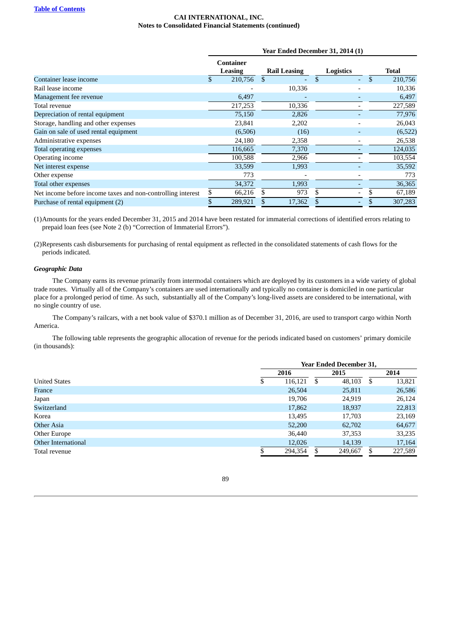|                                                             | Year Ended December 31, 2014 (1) |                      |  |                     |    |                          |  |         |
|-------------------------------------------------------------|----------------------------------|----------------------|--|---------------------|----|--------------------------|--|---------|
|                                                             |                                  | Container<br>Leasing |  | <b>Rail Leasing</b> |    | <b>Logistics</b>         |  | Total   |
| Container lease income                                      | \$                               | 210,756              |  | \$.                 | \$ | $\overline{\phantom{0}}$ |  | 210,756 |
| Rail lease income                                           |                                  |                      |  | 10,336              |    |                          |  | 10,336  |
| Management fee revenue                                      |                                  | 6,497                |  |                     |    |                          |  | 6,497   |
| Total revenue                                               |                                  | 217,253              |  | 10,336              |    |                          |  | 227,589 |
| Depreciation of rental equipment                            |                                  | 75,150               |  | 2,826               |    |                          |  | 77,976  |
| Storage, handling and other expenses                        |                                  | 23,841               |  | 2,202               |    |                          |  | 26,043  |
| Gain on sale of used rental equipment                       |                                  | (6,506)              |  | (16)                |    |                          |  | (6,522) |
| Administrative expenses                                     |                                  | 24,180               |  | 2,358               |    |                          |  | 26,538  |
| Total operating expenses                                    |                                  | 116,665              |  | 7,370               |    |                          |  | 124,035 |
| Operating income                                            |                                  | 100,588              |  | 2,966               |    |                          |  | 103,554 |
| Net interest expense                                        |                                  | 33,599               |  | 1,993               |    |                          |  | 35,592  |
| Other expense                                               |                                  | 773                  |  |                     |    |                          |  | 773     |
| Total other expenses                                        |                                  | 34,372               |  | 1,993               |    |                          |  | 36,365  |
| Net income before income taxes and non-controlling interest | \$                               | 66,216               |  | 973<br>\$           | \$ | $\blacksquare$           |  | 67,189  |
| Purchase of rental equipment (2)                            |                                  | 289,921              |  | 17,362              |    |                          |  | 307,283 |

(1)Amounts for the years ended December 31, 2015 and 2014 have been restated for immaterial corrections of identified errors relating to prepaid loan fees (see Note 2 (b) "Correction of Immaterial Errors").

(2)Represents cash disbursements for purchasing of rental equipment as reflected in the consolidated statements of cash flows for the periods indicated.

### *Geographic Data*

The Company earns its revenue primarily from intermodal containers which are deployed by its customers in a wide variety of global trade routes. Virtually all of the Company's containers are used internationally and typically no container is domiciled in one particular place for a prolonged period of time. As such, substantially all of the Company's long-lived assets are considered to be international, with no single country of use.

The Company's railcars, with a net book value of \$370.1 million as of December 31, 2016, are used to transport cargo within North America.

The following table represents the geographic allocation of revenue for the periods indicated based on customers' primary domicile (in thousands):

|                      |   | <b>Year Ended December 31,</b> |   |         |      |         |  |  |  |  |
|----------------------|---|--------------------------------|---|---------|------|---------|--|--|--|--|
|                      |   | 2016                           |   | 2015    |      | 2014    |  |  |  |  |
| <b>United States</b> | S | 116,121                        | S | 48,103  | - \$ | 13,821  |  |  |  |  |
| France               |   | 26,504                         |   | 25,811  |      | 26,586  |  |  |  |  |
| Japan                |   | 19,706                         |   | 24,919  |      | 26,124  |  |  |  |  |
| Switzerland          |   | 17,862                         |   | 18,937  |      | 22,813  |  |  |  |  |
| Korea                |   | 13,495                         |   | 17,703  |      | 23,169  |  |  |  |  |
| Other Asia           |   | 52,200                         |   | 62,702  |      | 64,677  |  |  |  |  |
| Other Europe         |   | 36,440                         |   | 37,353  |      | 33,235  |  |  |  |  |
| Other International  |   | 12,026                         |   | 14,139  |      | 17,164  |  |  |  |  |
| Total revenue        |   | 294,354                        |   | 249,667 |      | 227,589 |  |  |  |  |
|                      |   |                                |   |         |      |         |  |  |  |  |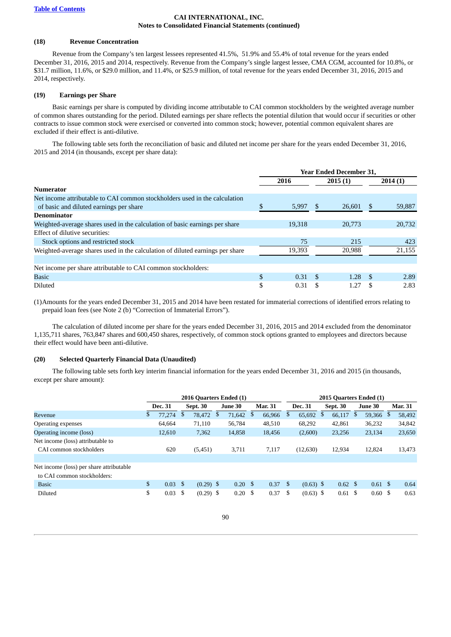### **(18) Revenue Concentration**

Revenue from the Company's ten largest lessees represented 41.5%, 51.9% and 55.4% of total revenue for the years ended December 31, 2016, 2015 and 2014, respectively. Revenue from the Company's single largest lessee, CMA CGM, accounted for 10.8%, or \$31.7 million, 11.6%, or \$29.0 million, and 11.4%, or \$25.9 million, of total revenue for the years ended December 31, 2016, 2015 and 2014, respectively.

### **(19) Earnings per Share**

Basic earnings per share is computed by dividing income attributable to CAI common stockholders by the weighted average number of common shares outstanding for the period. Diluted earnings per share reflects the potential dilution that would occur if securities or other contracts to issue common stock were exercised or converted into common stock; however, potential common equivalent shares are excluded if their effect is anti-dilutive.

The following table sets forth the reconciliation of basic and diluted net income per share for the years ended December 31, 2016, 2015 and 2014 (in thousands, except per share data):

|                                                                               | <b>Year Ended December 31.</b> |                 |         |        |      |         |  |
|-------------------------------------------------------------------------------|--------------------------------|-----------------|---------|--------|------|---------|--|
|                                                                               |                                | 2016            | 2015(1) |        |      | 2014(1) |  |
| <b>Numerator</b>                                                              |                                |                 |         |        |      |         |  |
| Net income attributable to CAI common stockholders used in the calculation    |                                |                 |         |        |      |         |  |
| of basic and diluted earnings per share                                       | \$                             | 5,997           | \$      | 26,601 | S    | 59,887  |  |
| <b>Denominator</b>                                                            |                                |                 |         |        |      |         |  |
| Weighted-average shares used in the calculation of basic earnings per share   |                                | 19.318          |         | 20,773 |      | 20,732  |  |
| Effect of dilutive securities:                                                |                                |                 |         |        |      |         |  |
| Stock options and restricted stock                                            |                                | 75              |         | 215    |      | 423     |  |
| Weighted-average shares used in the calculation of diluted earnings per share |                                | 19,393          |         | 20,988 |      | 21,155  |  |
|                                                                               |                                |                 |         |        |      |         |  |
| Net income per share attributable to CAI common stockholders:                 |                                |                 |         |        |      |         |  |
| Basic                                                                         | \$                             | $0.31 \quad$ \$ |         | 1.28   | - \$ | 2.89    |  |
| <b>Diluted</b>                                                                | \$                             | 0.31            | .S      | 1.27   | -S   | 2.83    |  |

(1)Amounts for the years ended December 31, 2015 and 2014 have been restated for immaterial corrections of identified errors relating to prepaid loan fees (see Note 2 (b) "Correction of Immaterial Errors").

The calculation of diluted income per share for the years ended December 31, 2016, 2015 and 2014 excluded from the denominator 1,135,711 shares, 763,847 shares and 600,450 shares, respectively, of common stock options granted to employees and directors because their effect would have been anti-dilutive.

### **(20) Selected Quarterly Financial Data (Unaudited)**

The following table sets forth key interim financial information for the years ended December 31, 2016 and 2015 (in thousands, except per share amount):

|                                          | 2016 Quarters Ended (1) |     |                 |   |         |                |        |    | 2015 Quarters Ended (1) |    |                 |     |                      |    |                |  |
|------------------------------------------|-------------------------|-----|-----------------|---|---------|----------------|--------|----|-------------------------|----|-----------------|-----|----------------------|----|----------------|--|
|                                          | <b>Dec. 31</b>          |     | <b>Sept. 30</b> |   | June 30 | <b>Mar. 31</b> |        |    | <b>Dec. 31</b>          |    | <b>Sept. 30</b> |     | June 30              |    | <b>Mar. 31</b> |  |
| Revenue                                  | \$<br>77,274            | S.  | 78,472          | S | 71.642  | - \$           | 66,966 | \$ | 65,692                  | \$ | 66,117          | -\$ | 59,366               | \$ | 58,492         |  |
| Operating expenses                       | 64.664                  |     | 71,110          |   | 56,784  |                | 48,510 |    | 68,292                  |    | 42,861          |     | 36,232               |    | 34,842         |  |
| Operating income (loss)                  | 12,610                  |     | 7,362           |   | 14,858  |                | 18,456 |    | (2,600)                 |    | 23,256          |     | 23,134               |    | 23,650         |  |
| Net income (loss) attributable to        |                         |     |                 |   |         |                |        |    |                         |    |                 |     |                      |    |                |  |
| CAI common stockholders                  | 620                     |     | (5,451)         |   | 3,711   |                | 7,117  |    | (12, 630)               |    | 12,934          |     | 12,824               |    | 13,473         |  |
|                                          |                         |     |                 |   |         |                |        |    |                         |    |                 |     |                      |    |                |  |
| Net income (loss) per share attributable |                         |     |                 |   |         |                |        |    |                         |    |                 |     |                      |    |                |  |
| to CAI common stockholders:              |                         |     |                 |   |         |                |        |    |                         |    |                 |     |                      |    |                |  |
| <b>Basic</b>                             | \$<br>0.03              | -\$ | $(0.29)$ \$     |   | 0.20    | - \$           | 0.37   | \$ | $(0.63)$ \$             |    | $0.62 \quad $$  |     | $0.61 \;\; \text{S}$ |    | 0.64           |  |
| Diluted                                  | \$<br>0.03              | -\$ | $(0.29)$ \$     |   | 0.20    | - \$           | 0.37   | -S | $(0.63)$ \$             |    | $0.61 \;$ \$    |     | $0.60 \;$ \$         |    | 0.63           |  |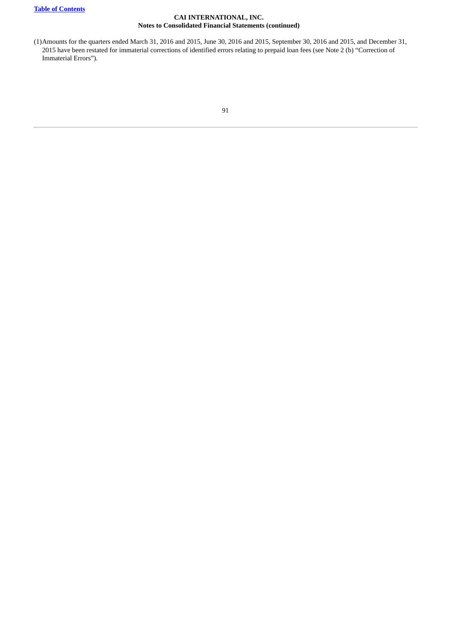## **CAI INTERNATIONAL, INC. Notes to Consolidated Financial Statements (continued)**

(1)Amounts for the quarters ended March 31, 2016 and 2015, June 30, 2016 and 2015, September 30, 2016 and 2015, and December 31, 2015 have been restated for immaterial corrections of identified errors relating to prepaid loan fees (see Note 2 (b) "Correction of Immaterial Errors").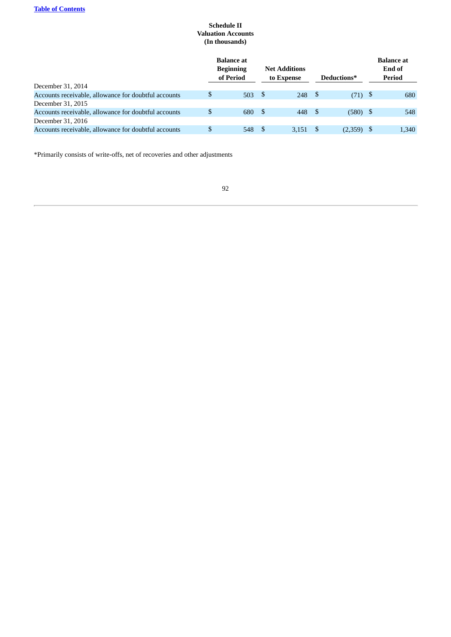## **Schedule II Valuation Accounts (In thousands)**

|                                                      | <b>Balance at</b><br><b>Beginning</b><br>of Period |      | <b>Net Additions</b><br>to Expense |     | Deductions*  | <b>Balance at</b><br>End of<br>Period |
|------------------------------------------------------|----------------------------------------------------|------|------------------------------------|-----|--------------|---------------------------------------|
| December 31, 2014                                    |                                                    |      |                                    |     |              |                                       |
| Accounts receivable, allowance for doubtful accounts | \$<br>503S                                         |      | 248S                               |     | $(71)$ \$    | 680                                   |
| December 31, 2015                                    |                                                    |      |                                    |     |              |                                       |
| Accounts receivable, allowance for doubtful accounts | \$<br>680                                          | - \$ | 448                                | - S | $(580)$ \$   | 548                                   |
| December 31, 2016                                    |                                                    |      |                                    |     |              |                                       |
| Accounts receivable, allowance for doubtful accounts | \$<br>548 \$                                       |      | 3,151                              |     | $(2,359)$ \$ | 1,340                                 |

\*Primarily consists of write-offs, net of recoveries and other adjustments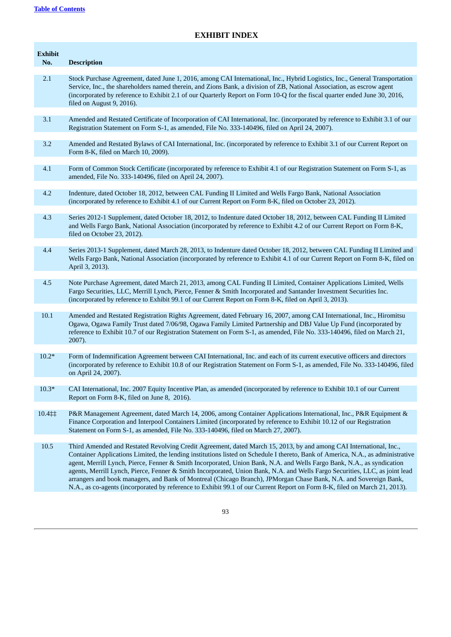# **EXHIBIT INDEX**

| <b>Exhibit</b><br>No. | <b>Description</b>                                                                                                                                                                                                                                                                                                                                                                                                                                                                                                                                                                                                                                                                                                                                                |
|-----------------------|-------------------------------------------------------------------------------------------------------------------------------------------------------------------------------------------------------------------------------------------------------------------------------------------------------------------------------------------------------------------------------------------------------------------------------------------------------------------------------------------------------------------------------------------------------------------------------------------------------------------------------------------------------------------------------------------------------------------------------------------------------------------|
| 2.1                   | Stock Purchase Agreement, dated June 1, 2016, among CAI International, Inc., Hybrid Logistics, Inc., General Transportation<br>Service, Inc., the shareholders named therein, and Zions Bank, a division of ZB, National Association, as escrow agent<br>(incorporated by reference to Exhibit 2.1 of our Quarterly Report on Form 10-Q for the fiscal quarter ended June 30, 2016,<br>filed on August 9, 2016).                                                                                                                                                                                                                                                                                                                                                  |
| 3.1                   | Amended and Restated Certificate of Incorporation of CAI International, Inc. (incorporated by reference to Exhibit 3.1 of our<br>Registration Statement on Form S-1, as amended, File No. 333-140496, filed on April 24, 2007).                                                                                                                                                                                                                                                                                                                                                                                                                                                                                                                                   |
| 3.2                   | Amended and Restated Bylaws of CAI International, Inc. (incorporated by reference to Exhibit 3.1 of our Current Report on<br>Form 8-K, filed on March 10, 2009).                                                                                                                                                                                                                                                                                                                                                                                                                                                                                                                                                                                                  |
| 4.1                   | Form of Common Stock Certificate (incorporated by reference to Exhibit 4.1 of our Registration Statement on Form S-1, as<br>amended, File No. 333-140496, filed on April 24, 2007).                                                                                                                                                                                                                                                                                                                                                                                                                                                                                                                                                                               |
| 4.2                   | Indenture, dated October 18, 2012, between CAL Funding II Limited and Wells Fargo Bank, National Association<br>(incorporated by reference to Exhibit 4.1 of our Current Report on Form 8-K, filed on October 23, 2012).                                                                                                                                                                                                                                                                                                                                                                                                                                                                                                                                          |
| 4.3                   | Series 2012-1 Supplement, dated October 18, 2012, to Indenture dated October 18, 2012, between CAL Funding II Limited<br>and Wells Fargo Bank, National Association (incorporated by reference to Exhibit 4.2 of our Current Report on Form 8-K,<br>filed on October 23, 2012).                                                                                                                                                                                                                                                                                                                                                                                                                                                                                   |
| 4.4                   | Series 2013-1 Supplement, dated March 28, 2013, to Indenture dated October 18, 2012, between CAL Funding II Limited and<br>Wells Fargo Bank, National Association (incorporated by reference to Exhibit 4.1 of our Current Report on Form 8-K, filed on<br>April 3, 2013).                                                                                                                                                                                                                                                                                                                                                                                                                                                                                        |
| 4.5                   | Note Purchase Agreement, dated March 21, 2013, among CAL Funding II Limited, Container Applications Limited, Wells<br>Fargo Securities, LLC, Merrill Lynch, Pierce, Fenner & Smith Incorporated and Santander Investment Securities Inc.<br>(incorporated by reference to Exhibit 99.1 of our Current Report on Form 8-K, filed on April 3, 2013).                                                                                                                                                                                                                                                                                                                                                                                                                |
| 10.1                  | Amended and Restated Registration Rights Agreement, dated February 16, 2007, among CAI International, Inc., Hiromitsu<br>Ogawa, Ogawa Family Trust dated 7/06/98, Ogawa Family Limited Partnership and DBJ Value Up Fund (incorporated by<br>reference to Exhibit 10.7 of our Registration Statement on Form S-1, as amended, File No. 333-140496, filed on March 21,<br>2007).                                                                                                                                                                                                                                                                                                                                                                                   |
| $10.2*$               | Form of Indemnification Agreement between CAI International, Inc. and each of its current executive officers and directors<br>(incorporated by reference to Exhibit 10.8 of our Registration Statement on Form S-1, as amended, File No. 333-140496, filed<br>on April 24, 2007).                                                                                                                                                                                                                                                                                                                                                                                                                                                                                 |
| $10.3*$               | CAI International, Inc. 2007 Equity Incentive Plan, as amended (incorporated by reference to Exhibit 10.1 of our Current<br>Report on Form 8-K, filed on June 8, 2016).                                                                                                                                                                                                                                                                                                                                                                                                                                                                                                                                                                                           |
| 10.4‡‡                | P&R Management Agreement, dated March 14, 2006, among Container Applications International, Inc., P&R Equipment &<br>Finance Corporation and Interpool Containers Limited (incorporated by reference to Exhibit 10.12 of our Registration<br>Statement on Form S-1, as amended, File No. 333-140496, filed on March 27, 2007).                                                                                                                                                                                                                                                                                                                                                                                                                                    |
| 10.5                  | Third Amended and Restated Revolving Credit Agreement, dated March 15, 2013, by and among CAI International, Inc.,<br>Container Applications Limited, the lending institutions listed on Schedule I thereto, Bank of America, N.A., as administrative<br>agent, Merrill Lynch, Pierce, Fenner & Smith Incorporated, Union Bank, N.A. and Wells Fargo Bank, N.A., as syndication<br>agents, Merrill Lynch, Pierce, Fenner & Smith Incorporated, Union Bank, N.A. and Wells Fargo Securities, LLC, as joint lead<br>arrangers and book managers, and Bank of Montreal (Chicago Branch), JPMorgan Chase Bank, N.A. and Sovereign Bank,<br>N.A., as co-agents (incorporated by reference to Exhibit 99.1 of our Current Report on Form 8-K, filed on March 21, 2013). |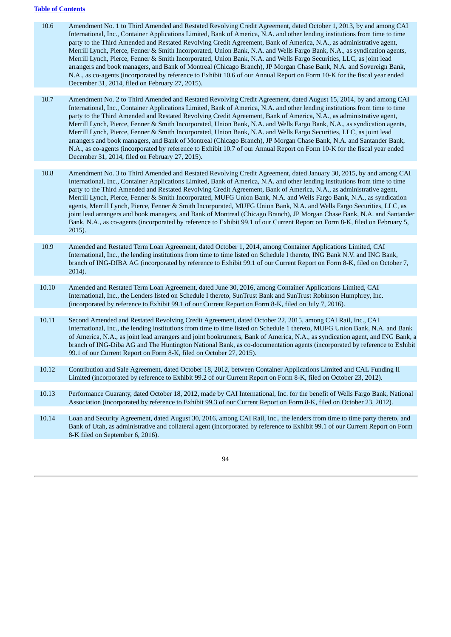- 10.6 Amendment No. 1 to Third Amended and Restated Revolving Credit Agreement, dated October 1, 2013, by and among CAI International, Inc., Container Applications Limited, Bank of America, N.A. and other lending institutions from time to time party to the Third Amended and Restated Revolving Credit Agreement, Bank of America, N.A., as administrative agent, Merrill Lynch, Pierce, Fenner & Smith Incorporated, Union Bank, N.A. and Wells Fargo Bank, N.A., as syndication agents, Merrill Lynch, Pierce, Fenner & Smith Incorporated, Union Bank, N.A. and Wells Fargo Securities, LLC, as joint lead arrangers and book managers, and Bank of Montreal (Chicago Branch), JP Morgan Chase Bank, N.A. and Sovereign Bank, N.A., as co-agents (incorporated by reference to Exhibit 10.6 of our Annual Report on Form 10-K for the fiscal year ended December 31, 2014, filed on February 27, 2015).
- 10.7 Amendment No. 2 to Third Amended and Restated Revolving Credit Agreement, dated August 15, 2014, by and among CAI International, Inc., Container Applications Limited, Bank of America, N.A. and other lending institutions from time to time party to the Third Amended and Restated Revolving Credit Agreement, Bank of America, N.A., as administrative agent, Merrill Lynch, Pierce, Fenner & Smith Incorporated, Union Bank, N.A. and Wells Fargo Bank, N.A., as syndication agents, Merrill Lynch, Pierce, Fenner & Smith Incorporated, Union Bank, N.A. and Wells Fargo Securities, LLC, as joint lead arrangers and book managers, and Bank of Montreal (Chicago Branch), JP Morgan Chase Bank, N.A. and Santander Bank, N.A., as co-agents (incorporated by reference to Exhibit 10.7 of our Annual Report on Form 10-K for the fiscal year ended December 31, 2014, filed on February 27, 2015).
- 10.8 Amendment No. 3 to Third Amended and Restated Revolving Credit Agreement, dated January 30, 2015, by and among CAI International, Inc., Container Applications Limited, Bank of America, N.A. and other lending institutions from time to time party to the Third Amended and Restated Revolving Credit Agreement, Bank of America, N.A., as administrative agent, Merrill Lynch, Pierce, Fenner & Smith Incorporated, MUFG Union Bank, N.A. and Wells Fargo Bank, N.A., as syndication agents, Merrill Lynch, Pierce, Fenner & Smith Incorporated, MUFG Union Bank, N.A. and Wells Fargo Securities, LLC, as joint lead arrangers and book managers, and Bank of Montreal (Chicago Branch), JP Morgan Chase Bank, N.A. and Santander Bank, N.A., as co-agents (incorporated by reference to Exhibit 99.1 of our Current Report on Form 8-K, filed on February 5, 2015).
- 10.9 Amended and Restated Term Loan Agreement, dated October 1, 2014, among Container Applications Limited, CAI International, Inc., the lending institutions from time to time listed on Schedule I thereto, ING Bank N.V. and ING Bank, branch of ING-DIBA AG (incorporated by reference to Exhibit 99.1 of our Current Report on Form 8-K, filed on October 7, 2014).
- 10.10 Amended and Restated Term Loan Agreement, dated June 30, 2016, among Container Applications Limited, CAI International, Inc., the Lenders listed on Schedule I thereto, SunTrust Bank and SunTrust Robinson Humphrey, Inc. (incorporated by reference to Exhibit 99.1 of our Current Report on Form 8-K, filed on July 7, 2016).
- 10.11 Second Amended and Restated Revolving Credit Agreement, dated October 22, 2015, among CAI Rail, Inc., CAI International, Inc., the lending institutions from time to time listed on Schedule 1 thereto, MUFG Union Bank, N.A. and Bank of America, N.A., as joint lead arrangers and joint bookrunners, Bank of America, N.A., as syndication agent, and ING Bank, a branch of ING-Diba AG and The Huntington National Bank, as co-documentation agents (incorporated by reference to Exhibit 99.1 of our Current Report on Form 8-K, filed on October 27, 2015).
- 10.12 Contribution and Sale Agreement, dated October 18, 2012, between Container Applications Limited and CAL Funding II Limited (incorporated by reference to Exhibit 99.2 of our Current Report on Form 8-K, filed on October 23, 2012).
- 10.13 Performance Guaranty, dated October 18, 2012, made by CAI International, Inc. for the benefit of Wells Fargo Bank, National Association (incorporated by reference to Exhibit 99.3 of our Current Report on Form 8-K, filed on October 23, 2012).
- 10.14 Loan and Security Agreement, dated August 30, 2016, among CAI Rail, Inc., the lenders from time to time party thereto, and Bank of Utah, as administrative and collateral agent (incorporated by reference to Exhibit 99.1 of our Current Report on Form 8-K filed on September 6, 2016).

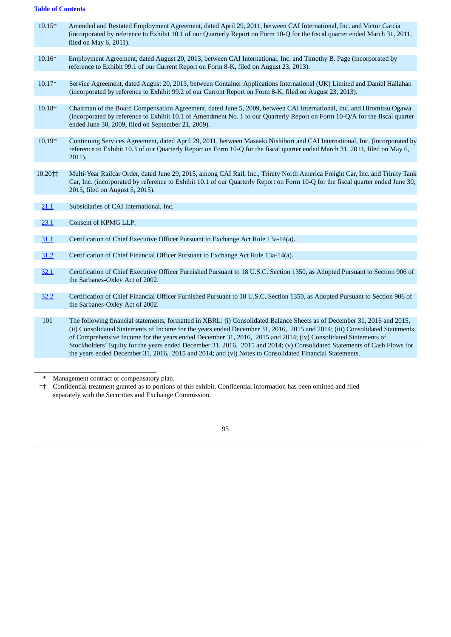| $10.15*$ | Amended and Restated Employment Agreement, dated April 29, 2011, between CAI International, Inc. and Victor Garcia<br>(incorporated by reference to Exhibit 10.1 of our Quarterly Report on Form 10-Q for the fiscal quarter ended March 31, 2011,<br>filed on May 6, 2011).                                                                                                                                                                                                                                                                                                                                  |
|----------|---------------------------------------------------------------------------------------------------------------------------------------------------------------------------------------------------------------------------------------------------------------------------------------------------------------------------------------------------------------------------------------------------------------------------------------------------------------------------------------------------------------------------------------------------------------------------------------------------------------|
| $10.16*$ | Employment Agreement, dated August 20, 2013, between CAI International, Inc. and Timothy B. Page (incorporated by<br>reference to Exhibit 99.1 of our Current Report on Form 8-K, filed on August 23, 2013).                                                                                                                                                                                                                                                                                                                                                                                                  |
| $10.17*$ | Service Agreement, dated August 20, 2013, between Container Applications International (UK) Limited and Daniel Hallahan<br>(incorporated by reference to Exhibit 99.2 of our Current Report on Form 8-K, filed on August 23, 2013).                                                                                                                                                                                                                                                                                                                                                                           |
| $10.18*$ | Chairman of the Board Compensation Agreement, dated June 5, 2009, between CAI International, Inc. and Hiromitsu Ogawa<br>(incorporated by reference to Exhibit 10.1 of Amendment No. 1 to our Quarterly Report on Form 10-Q/A for the fiscal quarter<br>ended June 30, 2009, filed on September 21, 2009).                                                                                                                                                                                                                                                                                                    |
| $10.19*$ | Continuing Services Agreement, dated April 29, 2011, between Masaaki Nishibori and CAI International, Inc. (incorporated by<br>reference to Exhibit 10.3 of our Quarterly Report on Form 10-Q for the fiscal quarter ended March 31, 2011, filed on May 6,<br>2011).                                                                                                                                                                                                                                                                                                                                          |
| 10.20‡‡  | Multi-Year Railcar Order, dated June 29, 2015, among CAI Rail, Inc., Trinity North America Freight Car, Inc. and Trinity Tank<br>Car, Inc. (incorporated by reference to Exhibit 10.1 of our Quarterly Report on Form 10-Q for the fiscal quarter ended June 30,<br>2015, filed on August 5, 2015).                                                                                                                                                                                                                                                                                                           |
| 21.1     | Subsidiaries of CAI International, Inc.                                                                                                                                                                                                                                                                                                                                                                                                                                                                                                                                                                       |
| 23.1     | Consent of KPMG LLP.                                                                                                                                                                                                                                                                                                                                                                                                                                                                                                                                                                                          |
| 31.1     | Certification of Chief Executive Officer Pursuant to Exchange Act Rule 13a-14(a).                                                                                                                                                                                                                                                                                                                                                                                                                                                                                                                             |
| 31.2     | Certification of Chief Financial Officer Pursuant to Exchange Act Rule 13a-14(a).                                                                                                                                                                                                                                                                                                                                                                                                                                                                                                                             |
| 32.1     | Certification of Chief Executive Officer Furnished Pursuant to 18 U.S.C. Section 1350, as Adopted Pursuant to Section 906 of<br>the Sarbanes-Oxley Act of 2002.                                                                                                                                                                                                                                                                                                                                                                                                                                               |
| 32.2     | Certification of Chief Financial Officer Furnished Pursuant to 18 U.S.C. Section 1350, as Adopted Pursuant to Section 906 of<br>the Sarbanes-Oxley Act of 2002.                                                                                                                                                                                                                                                                                                                                                                                                                                               |
| 101      | The following financial statements, formatted in XBRL: (i) Consolidated Balance Sheets as of December 31, 2016 and 2015,<br>(ii) Consolidated Statements of Income for the years ended December 31, 2016, 2015 and 2014; (iii) Consolidated Statements<br>of Comprehensive Income for the years ended December 31, 2016, 2015 and 2014; (iv) Consolidated Statements of<br>Stockholders' Equity for the years ended December 31, 2016, 2015 and 2014; (v) Consolidated Statements of Cash Flows for<br>the years ended December 31, 2016, 2015 and 2014; and (vi) Notes to Consolidated Financial Statements. |
|          |                                                                                                                                                                                                                                                                                                                                                                                                                                                                                                                                                                                                               |

<sup>\*</sup> Management contract or compensatory plan.

<sup>‡‡</sup> Confidential treatment granted as to portions of this exhibit. Confidential information has been omitted and filed separately with the Securities and Exchange Commission.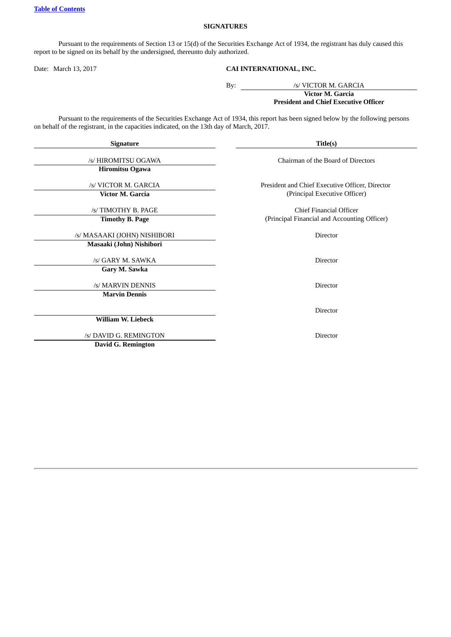#### **SIGNATURES**

Pursuant to the requirements of Section 13 or 15(d) of the Securities Exchange Act of 1934, the registrant has duly caused this report to be signed on its behalf by the undersigned, thereunto duly authorized.

#### Date: March 13, 2017 **CAI INTERNATIONAL, INC.**

By: /s/ VICTOR M. GARCIA

**Victor M. Garcia President and Chief Executive Officer**

Pursuant to the requirements of the Securities Exchange Act of 1934, this report has been signed below by the following persons on behalf of the registrant, in the capacities indicated, on the 13th day of March, 2017.

**Signature Title(s)** /s/ HIROMITSU OGAWA Chairman of the Board of Directors **Hiromitsu Ogawa** /s/ VICTOR M. GARCIA President and Chief Executive Officer, Director **Victor M. Garcia** (Principal Executive Officer) /s/ TIMOTHY B. PAGE Chief Financial Officer **Timothy B. Page <b>Contract Contract Contract** (Principal Financial and Accounting Officer) /s/ MASAAKI (JOHN) NISHIBORI Director **Masaaki (John) Nishibori** /s/ GARY M. SAWKA Director **Gary M. Sawka** /s/ MARVIN DENNIS Director **Marvin Dennis** Director **William W. Liebeck** /s/ DAVID G. REMINGTON Director **David G. Remington**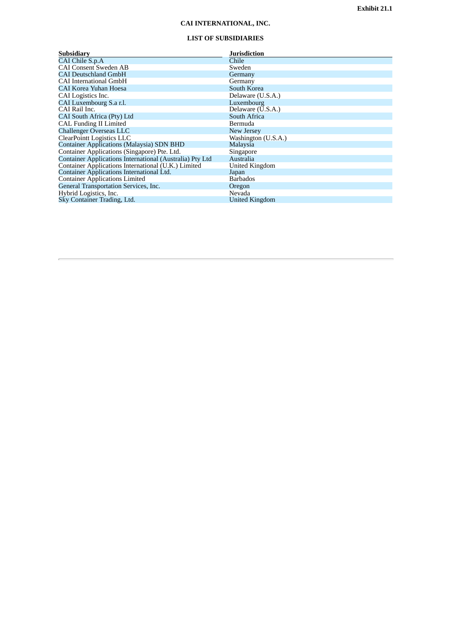# **CAI INTERNATIONAL, INC.**

# **LIST OF SUBSIDIARIES**

| <b>Subsidiary</b>                                        | <b>Jurisdiction</b>   |
|----------------------------------------------------------|-----------------------|
| CAI Chile S.p.A                                          | Chile                 |
| <b>CAI Consent Sweden AB</b>                             | Sweden                |
| <b>CAI Deutschland GmbH</b>                              | Germany               |
| CAI International GmbH                                   | Germany               |
| CAI Korea Yuhan Hoesa                                    | South Korea           |
| CAI Logistics Inc.                                       | Delaware (U.S.A.)     |
| CAI Luxembourg S.a r.l.                                  | Luxembourg            |
| CAI Rail Inc.                                            | Delaware (U.S.A.)     |
| CAI South Africa (Pty) Ltd                               | South Africa          |
| <b>CAL Funding II Limited</b>                            | Bermuda               |
| <b>Challenger Overseas LLC</b>                           | New Jersey            |
| <b>ClearPointt Logistics LLC</b>                         | Washington (U.S.A.)   |
| <b>Container Applications (Malaysia) SDN BHD</b>         | Malaysia              |
| Container Applications (Singapore) Pte. Ltd.             | Singapore             |
| Container Applications International (Australia) Pty Ltd | Australia             |
| Container Applications International (U.K.) Limited      | United Kingdom        |
| Container Applications International Ltd.                | Japan                 |
| <b>Container Applications Limited</b>                    | <b>Barbados</b>       |
| General Transportation Services, Inc.                    | Oregon                |
| Hybrid Logistics, Inc.                                   | Nevada                |
| Sky Container Trading, Ltd.                              | <b>United Kingdom</b> |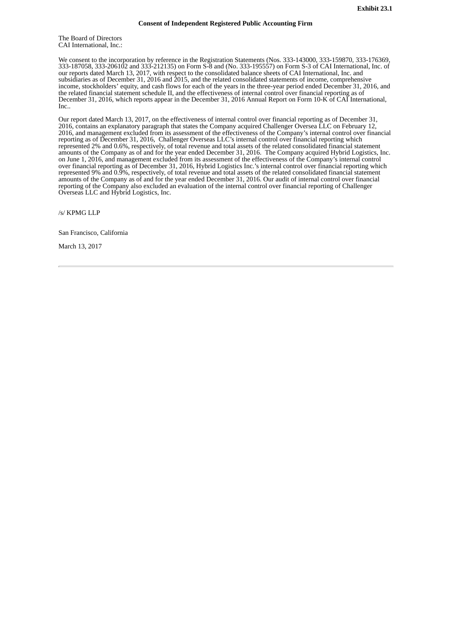## **Consent of Independent Registered Public Accounting Firm**

The Board of Directors CAI International, Inc.:

We consent to the incorporation by reference in the Registration Statements (Nos. 333-143000, 333-159870, 333-176369, 333-187058, 333-206102 and 333-212135) on Form S-8 and (No. 333-195557) on Form S-3 of CAI International, Inc. of our reports dated March 13, 2017, with respect to the consolidated balance sheets of CAI International, Inc. and subsidiaries as of December 31, 2016 and 2015, and the related consolidated statements of income, comprehensive income, stockholders' equity, and cash flows for each of the years in the three-year period ended December 31, 2016, and the related financial statement schedule II, and the effectiveness of internal control over financial reporting as of December 31, 2016, which reports appear in the December 31, 2016 Annual Report on Form 10-K of CAI International,  $Inc$ .

Our report dated March 13, 2017, on the effectiveness of internal control over financial reporting as of December 31, 2016, contains an explanatory paragraph that states the Company acquired Challenger Oversea LLC on February 12, 2016, and management excluded from its assessment of the effectiveness of the Company's internal control over financial reporting as of December 31, 2016, Challenger Overseas LLC's internal control over financial reporting which represented 2% and 0.6%, respectively, of total revenue and total assets of the related consolidated financial statement amounts of the Company as of and for the year ended December 31, 2016. The Company acquired Hybrid Logistics, Inc. on June 1, 2016, and management excluded from its assessment of the effectiveness of the Company's internal control over financial reporting as of December 31, 2016, Hybrid Logistics Inc.'s internal control over financial reporting which represented 9% and 0.9%, respectively, of total revenue and total assets of the related consolidated financial statement amounts of the Company as of and for the year ended December 31, 2016. Our audit of internal control over financial reporting of the Company also excluded an evaluation of the internal control over financial reporting of Challenger Overseas LLC and Hybrid Logistics, Inc.

/s/ KPMG LLP

San Francisco, California

March 13, 2017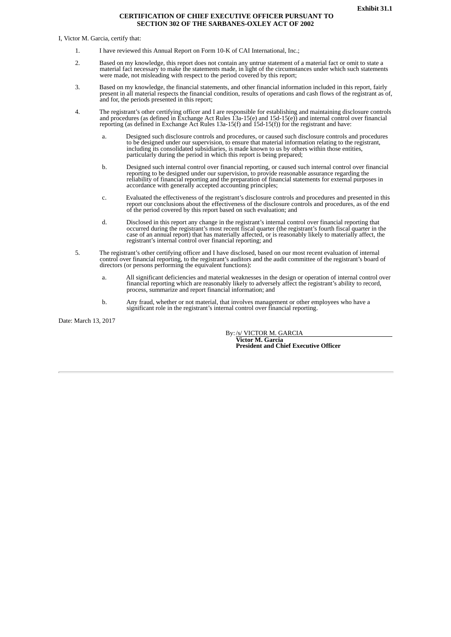#### **CERTIFICATION OF CHIEF EXECUTIVE OFFICER PURSUANT TO SECTION 302 OF THE SARBANES-OXLEY ACT OF 2002**

#### I, Victor M. Garcia, certify that:

- 1. I have reviewed this Annual Report on Form 10-K of CAI International, Inc.;
- 2. Based on my knowledge, this report does not contain any untrue statement of a material fact or omit to state a material fact necessary to make the statements made, in light of the circumstances under which such statements were made, not misleading with respect to the period covered by this report;
- 3. Based on my knowledge, the financial statements, and other financial information included in this report, fairly present in all material respects the financial condition, results of operations and cash flows of the registrant as of, and for, the periods presented in this report;
- 4. The registrant's other certifying officer and I are responsible for establishing and maintaining disclosure controls and procedures (as defined in Exchange Act Rules 13a-15(e) and 15d-15(e)) and internal control over financial reporting (as defined in Exchange Act Rules 13a-15(f) and 15d-15(f)) for the registrant and have:
	- a. Designed such disclosure controls and procedures, or caused such disclosure controls and procedures to be designed under our supervision, to ensure that material information relating to the registrant, including its consolidated subsidiaries, is made known to us by others within those entities, particularly during the period in which this report is being prepared;
	- b. Designed such internal control over financial reporting, or caused such internal control over financial reporting to be designed under our supervision, to provide reasonable assurance regarding the reliability of financial reporting and the preparation of financial statements for external purposes in accordance with generally accepted accounting principles;
	- c. Evaluated the effectiveness of the registrant's disclosure controls and procedures and presented in this report our conclusions about the effectiveness of the disclosure controls and procedures, as of the end of the period covered by this report based on such evaluation; and
	- d. Disclosed in this report any change in the registrant's internal control over financial reporting that occurred during the registrant's most recent fiscal quarter (the registrant's fourth fiscal quarter in the case of an annual report) that has materially affected, or is reasonably likely to materially affect, the registrant's internal control over financial reporting; and
- 5. The registrant's other certifying officer and I have disclosed, based on our most recent evaluation of internal control over financial reporting, to the registrant's auditors and the audit committee of the registrant's board of directors (or persons performing the equivalent functions):
	- a. All significant deficiencies and material weaknesses in the design or operation of internal control over financial reporting which are reasonably likely to adversely affect the registrant's ability to record, process, summarize and report financial information; and
	- b. Any fraud, whether or not material, that involves management or other employees who have a significant role in the registrant's internal control over financial reporting.

Date: March 13, 2017

By:/s/ VICTOR M. GARCIA **Victor M. Garcia President and Chief Executive Officer**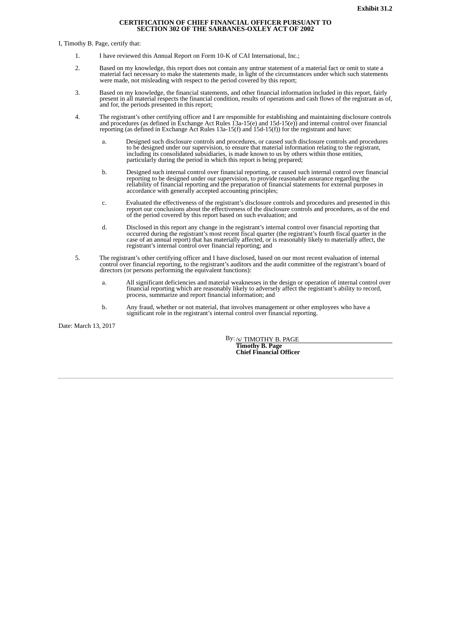#### **CERTIFICATION OF CHIEF FINANCIAL OFFICER PURSUANT TO SECTION 302 OF THE SARBANES-OXLEY ACT OF 2002**

#### I, Timothy B. Page, certify that:

- 1. I have reviewed this Annual Report on Form 10-K of CAI International, Inc.;
- 2. Based on my knowledge, this report does not contain any untrue statement of a material fact or omit to state a material fact necessary to make the statements made, in light of the circumstances under which such statements were made, not misleading with respect to the period covered by this report;
- 3. Based on my knowledge, the financial statements, and other financial information included in this report, fairly present in all material respects the financial condition, results of operations and cash flows of the registrant as of, and for, the periods presented in this report;
- 4. The registrant's other certifying officer and I are responsible for establishing and maintaining disclosure controls and procedures (as defined in Exchange Act Rules 13a-15(e) and 15d-15(e)) and internal control over financial reporting (as defined in Exchange Act Rules 13a-15(f) and 15d-15(f)) for the registrant and have:
	- a. Designed such disclosure controls and procedures, or caused such disclosure controls and procedures to be designed under our supervision, to ensure that material information relating to the registrant, including its consolidated subsidiaries, is made known to us by others within those entities, particularly during the period in which this report is being prepared;
	- b. Designed such internal control over financial reporting, or caused such internal control over financial reporting to be designed under our supervision, to provide reasonable assurance regarding the reliability of financial reporting and the preparation of financial statements for external purposes in accordance with generally accepted accounting principles;
	- c. Evaluated the effectiveness of the registrant's disclosure controls and procedures and presented in this report our conclusions about the effectiveness of the disclosure controls and procedures, as of the end of the period covered by this report based on such evaluation; and
	- d. Disclosed in this report any change in the registrant's internal control over financial reporting that occurred during the registrant's most recent fiscal quarter (the registrant's fourth fiscal quarter in the case of an annual report) that has materially affected, or is reasonably likely to materially affect, the registrant's internal control over financial reporting; and
- 5. The registrant's other certifying officer and I have disclosed, based on our most recent evaluation of internal control over financial reporting, to the registrant's auditors and the audit committee of the registrant's board of directors (or persons performing the equivalent functions):
	- a. All significant deficiencies and material weaknesses in the design or operation of internal control over financial reporting which are reasonably likely to adversely affect the registrant's ability to record, process, summarize and report financial information; and
	- b. Any fraud, whether or not material, that involves management or other employees who have a significant role in the registrant's internal control over financial reporting.

Date: March 13, 2017

By: /s/ TIMOTHY B. PAGE **Timothy B. Page Chief Financial Officer**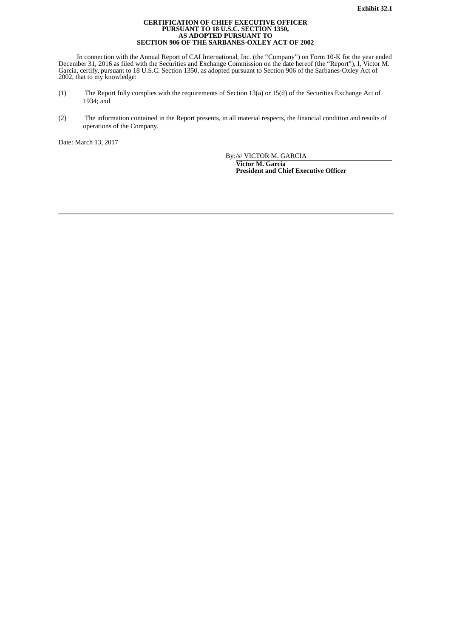#### **CERTIFICATION OF CHIEF EXECUTIVE OFFICER PURSUANT TO 18 U.S.C. SECTION 1350, AS ADOPTED PURSUANT TO SECTION 906 OF THE SARBANES-OXLEY ACT OF 2002**

In connection with the Annual Report of CAI International, Inc. (the "Company") on Form 10-K for the year ended December 31, 2016 as filed with the Securities and Exchange Commission on the date hereof (the "Report"), I, Victor M. Garcia, certify, pursuant to 18 U.S.C. Section 1350, as adopted pursuant to Section 906 of the Sarbanes-Oxley Act of 2002, that to my knowledge:

- (1) The Report fully complies with the requirements of Section 13(a) or 15(d) of the Securities Exchange Act of 1934; and
- (2) The information contained in the Report presents, in all material respects, the financial condition and results of operations of the Company.

Date: March 13, 2017

By:/s/ VICTOR M. GARCIA **Victor M. Garcia President and Chief Executive Officer**